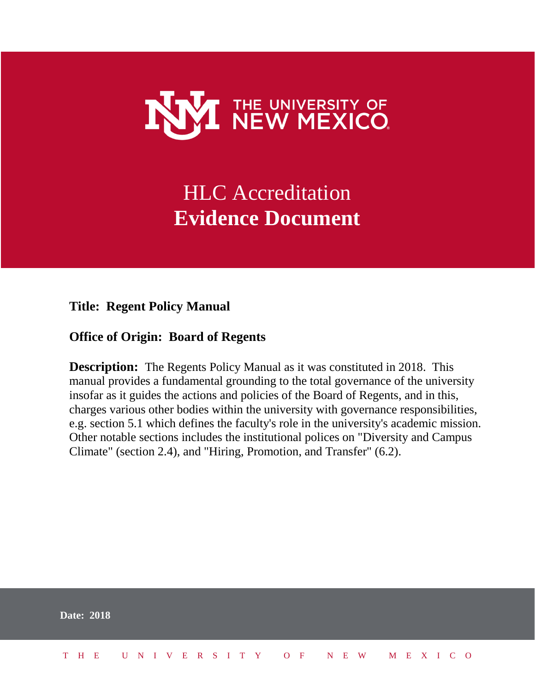

# HLC Accreditation **Evidence Document**

**Title: Regent Policy Manual**

#### **Office of Origin: Board of Regents**

**Description:** The Regents Policy Manual as it was constituted in 2018. This manual provides a fundamental grounding to the total governance of the university insofar as it guides the actions and policies of the Board of Regents, and in this, charges various other bodies within the university with governance responsibilities, e.g. section 5.1 which defines the faculty's role in the university's academic mission. Other notable sections includes the institutional polices on "Diversity and Campus Climate" (section 2.4), and "Hiring, Promotion, and Transfer" (6.2).

|  | <b>Date: 2018</b>            |  |  |  |  |  |  |  |  |  |  |  |  |
|--|------------------------------|--|--|--|--|--|--|--|--|--|--|--|--|
|  | THE UNIVERSITY OF NEW MEXICO |  |  |  |  |  |  |  |  |  |  |  |  |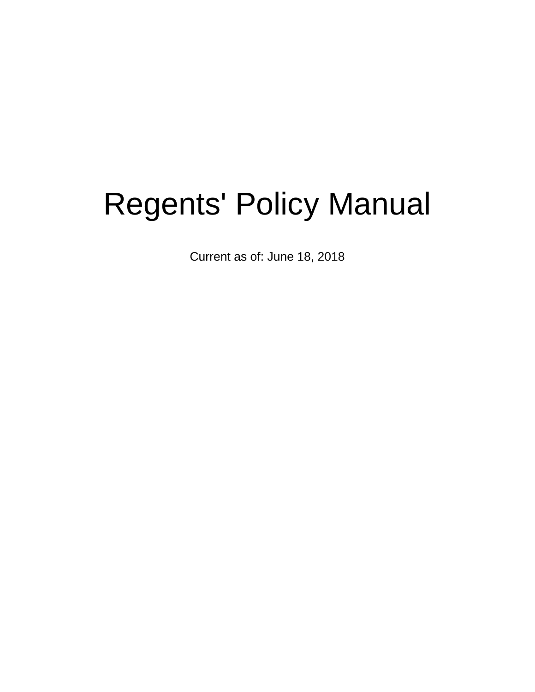# Regents' Policy Manual

Current as of: June 18, 2018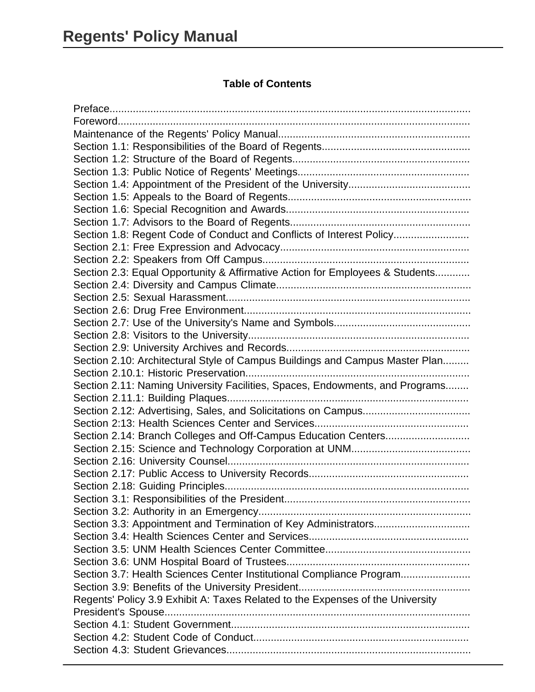#### **Table of Contents**

| Section 1.8: Regent Code of Conduct and Conflicts of Interest Policy           |
|--------------------------------------------------------------------------------|
|                                                                                |
|                                                                                |
| Section 2.3: Equal Opportunity & Affirmative Action for Employees & Students   |
|                                                                                |
|                                                                                |
|                                                                                |
|                                                                                |
|                                                                                |
|                                                                                |
| Section 2.10: Architectural Style of Campus Buildings and Campus Master Plan   |
|                                                                                |
| Section 2.11: Naming University Facilities, Spaces, Endowments, and Programs   |
|                                                                                |
|                                                                                |
|                                                                                |
|                                                                                |
|                                                                                |
|                                                                                |
|                                                                                |
|                                                                                |
|                                                                                |
|                                                                                |
|                                                                                |
|                                                                                |
|                                                                                |
|                                                                                |
|                                                                                |
| Section 3.7: Health Sciences Center Institutional Compliance Program           |
|                                                                                |
| Regents' Policy 3.9 Exhibit A: Taxes Related to the Expenses of the University |
|                                                                                |
|                                                                                |
|                                                                                |
|                                                                                |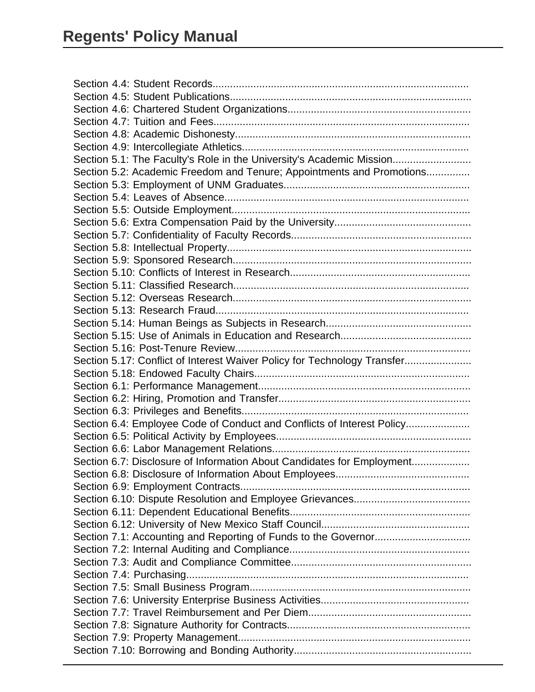| Section 5.1: The Faculty's Role in the University's Academic Mission     |
|--------------------------------------------------------------------------|
| Section 5.2: Academic Freedom and Tenure; Appointments and Promotions    |
|                                                                          |
|                                                                          |
|                                                                          |
|                                                                          |
|                                                                          |
|                                                                          |
|                                                                          |
|                                                                          |
|                                                                          |
|                                                                          |
|                                                                          |
|                                                                          |
|                                                                          |
|                                                                          |
| Section 5.17: Conflict of Interest Waiver Policy for Technology Transfer |
|                                                                          |
|                                                                          |
|                                                                          |
|                                                                          |
| Section 6.4: Employee Code of Conduct and Conflicts of Interest Policy   |
|                                                                          |
|                                                                          |
| Section 6.7: Disclosure of Information About Candidates for Employment   |
|                                                                          |
|                                                                          |
|                                                                          |
|                                                                          |
|                                                                          |
|                                                                          |
|                                                                          |
|                                                                          |
|                                                                          |
|                                                                          |
|                                                                          |
|                                                                          |
|                                                                          |
|                                                                          |
|                                                                          |
|                                                                          |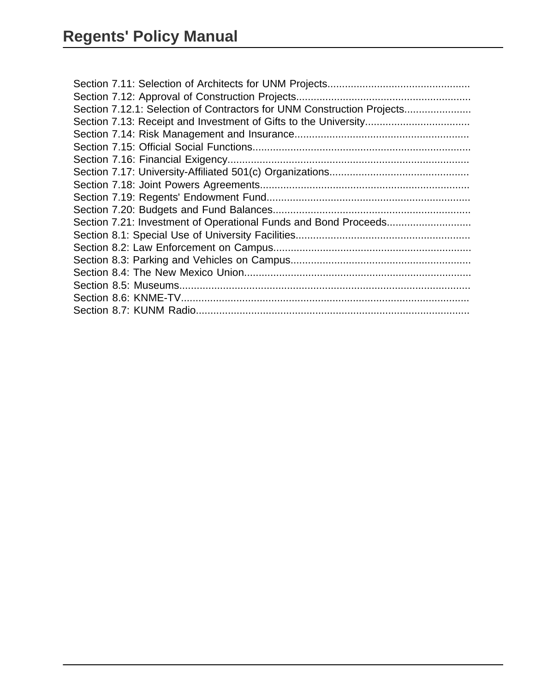| Section 7.12.1: Selection of Contractors for UNM Construction Projects |
|------------------------------------------------------------------------|
|                                                                        |
|                                                                        |
|                                                                        |
|                                                                        |
|                                                                        |
|                                                                        |
|                                                                        |
|                                                                        |
|                                                                        |
|                                                                        |
|                                                                        |
|                                                                        |
|                                                                        |
|                                                                        |
|                                                                        |
|                                                                        |
|                                                                        |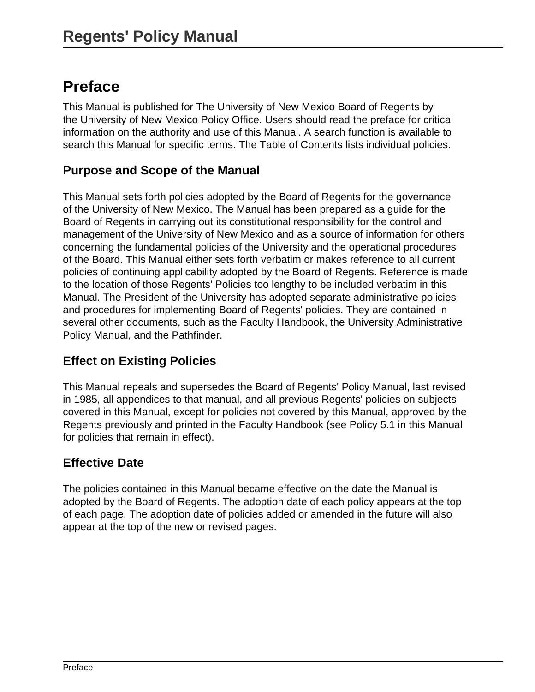# <span id="page-5-0"></span>**Preface**

This Manual is published for The University of New Mexico Board of Regents by the University of New Mexico Policy Office. Users should read the preface for critical information on the authority and use of this Manual. A search function is available to search this Manual for specific terms. The Table of Contents lists individual policies.

### **Purpose and Scope of the Manual**

This Manual sets forth policies adopted by the Board of Regents for the governance of the University of New Mexico. The Manual has been prepared as a guide for the Board of Regents in carrying out its constitutional responsibility for the control and management of the University of New Mexico and as a source of information for others concerning the fundamental policies of the University and the operational procedures of the Board. This Manual either sets forth verbatim or makes reference to all current policies of continuing applicability adopted by the Board of Regents. Reference is made to the location of those Regents' Policies too lengthy to be included verbatim in this Manual. The President of the University has adopted separate administrative policies and procedures for implementing Board of Regents' policies. They are contained in several other documents, such as the Faculty Handbook, the University Administrative Policy Manual, and the Pathfinder.

### **Effect on Existing Policies**

This Manual repeals and supersedes the Board of Regents' Policy Manual, last revised in 1985, all appendices to that manual, and all previous Regents' policies on subjects covered in this Manual, except for policies not covered by this Manual, approved by the Regents previously and printed in the Faculty Handbook (see Policy 5.1 in this Manual for policies that remain in effect).

### **Effective Date**

The policies contained in this Manual became effective on the date the Manual is adopted by the Board of Regents. The adoption date of each policy appears at the top of each page. The adoption date of policies added or amended in the future will also appear at the top of the new or revised pages.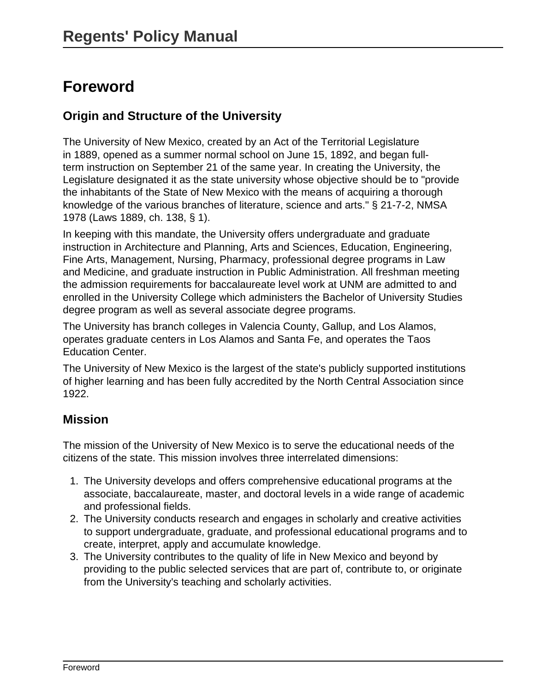# <span id="page-6-0"></span>**Foreword**

### **Origin and Structure of the University**

The University of New Mexico, created by an Act of the Territorial Legislature in 1889, opened as a summer normal school on June 15, 1892, and began fullterm instruction on September 21 of the same year. In creating the University, the Legislature designated it as the state university whose objective should be to "provide the inhabitants of the State of New Mexico with the means of acquiring a thorough knowledge of the various branches of literature, science and arts." § 21-7-2, NMSA 1978 (Laws 1889, ch. 138, § 1).

In keeping with this mandate, the University offers undergraduate and graduate instruction in Architecture and Planning, Arts and Sciences, Education, Engineering, Fine Arts, Management, Nursing, Pharmacy, professional degree programs in Law and Medicine, and graduate instruction in Public Administration. All freshman meeting the admission requirements for baccalaureate level work at UNM are admitted to and enrolled in the University College which administers the Bachelor of University Studies degree program as well as several associate degree programs.

The University has branch colleges in Valencia County, Gallup, and Los Alamos, operates graduate centers in Los Alamos and Santa Fe, and operates the Taos Education Center.

The University of New Mexico is the largest of the state's publicly supported institutions of higher learning and has been fully accredited by the North Central Association since 1922.

#### **Mission**

The mission of the University of New Mexico is to serve the educational needs of the citizens of the state. This mission involves three interrelated dimensions:

- 1. The University develops and offers comprehensive educational programs at the associate, baccalaureate, master, and doctoral levels in a wide range of academic and professional fields.
- 2. The University conducts research and engages in scholarly and creative activities to support undergraduate, graduate, and professional educational programs and to create, interpret, apply and accumulate knowledge.
- 3. The University contributes to the quality of life in New Mexico and beyond by providing to the public selected services that are part of, contribute to, or originate from the University's teaching and scholarly activities.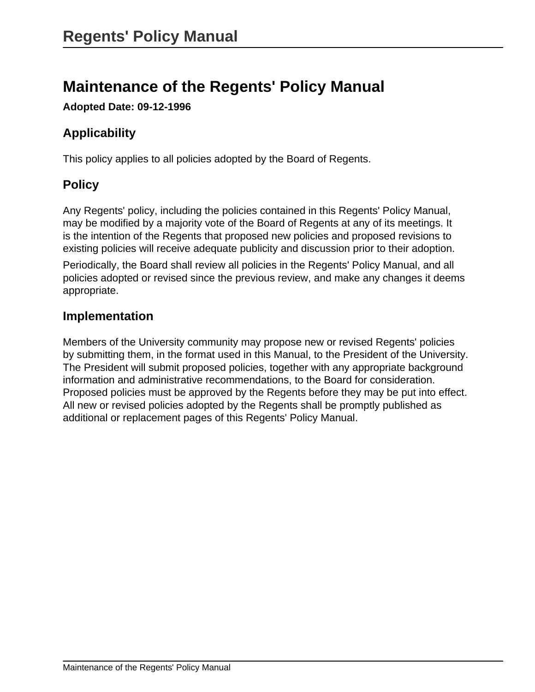# <span id="page-7-0"></span>**Maintenance of the Regents' Policy Manual**

**Adopted Date: 09-12-1996**

# **Applicability**

This policy applies to all policies adopted by the Board of Regents.

# **Policy**

Any Regents' policy, including the policies contained in this Regents' Policy Manual, may be modified by a majority vote of the Board of Regents at any of its meetings. It is the intention of the Regents that proposed new policies and proposed revisions to existing policies will receive adequate publicity and discussion prior to their adoption.

Periodically, the Board shall review all policies in the Regents' Policy Manual, and all policies adopted or revised since the previous review, and make any changes it deems appropriate.

### **Implementation**

Members of the University community may propose new or revised Regents' policies by submitting them, in the format used in this Manual, to the President of the University. The President will submit proposed policies, together with any appropriate background information and administrative recommendations, to the Board for consideration. Proposed policies must be approved by the Regents before they may be put into effect. All new or revised policies adopted by the Regents shall be promptly published as additional or replacement pages of this Regents' Policy Manual.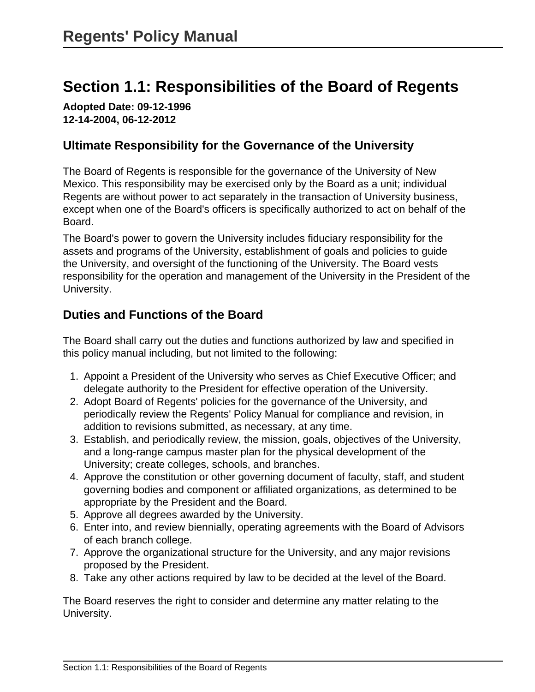# <span id="page-8-0"></span>**Section 1.1: Responsibilities of the Board of Regents**

**Adopted Date: 09-12-1996 12-14-2004, 06-12-2012**

#### **Ultimate Responsibility for the Governance of the University**

The Board of Regents is responsible for the governance of the University of New Mexico. This responsibility may be exercised only by the Board as a unit; individual Regents are without power to act separately in the transaction of University business, except when one of the Board's officers is specifically authorized to act on behalf of the Board.

The Board's power to govern the University includes fiduciary responsibility for the assets and programs of the University, establishment of goals and policies to guide the University, and oversight of the functioning of the University. The Board vests responsibility for the operation and management of the University in the President of the University.

### **Duties and Functions of the Board**

The Board shall carry out the duties and functions authorized by law and specified in this policy manual including, but not limited to the following:

- 1. Appoint a President of the University who serves as Chief Executive Officer; and delegate authority to the President for effective operation of the University.
- 2. Adopt Board of Regents' policies for the governance of the University, and periodically review the Regents' Policy Manual for compliance and revision, in addition to revisions submitted, as necessary, at any time.
- 3. Establish, and periodically review, the mission, goals, objectives of the University, and a long-range campus master plan for the physical development of the University; create colleges, schools, and branches.
- 4. Approve the constitution or other governing document of faculty, staff, and student governing bodies and component or affiliated organizations, as determined to be appropriate by the President and the Board.
- 5. Approve all degrees awarded by the University.
- 6. Enter into, and review biennially, operating agreements with the Board of Advisors of each branch college.
- 7. Approve the organizational structure for the University, and any major revisions proposed by the President.
- 8. Take any other actions required by law to be decided at the level of the Board.

The Board reserves the right to consider and determine any matter relating to the University.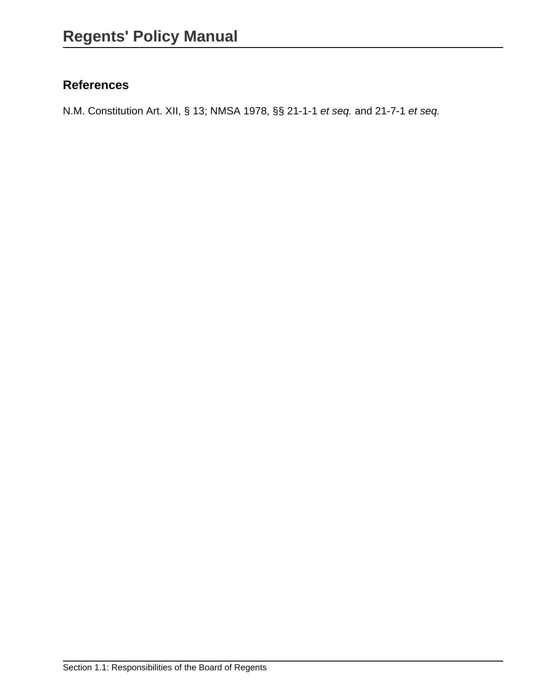# **References**

N.M. Constitution Art. XII, § 13; NMSA 1978, §§ 21-1-1 et seq. and 21-7-1 et seq.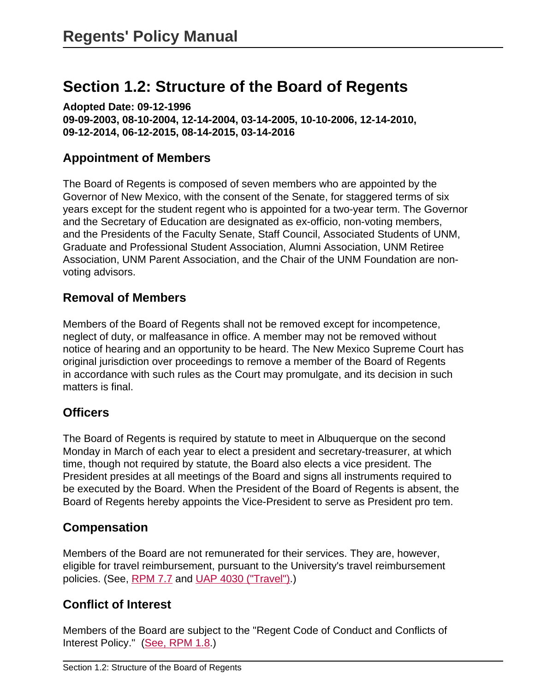# <span id="page-10-0"></span>**Section 1.2: Structure of the Board of Regents**

**Adopted Date: 09-12-1996 09-09-2003, 08-10-2004, 12-14-2004, 03-14-2005, 10-10-2006, 12-14-2010, 09-12-2014, 06-12-2015, 08-14-2015, 03-14-2016**

### **Appointment of Members**

The Board of Regents is composed of seven members who are appointed by the Governor of New Mexico, with the consent of the Senate, for staggered terms of six years except for the student regent who is appointed for a two-year term. The Governor and the Secretary of Education are designated as ex-officio, non-voting members, and the Presidents of the Faculty Senate, Staff Council, Associated Students of UNM, Graduate and Professional Student Association, Alumni Association, UNM Retiree Association, UNM Parent Association, and the Chair of the UNM Foundation are nonvoting advisors.

#### **Removal of Members**

Members of the Board of Regents shall not be removed except for incompetence, neglect of duty, or malfeasance in office. A member may not be removed without notice of hearing and an opportunity to be heard. The New Mexico Supreme Court has original jurisdiction over proceedings to remove a member of the Board of Regents in accordance with such rules as the Court may promulgate, and its decision in such matters is final.

### **Officers**

The Board of Regents is required by statute to meet in Albuquerque on the second Monday in March of each year to elect a president and secretary-treasurer, at which time, though not required by statute, the Board also elects a vice president. The President presides at all meetings of the Board and signs all instruments required to be executed by the Board. When the President of the Board of Regents is absent, the Board of Regents hereby appoints the Vice-President to serve as President pro tem.

# **Compensation**

Members of the Board are not remunerated for their services. They are, however, eligible for travel reimbursement, pursuant to the University's travel reimbursement policies. (See, [RPM 7.7](site://policy.unm.edu/regents-policies/section-7/7-7) and [UAP 4030 \("Travel"\).](site://policy.unm.edu/university-policies/4000/4030))

# **Conflict of Interest**

Members of the Board are subject to the "Regent Code of Conduct and Conflicts of Interest Policy." ([See, RPM 1.8](site://policy.unm.edu/regents-policies/section-1/1-8).)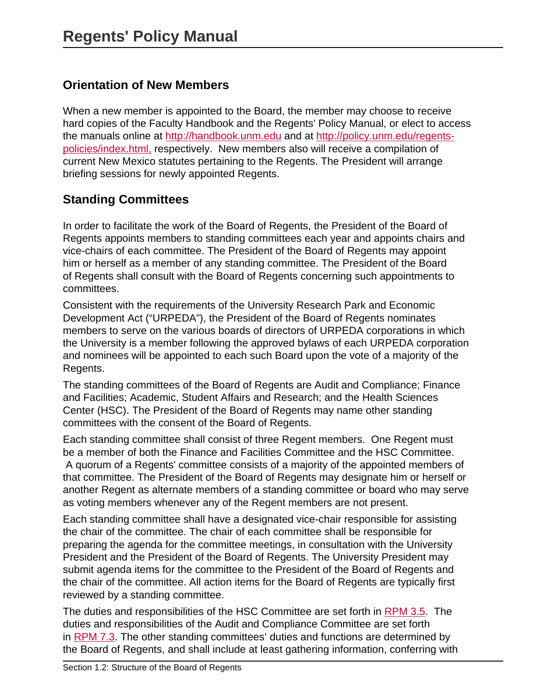# **Orientation of New Members**

When a new member is appointed to the Board, the member may choose to receive hard copies of the Faculty Handbook and the Regents' Policy Manual, or elect to access the manuals online at<http://handbook.unm.edu> and at [http://policy.unm.edu/regents](http://policy.unm.edu/regents-policies/index.html)[policies/index.html,](http://policy.unm.edu/regents-policies/index.html) respectively. New members also will receive a compilation of current New Mexico statutes pertaining to the Regents. The President will arrange briefing sessions for newly appointed Regents.

# **Standing Committees**

In order to facilitate the work of the Board of Regents, the President of the Board of Regents appoints members to standing committees each year and appoints chairs and vice-chairs of each committee. The President of the Board of Regents may appoint him or herself as a member of any standing committee. The President of the Board of Regents shall consult with the Board of Regents concerning such appointments to committees.

Consistent with the requirements of the University Research Park and Economic Development Act ("URPEDA"), the President of the Board of Regents nominates members to serve on the various boards of directors of URPEDA corporations in which the University is a member following the approved bylaws of each URPEDA corporation and nominees will be appointed to each such Board upon the vote of a majority of the Regents.

The standing committees of the Board of Regents are Audit and Compliance; Finance and Facilities; Academic, Student Affairs and Research; and the Health Sciences Center (HSC). The President of the Board of Regents may name other standing committees with the consent of the Board of Regents.

Each standing committee shall consist of three Regent members. One Regent must be a member of both the Finance and Facilities Committee and the HSC Committee. A quorum of a Regents' committee consists of a majority of the appointed members of that committee. The President of the Board of Regents may designate him or herself or another Regent as alternate members of a standing committee or board who may serve as voting members whenever any of the Regent members are not present.

Each standing committee shall have a designated vice-chair responsible for assisting the chair of the committee. The chair of each committee shall be responsible for preparing the agenda for the committee meetings, in consultation with the University President and the President of the Board of Regents. The University President may submit agenda items for the committee to the President of the Board of Regents and the chair of the committee. All action items for the Board of Regents are typically first reviewed by a standing committee.

The duties and responsibilities of the HSC Committee are set forth in [RPM 3.5.](https://policy.unm.edu/regents-policies/section-3/3-5.html) The duties and responsibilities of the Audit and Compliance Committee are set forth in [RPM 7.3](https://policy.unm.edu/regents-policies/section-7/7-3.html). The other standing committees' duties and functions are determined by the Board of Regents, and shall include at least gathering information, conferring with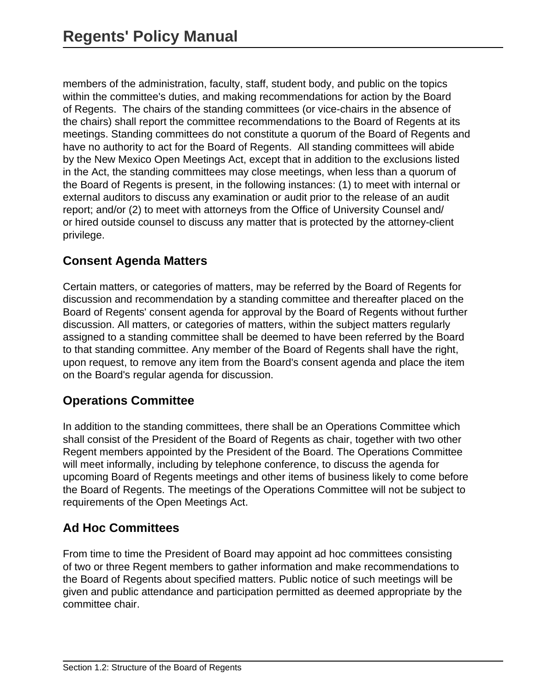members of the administration, faculty, staff, student body, and public on the topics within the committee's duties, and making recommendations for action by the Board of Regents. The chairs of the standing committees (or vice-chairs in the absence of the chairs) shall report the committee recommendations to the Board of Regents at its meetings. Standing committees do not constitute a quorum of the Board of Regents and have no authority to act for the Board of Regents. All standing committees will abide by the New Mexico Open Meetings Act, except that in addition to the exclusions listed in the Act, the standing committees may close meetings, when less than a quorum of the Board of Regents is present, in the following instances: (1) to meet with internal or external auditors to discuss any examination or audit prior to the release of an audit report; and/or (2) to meet with attorneys from the Office of University Counsel and/ or hired outside counsel to discuss any matter that is protected by the attorney-client privilege.

# **Consent Agenda Matters**

Certain matters, or categories of matters, may be referred by the Board of Regents for discussion and recommendation by a standing committee and thereafter placed on the Board of Regents' consent agenda for approval by the Board of Regents without further discussion. All matters, or categories of matters, within the subject matters regularly assigned to a standing committee shall be deemed to have been referred by the Board to that standing committee. Any member of the Board of Regents shall have the right, upon request, to remove any item from the Board's consent agenda and place the item on the Board's regular agenda for discussion.

# **Operations Committee**

In addition to the standing committees, there shall be an Operations Committee which shall consist of the President of the Board of Regents as chair, together with two other Regent members appointed by the President of the Board. The Operations Committee will meet informally, including by telephone conference, to discuss the agenda for upcoming Board of Regents meetings and other items of business likely to come before the Board of Regents. The meetings of the Operations Committee will not be subject to requirements of the Open Meetings Act.

# **Ad Hoc Committees**

From time to time the President of Board may appoint ad hoc committees consisting of two or three Regent members to gather information and make recommendations to the Board of Regents about specified matters. Public notice of such meetings will be given and public attendance and participation permitted as deemed appropriate by the committee chair.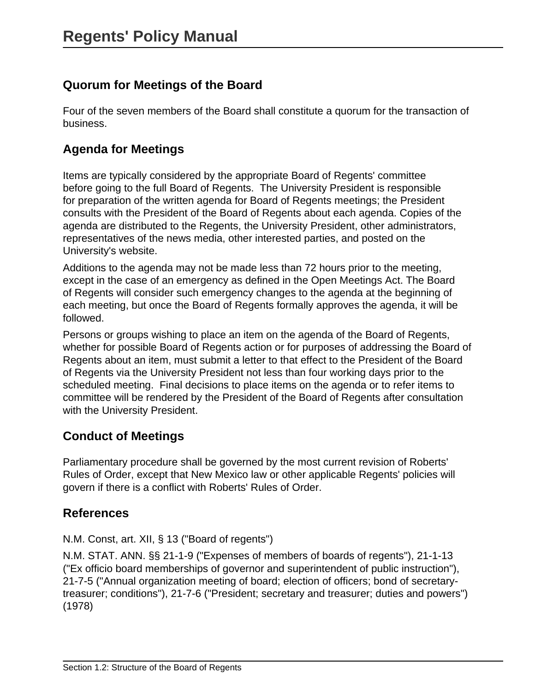# **Quorum for Meetings of the Board**

Four of the seven members of the Board shall constitute a quorum for the transaction of business.

### **Agenda for Meetings**

Items are typically considered by the appropriate Board of Regents' committee before going to the full Board of Regents. The University President is responsible for preparation of the written agenda for Board of Regents meetings; the President consults with the President of the Board of Regents about each agenda. Copies of the agenda are distributed to the Regents, the University President, other administrators, representatives of the news media, other interested parties, and posted on the University's website.

Additions to the agenda may not be made less than 72 hours prior to the meeting, except in the case of an emergency as defined in the Open Meetings Act. The Board of Regents will consider such emergency changes to the agenda at the beginning of each meeting, but once the Board of Regents formally approves the agenda, it will be followed.

Persons or groups wishing to place an item on the agenda of the Board of Regents, whether for possible Board of Regents action or for purposes of addressing the Board of Regents about an item, must submit a letter to that effect to the President of the Board of Regents via the University President not less than four working days prior to the scheduled meeting. Final decisions to place items on the agenda or to refer items to committee will be rendered by the President of the Board of Regents after consultation with the University President.

# **Conduct of Meetings**

Parliamentary procedure shall be governed by the most current revision of Roberts' Rules of Order, except that New Mexico law or other applicable Regents' policies will govern if there is a conflict with Roberts' Rules of Order.

### **References**

N.M. Const, art. XII, § 13 ("Board of regents")

N.M. STAT. ANN. §§ 21-1-9 ("Expenses of members of boards of regents"), 21-1-13 ("Ex officio board memberships of governor and superintendent of public instruction"), 21-7-5 ("Annual organization meeting of board; election of officers; bond of secretarytreasurer; conditions"), 21-7-6 ("President; secretary and treasurer; duties and powers") (1978)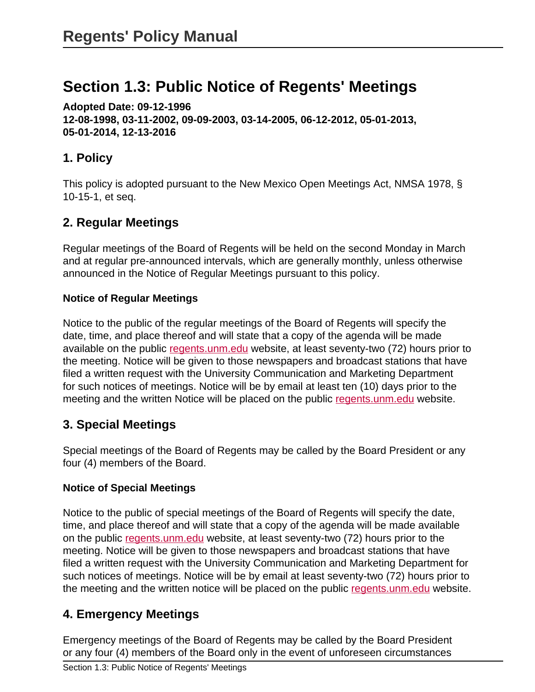# <span id="page-14-0"></span>**Section 1.3: Public Notice of Regents' Meetings**

**Adopted Date: 09-12-1996 12-08-1998, 03-11-2002, 09-09-2003, 03-14-2005, 06-12-2012, 05-01-2013, 05-01-2014, 12-13-2016**

# **1. Policy**

This policy is adopted pursuant to the New Mexico Open Meetings Act, NMSA 1978, § 10-15-1, et seq.

# **2. Regular Meetings**

Regular meetings of the Board of Regents will be held on the second Monday in March and at regular pre-announced intervals, which are generally monthly, unless otherwise announced in the Notice of Regular Meetings pursuant to this policy.

#### **Notice of Regular Meetings**

Notice to the public of the regular meetings of the Board of Regents will specify the date, time, and place thereof and will state that a copy of the agenda will be made available on the public [regents.unm.edu](http://regents.unm.edu/) website, at least seventy-two (72) hours prior to the meeting. Notice will be given to those newspapers and broadcast stations that have filed a written request with the University Communication and Marketing Department for such notices of meetings. Notice will be by email at least ten (10) days prior to the meeting and the written Notice will be placed on the public [regents.unm.edu](http://regents.unm.edu/) website.

# **3. Special Meetings**

Special meetings of the Board of Regents may be called by the Board President or any four (4) members of the Board.

#### **Notice of Special Meetings**

Notice to the public of special meetings of the Board of Regents will specify the date, time, and place thereof and will state that a copy of the agenda will be made available on the public [regents.unm.edu](http://regents.unm.edu/) website, at least seventy-two (72) hours prior to the meeting. Notice will be given to those newspapers and broadcast stations that have filed a written request with the University Communication and Marketing Department for such notices of meetings. Notice will be by email at least seventy-two (72) hours prior to the meeting and the written notice will be placed on the public [regents.unm.edu](http://regents.unm.edu/) website.

# **4. Emergency Meetings**

Emergency meetings of the Board of Regents may be called by the Board President or any four (4) members of the Board only in the event of unforeseen circumstances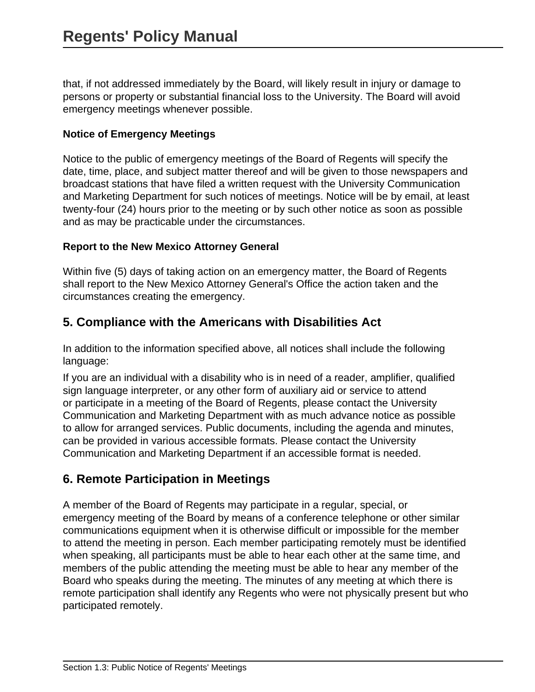that, if not addressed immediately by the Board, will likely result in injury or damage to persons or property or substantial financial loss to the University. The Board will avoid emergency meetings whenever possible.

#### **Notice of Emergency Meetings**

Notice to the public of emergency meetings of the Board of Regents will specify the date, time, place, and subject matter thereof and will be given to those newspapers and broadcast stations that have filed a written request with the University Communication and Marketing Department for such notices of meetings. Notice will be by email, at least twenty-four (24) hours prior to the meeting or by such other notice as soon as possible and as may be practicable under the circumstances.

#### **Report to the New Mexico Attorney General**

Within five (5) days of taking action on an emergency matter, the Board of Regents shall report to the New Mexico Attorney General's Office the action taken and the circumstances creating the emergency.

#### **5. Compliance with the Americans with Disabilities Act**

In addition to the information specified above, all notices shall include the following language:

If you are an individual with a disability who is in need of a reader, amplifier, qualified sign language interpreter, or any other form of auxiliary aid or service to attend or participate in a meeting of the Board of Regents, please contact the University Communication and Marketing Department with as much advance notice as possible to allow for arranged services. Public documents, including the agenda and minutes, can be provided in various accessible formats. Please contact the University Communication and Marketing Department if an accessible format is needed.

### **6. Remote Participation in Meetings**

A member of the Board of Regents may participate in a regular, special, or emergency meeting of the Board by means of a conference telephone or other similar communications equipment when it is otherwise difficult or impossible for the member to attend the meeting in person. Each member participating remotely must be identified when speaking, all participants must be able to hear each other at the same time, and members of the public attending the meeting must be able to hear any member of the Board who speaks during the meeting. The minutes of any meeting at which there is remote participation shall identify any Regents who were not physically present but who participated remotely.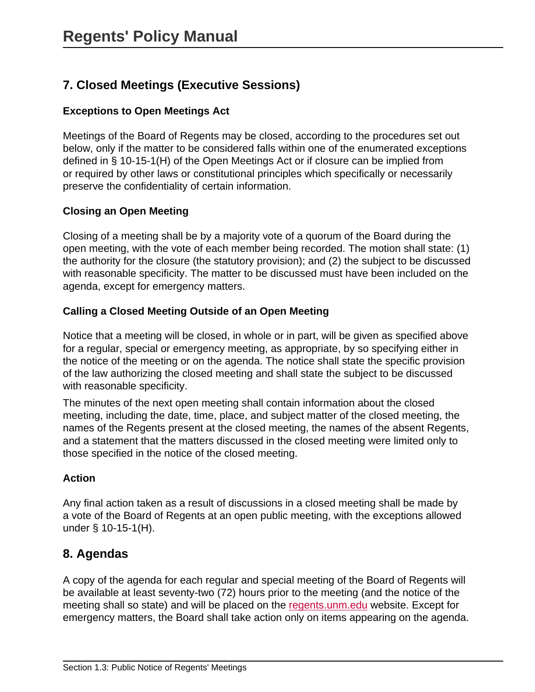# **7. Closed Meetings (Executive Sessions)**

#### **Exceptions to Open Meetings Act**

Meetings of the Board of Regents may be closed, according to the procedures set out below, only if the matter to be considered falls within one of the enumerated exceptions defined in § 10-15-1(H) of the Open Meetings Act or if closure can be implied from or required by other laws or constitutional principles which specifically or necessarily preserve the confidentiality of certain information.

#### **Closing an Open Meeting**

Closing of a meeting shall be by a majority vote of a quorum of the Board during the open meeting, with the vote of each member being recorded. The motion shall state: (1) the authority for the closure (the statutory provision); and (2) the subject to be discussed with reasonable specificity. The matter to be discussed must have been included on the agenda, except for emergency matters.

#### **Calling a Closed Meeting Outside of an Open Meeting**

Notice that a meeting will be closed, in whole or in part, will be given as specified above for a regular, special or emergency meeting, as appropriate, by so specifying either in the notice of the meeting or on the agenda. The notice shall state the specific provision of the law authorizing the closed meeting and shall state the subject to be discussed with reasonable specificity.

The minutes of the next open meeting shall contain information about the closed meeting, including the date, time, place, and subject matter of the closed meeting, the names of the Regents present at the closed meeting, the names of the absent Regents, and a statement that the matters discussed in the closed meeting were limited only to those specified in the notice of the closed meeting.

#### **Action**

Any final action taken as a result of discussions in a closed meeting shall be made by a vote of the Board of Regents at an open public meeting, with the exceptions allowed under § 10-15-1(H).

#### **8. Agendas**

A copy of the agenda for each regular and special meeting of the Board of Regents will be available at least seventy-two (72) hours prior to the meeting (and the notice of the meeting shall so state) and will be placed on the [regents.unm.edu](http://regents.unm.edu/) website. Except for emergency matters, the Board shall take action only on items appearing on the agenda.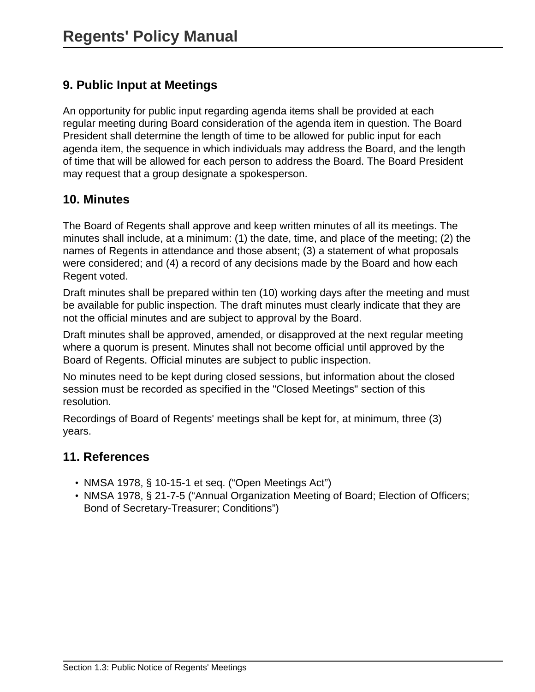# **9. Public Input at Meetings**

An opportunity for public input regarding agenda items shall be provided at each regular meeting during Board consideration of the agenda item in question. The Board President shall determine the length of time to be allowed for public input for each agenda item, the sequence in which individuals may address the Board, and the length of time that will be allowed for each person to address the Board. The Board President may request that a group designate a spokesperson.

#### **10. Minutes**

The Board of Regents shall approve and keep written minutes of all its meetings. The minutes shall include, at a minimum: (1) the date, time, and place of the meeting; (2) the names of Regents in attendance and those absent; (3) a statement of what proposals were considered; and (4) a record of any decisions made by the Board and how each Regent voted.

Draft minutes shall be prepared within ten (10) working days after the meeting and must be available for public inspection. The draft minutes must clearly indicate that they are not the official minutes and are subject to approval by the Board.

Draft minutes shall be approved, amended, or disapproved at the next regular meeting where a quorum is present. Minutes shall not become official until approved by the Board of Regents. Official minutes are subject to public inspection.

No minutes need to be kept during closed sessions, but information about the closed session must be recorded as specified in the "Closed Meetings" section of this resolution.

Recordings of Board of Regents' meetings shall be kept for, at minimum, three (3) years.

#### **11. References**

- NMSA 1978, § 10-15-1 et seq. ("Open Meetings Act")
- NMSA 1978, § 21-7-5 ("Annual Organization Meeting of Board; Election of Officers; Bond of Secretary-Treasurer; Conditions")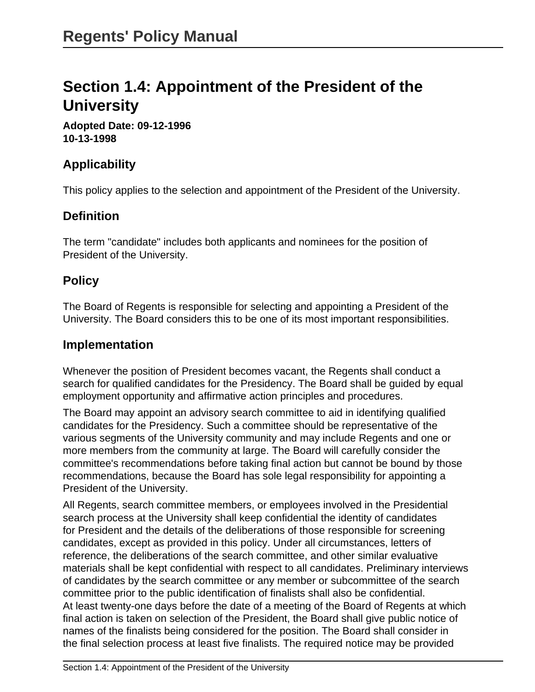# <span id="page-18-0"></span>**Section 1.4: Appointment of the President of the University**

**Adopted Date: 09-12-1996 10-13-1998**

# **Applicability**

This policy applies to the selection and appointment of the President of the University.

# **Definition**

The term "candidate" includes both applicants and nominees for the position of President of the University.

### **Policy**

The Board of Regents is responsible for selecting and appointing a President of the University. The Board considers this to be one of its most important responsibilities.

#### **Implementation**

Whenever the position of President becomes vacant, the Regents shall conduct a search for qualified candidates for the Presidency. The Board shall be guided by equal employment opportunity and affirmative action principles and procedures.

The Board may appoint an advisory search committee to aid in identifying qualified candidates for the Presidency. Such a committee should be representative of the various segments of the University community and may include Regents and one or more members from the community at large. The Board will carefully consider the committee's recommendations before taking final action but cannot be bound by those recommendations, because the Board has sole legal responsibility for appointing a President of the University.

All Regents, search committee members, or employees involved in the Presidential search process at the University shall keep confidential the identity of candidates for President and the details of the deliberations of those responsible for screening candidates, except as provided in this policy. Under all circumstances, letters of reference, the deliberations of the search committee, and other similar evaluative materials shall be kept confidential with respect to all candidates. Preliminary interviews of candidates by the search committee or any member or subcommittee of the search committee prior to the public identification of finalists shall also be confidential. At least twenty-one days before the date of a meeting of the Board of Regents at which final action is taken on selection of the President, the Board shall give public notice of names of the finalists being considered for the position. The Board shall consider in the final selection process at least five finalists. The required notice may be provided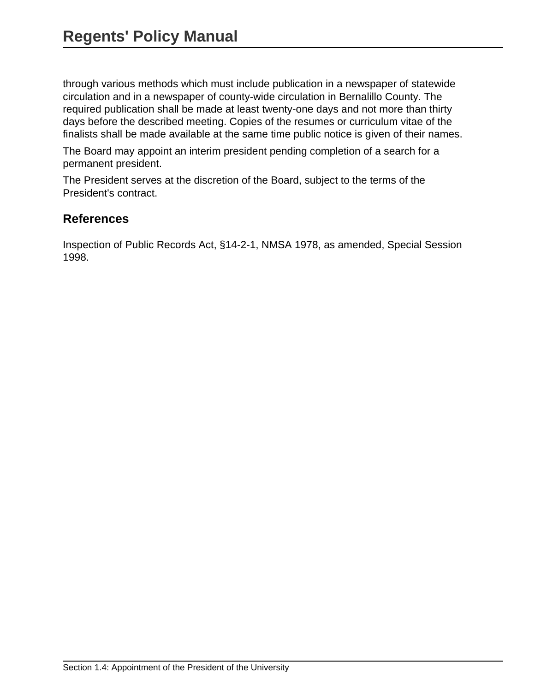through various methods which must include publication in a newspaper of statewide circulation and in a newspaper of county-wide circulation in Bernalillo County. The required publication shall be made at least twenty-one days and not more than thirty days before the described meeting. Copies of the resumes or curriculum vitae of the finalists shall be made available at the same time public notice is given of their names.

The Board may appoint an interim president pending completion of a search for a permanent president.

The President serves at the discretion of the Board, subject to the terms of the President's contract.

#### **References**

Inspection of Public Records Act, §14-2-1, NMSA 1978, as amended, Special Session 1998.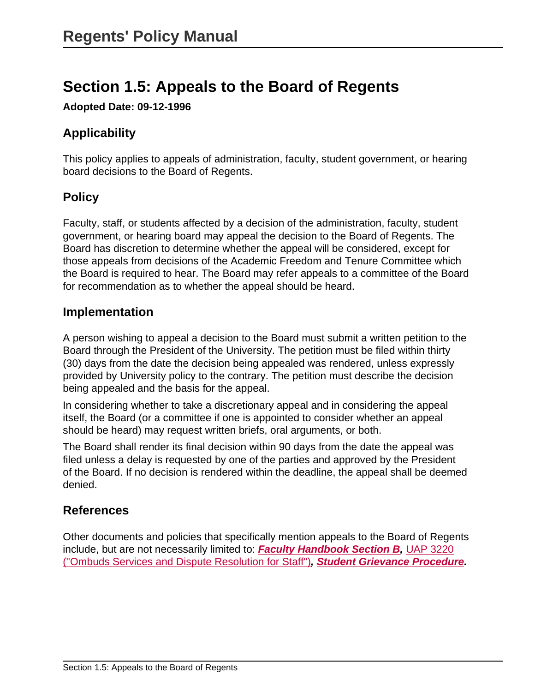# <span id="page-20-0"></span>**Section 1.5: Appeals to the Board of Regents**

**Adopted Date: 09-12-1996**

# **Applicability**

This policy applies to appeals of administration, faculty, student government, or hearing board decisions to the Board of Regents.

# **Policy**

Faculty, staff, or students affected by a decision of the administration, faculty, student government, or hearing board may appeal the decision to the Board of Regents. The Board has discretion to determine whether the appeal will be considered, except for those appeals from decisions of the Academic Freedom and Tenure Committee which the Board is required to hear. The Board may refer appeals to a committee of the Board for recommendation as to whether the appeal should be heard.

#### **Implementation**

A person wishing to appeal a decision to the Board must submit a written petition to the Board through the President of the University. The petition must be filed within thirty (30) days from the date the decision being appealed was rendered, unless expressly provided by University policy to the contrary. The petition must describe the decision being appealed and the basis for the appeal.

In considering whether to take a discretionary appeal and in considering the appeal itself, the Board (or a committee if one is appointed to consider whether an appeal should be heard) may request written briefs, oral arguments, or both.

The Board shall render its final decision within 90 days from the date the appeal was filed unless a delay is requested by one of the parties and approved by the President of the Board. If no decision is rendered within the deadline, the appeal shall be deemed denied.

### **References**

Other documents and policies that specifically mention appeals to the Board of Regents include, but are not necessarily limited to: **[Faculty Handbook Section B](http://handbook.unm.edu/index.html),** [UAP 3220](site://policy.unm.edu/university-policies/3000/3220) [\("Ombuds Services and Dispute Resolution for Staff"\)](site://policy.unm.edu/university-policies/3000/3220)**, [Student Grievance Procedure](http://pathfinder.unm.edu/student-grievance-procedure.html).**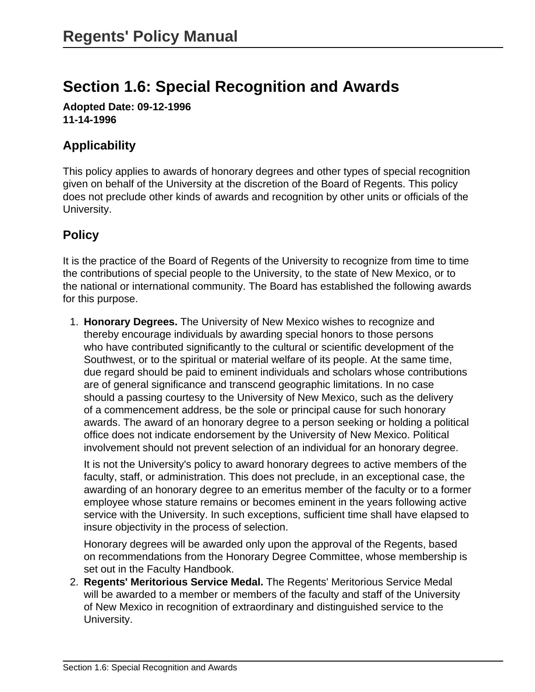# <span id="page-21-0"></span>**Section 1.6: Special Recognition and Awards**

**Adopted Date: 09-12-1996 11-14-1996**

# **Applicability**

This policy applies to awards of honorary degrees and other types of special recognition given on behalf of the University at the discretion of the Board of Regents. This policy does not preclude other kinds of awards and recognition by other units or officials of the University.

# **Policy**

It is the practice of the Board of Regents of the University to recognize from time to time the contributions of special people to the University, to the state of New Mexico, or to the national or international community. The Board has established the following awards for this purpose.

1. **Honorary Degrees.** The University of New Mexico wishes to recognize and thereby encourage individuals by awarding special honors to those persons who have contributed significantly to the cultural or scientific development of the Southwest, or to the spiritual or material welfare of its people. At the same time, due regard should be paid to eminent individuals and scholars whose contributions are of general significance and transcend geographic limitations. In no case should a passing courtesy to the University of New Mexico, such as the delivery of a commencement address, be the sole or principal cause for such honorary awards. The award of an honorary degree to a person seeking or holding a political office does not indicate endorsement by the University of New Mexico. Political involvement should not prevent selection of an individual for an honorary degree.

It is not the University's policy to award honorary degrees to active members of the faculty, staff, or administration. This does not preclude, in an exceptional case, the awarding of an honorary degree to an emeritus member of the faculty or to a former employee whose stature remains or becomes eminent in the years following active service with the University. In such exceptions, sufficient time shall have elapsed to insure objectivity in the process of selection.

Honorary degrees will be awarded only upon the approval of the Regents, based on recommendations from the Honorary Degree Committee, whose membership is set out in the Faculty Handbook.

2. **Regents' Meritorious Service Medal.** The Regents' Meritorious Service Medal will be awarded to a member or members of the faculty and staff of the University of New Mexico in recognition of extraordinary and distinguished service to the University.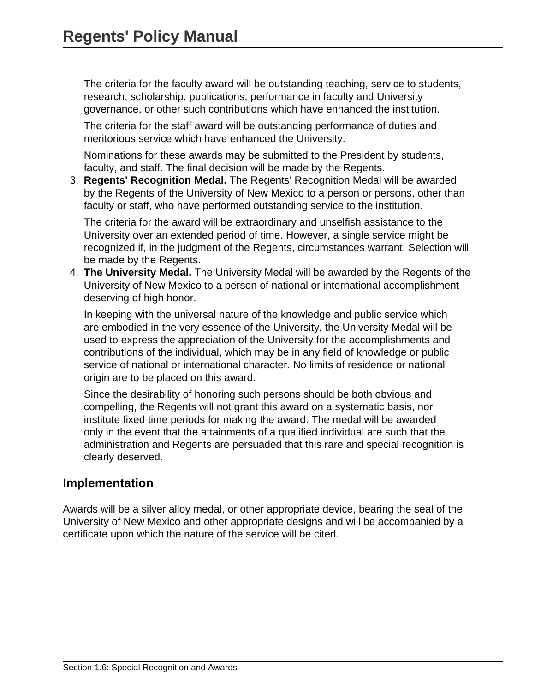The criteria for the faculty award will be outstanding teaching, service to students, research, scholarship, publications, performance in faculty and University governance, or other such contributions which have enhanced the institution.

The criteria for the staff award will be outstanding performance of duties and meritorious service which have enhanced the University.

Nominations for these awards may be submitted to the President by students, faculty, and staff. The final decision will be made by the Regents.

3. **Regents' Recognition Medal.** The Regents' Recognition Medal will be awarded by the Regents of the University of New Mexico to a person or persons, other than faculty or staff, who have performed outstanding service to the institution.

The criteria for the award will be extraordinary and unselfish assistance to the University over an extended period of time. However, a single service might be recognized if, in the judgment of the Regents, circumstances warrant. Selection will be made by the Regents.

4. **The University Medal.** The University Medal will be awarded by the Regents of the University of New Mexico to a person of national or international accomplishment deserving of high honor.

In keeping with the universal nature of the knowledge and public service which are embodied in the very essence of the University, the University Medal will be used to express the appreciation of the University for the accomplishments and contributions of the individual, which may be in any field of knowledge or public service of national or international character. No limits of residence or national origin are to be placed on this award.

Since the desirability of honoring such persons should be both obvious and compelling, the Regents will not grant this award on a systematic basis, nor institute fixed time periods for making the award. The medal will be awarded only in the event that the attainments of a qualified individual are such that the administration and Regents are persuaded that this rare and special recognition is clearly deserved.

#### **Implementation**

Awards will be a silver alloy medal, or other appropriate device, bearing the seal of the University of New Mexico and other appropriate designs and will be accompanied by a certificate upon which the nature of the service will be cited.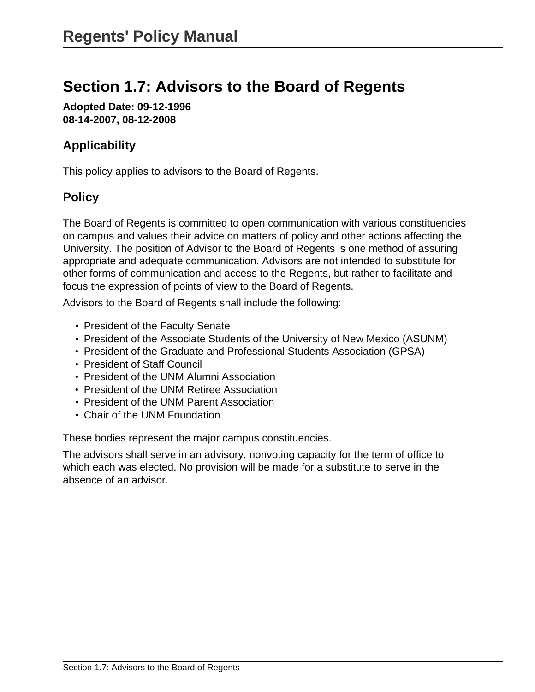# <span id="page-23-0"></span>**Section 1.7: Advisors to the Board of Regents**

**Adopted Date: 09-12-1996 08-14-2007, 08-12-2008**

# **Applicability**

This policy applies to advisors to the Board of Regents.

# **Policy**

The Board of Regents is committed to open communication with various constituencies on campus and values their advice on matters of policy and other actions affecting the University. The position of Advisor to the Board of Regents is one method of assuring appropriate and adequate communication. Advisors are not intended to substitute for other forms of communication and access to the Regents, but rather to facilitate and focus the expression of points of view to the Board of Regents.

Advisors to the Board of Regents shall include the following:

- President of the Faculty Senate
- President of the Associate Students of the University of New Mexico (ASUNM)
- President of the Graduate and Professional Students Association (GPSA)
- President of Staff Council
- President of the UNM Alumni Association
- President of the UNM Retiree Association
- President of the UNM Parent Association
- Chair of the UNM Foundation

These bodies represent the major campus constituencies.

The advisors shall serve in an advisory, nonvoting capacity for the term of office to which each was elected. No provision will be made for a substitute to serve in the absence of an advisor.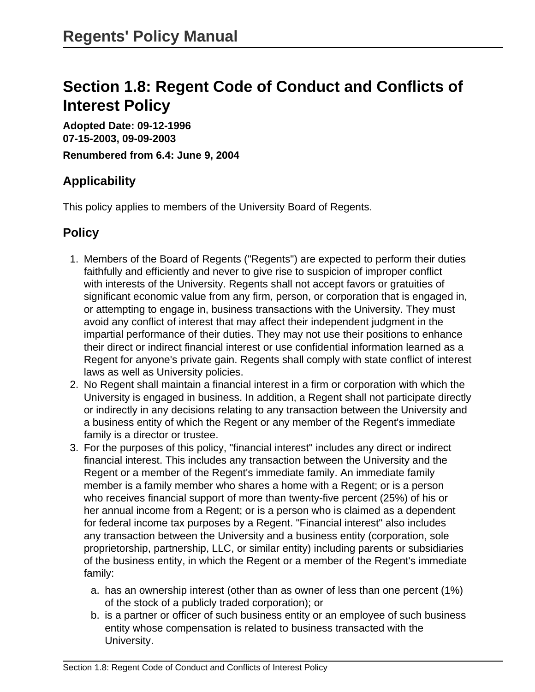# <span id="page-24-0"></span>**Section 1.8: Regent Code of Conduct and Conflicts of Interest Policy**

**Adopted Date: 09-12-1996 07-15-2003, 09-09-2003 Renumbered from 6.4: June 9, 2004**

# **Applicability**

This policy applies to members of the University Board of Regents.

### **Policy**

- 1. Members of the Board of Regents ("Regents") are expected to perform their duties faithfully and efficiently and never to give rise to suspicion of improper conflict with interests of the University. Regents shall not accept favors or gratuities of significant economic value from any firm, person, or corporation that is engaged in, or attempting to engage in, business transactions with the University. They must avoid any conflict of interest that may affect their independent judgment in the impartial performance of their duties. They may not use their positions to enhance their direct or indirect financial interest or use confidential information learned as a Regent for anyone's private gain. Regents shall comply with state conflict of interest laws as well as University policies.
- 2. No Regent shall maintain a financial interest in a firm or corporation with which the University is engaged in business. In addition, a Regent shall not participate directly or indirectly in any decisions relating to any transaction between the University and a business entity of which the Regent or any member of the Regent's immediate family is a director or trustee.
- 3. For the purposes of this policy, "financial interest" includes any direct or indirect financial interest. This includes any transaction between the University and the Regent or a member of the Regent's immediate family. An immediate family member is a family member who shares a home with a Regent; or is a person who receives financial support of more than twenty-five percent (25%) of his or her annual income from a Regent; or is a person who is claimed as a dependent for federal income tax purposes by a Regent. "Financial interest" also includes any transaction between the University and a business entity (corporation, sole proprietorship, partnership, LLC, or similar entity) including parents or subsidiaries of the business entity, in which the Regent or a member of the Regent's immediate family:
	- a. has an ownership interest (other than as owner of less than one percent (1%) of the stock of a publicly traded corporation); or
	- b. is a partner or officer of such business entity or an employee of such business entity whose compensation is related to business transacted with the University.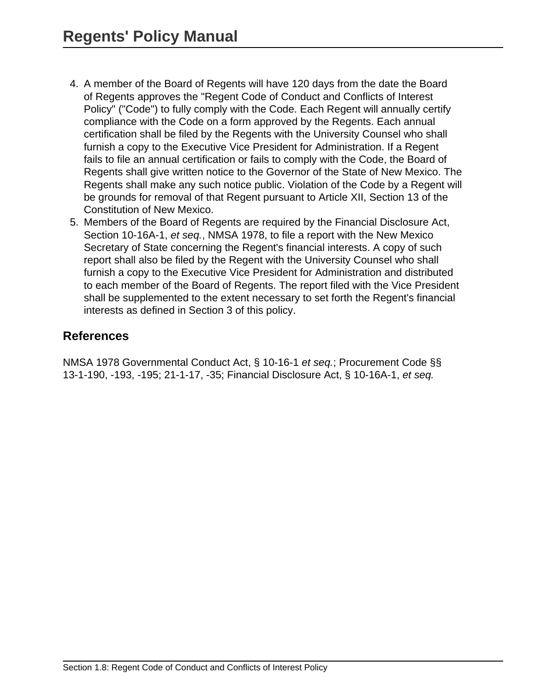- 4. A member of the Board of Regents will have 120 days from the date the Board of Regents approves the "Regent Code of Conduct and Conflicts of Interest Policy" ("Code") to fully comply with the Code. Each Regent will annually certify compliance with the Code on a form approved by the Regents. Each annual certification shall be filed by the Regents with the University Counsel who shall furnish a copy to the Executive Vice President for Administration. If a Regent fails to file an annual certification or fails to comply with the Code, the Board of Regents shall give written notice to the Governor of the State of New Mexico. The Regents shall make any such notice public. Violation of the Code by a Regent will be grounds for removal of that Regent pursuant to Article XII, Section 13 of the Constitution of New Mexico.
- 5. Members of the Board of Regents are required by the Financial Disclosure Act, Section 10-16A-1, et seq., NMSA 1978, to file a report with the New Mexico Secretary of State concerning the Regent's financial interests. A copy of such report shall also be filed by the Regent with the University Counsel who shall furnish a copy to the Executive Vice President for Administration and distributed to each member of the Board of Regents. The report filed with the Vice President shall be supplemented to the extent necessary to set forth the Regent's financial interests as defined in Section 3 of this policy.

#### **References**

NMSA 1978 Governmental Conduct Act, § 10-16-1 et seq.; Procurement Code §§ 13-1-190, -193, -195; 21-1-17, -35; Financial Disclosure Act, § 10-16A-1, et seq.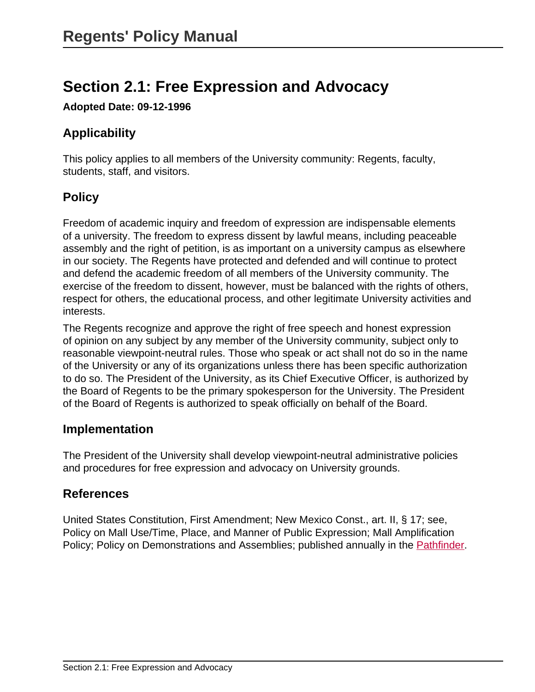# <span id="page-26-0"></span>**Section 2.1: Free Expression and Advocacy**

**Adopted Date: 09-12-1996**

# **Applicability**

This policy applies to all members of the University community: Regents, faculty, students, staff, and visitors.

# **Policy**

Freedom of academic inquiry and freedom of expression are indispensable elements of a university. The freedom to express dissent by lawful means, including peaceable assembly and the right of petition, is as important on a university campus as elsewhere in our society. The Regents have protected and defended and will continue to protect and defend the academic freedom of all members of the University community. The exercise of the freedom to dissent, however, must be balanced with the rights of others, respect for others, the educational process, and other legitimate University activities and interests.

The Regents recognize and approve the right of free speech and honest expression of opinion on any subject by any member of the University community, subject only to reasonable viewpoint-neutral rules. Those who speak or act shall not do so in the name of the University or any of its organizations unless there has been specific authorization to do so. The President of the University, as its Chief Executive Officer, is authorized by the Board of Regents to be the primary spokesperson for the University. The President of the Board of Regents is authorized to speak officially on behalf of the Board.

#### **Implementation**

The President of the University shall develop viewpoint-neutral administrative policies and procedures for free expression and advocacy on University grounds.

### **References**

United States Constitution, First Amendment; New Mexico Const., art. II, § 17; see, Policy on Mall Use/Time, Place, and Manner of Public Expression; Mall Amplification Policy; Policy on Demonstrations and Assemblies; published annually in the [Pathfinder.](http://pathfinder.unm.edu/index.html)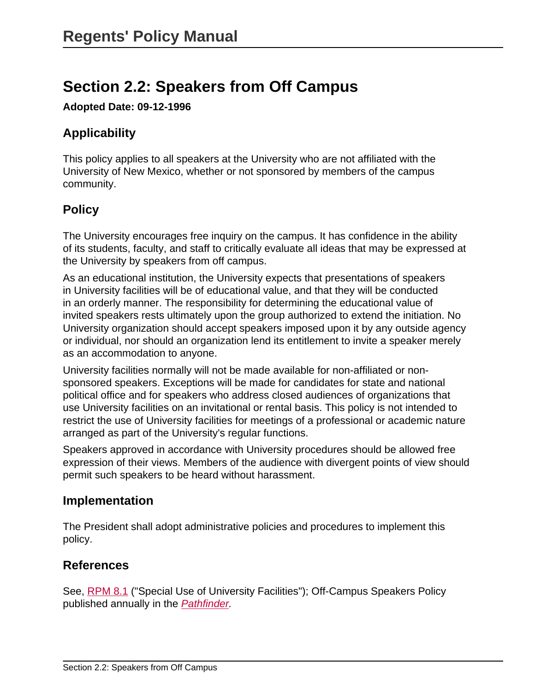# <span id="page-27-0"></span>**Section 2.2: Speakers from Off Campus**

**Adopted Date: 09-12-1996**

# **Applicability**

This policy applies to all speakers at the University who are not affiliated with the University of New Mexico, whether or not sponsored by members of the campus community.

# **Policy**

The University encourages free inquiry on the campus. It has confidence in the ability of its students, faculty, and staff to critically evaluate all ideas that may be expressed at the University by speakers from off campus.

As an educational institution, the University expects that presentations of speakers in University facilities will be of educational value, and that they will be conducted in an orderly manner. The responsibility for determining the educational value of invited speakers rests ultimately upon the group authorized to extend the initiation. No University organization should accept speakers imposed upon it by any outside agency or individual, nor should an organization lend its entitlement to invite a speaker merely as an accommodation to anyone.

University facilities normally will not be made available for non-affiliated or nonsponsored speakers. Exceptions will be made for candidates for state and national political office and for speakers who address closed audiences of organizations that use University facilities on an invitational or rental basis. This policy is not intended to restrict the use of University facilities for meetings of a professional or academic nature arranged as part of the University's regular functions.

Speakers approved in accordance with University procedures should be allowed free expression of their views. Members of the audience with divergent points of view should permit such speakers to be heard without harassment.

### **Implementation**

The President shall adopt administrative policies and procedures to implement this policy.

### **References**

See, [RPM 8.1](site://policy.unm.edu/regents-policies/section-8/8-1) ("Special Use of University Facilities"); Off-Campus Speakers Policy published annually in the [Pathfinder](http://pathfinder.unm.edu/campus-policies/speakers-from-off-campus.html).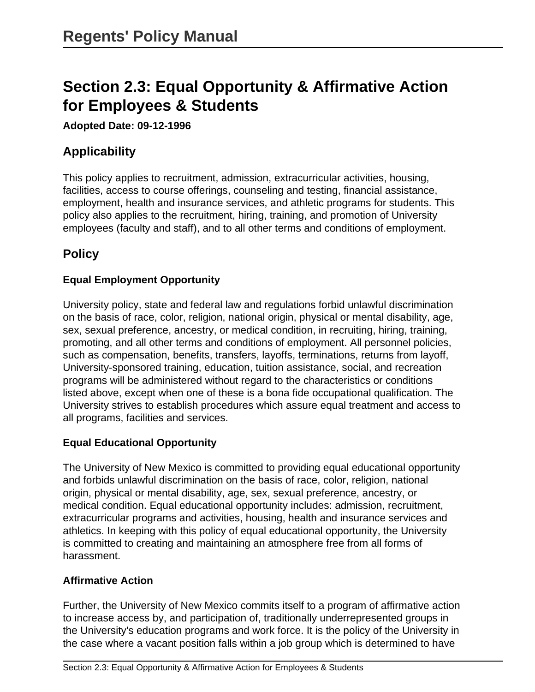# <span id="page-28-0"></span>**Section 2.3: Equal Opportunity & Affirmative Action for Employees & Students**

**Adopted Date: 09-12-1996**

# **Applicability**

This policy applies to recruitment, admission, extracurricular activities, housing, facilities, access to course offerings, counseling and testing, financial assistance, employment, health and insurance services, and athletic programs for students. This policy also applies to the recruitment, hiring, training, and promotion of University employees (faculty and staff), and to all other terms and conditions of employment.

# **Policy**

#### **Equal Employment Opportunity**

University policy, state and federal law and regulations forbid unlawful discrimination on the basis of race, color, religion, national origin, physical or mental disability, age, sex, sexual preference, ancestry, or medical condition, in recruiting, hiring, training, promoting, and all other terms and conditions of employment. All personnel policies, such as compensation, benefits, transfers, layoffs, terminations, returns from layoff, University-sponsored training, education, tuition assistance, social, and recreation programs will be administered without regard to the characteristics or conditions listed above, except when one of these is a bona fide occupational qualification. The University strives to establish procedures which assure equal treatment and access to all programs, facilities and services.

#### **Equal Educational Opportunity**

The University of New Mexico is committed to providing equal educational opportunity and forbids unlawful discrimination on the basis of race, color, religion, national origin, physical or mental disability, age, sex, sexual preference, ancestry, or medical condition. Equal educational opportunity includes: admission, recruitment, extracurricular programs and activities, housing, health and insurance services and athletics. In keeping with this policy of equal educational opportunity, the University is committed to creating and maintaining an atmosphere free from all forms of harassment.

#### **Affirmative Action**

Further, the University of New Mexico commits itself to a program of affirmative action to increase access by, and participation of, traditionally underrepresented groups in the University's education programs and work force. It is the policy of the University in the case where a vacant position falls within a job group which is determined to have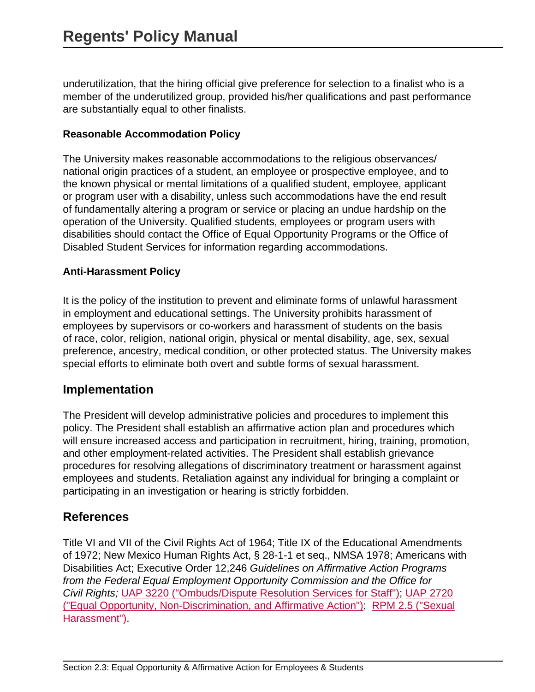underutilization, that the hiring official give preference for selection to a finalist who is a member of the underutilized group, provided his/her qualifications and past performance are substantially equal to other finalists.

#### **Reasonable Accommodation Policy**

The University makes reasonable accommodations to the religious observances/ national origin practices of a student, an employee or prospective employee, and to the known physical or mental limitations of a qualified student, employee, applicant or program user with a disability, unless such accommodations have the end result of fundamentally altering a program or service or placing an undue hardship on the operation of the University. Qualified students, employees or program users with disabilities should contact the Office of Equal Opportunity Programs or the Office of Disabled Student Services for information regarding accommodations.

#### **Anti-Harassment Policy**

It is the policy of the institution to prevent and eliminate forms of unlawful harassment in employment and educational settings. The University prohibits harassment of employees by supervisors or co-workers and harassment of students on the basis of race, color, religion, national origin, physical or mental disability, age, sex, sexual preference, ancestry, medical condition, or other protected status. The University makes special efforts to eliminate both overt and subtle forms of sexual harassment.

#### **Implementation**

The President will develop administrative policies and procedures to implement this policy. The President shall establish an affirmative action plan and procedures which will ensure increased access and participation in recruitment, hiring, training, promotion, and other employment-related activities. The President shall establish grievance procedures for resolving allegations of discriminatory treatment or harassment against employees and students. Retaliation against any individual for bringing a complaint or participating in an investigation or hearing is strictly forbidden.

#### **References**

Title VI and VII of the Civil Rights Act of 1964; Title IX of the Educational Amendments of 1972; New Mexico Human Rights Act, § 28-1-1 et seq., NMSA 1978; Americans with Disabilities Act; Executive Order 12,246 Guidelines on Affirmative Action Programs from the Federal Equal Employment Opportunity Commission and the Office for Civil Rights; [UAP 3220 \("Ombuds/Dispute Resolution Services for Staff"\)](site://policy.unm.edu/university-policies/3000/3220); [UAP 2720](site://policy.unm.edu/university-policies/2000/2720) [\("Equal Opportunity, Non-Discrimination, and Affirmative Action"\);](site://policy.unm.edu/university-policies/2000/2720) [RPM 2.5 \("Sexual](site://policy.unm.edu/regents-policies/section-2/2-5) [Harassment"\).](site://policy.unm.edu/regents-policies/section-2/2-5)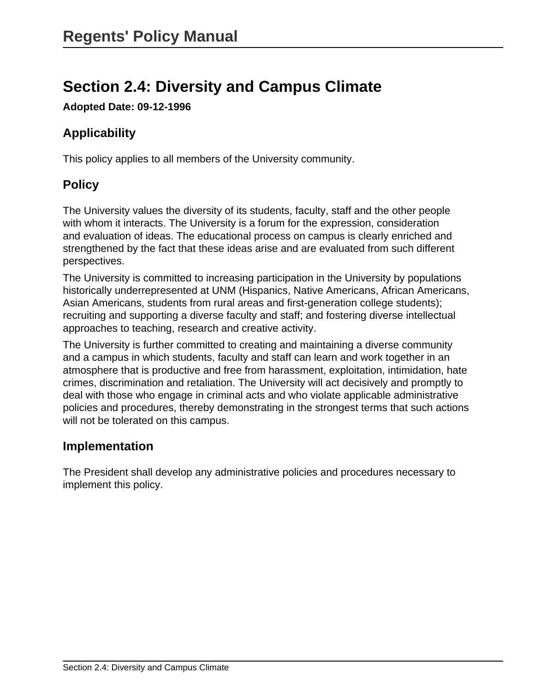# <span id="page-30-0"></span>**Section 2.4: Diversity and Campus Climate**

**Adopted Date: 09-12-1996**

# **Applicability**

This policy applies to all members of the University community.

# **Policy**

The University values the diversity of its students, faculty, staff and the other people with whom it interacts. The University is a forum for the expression, consideration and evaluation of ideas. The educational process on campus is clearly enriched and strengthened by the fact that these ideas arise and are evaluated from such different perspectives.

The University is committed to increasing participation in the University by populations historically underrepresented at UNM (Hispanics, Native Americans, African Americans, Asian Americans, students from rural areas and first-generation college students); recruiting and supporting a diverse faculty and staff; and fostering diverse intellectual approaches to teaching, research and creative activity.

The University is further committed to creating and maintaining a diverse community and a campus in which students, faculty and staff can learn and work together in an atmosphere that is productive and free from harassment, exploitation, intimidation, hate crimes, discrimination and retaliation. The University will act decisively and promptly to deal with those who engage in criminal acts and who violate applicable administrative policies and procedures, thereby demonstrating in the strongest terms that such actions will not be tolerated on this campus.

### **Implementation**

The President shall develop any administrative policies and procedures necessary to implement this policy.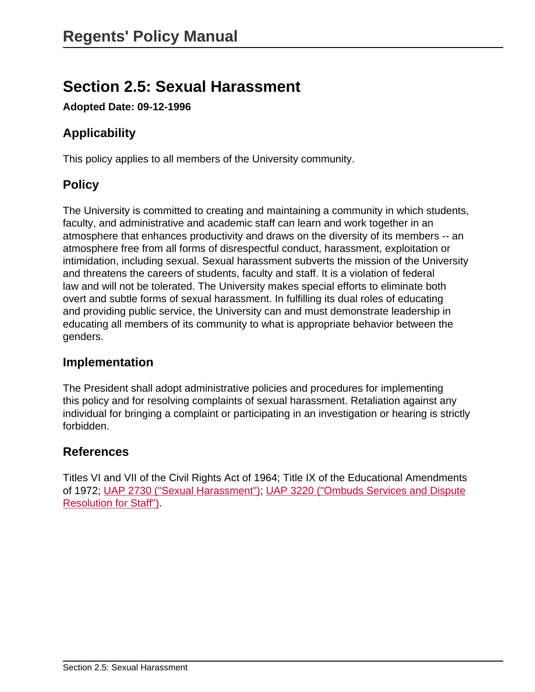# <span id="page-31-0"></span>**Section 2.5: Sexual Harassment**

**Adopted Date: 09-12-1996**

# **Applicability**

This policy applies to all members of the University community.

# **Policy**

The University is committed to creating and maintaining a community in which students, faculty, and administrative and academic staff can learn and work together in an atmosphere that enhances productivity and draws on the diversity of its members -- an atmosphere free from all forms of disrespectful conduct, harassment, exploitation or intimidation, including sexual. Sexual harassment subverts the mission of the University and threatens the careers of students, faculty and staff. It is a violation of federal law and will not be tolerated. The University makes special efforts to eliminate both overt and subtle forms of sexual harassment. In fulfilling its dual roles of educating and providing public service, the University can and must demonstrate leadership in educating all members of its community to what is appropriate behavior between the genders.

#### **Implementation**

The President shall adopt administrative policies and procedures for implementing this policy and for resolving complaints of sexual harassment. Retaliation against any individual for bringing a complaint or participating in an investigation or hearing is strictly forbidden.

#### **References**

Titles VI and VII of the Civil Rights Act of 1964; Title IX of the Educational Amendments of 1972; [UAP 2730 \("Sexual Harassment"\);](site://policy.unm.edu/university-policies/2000/2730) [UAP 3220 \("Ombuds Services and Dispute](site://policy.unm.edu/university-policies/3000/3220) [Resolution for Staff"\)](site://policy.unm.edu/university-policies/3000/3220).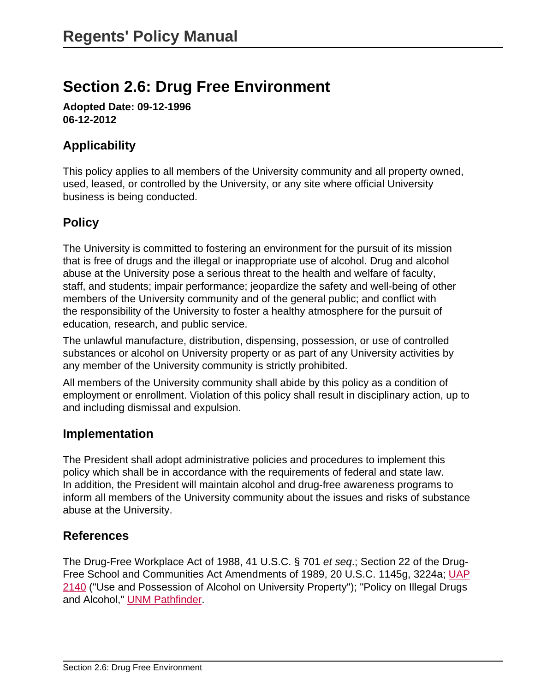# <span id="page-32-0"></span>**Section 2.6: Drug Free Environment**

**Adopted Date: 09-12-1996 06-12-2012**

# **Applicability**

This policy applies to all members of the University community and all property owned, used, leased, or controlled by the University, or any site where official University business is being conducted.

# **Policy**

The University is committed to fostering an environment for the pursuit of its mission that is free of drugs and the illegal or inappropriate use of alcohol. Drug and alcohol abuse at the University pose a serious threat to the health and welfare of faculty, staff, and students; impair performance; jeopardize the safety and well-being of other members of the University community and of the general public; and conflict with the responsibility of the University to foster a healthy atmosphere for the pursuit of education, research, and public service.

The unlawful manufacture, distribution, dispensing, possession, or use of controlled substances or alcohol on University property or as part of any University activities by any member of the University community is strictly prohibited.

All members of the University community shall abide by this policy as a condition of employment or enrollment. Violation of this policy shall result in disciplinary action, up to and including dismissal and expulsion.

#### **Implementation**

The President shall adopt administrative policies and procedures to implement this policy which shall be in accordance with the requirements of federal and state law. In addition, the President will maintain alcohol and drug-free awareness programs to inform all members of the University community about the issues and risks of substance abuse at the University.

#### **References**

The Drug-Free Workplace Act of 1988, 41 U.S.C. § 701 et seq.; Section 22 of the Drug-Free School and Communities Act Amendments of 1989, 20 U.S.C. 1145g, 3224a; [UAP](site://policy.unm.edu/university-policies/2000/2140) [2140](site://policy.unm.edu/university-policies/2000/2140) ("Use and Possession of Alcohol on University Property"); "Policy on Illegal Drugs and Alcohol," [UNM Pathfinder.](http://pathfinder.unm.edu/campus-policies/policy-on-illegal-drugs-and-alcohol.html)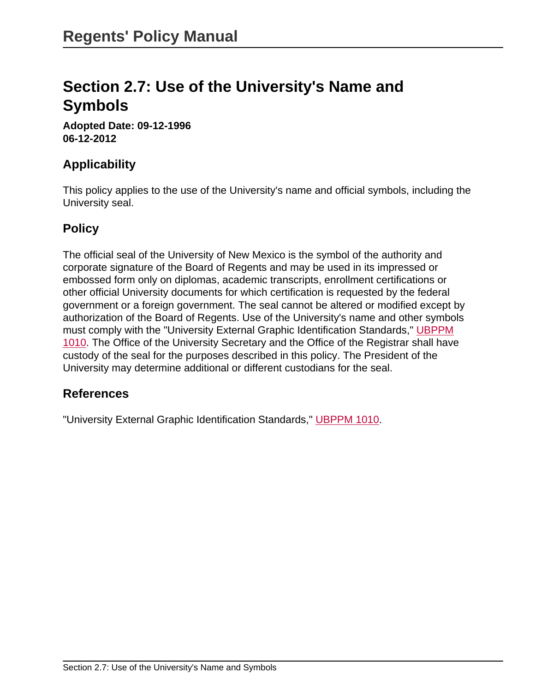# <span id="page-33-0"></span>**Section 2.7: Use of the University's Name and Symbols**

**Adopted Date: 09-12-1996 06-12-2012**

### **Applicability**

This policy applies to the use of the University's name and official symbols, including the University seal.

#### **Policy**

The official seal of the University of New Mexico is the symbol of the authority and corporate signature of the Board of Regents and may be used in its impressed or embossed form only on diplomas, academic transcripts, enrollment certifications or other official University documents for which certification is requested by the federal government or a foreign government. The seal cannot be altered or modified except by authorization of the Board of Regents. Use of the University's name and other symbols must comply with the "University External Graphic Identification Standards," [UBPPM](site://policy.unm.edu/university-policies/1000/1010) [1010.](site://policy.unm.edu/university-policies/1000/1010) The Office of the University Secretary and the Office of the Registrar shall have custody of the seal for the purposes described in this policy. The President of the University may determine additional or different custodians for the seal.

### **References**

"University External Graphic Identification Standards," [UBPPM 1010.](site://policy.unm.edu/university-policies/1000/1010)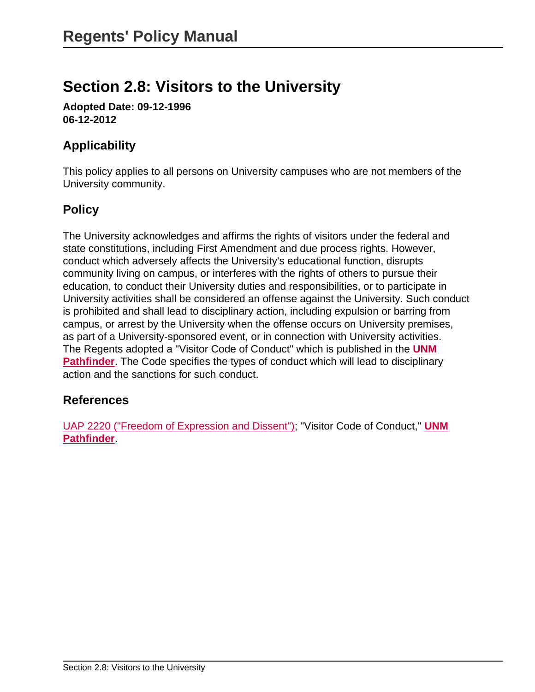# <span id="page-34-0"></span>**Section 2.8: Visitors to the University**

**Adopted Date: 09-12-1996 06-12-2012**

# **Applicability**

This policy applies to all persons on University campuses who are not members of the University community.

# **Policy**

The University acknowledges and affirms the rights of visitors under the federal and state constitutions, including First Amendment and due process rights. However, conduct which adversely affects the University's educational function, disrupts community living on campus, or interferes with the rights of others to pursue their education, to conduct their University duties and responsibilities, or to participate in University activities shall be considered an offense against the University. Such conduct is prohibited and shall lead to disciplinary action, including expulsion or barring from campus, or arrest by the University when the offense occurs on University premises, as part of a University-sponsored event, or in connection with University activities. The Regents adopted a "Visitor Code of Conduct" which is published in the **[UNM](http://pathfinder.unm.edu/index.html) [Pathfinder](http://pathfinder.unm.edu/index.html)**. The Code specifies the types of conduct which will lead to disciplinary action and the sanctions for such conduct.

### **References**

[UAP 2220 \("Freedom of Expression and Dissent"\)](site://policy.unm.edu/university-policies/2000/2220); "Visitor Code of Conduct," **[UNM](http://pathfinder.unm.edu/index.html) [Pathfinder](http://pathfinder.unm.edu/index.html)**.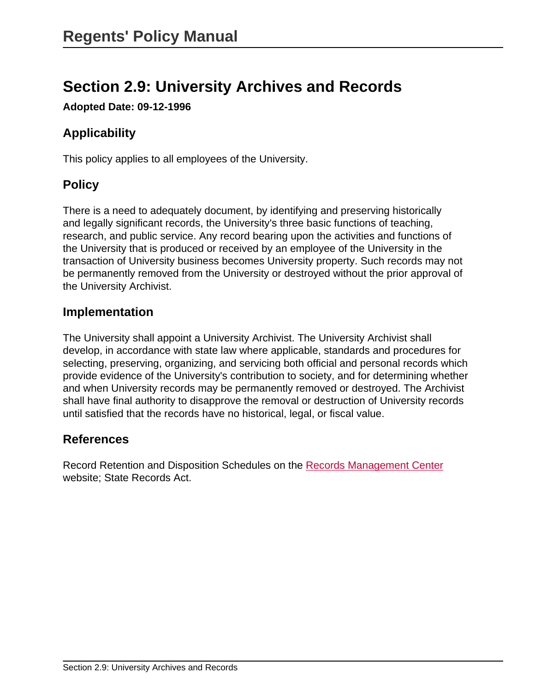# <span id="page-35-0"></span>**Section 2.9: University Archives and Records**

**Adopted Date: 09-12-1996**

# **Applicability**

This policy applies to all employees of the University.

# **Policy**

There is a need to adequately document, by identifying and preserving historically and legally significant records, the University's three basic functions of teaching, research, and public service. Any record bearing upon the activities and functions of the University that is produced or received by an employee of the University in the transaction of University business becomes University property. Such records may not be permanently removed from the University or destroyed without the prior approval of the University Archivist.

#### **Implementation**

The University shall appoint a University Archivist. The University Archivist shall develop, in accordance with state law where applicable, standards and procedures for selecting, preserving, organizing, and servicing both official and personal records which provide evidence of the University's contribution to society, and for determining whether and when University records may be permanently removed or destroyed. The Archivist shall have final authority to disapprove the removal or destruction of University records until satisfied that the records have no historical, legal, or fiscal value.

#### **References**

Record Retention and Disposition Schedules on the [Records Management Center](http://univserv.unm.edu/university-services-departments/records.html) website; State Records Act.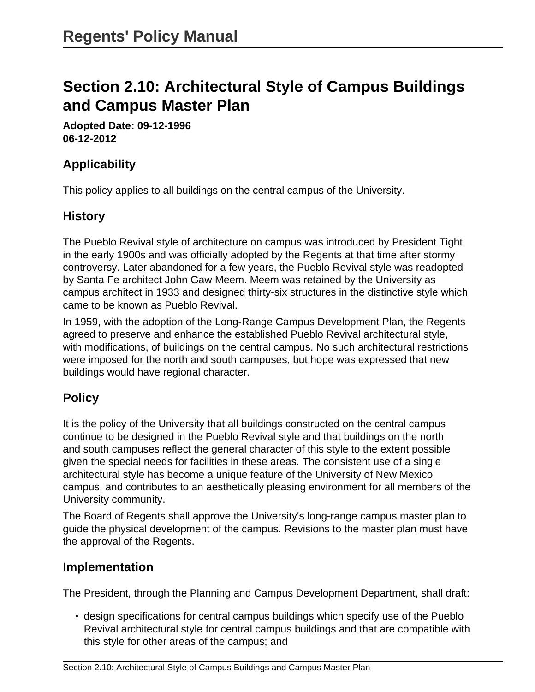# **Section 2.10: Architectural Style of Campus Buildings and Campus Master Plan**

**Adopted Date: 09-12-1996 06-12-2012**

## **Applicability**

This policy applies to all buildings on the central campus of the University.

## **History**

The Pueblo Revival style of architecture on campus was introduced by President Tight in the early 1900s and was officially adopted by the Regents at that time after stormy controversy. Later abandoned for a few years, the Pueblo Revival style was readopted by Santa Fe architect John Gaw Meem. Meem was retained by the University as campus architect in 1933 and designed thirty-six structures in the distinctive style which came to be known as Pueblo Revival.

In 1959, with the adoption of the Long-Range Campus Development Plan, the Regents agreed to preserve and enhance the established Pueblo Revival architectural style, with modifications, of buildings on the central campus. No such architectural restrictions were imposed for the north and south campuses, but hope was expressed that new buildings would have regional character.

# **Policy**

It is the policy of the University that all buildings constructed on the central campus continue to be designed in the Pueblo Revival style and that buildings on the north and south campuses reflect the general character of this style to the extent possible given the special needs for facilities in these areas. The consistent use of a single architectural style has become a unique feature of the University of New Mexico campus, and contributes to an aesthetically pleasing environment for all members of the University community.

The Board of Regents shall approve the University's long-range campus master plan to guide the physical development of the campus. Revisions to the master plan must have the approval of the Regents.

### **Implementation**

The President, through the Planning and Campus Development Department, shall draft:

• design specifications for central campus buildings which specify use of the Pueblo Revival architectural style for central campus buildings and that are compatible with this style for other areas of the campus; and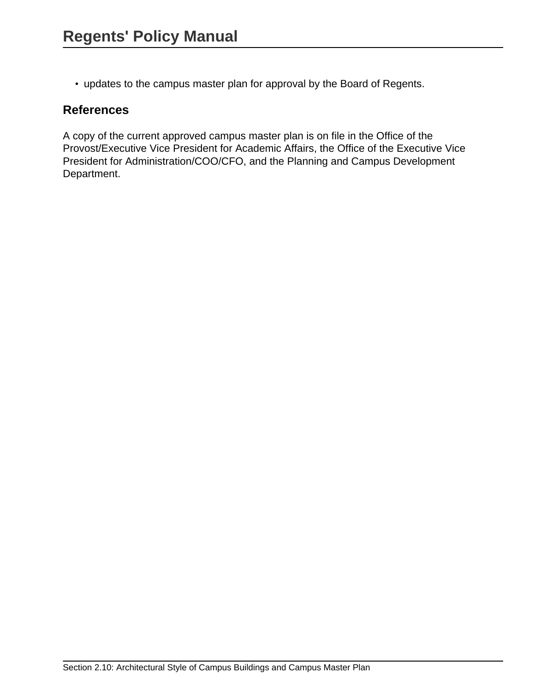• updates to the campus master plan for approval by the Board of Regents.

### **References**

A copy of the current approved campus master plan is on file in the Office of the Provost/Executive Vice President for Academic Affairs, the Office of the Executive Vice President for Administration/COO/CFO, and the Planning and Campus Development Department.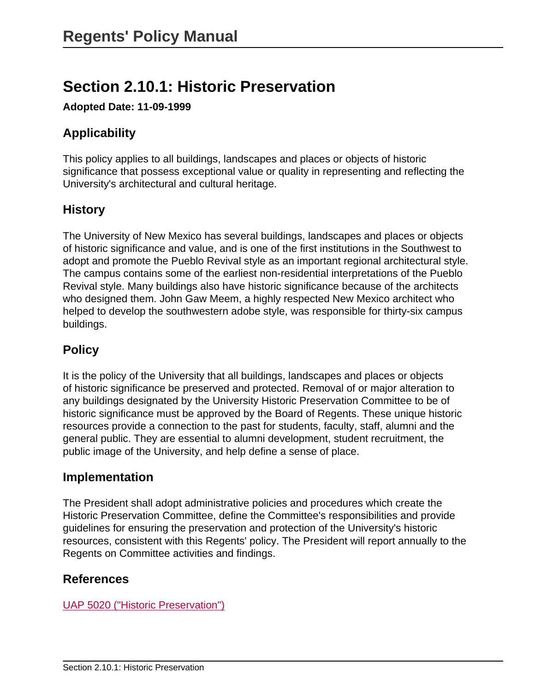# **Section 2.10.1: Historic Preservation**

**Adopted Date: 11-09-1999**

# **Applicability**

This policy applies to all buildings, landscapes and places or objects of historic significance that possess exceptional value or quality in representing and reflecting the University's architectural and cultural heritage.

# **History**

The University of New Mexico has several buildings, landscapes and places or objects of historic significance and value, and is one of the first institutions in the Southwest to adopt and promote the Pueblo Revival style as an important regional architectural style. The campus contains some of the earliest non-residential interpretations of the Pueblo Revival style. Many buildings also have historic significance because of the architects who designed them. John Gaw Meem, a highly respected New Mexico architect who helped to develop the southwestern adobe style, was responsible for thirty-six campus buildings.

# **Policy**

It is the policy of the University that all buildings, landscapes and places or objects of historic significance be preserved and protected. Removal of or major alteration to any buildings designated by the University Historic Preservation Committee to be of historic significance must be approved by the Board of Regents. These unique historic resources provide a connection to the past for students, faculty, staff, alumni and the general public. They are essential to alumni development, student recruitment, the public image of the University, and help define a sense of place.

## **Implementation**

The President shall adopt administrative policies and procedures which create the Historic Preservation Committee, define the Committee's responsibilities and provide guidelines for ensuring the preservation and protection of the University's historic resources, consistent with this Regents' policy. The President will report annually to the Regents on Committee activities and findings.

## **References**

[UAP 5020 \("Historic Preservation"\)](site://policy.unm.edu/university-policies/5000/5020)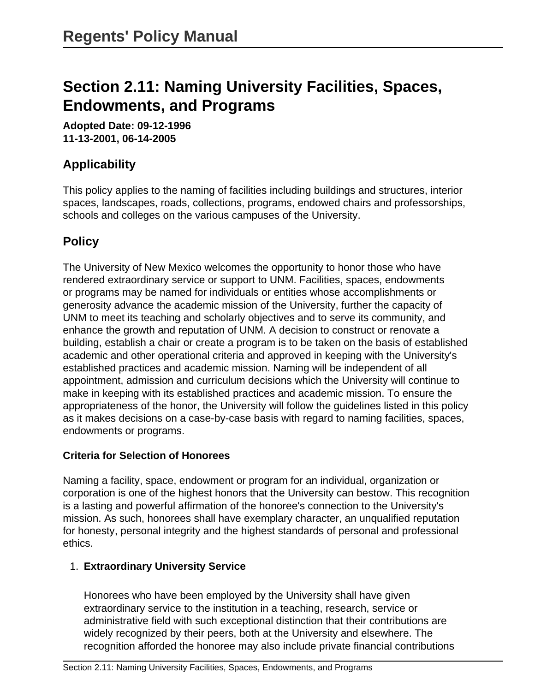# **Section 2.11: Naming University Facilities, Spaces, Endowments, and Programs**

**Adopted Date: 09-12-1996 11-13-2001, 06-14-2005**

# **Applicability**

This policy applies to the naming of facilities including buildings and structures, interior spaces, landscapes, roads, collections, programs, endowed chairs and professorships, schools and colleges on the various campuses of the University.

# **Policy**

The University of New Mexico welcomes the opportunity to honor those who have rendered extraordinary service or support to UNM. Facilities, spaces, endowments or programs may be named for individuals or entities whose accomplishments or generosity advance the academic mission of the University, further the capacity of UNM to meet its teaching and scholarly objectives and to serve its community, and enhance the growth and reputation of UNM. A decision to construct or renovate a building, establish a chair or create a program is to be taken on the basis of established academic and other operational criteria and approved in keeping with the University's established practices and academic mission. Naming will be independent of all appointment, admission and curriculum decisions which the University will continue to make in keeping with its established practices and academic mission. To ensure the appropriateness of the honor, the University will follow the guidelines listed in this policy as it makes decisions on a case-by-case basis with regard to naming facilities, spaces, endowments or programs.

#### **Criteria for Selection of Honorees**

Naming a facility, space, endowment or program for an individual, organization or corporation is one of the highest honors that the University can bestow. This recognition is a lasting and powerful affirmation of the honoree's connection to the University's mission. As such, honorees shall have exemplary character, an unqualified reputation for honesty, personal integrity and the highest standards of personal and professional ethics.

#### 1. **Extraordinary University Service**

Honorees who have been employed by the University shall have given extraordinary service to the institution in a teaching, research, service or administrative field with such exceptional distinction that their contributions are widely recognized by their peers, both at the University and elsewhere. The recognition afforded the honoree may also include private financial contributions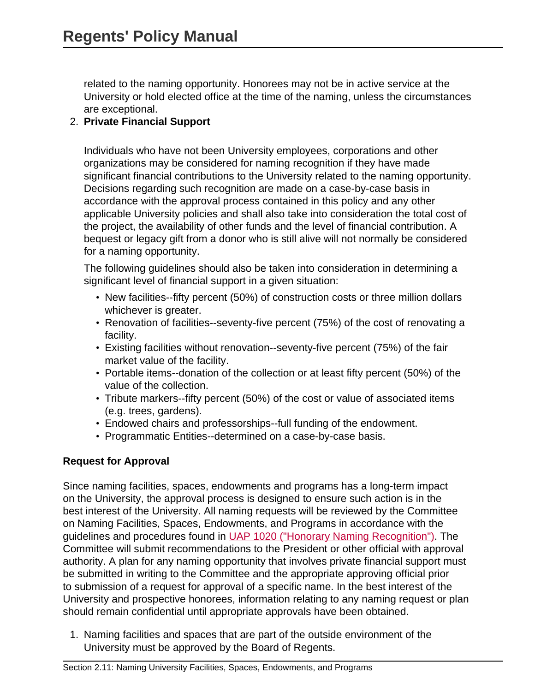related to the naming opportunity. Honorees may not be in active service at the University or hold elected office at the time of the naming, unless the circumstances are exceptional.

#### 2. **Private Financial Support**

Individuals who have not been University employees, corporations and other organizations may be considered for naming recognition if they have made significant financial contributions to the University related to the naming opportunity. Decisions regarding such recognition are made on a case-by-case basis in accordance with the approval process contained in this policy and any other applicable University policies and shall also take into consideration the total cost of the project, the availability of other funds and the level of financial contribution. A bequest or legacy gift from a donor who is still alive will not normally be considered for a naming opportunity.

The following guidelines should also be taken into consideration in determining a significant level of financial support in a given situation:

- New facilities--fifty percent (50%) of construction costs or three million dollars whichever is greater.
- Renovation of facilities--seventy-five percent (75%) of the cost of renovating a facility.
- Existing facilities without renovation--seventy-five percent (75%) of the fair market value of the facility.
- Portable items--donation of the collection or at least fifty percent (50%) of the value of the collection.
- Tribute markers--fifty percent (50%) of the cost or value of associated items (e.g. trees, gardens).
- Endowed chairs and professorships--full funding of the endowment.
- Programmatic Entities--determined on a case-by-case basis.

#### **Request for Approval**

Since naming facilities, spaces, endowments and programs has a long-term impact on the University, the approval process is designed to ensure such action is in the best interest of the University. All naming requests will be reviewed by the Committee on Naming Facilities, Spaces, Endowments, and Programs in accordance with the guidelines and procedures found in [UAP 1020 \("Honorary Naming Recognition"\)](site://policy.unm.edu/university-policies/1000/1020). The Committee will submit recommendations to the President or other official with approval authority. A plan for any naming opportunity that involves private financial support must be submitted in writing to the Committee and the appropriate approving official prior to submission of a request for approval of a specific name. In the best interest of the University and prospective honorees, information relating to any naming request or plan should remain confidential until appropriate approvals have been obtained.

1. Naming facilities and spaces that are part of the outside environment of the University must be approved by the Board of Regents.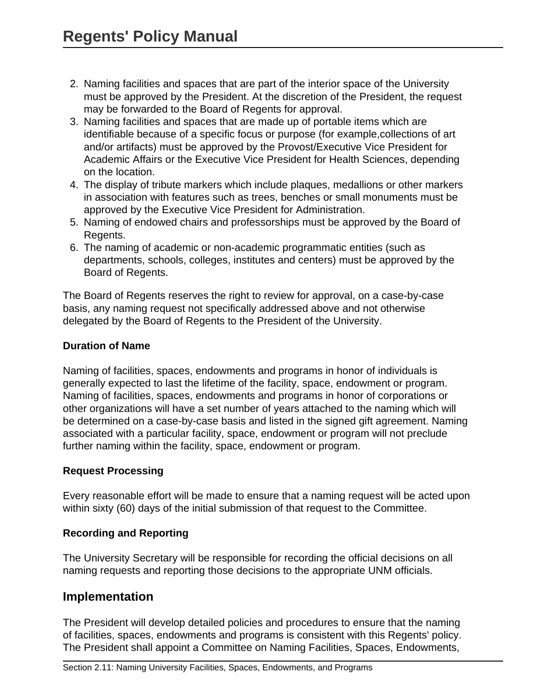- 2. Naming facilities and spaces that are part of the interior space of the University must be approved by the President. At the discretion of the President, the request may be forwarded to the Board of Regents for approval.
- 3. Naming facilities and spaces that are made up of portable items which are identifiable because of a specific focus or purpose (for example,collections of art and/or artifacts) must be approved by the Provost/Executive Vice President for Academic Affairs or the Executive Vice President for Health Sciences, depending on the location.
- 4. The display of tribute markers which include plaques, medallions or other markers in association with features such as trees, benches or small monuments must be approved by the Executive Vice President for Administration.
- 5. Naming of endowed chairs and professorships must be approved by the Board of Regents.
- 6. The naming of academic or non-academic programmatic entities (such as departments, schools, colleges, institutes and centers) must be approved by the Board of Regents.

The Board of Regents reserves the right to review for approval, on a case-by-case basis, any naming request not specifically addressed above and not otherwise delegated by the Board of Regents to the President of the University.

#### **Duration of Name**

Naming of facilities, spaces, endowments and programs in honor of individuals is generally expected to last the lifetime of the facility, space, endowment or program. Naming of facilities, spaces, endowments and programs in honor of corporations or other organizations will have a set number of years attached to the naming which will be determined on a case-by-case basis and listed in the signed gift agreement. Naming associated with a particular facility, space, endowment or program will not preclude further naming within the facility, space, endowment or program.

#### **Request Processing**

Every reasonable effort will be made to ensure that a naming request will be acted upon within sixty (60) days of the initial submission of that request to the Committee.

#### **Recording and Reporting**

The University Secretary will be responsible for recording the official decisions on all naming requests and reporting those decisions to the appropriate UNM officials.

### **Implementation**

The President will develop detailed policies and procedures to ensure that the naming of facilities, spaces, endowments and programs is consistent with this Regents' policy. The President shall appoint a Committee on Naming Facilities, Spaces, Endowments,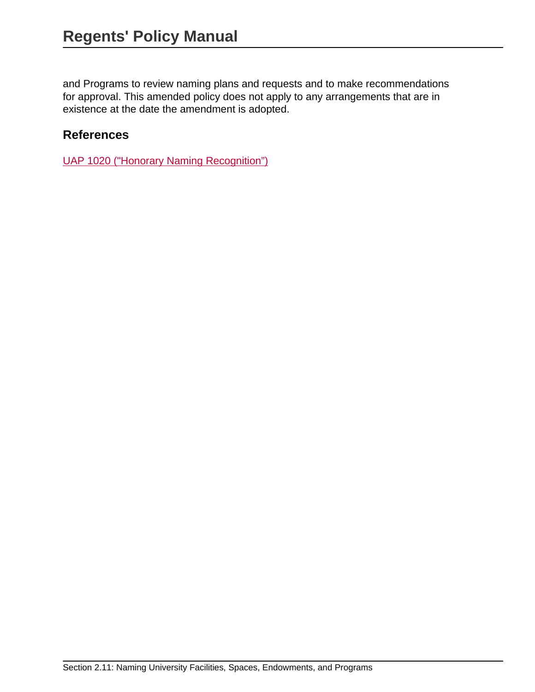and Programs to review naming plans and requests and to make recommendations for approval. This amended policy does not apply to any arrangements that are in existence at the date the amendment is adopted.

### **References**

[UAP 1020 \("Honorary Naming Recognition"\)](site://policy.unm.edu/university-policies/1000/1020)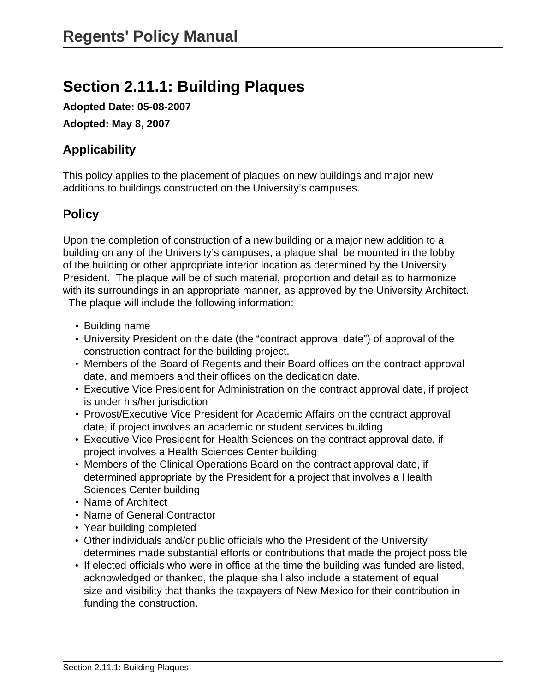# **Section 2.11.1: Building Plaques**

**Adopted Date: 05-08-2007**

**Adopted: May 8, 2007**

# **Applicability**

This policy applies to the placement of plaques on new buildings and major new additions to buildings constructed on the University's campuses.

## **Policy**

Upon the completion of construction of a new building or a major new addition to a building on any of the University's campuses, a plaque shall be mounted in the lobby of the building or other appropriate interior location as determined by the University President. The plaque will be of such material, proportion and detail as to harmonize with its surroundings in an appropriate manner, as approved by the University Architect.

The plaque will include the following information:

- Building name
- University President on the date (the "contract approval date") of approval of the construction contract for the building project.
- Members of the Board of Regents and their Board offices on the contract approval date, and members and their offices on the dedication date.
- Executive Vice President for Administration on the contract approval date, if project is under his/her jurisdiction
- Provost/Executive Vice President for Academic Affairs on the contract approval date, if project involves an academic or student services building
- Executive Vice President for Health Sciences on the contract approval date, if project involves a Health Sciences Center building
- Members of the Clinical Operations Board on the contract approval date, if determined appropriate by the President for a project that involves a Health Sciences Center building
- Name of Architect
- Name of General Contractor
- Year building completed
- Other individuals and/or public officials who the President of the University determines made substantial efforts or contributions that made the project possible
- If elected officials who were in office at the time the building was funded are listed, acknowledged or thanked, the plaque shall also include a statement of equal size and visibility that thanks the taxpayers of New Mexico for their contribution in funding the construction.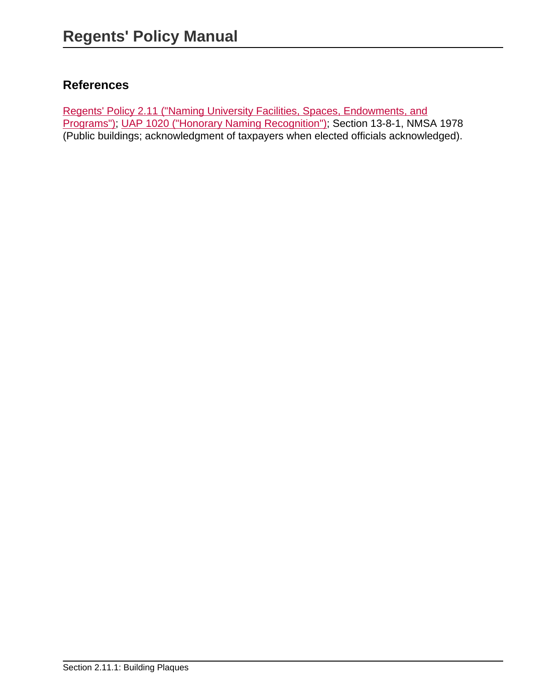# **References**

[Regents' Policy 2.11 \("Naming University Facilities, Spaces, Endowments, and](site://policy.unm.edu/regents-policies/section-2/2-11) [Programs"\)](site://policy.unm.edu/regents-policies/section-2/2-11); [UAP 1020 \("Honorary Naming Recognition"\)](site://policy.unm.edu/university-policies/1000/1020); Section 13-8-1, NMSA 1978 (Public buildings; acknowledgment of taxpayers when elected officials acknowledged).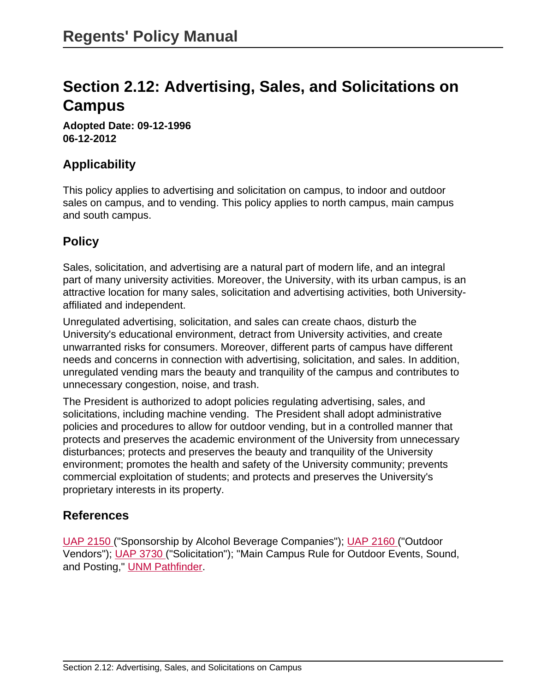# **Section 2.12: Advertising, Sales, and Solicitations on Campus**

**Adopted Date: 09-12-1996 06-12-2012**

## **Applicability**

This policy applies to advertising and solicitation on campus, to indoor and outdoor sales on campus, and to vending. This policy applies to north campus, main campus and south campus.

# **Policy**

Sales, solicitation, and advertising are a natural part of modern life, and an integral part of many university activities. Moreover, the University, with its urban campus, is an attractive location for many sales, solicitation and advertising activities, both Universityaffiliated and independent.

Unregulated advertising, solicitation, and sales can create chaos, disturb the University's educational environment, detract from University activities, and create unwarranted risks for consumers. Moreover, different parts of campus have different needs and concerns in connection with advertising, solicitation, and sales. In addition, unregulated vending mars the beauty and tranquility of the campus and contributes to unnecessary congestion, noise, and trash.

The President is authorized to adopt policies regulating advertising, sales, and solicitations, including machine vending. The President shall adopt administrative policies and procedures to allow for outdoor vending, but in a controlled manner that protects and preserves the academic environment of the University from unnecessary disturbances; protects and preserves the beauty and tranquility of the University environment; promotes the health and safety of the University community; prevents commercial exploitation of students; and protects and preserves the University's proprietary interests in its property.

## **References**

[UAP 2150](site://policy.unm.edu/university-policies/2000/2150) ("Sponsorship by Alcohol Beverage Companies"); [UAP 2160](site://policy.unm.edu/university-policies/2000/2160) ("Outdoor Vendors"); [UAP 3730 \(](site://policy.unm.edu/university-policies/3000/3730)"Solicitation"); "Main Campus Rule for Outdoor Events, Sound, and Posting," [UNM Pathfinder.](http://pathfinder.unm.edu)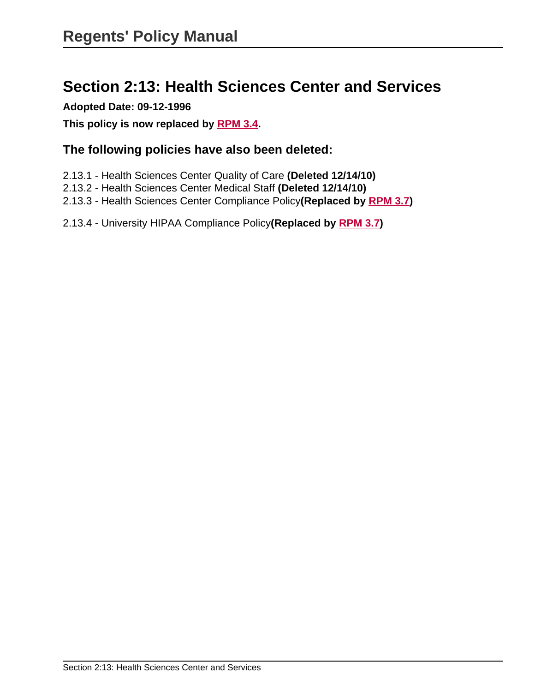# **Section 2:13: Health Sciences Center and Services**

**Adopted Date: 09-12-1996**

**This policy is now replaced by [RPM 3.4](site://policy.unm.edu/regents-policies/section-3/3-4).** 

### **The following policies have also been deleted:**

- 2.13.1 Health Sciences Center Quality of Care **(Deleted 12/14/10)**
- 2.13.2 Health Sciences Center Medical Staff **(Deleted 12/14/10)**
- 2.13.3 Health Sciences Center Compliance Policy**(Replaced by [RPM 3.7\)](site://policy.unm.edu/regents-policies/section-3/3-7)**
- 2.13.4 University HIPAA Compliance Policy**(Replaced by [RPM 3.7\)](site://policy.unm.edu/regents-policies/section-3/3-7)**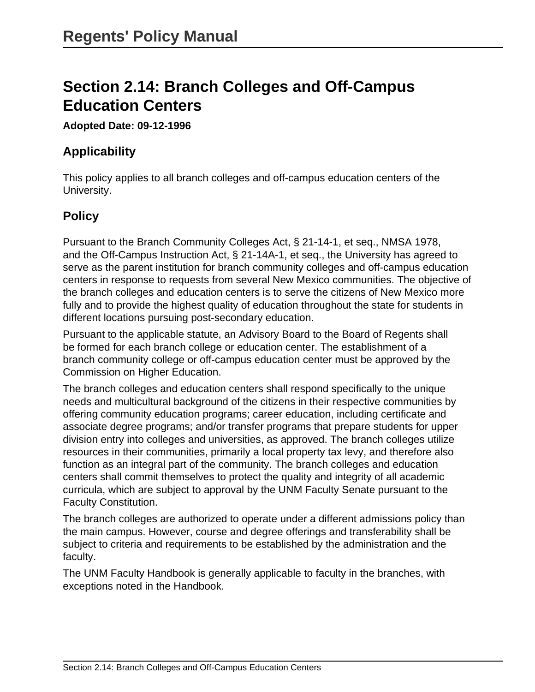# **Section 2.14: Branch Colleges and Off-Campus Education Centers**

#### **Adopted Date: 09-12-1996**

## **Applicability**

This policy applies to all branch colleges and off-campus education centers of the University.

# **Policy**

Pursuant to the Branch Community Colleges Act, § 21-14-1, et seq., NMSA 1978, and the Off-Campus Instruction Act, § 21-14A-1, et seq., the University has agreed to serve as the parent institution for branch community colleges and off-campus education centers in response to requests from several New Mexico communities. The objective of the branch colleges and education centers is to serve the citizens of New Mexico more fully and to provide the highest quality of education throughout the state for students in different locations pursuing post-secondary education.

Pursuant to the applicable statute, an Advisory Board to the Board of Regents shall be formed for each branch college or education center. The establishment of a branch community college or off-campus education center must be approved by the Commission on Higher Education.

The branch colleges and education centers shall respond specifically to the unique needs and multicultural background of the citizens in their respective communities by offering community education programs; career education, including certificate and associate degree programs; and/or transfer programs that prepare students for upper division entry into colleges and universities, as approved. The branch colleges utilize resources in their communities, primarily a local property tax levy, and therefore also function as an integral part of the community. The branch colleges and education centers shall commit themselves to protect the quality and integrity of all academic curricula, which are subject to approval by the UNM Faculty Senate pursuant to the Faculty Constitution.

The branch colleges are authorized to operate under a different admissions policy than the main campus. However, course and degree offerings and transferability shall be subject to criteria and requirements to be established by the administration and the faculty.

The UNM Faculty Handbook is generally applicable to faculty in the branches, with exceptions noted in the Handbook.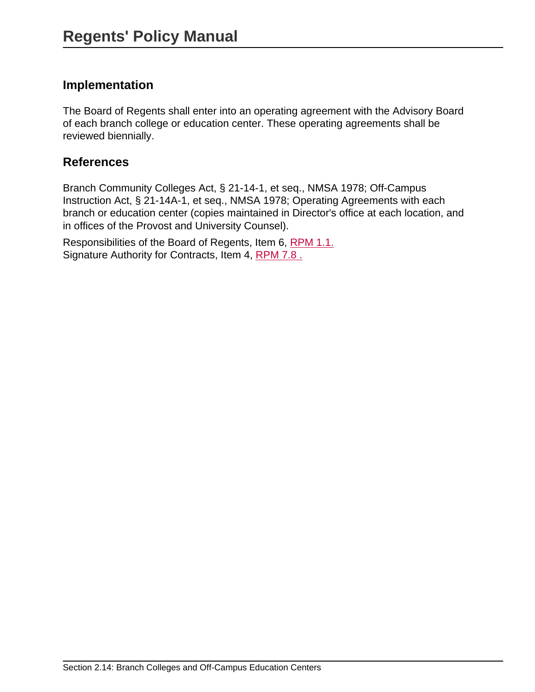### **Implementation**

The Board of Regents shall enter into an operating agreement with the Advisory Board of each branch college or education center. These operating agreements shall be reviewed biennially.

### **References**

Branch Community Colleges Act, § 21-14-1, et seq., NMSA 1978; Off-Campus Instruction Act, § 21-14A-1, et seq., NMSA 1978; Operating Agreements with each branch or education center (copies maintained in Director's office at each location, and in offices of the Provost and University Counsel).

Responsibilities of the Board of Regents, Item 6, [RPM 1.1.](site://policy.unm.edu/regents-policies/section-1/1-1) Signature Authority for Contracts, Item 4, [RPM 7.8 .](site://policy.unm.edu/regents-policies/section-7/7-8)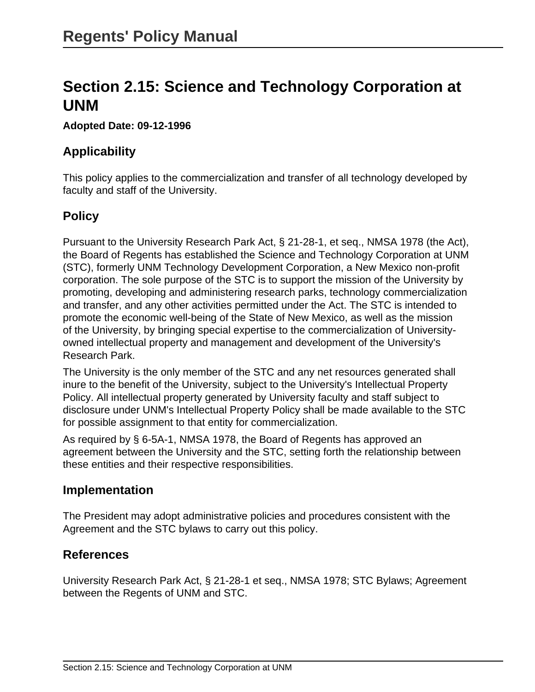# **Section 2.15: Science and Technology Corporation at UNM**

#### **Adopted Date: 09-12-1996**

## **Applicability**

This policy applies to the commercialization and transfer of all technology developed by faculty and staff of the University.

# **Policy**

Pursuant to the University Research Park Act, § 21-28-1, et seq., NMSA 1978 (the Act), the Board of Regents has established the Science and Technology Corporation at UNM (STC), formerly UNM Technology Development Corporation, a New Mexico non-profit corporation. The sole purpose of the STC is to support the mission of the University by promoting, developing and administering research parks, technology commercialization and transfer, and any other activities permitted under the Act. The STC is intended to promote the economic well-being of the State of New Mexico, as well as the mission of the University, by bringing special expertise to the commercialization of Universityowned intellectual property and management and development of the University's Research Park.

The University is the only member of the STC and any net resources generated shall inure to the benefit of the University, subject to the University's Intellectual Property Policy. All intellectual property generated by University faculty and staff subject to disclosure under UNM's Intellectual Property Policy shall be made available to the STC for possible assignment to that entity for commercialization.

As required by § 6-5A-1, NMSA 1978, the Board of Regents has approved an agreement between the University and the STC, setting forth the relationship between these entities and their respective responsibilities.

### **Implementation**

The President may adopt administrative policies and procedures consistent with the Agreement and the STC bylaws to carry out this policy.

## **References**

University Research Park Act, § 21-28-1 et seq., NMSA 1978; STC Bylaws; Agreement between the Regents of UNM and STC.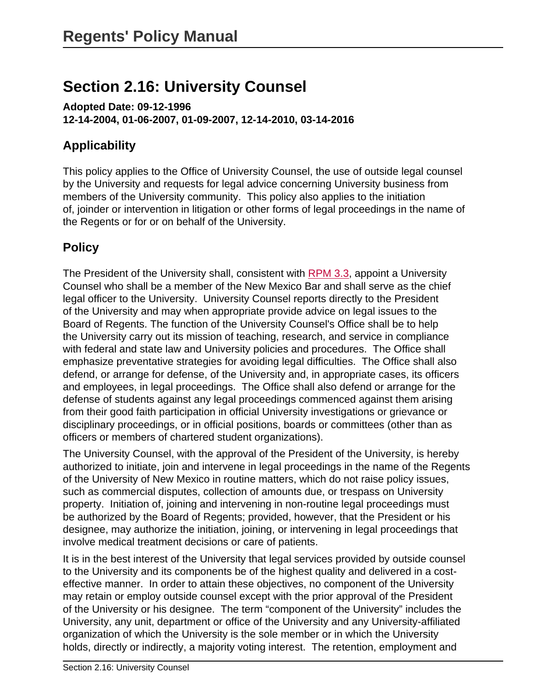# **Section 2.16: University Counsel**

**Adopted Date: 09-12-1996 12-14-2004, 01-06-2007, 01-09-2007, 12-14-2010, 03-14-2016**

## **Applicability**

This policy applies to the Office of University Counsel, the use of outside legal counsel by the University and requests for legal advice concerning University business from members of the University community. This policy also applies to the initiation of, joinder or intervention in litigation or other forms of legal proceedings in the name of the Regents or for or on behalf of the University.

# **Policy**

The President of the University shall, consistent with [RPM 3.3](site://policy.unm.edu/regents-policies/section-3/3-3), appoint a University Counsel who shall be a member of the New Mexico Bar and shall serve as the chief legal officer to the University. University Counsel reports directly to the President of the University and may when appropriate provide advice on legal issues to the Board of Regents. The function of the University Counsel's Office shall be to help the University carry out its mission of teaching, research, and service in compliance with federal and state law and University policies and procedures. The Office shall emphasize preventative strategies for avoiding legal difficulties. The Office shall also defend, or arrange for defense, of the University and, in appropriate cases, its officers and employees, in legal proceedings. The Office shall also defend or arrange for the defense of students against any legal proceedings commenced against them arising from their good faith participation in official University investigations or grievance or disciplinary proceedings, or in official positions, boards or committees (other than as officers or members of chartered student organizations).

The University Counsel, with the approval of the President of the University, is hereby authorized to initiate, join and intervene in legal proceedings in the name of the Regents of the University of New Mexico in routine matters, which do not raise policy issues, such as commercial disputes, collection of amounts due, or trespass on University property. Initiation of, joining and intervening in non-routine legal proceedings must be authorized by the Board of Regents; provided, however, that the President or his designee, may authorize the initiation, joining, or intervening in legal proceedings that involve medical treatment decisions or care of patients.

It is in the best interest of the University that legal services provided by outside counsel to the University and its components be of the highest quality and delivered in a costeffective manner. In order to attain these objectives, no component of the University may retain or employ outside counsel except with the prior approval of the President of the University or his designee. The term "component of the University" includes the University, any unit, department or office of the University and any University-affiliated organization of which the University is the sole member or in which the University holds, directly or indirectly, a majority voting interest. The retention, employment and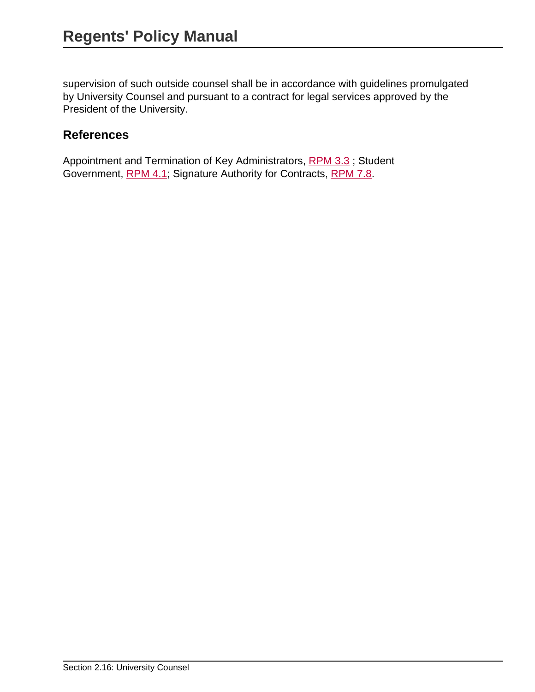supervision of such outside counsel shall be in accordance with guidelines promulgated by University Counsel and pursuant to a contract for legal services approved by the President of the University.

### **References**

Appointment and Termination of Key Administrators, [RPM 3.3](site://policy.unm.edu/regents-policies/section-3/3-3) ; Student Government, [RPM 4.1](site://policy.unm.edu/regents-policies/section-4/4-1); Signature Authority for Contracts, [RPM 7.8](site://policy.unm.edu/regents-policies/section-7/7-8).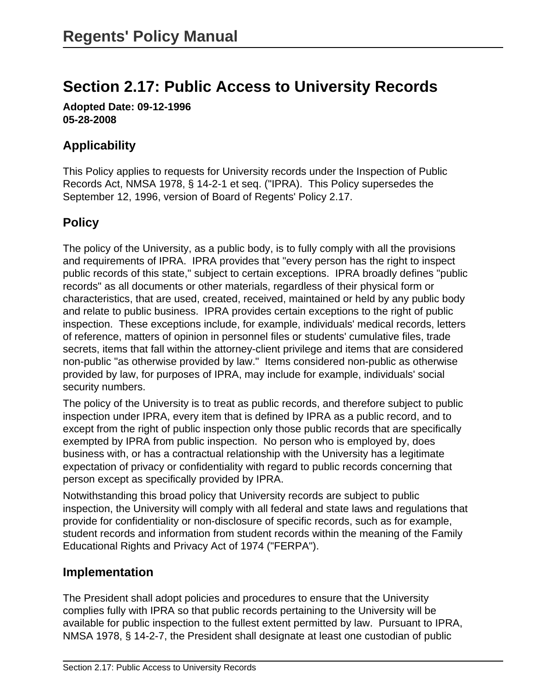# **Section 2.17: Public Access to University Records**

**Adopted Date: 09-12-1996 05-28-2008**

# **Applicability**

This Policy applies to requests for University records under the Inspection of Public Records Act, NMSA 1978, § 14-2-1 et seq. ("IPRA). This Policy supersedes the September 12, 1996, version of Board of Regents' Policy 2.17.

# **Policy**

The policy of the University, as a public body, is to fully comply with all the provisions and requirements of IPRA. IPRA provides that "every person has the right to inspect public records of this state," subject to certain exceptions. IPRA broadly defines "public records" as all documents or other materials, regardless of their physical form or characteristics, that are used, created, received, maintained or held by any public body and relate to public business. IPRA provides certain exceptions to the right of public inspection. These exceptions include, for example, individuals' medical records, letters of reference, matters of opinion in personnel files or students' cumulative files, trade secrets, items that fall within the attorney-client privilege and items that are considered non-public "as otherwise provided by law." Items considered non-public as otherwise provided by law, for purposes of IPRA, may include for example, individuals' social security numbers.

The policy of the University is to treat as public records, and therefore subject to public inspection under IPRA, every item that is defined by IPRA as a public record, and to except from the right of public inspection only those public records that are specifically exempted by IPRA from public inspection. No person who is employed by, does business with, or has a contractual relationship with the University has a legitimate expectation of privacy or confidentiality with regard to public records concerning that person except as specifically provided by IPRA.

Notwithstanding this broad policy that University records are subject to public inspection, the University will comply with all federal and state laws and regulations that provide for confidentiality or non-disclosure of specific records, such as for example, student records and information from student records within the meaning of the Family Educational Rights and Privacy Act of 1974 ("FERPA").

## **Implementation**

The President shall adopt policies and procedures to ensure that the University complies fully with IPRA so that public records pertaining to the University will be available for public inspection to the fullest extent permitted by law. Pursuant to IPRA, NMSA 1978, § 14-2-7, the President shall designate at least one custodian of public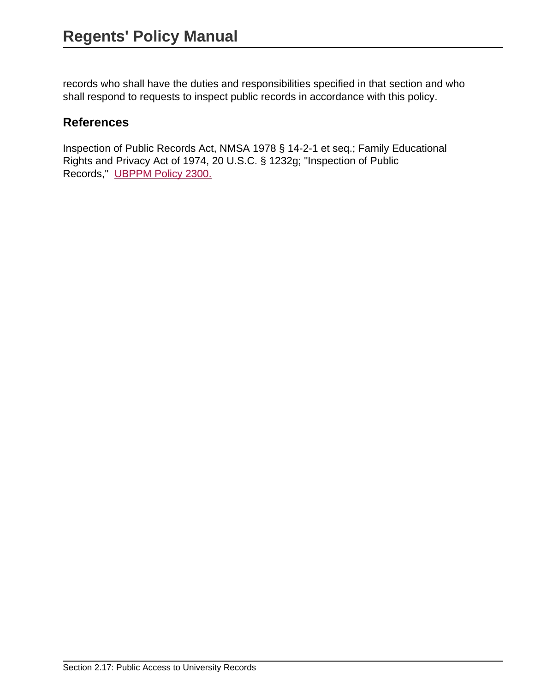records who shall have the duties and responsibilities specified in that section and who shall respond to requests to inspect public records in accordance with this policy.

## **References**

Inspection of Public Records Act, NMSA 1978 § 14-2-1 et seq.; Family Educational Rights and Privacy Act of 1974, 20 U.S.C. § 1232g; "Inspection of Public Records," [UBPPM Policy 2300.](site://policy.unm.edu/university-policies/2000/2300)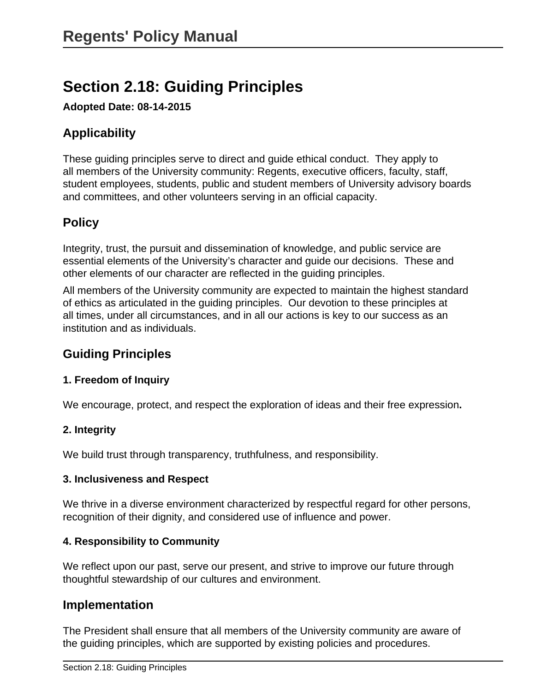# **Section 2.18: Guiding Principles**

**Adopted Date: 08-14-2015**

# **Applicability**

These guiding principles serve to direct and guide ethical conduct. They apply to all members of the University community: Regents, executive officers, faculty, staff, student employees, students, public and student members of University advisory boards and committees, and other volunteers serving in an official capacity.

## **Policy**

Integrity, trust, the pursuit and dissemination of knowledge, and public service are essential elements of the University's character and guide our decisions. These and other elements of our character are reflected in the guiding principles.

All members of the University community are expected to maintain the highest standard of ethics as articulated in the guiding principles. Our devotion to these principles at all times, under all circumstances, and in all our actions is key to our success as an institution and as individuals.

## **Guiding Principles**

#### **1. Freedom of Inquiry**

We encourage, protect, and respect the exploration of ideas and their free expression**.**

#### **2. Integrity**

We build trust through transparency, truthfulness, and responsibility.

#### **3. Inclusiveness and Respect**

We thrive in a diverse environment characterized by respectful regard for other persons, recognition of their dignity, and considered use of influence and power.

#### **4. Responsibility to Community**

We reflect upon our past, serve our present, and strive to improve our future through thoughtful stewardship of our cultures and environment.

### **Implementation**

The President shall ensure that all members of the University community are aware of the guiding principles, which are supported by existing policies and procedures.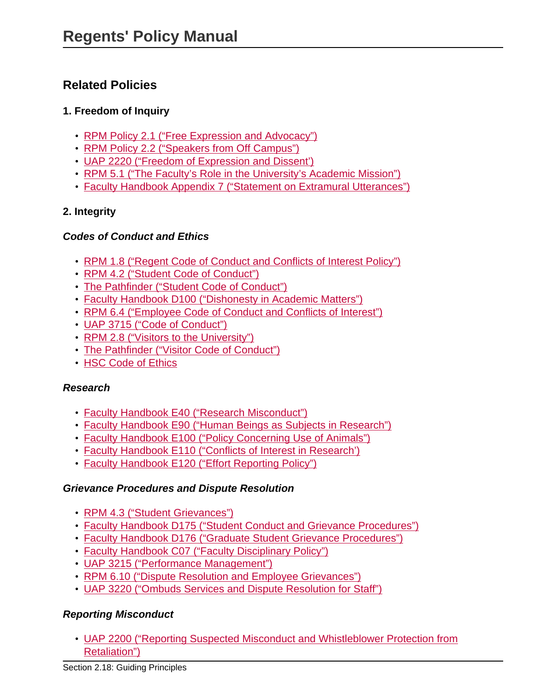## **Related Policies**

#### **1. Freedom of Inquiry**

- [RPM Policy 2.1 \("Free Expression and Advocacy"\)](site://policy.unm.edu/regents-policies/section-2/2-1)
- [RPM Policy 2.2 \("Speakers from Off Campus"\)](site://policy.unm.edu/regents-policies/section-2/2-2)
- [UAP 2220 \("Freedom of Expression and Dissent'\)](site://policy.unm.edu/university-policies/2000/2220)
- [RPM 5.1 \("The Faculty's Role in the University's Academic Mission"\)](site://policy.unm.edu/regents-policies/section-5/5-1)
- [Faculty Handbook Appendix 7 \("Statement on Extramural Utterances"\)](http://handbook.unm.edu/section-b/appendix-vii.html)

#### **2. Integrity**

#### **Codes of Conduct and Ethics**

- [RPM 1.8 \("Regent Code of Conduct and Conflicts of Interest Policy"\)](site://policy.unm.edu/regents-policies/section-1/1-8)
- [RPM 4.2 \("Student Code of Conduct"\)](site://policy.unm.edu/regents-policies/section-4/4-2)
- [The Pathfinder \("Student Code of Conduct"\)](http://pathfinder.unm.edu/code-of-conduct.html)
- [Faculty Handbook D100 \("Dishonesty in Academic Matters"\)](http://handbook.unm.edu/section-d/d100.html)
- [RPM 6.4 \("Employee Code of Conduct and Conflicts of Interest"\)](site://policy.unm.edu/regents-policies/section-6/6-4)
- [UAP 3715 \("Code of Conduct"\)](site://policy.unm.edu/university-policies/3000/3715)
- [RPM 2.8 \("Visitors to the University"\)](site://policy.unm.edu/regents-policies/section-2/2-8)
- [The Pathfinder \("Visitor Code of Conduct"\)](http://pathfinder.unm.edu/visitor-code-of-conduct.html)
- [HSC Code of Ethics](http://hsc.unm.edu/policyoffice/ethics.html)

#### **Research**

- [Faculty Handbook E40 \("Research Misconduct"\)](http://handbook.unm.edu/section-e/e40.html)
- [Faculty Handbook E90 \("Human Beings as Subjects in Research"\)](http://handbook.unm.edu/section-e/e90.html)
- [Faculty Handbook E100 \("Policy Concerning Use of Animals"\)](http://handbook.unm.edu/section-e/e100.html)
- [Faculty Handbook E110 \("Conflicts of Interest in Research'\)](http://handbook.unm.edu/section-e/e110.html)
- [Faculty Handbook E120 \("Effort Reporting Policy"\)](http://handbook.unm.edu/section-e/e120.html)

#### **Grievance Procedures and Dispute Resolution**

- [RPM 4.3 \("Student Grievances"\)](site://policy.unm.edu/regents-policies/section-4/4-3)
- [Faculty Handbook D175 \("Student Conduct and Grievance Procedures"\)](http://handbook.unm.edu/section-d/d175.html)
- [Faculty Handbook D176 \("Graduate Student Grievance Procedures"\)](http://handbook.unm.edu/section-d/d176.html)
- [Faculty Handbook C07 \("Faculty Disciplinary Policy"\)](http://handbook.unm.edu/section-c/c07.html)
- [UAP 3215 \("Performance Management"\)](site://policy.unm.edu/university-policies/3000/3215)
- [RPM 6.10 \("Dispute Resolution and Employee Grievances"\)](site://policy.unm.edu/regents-policies/section-6/6-10)
- [UAP 3220 \("Ombuds Services and Dispute Resolution for Staff"\)](site://policy.unm.edu/university-policies/3000/3220)

#### **Reporting Misconduct**

• [UAP 2200 \("Reporting Suspected Misconduct and Whistleblower Protection from](site://policy.unm.edu/university-policies/2000/2200) [Retaliation"\)](site://policy.unm.edu/university-policies/2000/2200)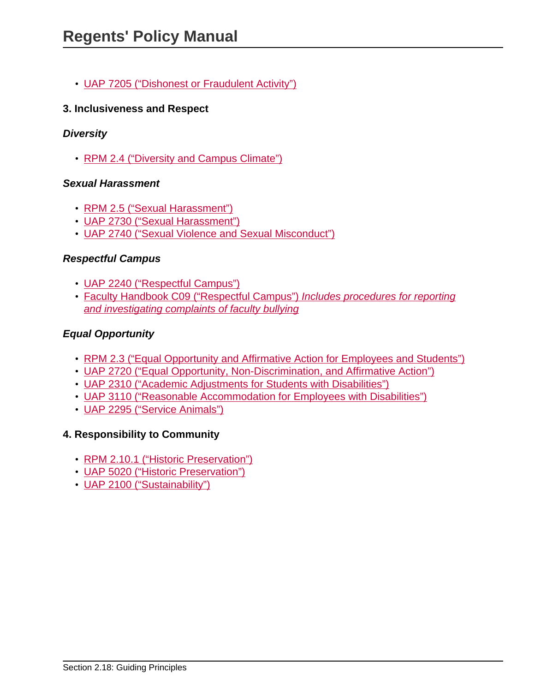• [UAP 7205 \("Dishonest or Fraudulent Activity"\)](site://policy.unm.edu/university-policies/7000/7205)

#### **3. Inclusiveness and Respect**

#### **Diversity**

• [RPM 2.4 \("Diversity and Campus Climate"\)](site://policy.unm.edu/regents-policies/section-2/2-4)

#### **Sexual Harassment**

- [RPM 2.5 \("Sexual Harassment"\)](site://policy.unm.edu/regents-policies/section-2/2-5)
- [UAP 2730 \("Sexual Harassment"\)](site://policy.unm.edu/university-policies/2000/2730)
- [UAP 2740 \("Sexual Violence and Sexual Misconduct"\)](site://policy.unm.edu/university-policies/2000/2740)

#### **Respectful Campus**

- [UAP 2240 \("Respectful Campus"\)](site://policy.unm.edu/university-policies/2000/2240)
- [Faculty Handbook C09 \("Respectful Campus"\)](http://handbook.unm.edu/section-c/c09.html) Includes procedures for reporting [and investigating complaints of faculty bullying](http://handbook.unm.edu/section-c/c09.html)

#### **Equal Opportunity**

- [RPM 2.3 \("Equal Opportunity and Affirmative Action for Employees and Students"\)](site://policy.unm.edu/regents-policies/section-2/2-3)
- [UAP 2720 \("Equal Opportunity, Non-Discrimination, and Affirmative Action"\)](site://policy.unm.edu/university-policies/2000/2720)
- [UAP 2310 \("Academic Adjustments for Students with Disabilities"\)](site://policy.unm.edu/university-policies/2000/2310)
- [UAP 3110 \("Reasonable Accommodation for Employees with Disabilities"\)](site://policy.unm.edu/university-policies/3000/3110)
- [UAP 2295 \("Service Animals"\)](site://policy.unm.edu/university-policies/2000/2295)

#### **4. Responsibility to Community**

- [RPM 2.10.1 \("Historic Preservation"\)](site://policy.unm.edu/regents-policies/section-2/2-10-1)
- [UAP 5020 \("Historic Preservation"\)](site://policy.unm.edu/university-policies/5000/5020)
- [UAP 2100 \("Sustainability"\)](site://policy.unm.edu/university-policies/2000/2100)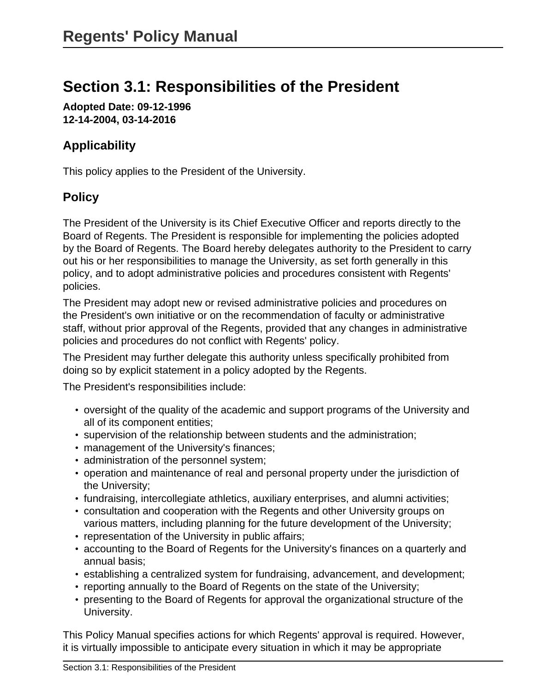# **Section 3.1: Responsibilities of the President**

**Adopted Date: 09-12-1996 12-14-2004, 03-14-2016**

# **Applicability**

This policy applies to the President of the University.

## **Policy**

The President of the University is its Chief Executive Officer and reports directly to the Board of Regents. The President is responsible for implementing the policies adopted by the Board of Regents. The Board hereby delegates authority to the President to carry out his or her responsibilities to manage the University, as set forth generally in this policy, and to adopt administrative policies and procedures consistent with Regents' policies.

The President may adopt new or revised administrative policies and procedures on the President's own initiative or on the recommendation of faculty or administrative staff, without prior approval of the Regents, provided that any changes in administrative policies and procedures do not conflict with Regents' policy.

The President may further delegate this authority unless specifically prohibited from doing so by explicit statement in a policy adopted by the Regents.

The President's responsibilities include:

- oversight of the quality of the academic and support programs of the University and all of its component entities;
- supervision of the relationship between students and the administration;
- management of the University's finances;
- administration of the personnel system;
- operation and maintenance of real and personal property under the jurisdiction of the University;
- fundraising, intercollegiate athletics, auxiliary enterprises, and alumni activities;
- consultation and cooperation with the Regents and other University groups on various matters, including planning for the future development of the University;
- representation of the University in public affairs;
- accounting to the Board of Regents for the University's finances on a quarterly and annual basis;
- establishing a centralized system for fundraising, advancement, and development;
- reporting annually to the Board of Regents on the state of the University;
- presenting to the Board of Regents for approval the organizational structure of the University.

This Policy Manual specifies actions for which Regents' approval is required. However, it is virtually impossible to anticipate every situation in which it may be appropriate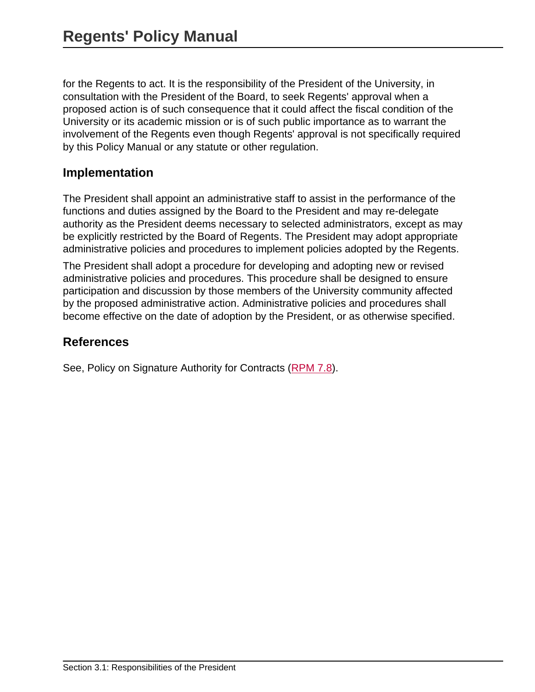for the Regents to act. It is the responsibility of the President of the University, in consultation with the President of the Board, to seek Regents' approval when a proposed action is of such consequence that it could affect the fiscal condition of the University or its academic mission or is of such public importance as to warrant the involvement of the Regents even though Regents' approval is not specifically required by this Policy Manual or any statute or other regulation.

## **Implementation**

The President shall appoint an administrative staff to assist in the performance of the functions and duties assigned by the Board to the President and may re-delegate authority as the President deems necessary to selected administrators, except as may be explicitly restricted by the Board of Regents. The President may adopt appropriate administrative policies and procedures to implement policies adopted by the Regents.

The President shall adopt a procedure for developing and adopting new or revised administrative policies and procedures. This procedure shall be designed to ensure participation and discussion by those members of the University community affected by the proposed administrative action. Administrative policies and procedures shall become effective on the date of adoption by the President, or as otherwise specified.

### **References**

See, Policy on Signature Authority for Contracts [\(RPM 7.8](site://policy.unm.edu/regents-policies/section-7/7-8)).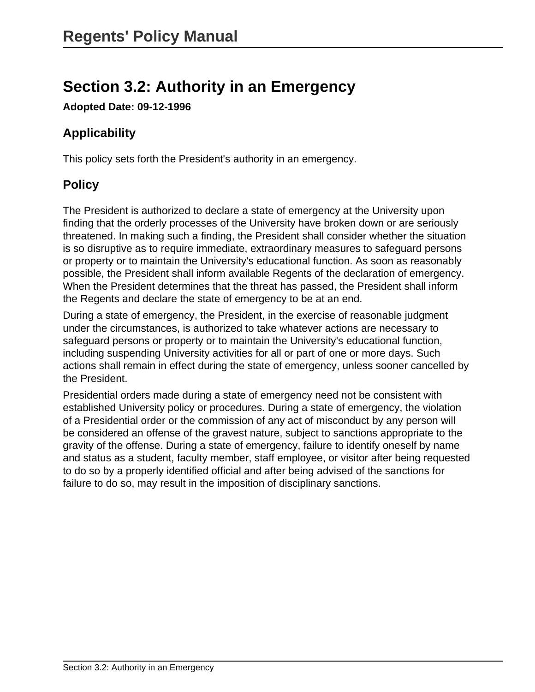# **Section 3.2: Authority in an Emergency**

**Adopted Date: 09-12-1996**

# **Applicability**

This policy sets forth the President's authority in an emergency.

# **Policy**

The President is authorized to declare a state of emergency at the University upon finding that the orderly processes of the University have broken down or are seriously threatened. In making such a finding, the President shall consider whether the situation is so disruptive as to require immediate, extraordinary measures to safeguard persons or property or to maintain the University's educational function. As soon as reasonably possible, the President shall inform available Regents of the declaration of emergency. When the President determines that the threat has passed, the President shall inform the Regents and declare the state of emergency to be at an end.

During a state of emergency, the President, in the exercise of reasonable judgment under the circumstances, is authorized to take whatever actions are necessary to safeguard persons or property or to maintain the University's educational function, including suspending University activities for all or part of one or more days. Such actions shall remain in effect during the state of emergency, unless sooner cancelled by the President.

Presidential orders made during a state of emergency need not be consistent with established University policy or procedures. During a state of emergency, the violation of a Presidential order or the commission of any act of misconduct by any person will be considered an offense of the gravest nature, subject to sanctions appropriate to the gravity of the offense. During a state of emergency, failure to identify oneself by name and status as a student, faculty member, staff employee, or visitor after being requested to do so by a properly identified official and after being advised of the sanctions for failure to do so, may result in the imposition of disciplinary sanctions.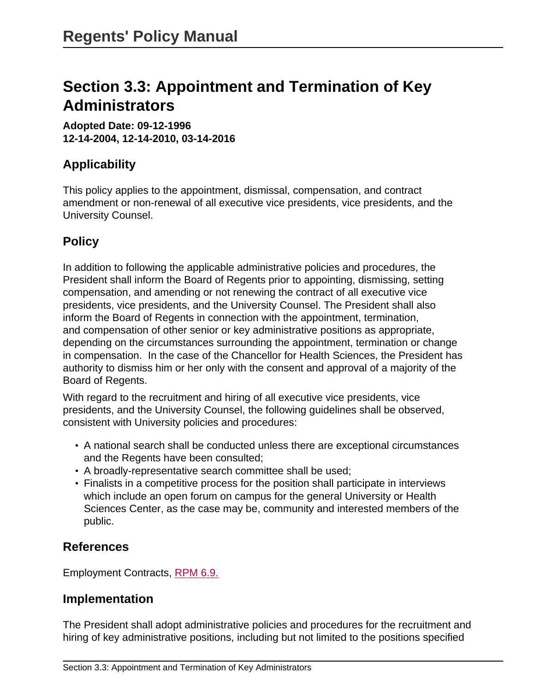# **Section 3.3: Appointment and Termination of Key Administrators**

**Adopted Date: 09-12-1996 12-14-2004, 12-14-2010, 03-14-2016**

## **Applicability**

This policy applies to the appointment, dismissal, compensation, and contract amendment or non-renewal of all executive vice presidents, vice presidents, and the University Counsel.

# **Policy**

In addition to following the applicable administrative policies and procedures, the President shall inform the Board of Regents prior to appointing, dismissing, setting compensation, and amending or not renewing the contract of all executive vice presidents, vice presidents, and the University Counsel. The President shall also inform the Board of Regents in connection with the appointment, termination, and compensation of other senior or key administrative positions as appropriate, depending on the circumstances surrounding the appointment, termination or change in compensation. In the case of the Chancellor for Health Sciences, the President has authority to dismiss him or her only with the consent and approval of a majority of the Board of Regents.

With regard to the recruitment and hiring of all executive vice presidents, vice presidents, and the University Counsel, the following guidelines shall be observed, consistent with University policies and procedures:

- A national search shall be conducted unless there are exceptional circumstances and the Regents have been consulted;
- A broadly-representative search committee shall be used;
- Finalists in a competitive process for the position shall participate in interviews which include an open forum on campus for the general University or Health Sciences Center, as the case may be, community and interested members of the public.

## **References**

Employment Contracts, [RPM 6.9.](site://policy.unm.edu/regents-policies/section-6/6-9)

### **Implementation**

The President shall adopt administrative policies and procedures for the recruitment and hiring of key administrative positions, including but not limited to the positions specified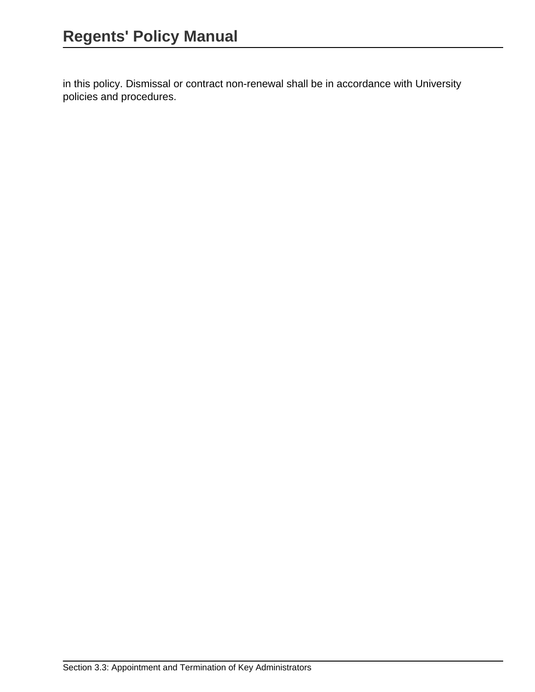in this policy. Dismissal or contract non-renewal shall be in accordance with University policies and procedures.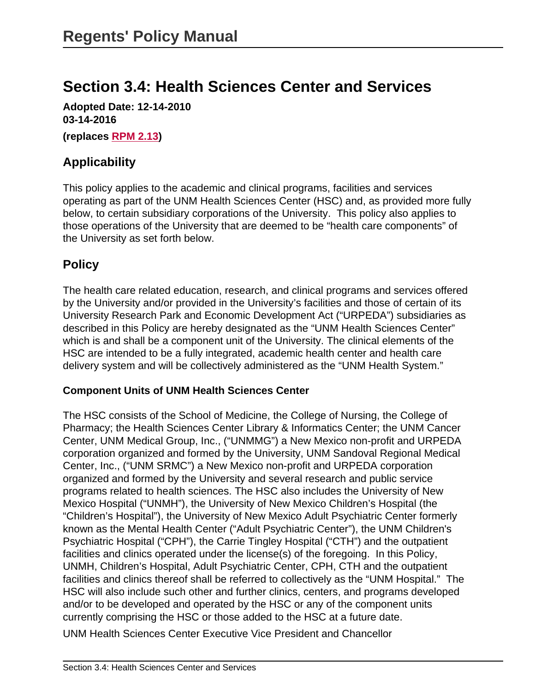# **Section 3.4: Health Sciences Center and Services**

**Adopted Date: 12-14-2010 03-14-2016**

**(replaces [RPM 2.13](site://policy.unm.edu/regents-policies/section-2/2-13))**

## **Applicability**

This policy applies to the academic and clinical programs, facilities and services operating as part of the UNM Health Sciences Center (HSC) and, as provided more fully below, to certain subsidiary corporations of the University. This policy also applies to those operations of the University that are deemed to be "health care components" of the University as set forth below.

### **Policy**

The health care related education, research, and clinical programs and services offered by the University and/or provided in the University's facilities and those of certain of its University Research Park and Economic Development Act ("URPEDA") subsidiaries as described in this Policy are hereby designated as the "UNM Health Sciences Center" which is and shall be a component unit of the University. The clinical elements of the HSC are intended to be a fully integrated, academic health center and health care delivery system and will be collectively administered as the "UNM Health System."

#### **Component Units of UNM Health Sciences Center**

The HSC consists of the School of Medicine, the College of Nursing, the College of Pharmacy; the Health Sciences Center Library & Informatics Center; the UNM Cancer Center, UNM Medical Group, Inc., ("UNMMG") a New Mexico non-profit and URPEDA corporation organized and formed by the University, UNM Sandoval Regional Medical Center, Inc., ("UNM SRMC") a New Mexico non-profit and URPEDA corporation organized and formed by the University and several research and public service programs related to health sciences. The HSC also includes the University of New Mexico Hospital ("UNMH"), the University of New Mexico Children's Hospital (the "Children's Hospital"), the University of New Mexico Adult Psychiatric Center formerly known as the Mental Health Center ("Adult Psychiatric Center"), the UNM Children's Psychiatric Hospital ("CPH"), the Carrie Tingley Hospital ("CTH") and the outpatient facilities and clinics operated under the license(s) of the foregoing. In this Policy, UNMH, Children's Hospital, Adult Psychiatric Center, CPH, CTH and the outpatient facilities and clinics thereof shall be referred to collectively as the "UNM Hospital." The HSC will also include such other and further clinics, centers, and programs developed and/or to be developed and operated by the HSC or any of the component units currently comprising the HSC or those added to the HSC at a future date.

UNM Health Sciences Center Executive Vice President and Chancellor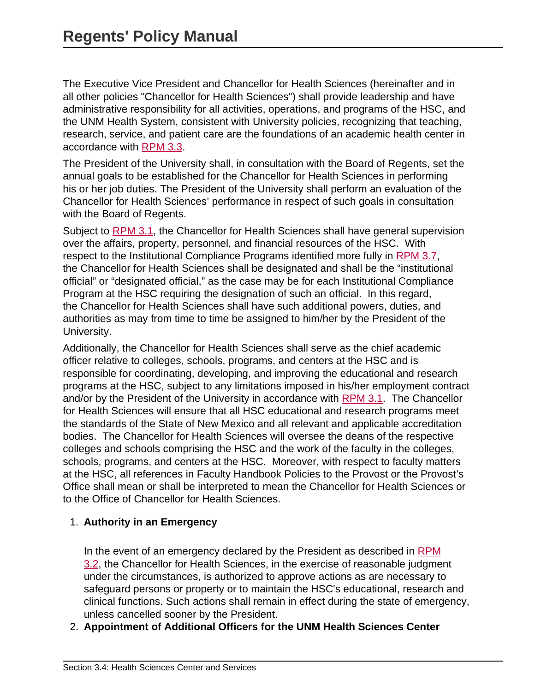The Executive Vice President and Chancellor for Health Sciences (hereinafter and in all other policies "Chancellor for Health Sciences") shall provide leadership and have administrative responsibility for all activities, operations, and programs of the HSC, and the UNM Health System, consistent with University policies, recognizing that teaching, research, service, and patient care are the foundations of an academic health center in accordance with [RPM 3.3.](site://policy.unm.edu/regents-policies/section-3/3-3)

The President of the University shall, in consultation with the Board of Regents, set the annual goals to be established for the Chancellor for Health Sciences in performing his or her job duties. The President of the University shall perform an evaluation of the Chancellor for Health Sciences' performance in respect of such goals in consultation with the Board of Regents.

Subject to [RPM 3.1](site://policy.unm.edu/regents-policies/section-3/3-1), the Chancellor for Health Sciences shall have general supervision over the affairs, property, personnel, and financial resources of the HSC. With respect to the Institutional Compliance Programs identified more fully in [RPM 3.7](site://policy.unm.edu/regents-policies/section-3/3-7), the Chancellor for Health Sciences shall be designated and shall be the "institutional official" or "designated official," as the case may be for each Institutional Compliance Program at the HSC requiring the designation of such an official. In this regard, the Chancellor for Health Sciences shall have such additional powers, duties, and authorities as may from time to time be assigned to him/her by the President of the University.

Additionally, the Chancellor for Health Sciences shall serve as the chief academic officer relative to colleges, schools, programs, and centers at the HSC and is responsible for coordinating, developing, and improving the educational and research programs at the HSC, subject to any limitations imposed in his/her employment contract and/or by the President of the University in accordance with [RPM 3.1](site://policy.unm.edu/regents-policies/section-3/3-1). The Chancellor for Health Sciences will ensure that all HSC educational and research programs meet the standards of the State of New Mexico and all relevant and applicable accreditation bodies. The Chancellor for Health Sciences will oversee the deans of the respective colleges and schools comprising the HSC and the work of the faculty in the colleges, schools, programs, and centers at the HSC. Moreover, with respect to faculty matters at the HSC, all references in Faculty Handbook Policies to the Provost or the Provost's Office shall mean or shall be interpreted to mean the Chancellor for Health Sciences or to the Office of Chancellor for Health Sciences.

#### 1. **Authority in an Emergency**

In the event of an emergency declared by the President as described in [RPM](site://policy.unm.edu/regents-policies/section-3/3-2) [3.2,](site://policy.unm.edu/regents-policies/section-3/3-2) the Chancellor for Health Sciences, in the exercise of reasonable judgment under the circumstances, is authorized to approve actions as are necessary to safeguard persons or property or to maintain the HSC's educational, research and clinical functions. Such actions shall remain in effect during the state of emergency, unless cancelled sooner by the President.

2. **Appointment of Additional Officers for the UNM Health Sciences Center**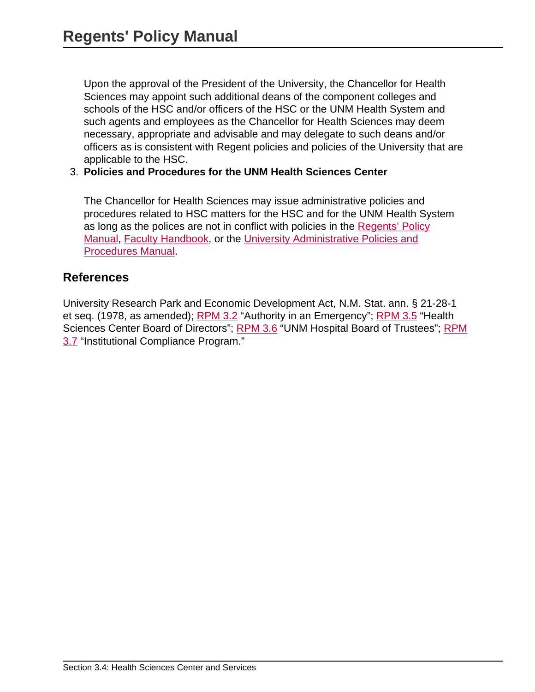Upon the approval of the President of the University, the Chancellor for Health Sciences may appoint such additional deans of the component colleges and schools of the HSC and/or officers of the HSC or the UNM Health System and such agents and employees as the Chancellor for Health Sciences may deem necessary, appropriate and advisable and may delegate to such deans and/or officers as is consistent with Regent policies and policies of the University that are applicable to the HSC.

#### 3. **Policies and Procedures for the UNM Health Sciences Center**

The Chancellor for Health Sciences may issue administrative policies and procedures related to HSC matters for the HSC and for the UNM Health System as long as the polices are not in conflict with policies in the [Regents' Policy](site://policy.unm.edu/regents-policies/index) [Manual](site://policy.unm.edu/regents-policies/index), [Faculty Handbook,](http://handbook.unm.edu/) or the [University Administrative Policies and](site://policy.unm.edu/university-policies/index) [Procedures Manual](site://policy.unm.edu/university-policies/index).

### **References**

University Research Park and Economic Development Act, N.M. Stat. ann. § 21-28-1 et seq. (1978, as amended); **RPM 3.2** "Authority in an Emergency"; **RPM 3.5** "Health Sciences Center Board of Directors"; [RPM 3.6](site://policy.unm.edu/regents-policies/section-3/3-6) "UNM Hospital Board of Trustees"; [RPM](site://policy.unm.edu/regents-policies/section-3/3-7) [3.7](site://policy.unm.edu/regents-policies/section-3/3-7) "Institutional Compliance Program."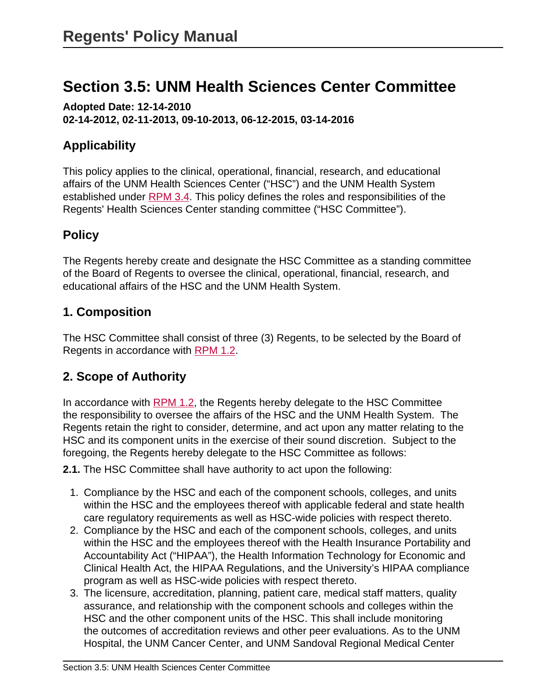# **Section 3.5: UNM Health Sciences Center Committee**

**Adopted Date: 12-14-2010 02-14-2012, 02-11-2013, 09-10-2013, 06-12-2015, 03-14-2016**

# **Applicability**

This policy applies to the clinical, operational, financial, research, and educational affairs of the UNM Health Sciences Center ("HSC") and the UNM Health System established under [RPM 3.4.](site://policy.unm.edu/regents-policies/section-3/3-4) This policy defines the roles and responsibilities of the Regents' Health Sciences Center standing committee ("HSC Committee").

# **Policy**

The Regents hereby create and designate the HSC Committee as a standing committee of the Board of Regents to oversee the clinical, operational, financial, research, and educational affairs of the HSC and the UNM Health System.

## **1. Composition**

The HSC Committee shall consist of three (3) Regents, to be selected by the Board of Regents in accordance with [RPM 1.2](site://policy.unm.edu/regents-policies/section-1/1-2).

# **2. Scope of Authority**

In accordance with [RPM 1.2](site://policy.unm.edu/regents-policies/section-1/1-2), the Regents hereby delegate to the HSC Committee the responsibility to oversee the affairs of the HSC and the UNM Health System. The Regents retain the right to consider, determine, and act upon any matter relating to the HSC and its component units in the exercise of their sound discretion. Subject to the foregoing, the Regents hereby delegate to the HSC Committee as follows:

**2.1.** The HSC Committee shall have authority to act upon the following:

- 1. Compliance by the HSC and each of the component schools, colleges, and units within the HSC and the employees thereof with applicable federal and state health care regulatory requirements as well as HSC-wide policies with respect thereto.
- 2. Compliance by the HSC and each of the component schools, colleges, and units within the HSC and the employees thereof with the Health Insurance Portability and Accountability Act ("HIPAA"), the Health Information Technology for Economic and Clinical Health Act, the HIPAA Regulations, and the University's HIPAA compliance program as well as HSC-wide policies with respect thereto.
- 3. The licensure, accreditation, planning, patient care, medical staff matters, quality assurance, and relationship with the component schools and colleges within the HSC and the other component units of the HSC. This shall include monitoring the outcomes of accreditation reviews and other peer evaluations. As to the UNM Hospital, the UNM Cancer Center, and UNM Sandoval Regional Medical Center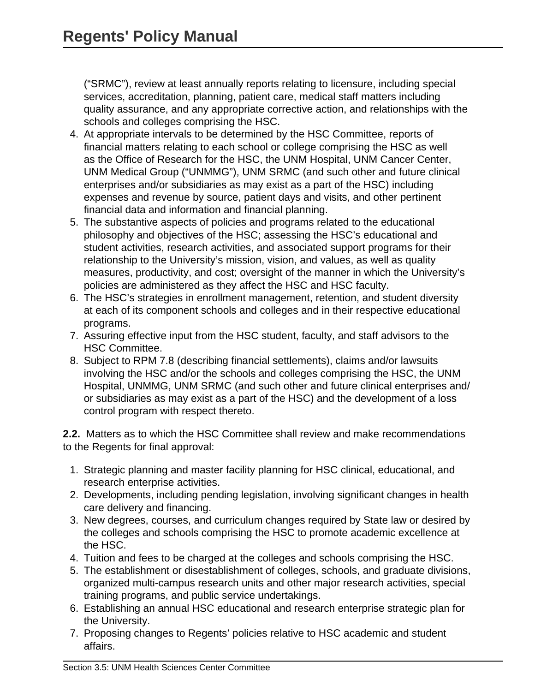("SRMC"), review at least annually reports relating to licensure, including special services, accreditation, planning, patient care, medical staff matters including quality assurance, and any appropriate corrective action, and relationships with the schools and colleges comprising the HSC.

- 4. At appropriate intervals to be determined by the HSC Committee, reports of financial matters relating to each school or college comprising the HSC as well as the Office of Research for the HSC, the UNM Hospital, UNM Cancer Center, UNM Medical Group ("UNMMG"), UNM SRMC (and such other and future clinical enterprises and/or subsidiaries as may exist as a part of the HSC) including expenses and revenue by source, patient days and visits, and other pertinent financial data and information and financial planning.
- 5. The substantive aspects of policies and programs related to the educational philosophy and objectives of the HSC; assessing the HSC's educational and student activities, research activities, and associated support programs for their relationship to the University's mission, vision, and values, as well as quality measures, productivity, and cost; oversight of the manner in which the University's policies are administered as they affect the HSC and HSC faculty.
- 6. The HSC's strategies in enrollment management, retention, and student diversity at each of its component schools and colleges and in their respective educational programs.
- 7. Assuring effective input from the HSC student, faculty, and staff advisors to the HSC Committee.
- 8. Subject to RPM 7.8 (describing financial settlements), claims and/or lawsuits involving the HSC and/or the schools and colleges comprising the HSC, the UNM Hospital, UNMMG, UNM SRMC (and such other and future clinical enterprises and/ or subsidiaries as may exist as a part of the HSC) and the development of a loss control program with respect thereto.

**2.2.** Matters as to which the HSC Committee shall review and make recommendations to the Regents for final approval:

- 1. Strategic planning and master facility planning for HSC clinical, educational, and research enterprise activities.
- 2. Developments, including pending legislation, involving significant changes in health care delivery and financing.
- 3. New degrees, courses, and curriculum changes required by State law or desired by the colleges and schools comprising the HSC to promote academic excellence at the HSC.
- 4. Tuition and fees to be charged at the colleges and schools comprising the HSC.
- 5. The establishment or disestablishment of colleges, schools, and graduate divisions, organized multi-campus research units and other major research activities, special training programs, and public service undertakings.
- 6. Establishing an annual HSC educational and research enterprise strategic plan for the University.
- 7. Proposing changes to Regents' policies relative to HSC academic and student affairs.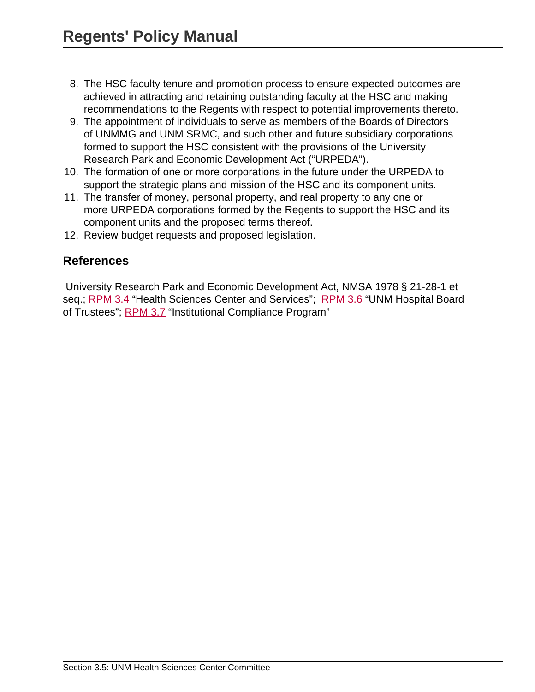- 8. The HSC faculty tenure and promotion process to ensure expected outcomes are achieved in attracting and retaining outstanding faculty at the HSC and making recommendations to the Regents with respect to potential improvements thereto.
- 9. The appointment of individuals to serve as members of the Boards of Directors of UNMMG and UNM SRMC, and such other and future subsidiary corporations formed to support the HSC consistent with the provisions of the University Research Park and Economic Development Act ("URPEDA").
- 10. The formation of one or more corporations in the future under the URPEDA to support the strategic plans and mission of the HSC and its component units.
- 11. The transfer of money, personal property, and real property to any one or more URPEDA corporations formed by the Regents to support the HSC and its component units and the proposed terms thereof.
- 12. Review budget requests and proposed legislation.

### **References**

 University Research Park and Economic Development Act, NMSA 1978 § 21-28-1 et seq.; [RPM 3.4](site://policy.unm.edu/regents-policies/section-3/3-4) "Health Sciences Center and Services"; [RPM 3.6](site://policy.unm.edu/regents-policies/section-3/3-6) "UNM Hospital Board of Trustees"; [RPM 3.7](site://policy.unm.edu/regents-policies/section-3/3-7) "Institutional Compliance Program"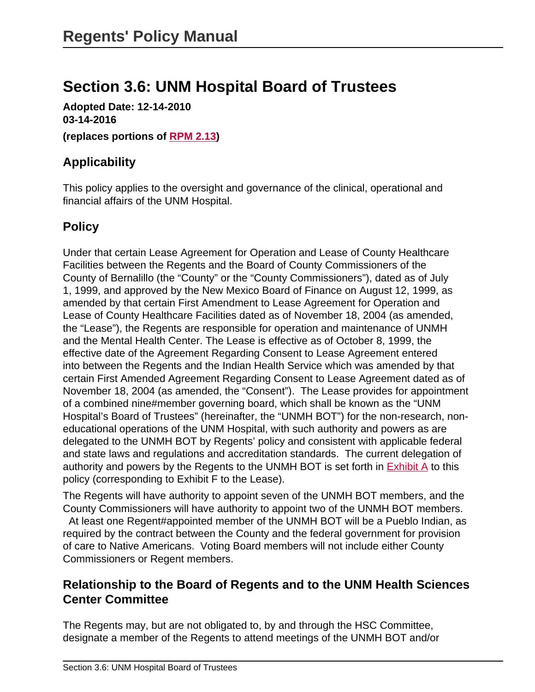# **Section 3.6: UNM Hospital Board of Trustees**

**Adopted Date: 12-14-2010 03-14-2016**

**(replaces portions of [RPM 2.13](site://policy.unm.edu/regents-policies/section-2/2-13))**

# **Applicability**

This policy applies to the oversight and governance of the clinical, operational and financial affairs of the UNM Hospital.

# **Policy**

Under that certain Lease Agreement for Operation and Lease of County Healthcare Facilities between the Regents and the Board of County Commissioners of the County of Bernalillo (the "County" or the "County Commissioners"), dated as of July 1, 1999, and approved by the New Mexico Board of Finance on August 12, 1999, as amended by that certain First Amendment to Lease Agreement for Operation and Lease of County Healthcare Facilities dated as of November 18, 2004 (as amended, the "Lease"), the Regents are responsible for operation and maintenance of UNMH and the Mental Health Center. The Lease is effective as of October 8, 1999, the effective date of the Agreement Regarding Consent to Lease Agreement entered into between the Regents and the Indian Health Service which was amended by that certain First Amended Agreement Regarding Consent to Lease Agreement dated as of November 18, 2004 (as amended, the "Consent"). The Lease provides for appointment of a combined nine#member governing board, which shall be known as the "UNM Hospital's Board of Trustees" (hereinafter, the "UNMH BOT") for the non-research, noneducational operations of the UNM Hospital, with such authority and powers as are delegated to the UNMH BOT by Regents' policy and consistent with applicable federal and state laws and regulations and accreditation standards. The current delegation of authority and powers by the Regents to the UNMH BOT is set forth in  $Exhibit A$  to this policy (corresponding to Exhibit F to the Lease).

The Regents will have authority to appoint seven of the UNMH BOT members, and the County Commissioners will have authority to appoint two of the UNMH BOT members. At least one Regent#appointed member of the UNMH BOT will be a Pueblo Indian, as required by the contract between the County and the federal government for provision of care to Native Americans. Voting Board members will not include either County Commissioners or Regent members.

## **Relationship to the Board of Regents and to the UNM Health Sciences Center Committee**

The Regents may, but are not obligated to, by and through the HSC Committee, designate a member of the Regents to attend meetings of the UNMH BOT and/or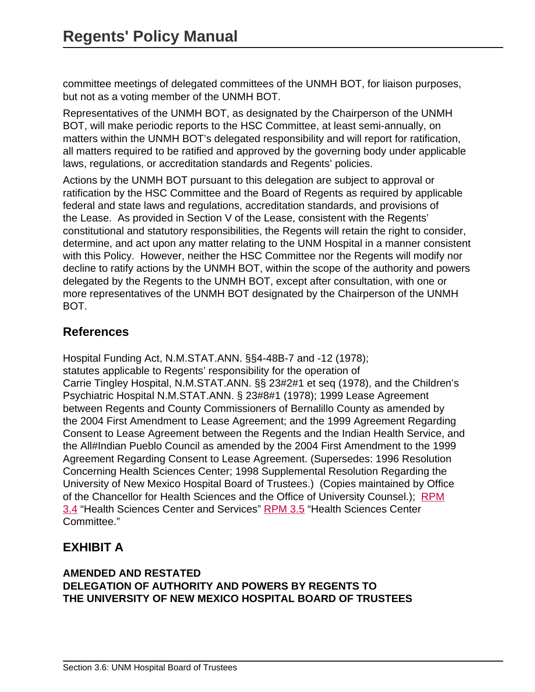committee meetings of delegated committees of the UNMH BOT, for liaison purposes, but not as a voting member of the UNMH BOT.

Representatives of the UNMH BOT, as designated by the Chairperson of the UNMH BOT, will make periodic reports to the HSC Committee, at least semi-annually, on matters within the UNMH BOT's delegated responsibility and will report for ratification, all matters required to be ratified and approved by the governing body under applicable laws, regulations, or accreditation standards and Regents' policies.

Actions by the UNMH BOT pursuant to this delegation are subject to approval or ratification by the HSC Committee and the Board of Regents as required by applicable federal and state laws and regulations, accreditation standards, and provisions of the Lease. As provided in Section V of the Lease, consistent with the Regents' constitutional and statutory responsibilities, the Regents will retain the right to consider, determine, and act upon any matter relating to the UNM Hospital in a manner consistent with this Policy. However, neither the HSC Committee nor the Regents will modify nor decline to ratify actions by the UNMH BOT, within the scope of the authority and powers delegated by the Regents to the UNMH BOT, except after consultation, with one or more representatives of the UNMH BOT designated by the Chairperson of the UNMH BOT.

## **References**

Hospital Funding Act, N.M.STAT.ANN. §§4-48B-7 and -12 (1978); statutes applicable to Regents' responsibility for the operation of Carrie Tingley Hospital, N.M.STAT.ANN. §§ 23#2#1 et seq (1978), and the Children's Psychiatric Hospital N.M.STAT.ANN. § 23#8#1 (1978); 1999 Lease Agreement between Regents and County Commissioners of Bernalillo County as amended by the 2004 First Amendment to Lease Agreement; and the 1999 Agreement Regarding Consent to Lease Agreement between the Regents and the Indian Health Service, and the All#Indian Pueblo Council as amended by the 2004 First Amendment to the 1999 Agreement Regarding Consent to Lease Agreement. (Supersedes: 1996 Resolution Concerning Health Sciences Center; 1998 Supplemental Resolution Regarding the University of New Mexico Hospital Board of Trustees.) (Copies maintained by Office of the Chancellor for Health Sciences and the Office of University Counsel.); [RPM](site://policy.unm.edu/regents-policies/section-3/3-4) [3.4](site://policy.unm.edu/regents-policies/section-3/3-4) "Health Sciences Center and Services" [RPM 3.5](site://policy.unm.edu/regents-policies/section-3/3-5) "Health Sciences Center Committee."

# <span id="page-69-0"></span>**EXHIBIT A**

#### **AMENDED AND RESTATED DELEGATION OF AUTHORITY AND POWERS BY REGENTS TO THE UNIVERSITY OF NEW MEXICO HOSPITAL BOARD OF TRUSTEES**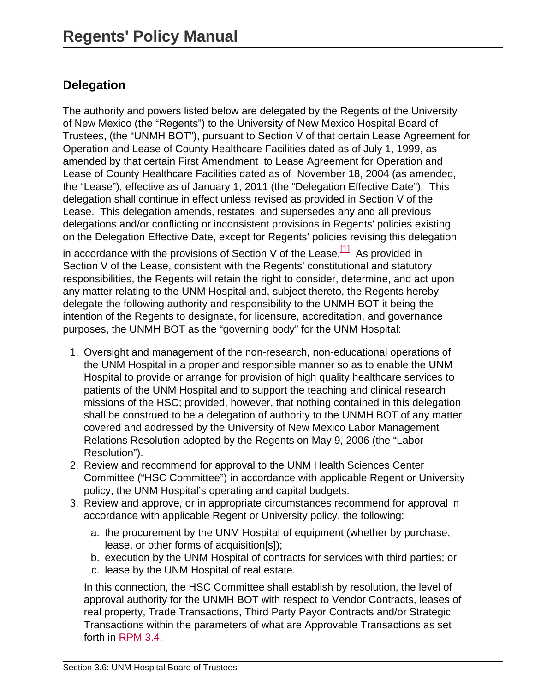# **Delegation**

The authority and powers listed below are delegated by the Regents of the University of New Mexico (the "Regents") to the University of New Mexico Hospital Board of Trustees, (the "UNMH BOT"), pursuant to Section V of that certain Lease Agreement for Operation and Lease of County Healthcare Facilities dated as of July 1, 1999, as amended by that certain First Amendment to Lease Agreement for Operation and Lease of County Healthcare Facilities dated as of November 18, 2004 (as amended, the "Lease"), effective as of January 1, 2011 (the "Delegation Effective Date"). This delegation shall continue in effect unless revised as provided in Section V of the Lease. This delegation amends, restates, and supersedes any and all previous delegations and/or conflicting or inconsistent provisions in Regents' policies existing on the Delegation Effective Date, except for Regents' policies revising this delegation

in accordance with the provisions of Section V of the Lease.<sup>[1]</sup> As provided in Section V of the Lease, consistent with the Regents' constitutional and statutory responsibilities, the Regents will retain the right to consider, determine, and act upon any matter relating to the UNM Hospital and, subject thereto, the Regents hereby delegate the following authority and responsibility to the UNMH BOT it being the intention of the Regents to designate, for licensure, accreditation, and governance purposes, the UNMH BOT as the "governing body" for the UNM Hospital:

- 1. Oversight and management of the non-research, non-educational operations of the UNM Hospital in a proper and responsible manner so as to enable the UNM Hospital to provide or arrange for provision of high quality healthcare services to patients of the UNM Hospital and to support the teaching and clinical research missions of the HSC; provided, however, that nothing contained in this delegation shall be construed to be a delegation of authority to the UNMH BOT of any matter covered and addressed by the University of New Mexico Labor Management Relations Resolution adopted by the Regents on May 9, 2006 (the "Labor Resolution").
- 2. Review and recommend for approval to the UNM Health Sciences Center Committee ("HSC Committee") in accordance with applicable Regent or University policy, the UNM Hospital's operating and capital budgets.
- 3. Review and approve, or in appropriate circumstances recommend for approval in accordance with applicable Regent or University policy, the following:
	- a. the procurement by the UNM Hospital of equipment (whether by purchase, lease, or other forms of acquisition[s]);
	- b. execution by the UNM Hospital of contracts for services with third parties; or
	- c. lease by the UNM Hospital of real estate.

In this connection, the HSC Committee shall establish by resolution, the level of approval authority for the UNMH BOT with respect to Vendor Contracts, leases of real property, Trade Transactions, Third Party Payor Contracts and/or Strategic Transactions within the parameters of what are Approvable Transactions as set forth in [RPM 3.4.](site://policy.unm.edu/regents-policies/section-3/3-4)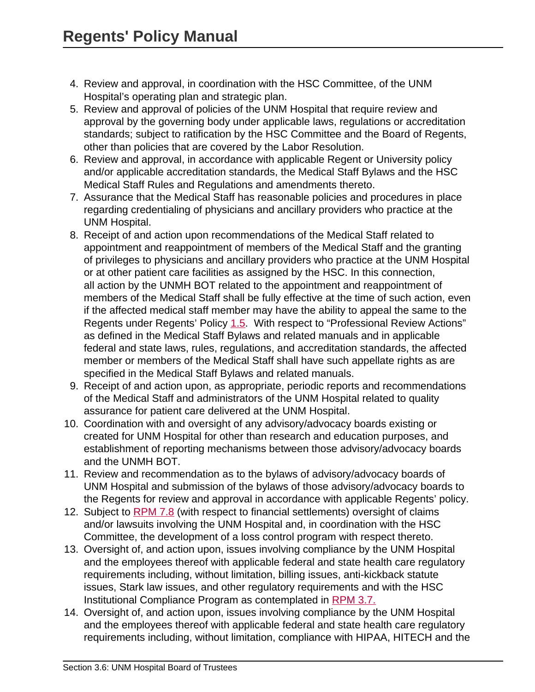- 4. Review and approval, in coordination with the HSC Committee, of the UNM Hospital's operating plan and strategic plan.
- 5. Review and approval of policies of the UNM Hospital that require review and approval by the governing body under applicable laws, regulations or accreditation standards; subject to ratification by the HSC Committee and the Board of Regents, other than policies that are covered by the Labor Resolution.
- 6. Review and approval, in accordance with applicable Regent or University policy and/or applicable accreditation standards, the Medical Staff Bylaws and the HSC Medical Staff Rules and Regulations and amendments thereto.
- 7. Assurance that the Medical Staff has reasonable policies and procedures in place regarding credentialing of physicians and ancillary providers who practice at the UNM Hospital.
- 8. Receipt of and action upon recommendations of the Medical Staff related to appointment and reappointment of members of the Medical Staff and the granting of privileges to physicians and ancillary providers who practice at the UNM Hospital or at other patient care facilities as assigned by the HSC. In this connection, all action by the UNMH BOT related to the appointment and reappointment of members of the Medical Staff shall be fully effective at the time of such action, even if the affected medical staff member may have the ability to appeal the same to the Regents under Regents' Policy [1.5.](site://policy.unm.edu/regents-policies/section-1/1-5) With respect to "Professional Review Actions" as defined in the Medical Staff Bylaws and related manuals and in applicable federal and state laws, rules, regulations, and accreditation standards, the affected member or members of the Medical Staff shall have such appellate rights as are specified in the Medical Staff Bylaws and related manuals.
- 9. Receipt of and action upon, as appropriate, periodic reports and recommendations of the Medical Staff and administrators of the UNM Hospital related to quality assurance for patient care delivered at the UNM Hospital.
- 10. Coordination with and oversight of any advisory/advocacy boards existing or created for UNM Hospital for other than research and education purposes, and establishment of reporting mechanisms between those advisory/advocacy boards and the UNMH BOT.
- 11. Review and recommendation as to the bylaws of advisory/advocacy boards of UNM Hospital and submission of the bylaws of those advisory/advocacy boards to the Regents for review and approval in accordance with applicable Regents' policy.
- 12. Subject to [RPM 7.8](site://policy.unm.edu/regents-policies/section-7/7-8) (with respect to financial settlements) oversight of claims and/or lawsuits involving the UNM Hospital and, in coordination with the HSC Committee, the development of a loss control program with respect thereto.
- 13. Oversight of, and action upon, issues involving compliance by the UNM Hospital and the employees thereof with applicable federal and state health care regulatory requirements including, without limitation, billing issues, anti-kickback statute issues, Stark law issues, and other regulatory requirements and with the HSC Institutional Compliance Program as contemplated in [RPM 3.7.](site://policy.unm.edu/regents-policies/section-3/3-7)
- 14. Oversight of, and action upon, issues involving compliance by the UNM Hospital and the employees thereof with applicable federal and state health care regulatory requirements including, without limitation, compliance with HIPAA, HITECH and the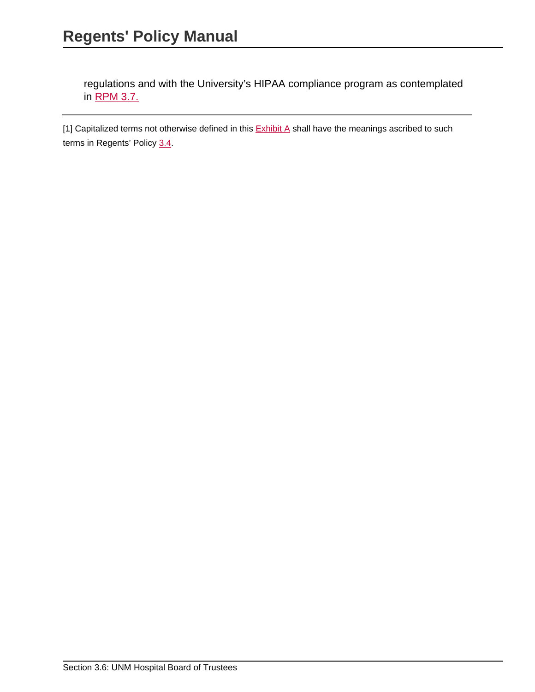regulations and with the University's HIPAA compliance program as contemplated in [RPM 3.7.](site://policy.unm.edu/regents-policies/section-3/3-7)

[1] Capitalized terms not otherwise defined in this **[Exhibit A](#page-69-0)** shall have the meanings ascribed to such terms in Regents' Policy [3.4.](site://policy.unm.edu/regents-policies/section-3/3-4)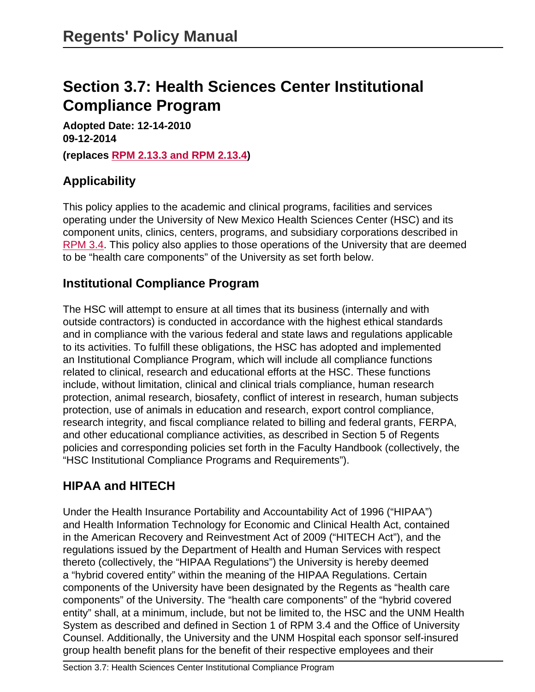# **Section 3.7: Health Sciences Center Institutional Compliance Program**

**Adopted Date: 12-14-2010 09-12-2014 (replaces [RPM 2.13.3 and RPM 2.13.4\)](site://policy.unm.edu/regents-policies/section-2/2-13)**

# **Applicability**

This policy applies to the academic and clinical programs, facilities and services operating under the University of New Mexico Health Sciences Center (HSC) and its component units, clinics, centers, programs, and subsidiary corporations described in [RPM 3.4.](site://policy.unm.edu/regents-policies/section-3/3-4) This policy also applies to those operations of the University that are deemed to be "health care components" of the University as set forth below.

#### **Institutional Compliance Program**

The HSC will attempt to ensure at all times that its business (internally and with outside contractors) is conducted in accordance with the highest ethical standards and in compliance with the various federal and state laws and regulations applicable to its activities. To fulfill these obligations, the HSC has adopted and implemented an Institutional Compliance Program, which will include all compliance functions related to clinical, research and educational efforts at the HSC. These functions include, without limitation, clinical and clinical trials compliance, human research protection, animal research, biosafety, conflict of interest in research, human subjects protection, use of animals in education and research, export control compliance, research integrity, and fiscal compliance related to billing and federal grants, FERPA, and other educational compliance activities, as described in Section 5 of Regents policies and corresponding policies set forth in the Faculty Handbook (collectively, the "HSC Institutional Compliance Programs and Requirements").

# **HIPAA and HITECH**

Under the Health Insurance Portability and Accountability Act of 1996 ("HIPAA") and Health Information Technology for Economic and Clinical Health Act, contained in the American Recovery and Reinvestment Act of 2009 ("HITECH Act"), and the regulations issued by the Department of Health and Human Services with respect thereto (collectively, the "HIPAA Regulations") the University is hereby deemed a "hybrid covered entity" within the meaning of the HIPAA Regulations. Certain components of the University have been designated by the Regents as "health care components" of the University. The "health care components" of the "hybrid covered entity" shall, at a minimum, include, but not be limited to, the HSC and the UNM Health System as described and defined in Section 1 of RPM 3.4 and the Office of University Counsel. Additionally, the University and the UNM Hospital each sponsor self-insured group health benefit plans for the benefit of their respective employees and their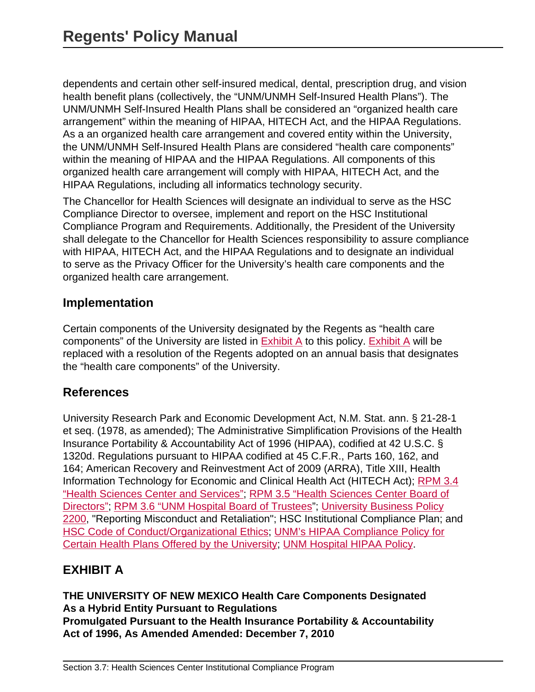dependents and certain other self-insured medical, dental, prescription drug, and vision health benefit plans (collectively, the "UNM/UNMH Self-Insured Health Plans"). The UNM/UNMH Self-Insured Health Plans shall be considered an "organized health care arrangement" within the meaning of HIPAA, HITECH Act, and the HIPAA Regulations. As a an organized health care arrangement and covered entity within the University, the UNM/UNMH Self-Insured Health Plans are considered "health care components" within the meaning of HIPAA and the HIPAA Regulations. All components of this organized health care arrangement will comply with HIPAA, HITECH Act, and the HIPAA Regulations, including all informatics technology security.

The Chancellor for Health Sciences will designate an individual to serve as the HSC Compliance Director to oversee, implement and report on the HSC Institutional Compliance Program and Requirements. Additionally, the President of the University shall delegate to the Chancellor for Health Sciences responsibility to assure compliance with HIPAA, HITECH Act, and the HIPAA Regulations and to designate an individual to serve as the Privacy Officer for the University's health care components and the organized health care arrangement.

#### **Implementation**

Certain components of the University designated by the Regents as "health care components" of the University are listed in [Exhibit A](#page-74-0) to this policy. [Exhibit A](#page-74-0) will be replaced with a resolution of the Regents adopted on an annual basis that designates the "health care components" of the University.

#### **References**

University Research Park and Economic Development Act, N.M. Stat. ann. § 21-28-1 et seq. (1978, as amended); The Administrative Simplification Provisions of the Health Insurance Portability & Accountability Act of 1996 (HIPAA), codified at 42 U.S.C. § 1320d. Regulations pursuant to HIPAA codified at 45 C.F.R., Parts 160, 162, and 164; American Recovery and Reinvestment Act of 2009 (ARRA), Title XIII, Health Information Technology for Economic and Clinical Health Act (HITECH Act); [RPM 3.4](site://policy.unm.edu/regents-policies/section-3/3-4) ["Health Sciences Center and Services";](site://policy.unm.edu/regents-policies/section-3/3-4) [RPM 3.5 "Health Sciences Center Board of](site://policy.unm.edu/regents-policies/section-3/3-5) [Directors";](site://policy.unm.edu/regents-policies/section-3/3-5) [RPM 3.6 "UNM Hospital Board of Trustees](site://policy.unm.edu/regents-policies/section-3/3-6)"; [University Business Policy](site://policy.unm.edu/university-policies/2000/2200) [2200,](site://policy.unm.edu/university-policies/2000/2200) "Reporting Misconduct and Retaliation"; HSC Institutional Compliance Plan; and [HSC Code of Conduct/Organizational Ethics](http://hsc.unm.edu/admin/compliance/docs/Code%20of%20Ethics.pdf); [UNM's HIPAA Compliance Policy for](http://hr.unm.edu/docs/hr/hipaa-compliance-policy-for-certain-health-plans-offered-by-the-university.pdf) [Certain Health Plans Offered by the University](http://hr.unm.edu/docs/hr/hipaa-compliance-policy-for-certain-health-plans-offered-by-the-university.pdf); [UNM Hospital HIPAA Policy.](http://hospitals.unm.edu/ptguide/hipaa.shtml)

# <span id="page-74-0"></span>**EXHIBIT A**

**THE UNIVERSITY OF NEW MEXICO Health Care Components Designated As a Hybrid Entity Pursuant to Regulations Promulgated Pursuant to the Health Insurance Portability & Accountability Act of 1996, As Amended Amended: December 7, 2010**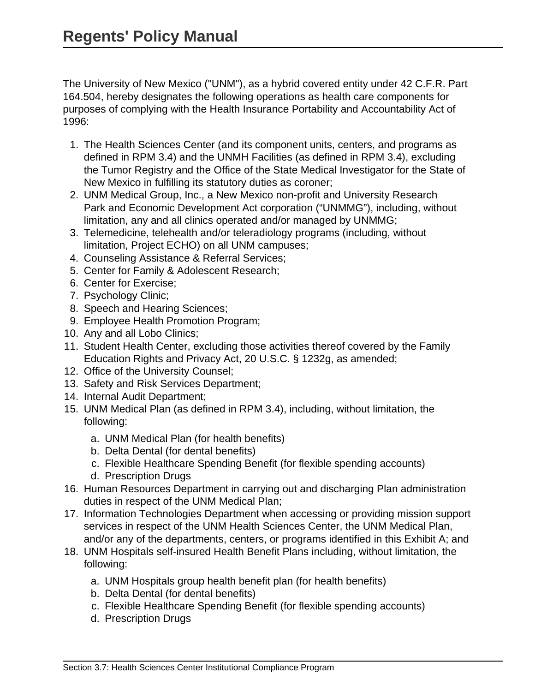The University of New Mexico ("UNM"), as a hybrid covered entity under 42 C.F.R. Part 164.504, hereby designates the following operations as health care components for purposes of complying with the Health Insurance Portability and Accountability Act of 1996:

- 1. The Health Sciences Center (and its component units, centers, and programs as defined in RPM 3.4) and the UNMH Facilities (as defined in RPM 3.4), excluding the Tumor Registry and the Office of the State Medical Investigator for the State of New Mexico in fulfilling its statutory duties as coroner;
- 2. UNM Medical Group, Inc., a New Mexico non-profit and University Research Park and Economic Development Act corporation ("UNMMG"), including, without limitation, any and all clinics operated and/or managed by UNMMG;
- 3. Telemedicine, telehealth and/or teleradiology programs (including, without limitation, Project ECHO) on all UNM campuses;
- 4. Counseling Assistance & Referral Services;
- 5. Center for Family & Adolescent Research;
- 6. Center for Exercise;
- 7. Psychology Clinic;
- 8. Speech and Hearing Sciences;
- 9. Employee Health Promotion Program;
- 10. Any and all Lobo Clinics;
- 11. Student Health Center, excluding those activities thereof covered by the Family Education Rights and Privacy Act, 20 U.S.C. § 1232g, as amended;
- 12. Office of the University Counsel;
- 13. Safety and Risk Services Department;
- 14. Internal Audit Department;
- 15. UNM Medical Plan (as defined in RPM 3.4), including, without limitation, the following:
	- a. UNM Medical Plan (for health benefits)
	- b. Delta Dental (for dental benefits)
	- c. Flexible Healthcare Spending Benefit (for flexible spending accounts)
	- d. Prescription Drugs
- 16. Human Resources Department in carrying out and discharging Plan administration duties in respect of the UNM Medical Plan;
- 17. Information Technologies Department when accessing or providing mission support services in respect of the UNM Health Sciences Center, the UNM Medical Plan, and/or any of the departments, centers, or programs identified in this Exhibit A; and
- 18. UNM Hospitals self-insured Health Benefit Plans including, without limitation, the following:
	- a. UNM Hospitals group health benefit plan (for health benefits)
	- b. Delta Dental (for dental benefits)
	- c. Flexible Healthcare Spending Benefit (for flexible spending accounts)
	- d. Prescription Drugs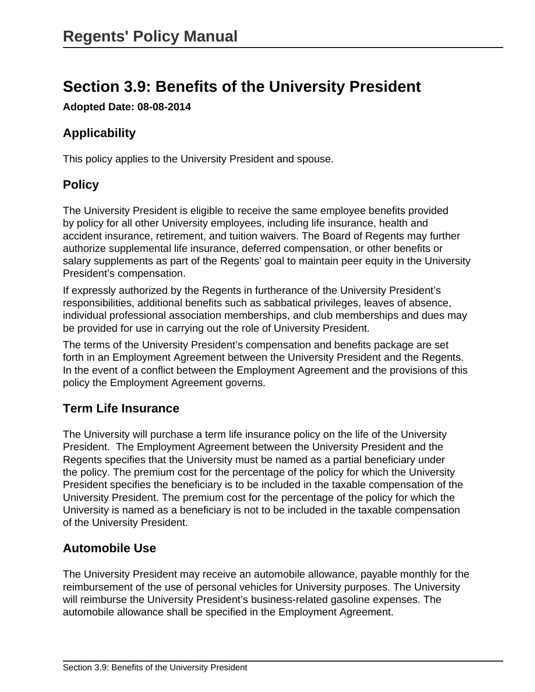# **Section 3.9: Benefits of the University President**

**Adopted Date: 08-08-2014**

# **Applicability**

This policy applies to the University President and spouse.

# **Policy**

The University President is eligible to receive the same employee benefits provided by policy for all other University employees, including life insurance, health and accident insurance, retirement, and tuition waivers. The Board of Regents may further authorize supplemental life insurance, deferred compensation, or other benefits or salary supplements as part of the Regents' goal to maintain peer equity in the University President's compensation.

If expressly authorized by the Regents in furtherance of the University President's responsibilities, additional benefits such as sabbatical privileges, leaves of absence, individual professional association memberships, and club memberships and dues may be provided for use in carrying out the role of University President.

The terms of the University President's compensation and benefits package are set forth in an Employment Agreement between the University President and the Regents. In the event of a conflict between the Employment Agreement and the provisions of this policy the Employment Agreement governs.

#### **Term Life Insurance**

The University will purchase a term life insurance policy on the life of the University President. The Employment Agreement between the University President and the Regents specifies that the University must be named as a partial beneficiary under the policy. The premium cost for the percentage of the policy for which the University President specifies the beneficiary is to be included in the taxable compensation of the University President. The premium cost for the percentage of the policy for which the University is named as a beneficiary is not to be included in the taxable compensation of the University President.

# **Automobile Use**

The University President may receive an automobile allowance, payable monthly for the reimbursement of the use of personal vehicles for University purposes. The University will reimburse the University President's business-related gasoline expenses. The automobile allowance shall be specified in the Employment Agreement.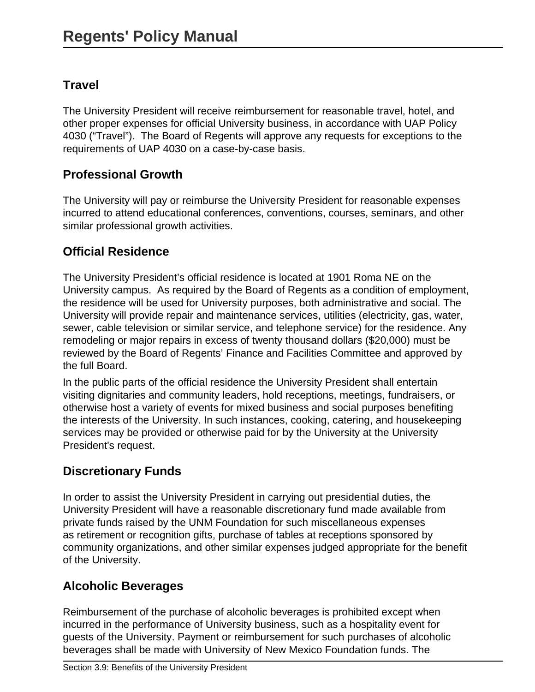# **Travel**

The University President will receive reimbursement for reasonable travel, hotel, and other proper expenses for official University business, in accordance with UAP Policy 4030 ("Travel"). The Board of Regents will approve any requests for exceptions to the requirements of UAP 4030 on a case-by-case basis.

### **Professional Growth**

The University will pay or reimburse the University President for reasonable expenses incurred to attend educational conferences, conventions, courses, seminars, and other similar professional growth activities.

# **Official Residence**

The University President's official residence is located at 1901 Roma NE on the University campus. As required by the Board of Regents as a condition of employment, the residence will be used for University purposes, both administrative and social. The University will provide repair and maintenance services, utilities (electricity, gas, water, sewer, cable television or similar service, and telephone service) for the residence. Any remodeling or major repairs in excess of twenty thousand dollars (\$20,000) must be reviewed by the Board of Regents' Finance and Facilities Committee and approved by the full Board.

In the public parts of the official residence the University President shall entertain visiting dignitaries and community leaders, hold receptions, meetings, fundraisers, or otherwise host a variety of events for mixed business and social purposes benefiting the interests of the University. In such instances, cooking, catering, and housekeeping services may be provided or otherwise paid for by the University at the University President's request.

# **Discretionary Funds**

In order to assist the University President in carrying out presidential duties, the University President will have a reasonable discretionary fund made available from private funds raised by the UNM Foundation for such miscellaneous expenses as retirement or recognition gifts, purchase of tables at receptions sponsored by community organizations, and other similar expenses judged appropriate for the benefit of the University.

# **Alcoholic Beverages**

Reimbursement of the purchase of alcoholic beverages is prohibited except when incurred in the performance of University business, such as a hospitality event for guests of the University. Payment or reimbursement for such purchases of alcoholic beverages shall be made with University of New Mexico Foundation funds. The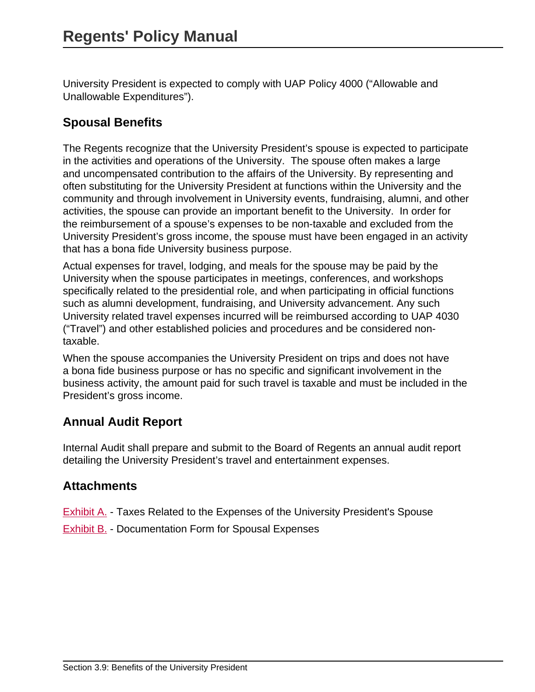University President is expected to comply with UAP Policy 4000 ("Allowable and Unallowable Expenditures").

### **Spousal Benefits**

The Regents recognize that the University President's spouse is expected to participate in the activities and operations of the University. The spouse often makes a large and uncompensated contribution to the affairs of the University. By representing and often substituting for the University President at functions within the University and the community and through involvement in University events, fundraising, alumni, and other activities, the spouse can provide an important benefit to the University. In order for the reimbursement of a spouse's expenses to be non-taxable and excluded from the University President's gross income, the spouse must have been engaged in an activity that has a bona fide University business purpose.

Actual expenses for travel, lodging, and meals for the spouse may be paid by the University when the spouse participates in meetings, conferences, and workshops specifically related to the presidential role, and when participating in official functions such as alumni development, fundraising, and University advancement. Any such University related travel expenses incurred will be reimbursed according to UAP 4030 ("Travel") and other established policies and procedures and be considered nontaxable.

When the spouse accompanies the University President on trips and does not have a bona fide business purpose or has no specific and significant involvement in the business activity, the amount paid for such travel is taxable and must be included in the President's gross income.

# **Annual Audit Report**

Internal Audit shall prepare and submit to the Board of Regents an annual audit report detailing the University President's travel and entertainment expenses.

#### **Attachments**

**Exhibit A.** - Taxes Related to the Expenses of the University President's Spouse

[Exhibit B.](#page-0-0) - Documentation Form for Spousal Expenses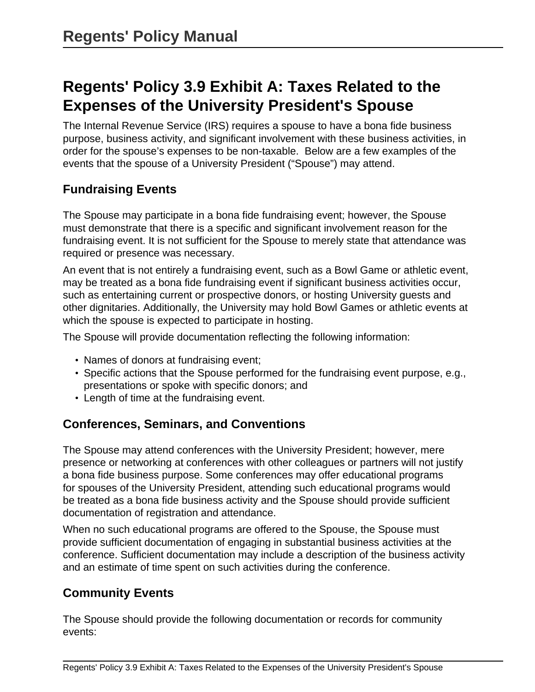# **Regents' Policy 3.9 Exhibit A: Taxes Related to the Expenses of the University President's Spouse**

The Internal Revenue Service (IRS) requires a spouse to have a bona fide business purpose, business activity, and significant involvement with these business activities, in order for the spouse's expenses to be non-taxable. Below are a few examples of the events that the spouse of a University President ("Spouse") may attend.

#### **Fundraising Events**

The Spouse may participate in a bona fide fundraising event; however, the Spouse must demonstrate that there is a specific and significant involvement reason for the fundraising event. It is not sufficient for the Spouse to merely state that attendance was required or presence was necessary.

An event that is not entirely a fundraising event, such as a Bowl Game or athletic event, may be treated as a bona fide fundraising event if significant business activities occur, such as entertaining current or prospective donors, or hosting University guests and other dignitaries. Additionally, the University may hold Bowl Games or athletic events at which the spouse is expected to participate in hosting.

The Spouse will provide documentation reflecting the following information:

- Names of donors at fundraising event;
- Specific actions that the Spouse performed for the fundraising event purpose, e.g., presentations or spoke with specific donors; and
- Length of time at the fundraising event.

#### **Conferences, Seminars, and Conventions**

The Spouse may attend conferences with the University President; however, mere presence or networking at conferences with other colleagues or partners will not justify a bona fide business purpose. Some conferences may offer educational programs for spouses of the University President, attending such educational programs would be treated as a bona fide business activity and the Spouse should provide sufficient documentation of registration and attendance.

When no such educational programs are offered to the Spouse, the Spouse must provide sufficient documentation of engaging in substantial business activities at the conference. Sufficient documentation may include a description of the business activity and an estimate of time spent on such activities during the conference.

#### **Community Events**

The Spouse should provide the following documentation or records for community events: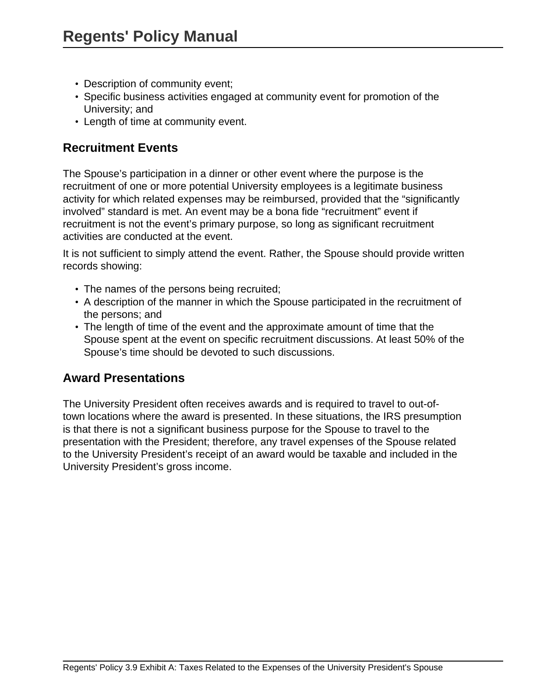- Description of community event;
- Specific business activities engaged at community event for promotion of the University; and
- Length of time at community event.

#### **Recruitment Events**

The Spouse's participation in a dinner or other event where the purpose is the recruitment of one or more potential University employees is a legitimate business activity for which related expenses may be reimbursed, provided that the "significantly involved" standard is met. An event may be a bona fide "recruitment" event if recruitment is not the event's primary purpose, so long as significant recruitment activities are conducted at the event.

It is not sufficient to simply attend the event. Rather, the Spouse should provide written records showing:

- The names of the persons being recruited;
- A description of the manner in which the Spouse participated in the recruitment of the persons; and
- The length of time of the event and the approximate amount of time that the Spouse spent at the event on specific recruitment discussions. At least 50% of the Spouse's time should be devoted to such discussions.

#### **Award Presentations**

The University President often receives awards and is required to travel to out-oftown locations where the award is presented. In these situations, the IRS presumption is that there is not a significant business purpose for the Spouse to travel to the presentation with the President; therefore, any travel expenses of the Spouse related to the University President's receipt of an award would be taxable and included in the University President's gross income.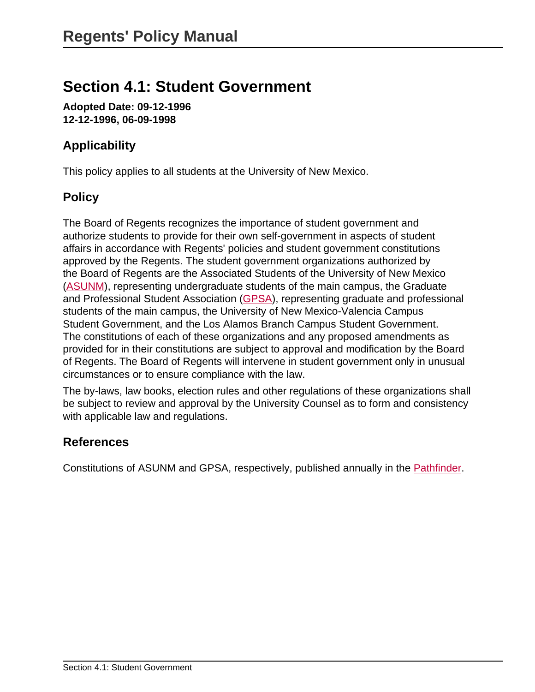# **Section 4.1: Student Government**

**Adopted Date: 09-12-1996 12-12-1996, 06-09-1998**

# **Applicability**

This policy applies to all students at the University of New Mexico.

# **Policy**

The Board of Regents recognizes the importance of student government and authorize students to provide for their own self-government in aspects of student affairs in accordance with Regents' policies and student government constitutions approved by the Regents. The student government organizations authorized by the Board of Regents are the Associated Students of the University of New Mexico ([ASUNM](http://asunm.unm.edu)), representing undergraduate students of the main campus, the Graduate and Professional Student Association [\(GPSA](http://gpsa.unm.edu)), representing graduate and professional students of the main campus, the University of New Mexico-Valencia Campus Student Government, and the Los Alamos Branch Campus Student Government. The constitutions of each of these organizations and any proposed amendments as provided for in their constitutions are subject to approval and modification by the Board of Regents. The Board of Regents will intervene in student government only in unusual circumstances or to ensure compliance with the law.

The by-laws, law books, election rules and other regulations of these organizations shall be subject to review and approval by the University Counsel as to form and consistency with applicable law and regulations.

#### **References**

Constitutions of ASUNM and GPSA, respectively, published annually in the [Pathfinder](http://pathfinder.unm.edu).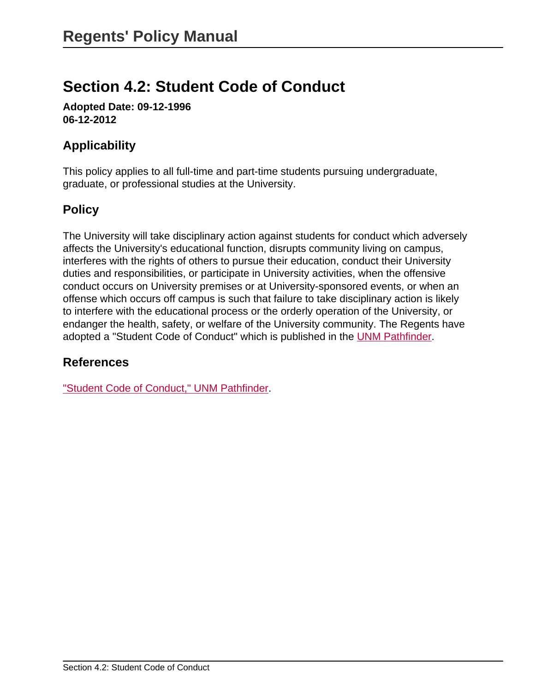# **Section 4.2: Student Code of Conduct**

**Adopted Date: 09-12-1996 06-12-2012**

### **Applicability**

This policy applies to all full-time and part-time students pursuing undergraduate, graduate, or professional studies at the University.

### **Policy**

The University will take disciplinary action against students for conduct which adversely affects the University's educational function, disrupts community living on campus, interferes with the rights of others to pursue their education, conduct their University duties and responsibilities, or participate in University activities, when the offensive conduct occurs on University premises or at University-sponsored events, or when an offense which occurs off campus is such that failure to take disciplinary action is likely to interfere with the educational process or the orderly operation of the University, or endanger the health, safety, or welfare of the University community. The Regents have adopted a "Student Code of Conduct" which is published in the [UNM Pathfinder](http://pathfinder.unm.edu/index.html).

#### **References**

["Student Code of Conduct," UNM Pathfinder](http://pathfinder.unm.edu/code-of-conduct.html).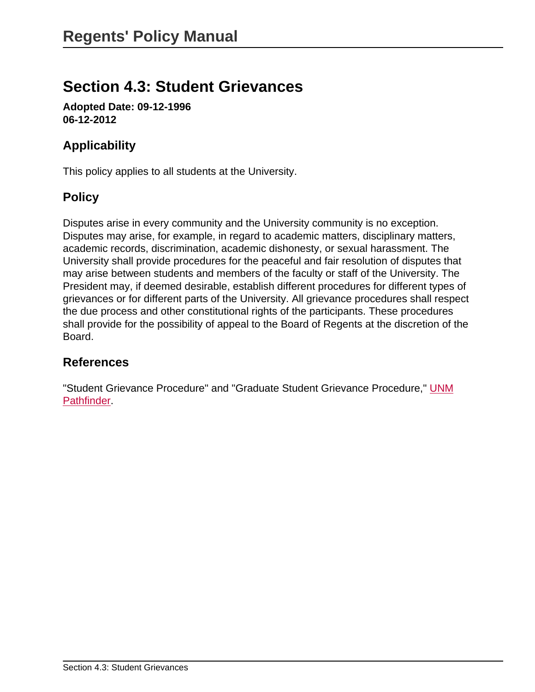# **Section 4.3: Student Grievances**

**Adopted Date: 09-12-1996 06-12-2012**

# **Applicability**

This policy applies to all students at the University.

# **Policy**

Disputes arise in every community and the University community is no exception. Disputes may arise, for example, in regard to academic matters, disciplinary matters, academic records, discrimination, academic dishonesty, or sexual harassment. The University shall provide procedures for the peaceful and fair resolution of disputes that may arise between students and members of the faculty or staff of the University. The President may, if deemed desirable, establish different procedures for different types of grievances or for different parts of the University. All grievance procedures shall respect the due process and other constitutional rights of the participants. These procedures shall provide for the possibility of appeal to the Board of Regents at the discretion of the Board.

#### **References**

"Student Grievance Procedure" and "Graduate Student Grievance Procedure," [UNM](http://pathfinder.unm.edu) **[Pathfinder.](http://pathfinder.unm.edu)**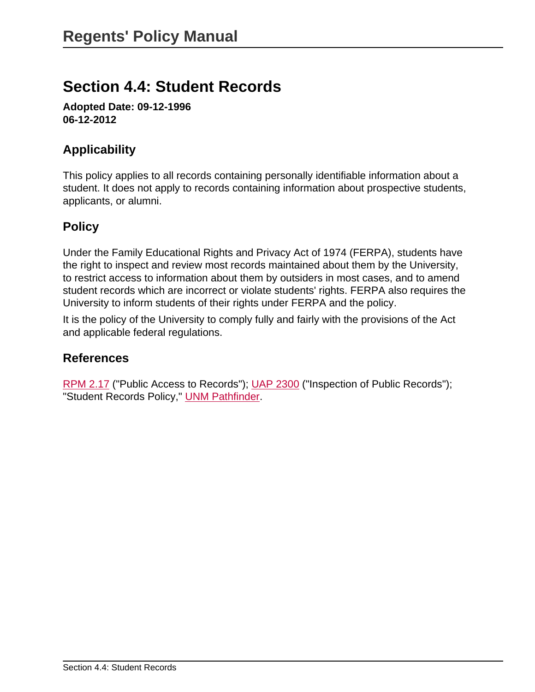# **Section 4.4: Student Records**

**Adopted Date: 09-12-1996 06-12-2012**

# **Applicability**

This policy applies to all records containing personally identifiable information about a student. It does not apply to records containing information about prospective students, applicants, or alumni.

### **Policy**

Under the Family Educational Rights and Privacy Act of 1974 (FERPA), students have the right to inspect and review most records maintained about them by the University, to restrict access to information about them by outsiders in most cases, and to amend student records which are incorrect or violate students' rights. FERPA also requires the University to inform students of their rights under FERPA and the policy.

It is the policy of the University to comply fully and fairly with the provisions of the Act and applicable federal regulations.

#### **References**

[RPM 2.17](site://policy.unm.edu/regents-policies/section-2/2-17) ("Public Access to Records"); [UAP 2300](site://policy.unm.edu/university-policies/2000/2300) ("Inspection of Public Records"); "Student Records Policy," **[UNM Pathfinder](http://pathfinder.unm.edu)**.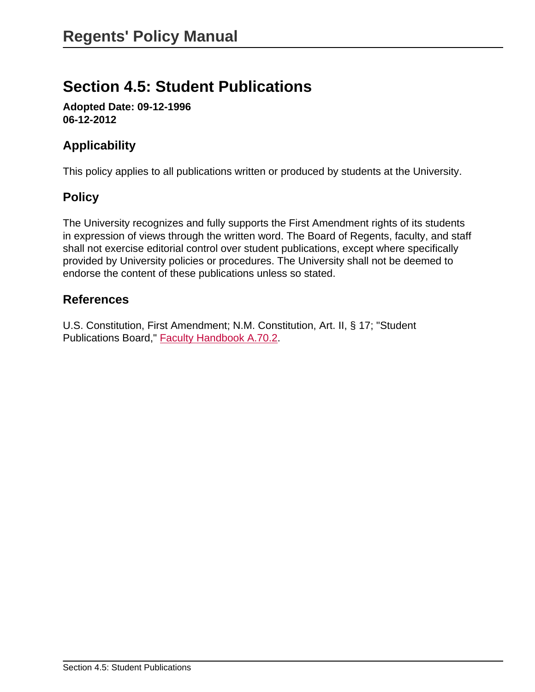# **Section 4.5: Student Publications**

**Adopted Date: 09-12-1996 06-12-2012**

### **Applicability**

This policy applies to all publications written or produced by students at the University.

# **Policy**

The University recognizes and fully supports the First Amendment rights of its students in expression of views through the written word. The Board of Regents, faculty, and staff shall not exercise editorial control over student publications, except where specifically provided by University policies or procedures. The University shall not be deemed to endorse the content of these publications unless so stated.

#### **References**

U.S. Constitution, First Amendment; N.M. Constitution, Art. II, § 17; "Student Publications Board," [Faculty Handbook A.70.2.](http://handbook.unm.edu/)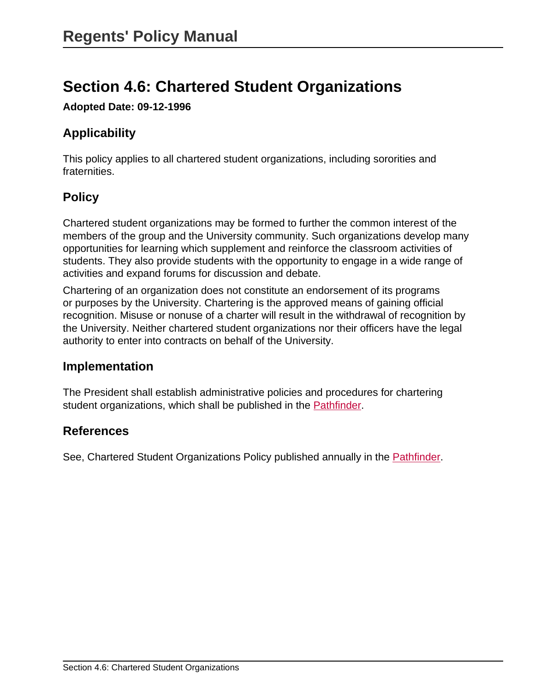# **Section 4.6: Chartered Student Organizations**

**Adopted Date: 09-12-1996**

# **Applicability**

This policy applies to all chartered student organizations, including sororities and fraternities.

# **Policy**

Chartered student organizations may be formed to further the common interest of the members of the group and the University community. Such organizations develop many opportunities for learning which supplement and reinforce the classroom activities of students. They also provide students with the opportunity to engage in a wide range of activities and expand forums for discussion and debate.

Chartering of an organization does not constitute an endorsement of its programs or purposes by the University. Chartering is the approved means of gaining official recognition. Misuse or nonuse of a charter will result in the withdrawal of recognition by the University. Neither chartered student organizations nor their officers have the legal authority to enter into contracts on behalf of the University.

#### **Implementation**

The President shall establish administrative policies and procedures for chartering student organizations, which shall be published in the [Pathfinder.](http://pathfinder.unm.edu/campus-policies/chartered-student-organization-policy.html)

#### **References**

See, Chartered Student Organizations Policy published annually in the [Pathfinder](http://pathfinder.unm.edu/campus-policies/chartered-student-organization-policy.html).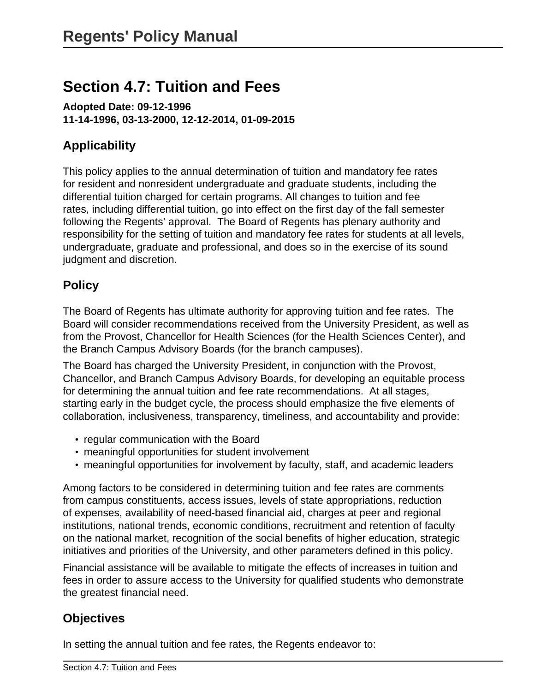# **Section 4.7: Tuition and Fees**

**Adopted Date: 09-12-1996 11-14-1996, 03-13-2000, 12-12-2014, 01-09-2015**

### **Applicability**

This policy applies to the annual determination of tuition and mandatory fee rates for resident and nonresident undergraduate and graduate students, including the differential tuition charged for certain programs. All changes to tuition and fee rates, including differential tuition, go into effect on the first day of the fall semester following the Regents' approval. The Board of Regents has plenary authority and responsibility for the setting of tuition and mandatory fee rates for students at all levels, undergraduate, graduate and professional, and does so in the exercise of its sound judgment and discretion.

### **Policy**

The Board of Regents has ultimate authority for approving tuition and fee rates. The Board will consider recommendations received from the University President, as well as from the Provost, Chancellor for Health Sciences (for the Health Sciences Center), and the Branch Campus Advisory Boards (for the branch campuses).

The Board has charged the University President, in conjunction with the Provost, Chancellor, and Branch Campus Advisory Boards, for developing an equitable process for determining the annual tuition and fee rate recommendations. At all stages, starting early in the budget cycle, the process should emphasize the five elements of collaboration, inclusiveness, transparency, timeliness, and accountability and provide:

- regular communication with the Board
- meaningful opportunities for student involvement
- meaningful opportunities for involvement by faculty, staff, and academic leaders

Among factors to be considered in determining tuition and fee rates are comments from campus constituents, access issues, levels of state appropriations, reduction of expenses, availability of need-based financial aid, charges at peer and regional institutions, national trends, economic conditions, recruitment and retention of faculty on the national market, recognition of the social benefits of higher education, strategic initiatives and priorities of the University, and other parameters defined in this policy.

Financial assistance will be available to mitigate the effects of increases in tuition and fees in order to assure access to the University for qualified students who demonstrate the greatest financial need.

#### **Objectives**

In setting the annual tuition and fee rates, the Regents endeavor to: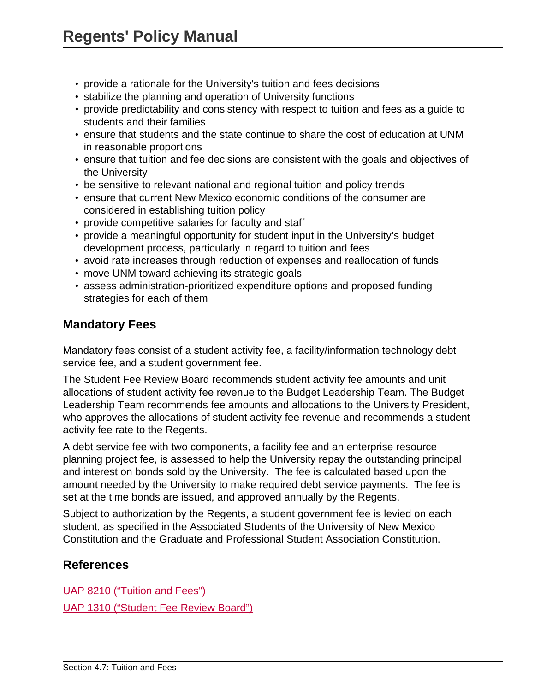- provide a rationale for the University's tuition and fees decisions
- stabilize the planning and operation of University functions
- provide predictability and consistency with respect to tuition and fees as a guide to students and their families
- ensure that students and the state continue to share the cost of education at UNM in reasonable proportions
- ensure that tuition and fee decisions are consistent with the goals and objectives of the University
- be sensitive to relevant national and regional tuition and policy trends
- ensure that current New Mexico economic conditions of the consumer are considered in establishing tuition policy
- provide competitive salaries for faculty and staff
- provide a meaningful opportunity for student input in the University's budget development process, particularly in regard to tuition and fees
- avoid rate increases through reduction of expenses and reallocation of funds
- move UNM toward achieving its strategic goals
- assess administration-prioritized expenditure options and proposed funding strategies for each of them

#### **Mandatory Fees**

Mandatory fees consist of a student activity fee, a facility/information technology debt service fee, and a student government fee.

The Student Fee Review Board recommends student activity fee amounts and unit allocations of student activity fee revenue to the Budget Leadership Team. The Budget Leadership Team recommends fee amounts and allocations to the University President, who approves the allocations of student activity fee revenue and recommends a student activity fee rate to the Regents.

A debt service fee with two components, a facility fee and an enterprise resource planning project fee, is assessed to help the University repay the outstanding principal and interest on bonds sold by the University. The fee is calculated based upon the amount needed by the University to make required debt service payments. The fee is set at the time bonds are issued, and approved annually by the Regents.

Subject to authorization by the Regents, a student government fee is levied on each student, as specified in the Associated Students of the University of New Mexico Constitution and the Graduate and Professional Student Association Constitution.

#### **References**

[UAP 8210 \("Tuition and Fees"\)](site://policy.unm.edu/university-policies/8000/8210) [UAP 1310 \("Student Fee Review Board"\)](site://policy.unm.edu/university-policies/1000/1310)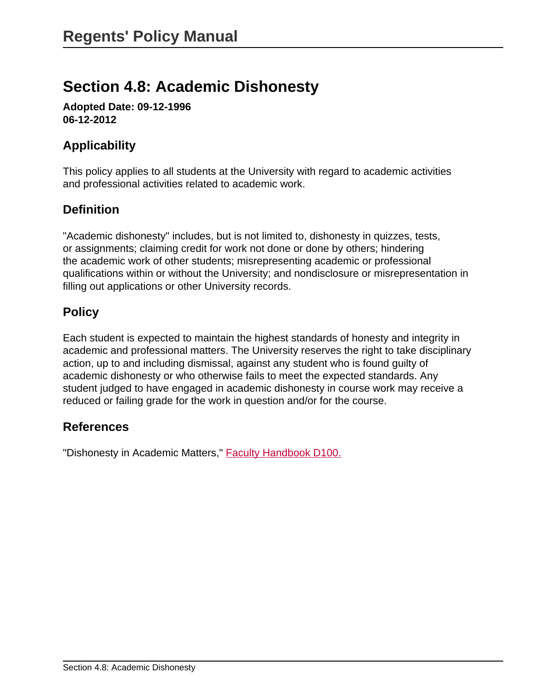# **Section 4.8: Academic Dishonesty**

**Adopted Date: 09-12-1996 06-12-2012**

### **Applicability**

This policy applies to all students at the University with regard to academic activities and professional activities related to academic work.

### **Definition**

"Academic dishonesty" includes, but is not limited to, dishonesty in quizzes, tests, or assignments; claiming credit for work not done or done by others; hindering the academic work of other students; misrepresenting academic or professional qualifications within or without the University; and nondisclosure or misrepresentation in filling out applications or other University records.

### **Policy**

Each student is expected to maintain the highest standards of honesty and integrity in academic and professional matters. The University reserves the right to take disciplinary action, up to and including dismissal, against any student who is found guilty of academic dishonesty or who otherwise fails to meet the expected standards. Any student judged to have engaged in academic dishonesty in course work may receive a reduced or failing grade for the work in question and/or for the course.

#### **References**

"Dishonesty in Academic Matters," [Faculty Handbook D100.](http://handbook.unm.edu)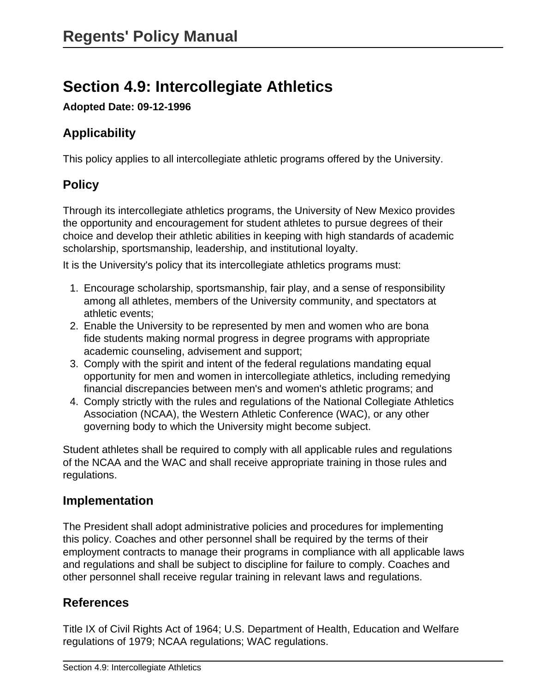# **Section 4.9: Intercollegiate Athletics**

**Adopted Date: 09-12-1996**

# **Applicability**

This policy applies to all intercollegiate athletic programs offered by the University.

# **Policy**

Through its intercollegiate athletics programs, the University of New Mexico provides the opportunity and encouragement for student athletes to pursue degrees of their choice and develop their athletic abilities in keeping with high standards of academic scholarship, sportsmanship, leadership, and institutional loyalty.

It is the University's policy that its intercollegiate athletics programs must:

- 1. Encourage scholarship, sportsmanship, fair play, and a sense of responsibility among all athletes, members of the University community, and spectators at athletic events;
- 2. Enable the University to be represented by men and women who are bona fide students making normal progress in degree programs with appropriate academic counseling, advisement and support;
- 3. Comply with the spirit and intent of the federal regulations mandating equal opportunity for men and women in intercollegiate athletics, including remedying financial discrepancies between men's and women's athletic programs; and
- 4. Comply strictly with the rules and regulations of the National Collegiate Athletics Association (NCAA), the Western Athletic Conference (WAC), or any other governing body to which the University might become subject.

Student athletes shall be required to comply with all applicable rules and regulations of the NCAA and the WAC and shall receive appropriate training in those rules and regulations.

# **Implementation**

The President shall adopt administrative policies and procedures for implementing this policy. Coaches and other personnel shall be required by the terms of their employment contracts to manage their programs in compliance with all applicable laws and regulations and shall be subject to discipline for failure to comply. Coaches and other personnel shall receive regular training in relevant laws and regulations.

# **References**

Title IX of Civil Rights Act of 1964; U.S. Department of Health, Education and Welfare regulations of 1979; NCAA regulations; WAC regulations.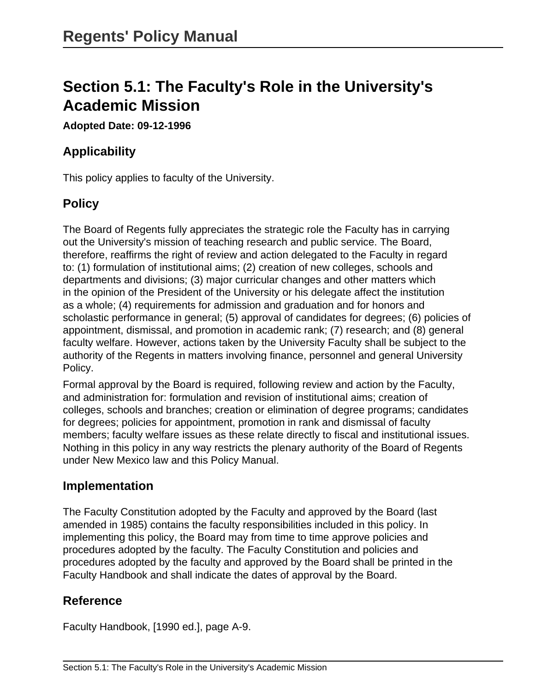# **Section 5.1: The Faculty's Role in the University's Academic Mission**

**Adopted Date: 09-12-1996**

### **Applicability**

This policy applies to faculty of the University.

### **Policy**

The Board of Regents fully appreciates the strategic role the Faculty has in carrying out the University's mission of teaching research and public service. The Board, therefore, reaffirms the right of review and action delegated to the Faculty in regard to: (1) formulation of institutional aims; (2) creation of new colleges, schools and departments and divisions; (3) major curricular changes and other matters which in the opinion of the President of the University or his delegate affect the institution as a whole; (4) requirements for admission and graduation and for honors and scholastic performance in general; (5) approval of candidates for degrees; (6) policies of appointment, dismissal, and promotion in academic rank; (7) research; and (8) general faculty welfare. However, actions taken by the University Faculty shall be subject to the authority of the Regents in matters involving finance, personnel and general University Policy.

Formal approval by the Board is required, following review and action by the Faculty, and administration for: formulation and revision of institutional aims; creation of colleges, schools and branches; creation or elimination of degree programs; candidates for degrees; policies for appointment, promotion in rank and dismissal of faculty members; faculty welfare issues as these relate directly to fiscal and institutional issues. Nothing in this policy in any way restricts the plenary authority of the Board of Regents under New Mexico law and this Policy Manual.

#### **Implementation**

The Faculty Constitution adopted by the Faculty and approved by the Board (last amended in 1985) contains the faculty responsibilities included in this policy. In implementing this policy, the Board may from time to time approve policies and procedures adopted by the faculty. The Faculty Constitution and policies and procedures adopted by the faculty and approved by the Board shall be printed in the Faculty Handbook and shall indicate the dates of approval by the Board.

#### **Reference**

Faculty Handbook, [1990 ed.], page A-9.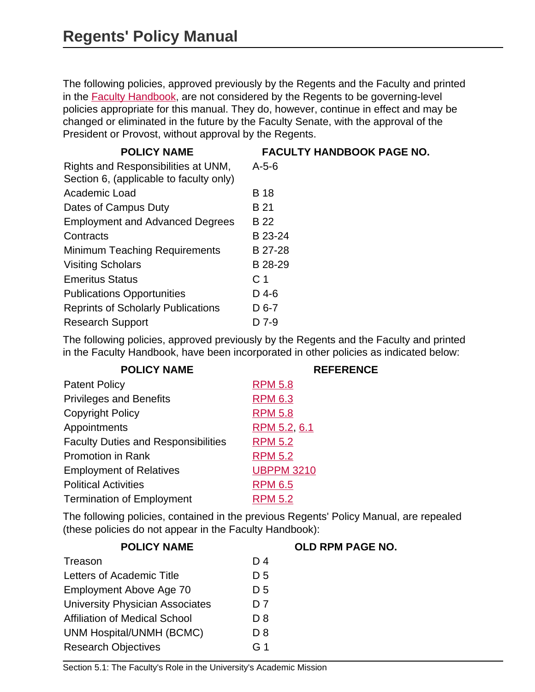The following policies, approved previously by the Regents and the Faculty and printed in the [Faculty Handbook](http://handbook.unm.edu), are not considered by the Regents to be governing-level policies appropriate for this manual. They do, however, continue in effect and may be changed or eliminated in the future by the Faculty Senate, with the approval of the President or Provost, without approval by the Regents.

| <b>POLICY NAME</b>                        | <b>FACULTY HANDBOOK PAGE NO.</b> |
|-------------------------------------------|----------------------------------|
| Rights and Responsibilities at UNM,       | $A - 5 - 6$                      |
| Section 6, (applicable to faculty only)   |                                  |
| Academic Load                             | <b>B</b> 18                      |
| Dates of Campus Duty                      | B 21                             |
| <b>Employment and Advanced Degrees</b>    | B 22                             |
| Contracts                                 | B 23-24                          |
| <b>Minimum Teaching Requirements</b>      | B 27-28                          |
| <b>Visiting Scholars</b>                  | B 28-29                          |
| <b>Emeritus Status</b>                    | C <sub>1</sub>                   |
| <b>Publications Opportunities</b>         | $D$ 4-6                          |
| <b>Reprints of Scholarly Publications</b> | $D$ 6-7                          |
| <b>Research Support</b>                   | D 7-9                            |

The following policies, approved previously by the Regents and the Faculty and printed in the Faculty Handbook, have been incorporated in other policies as indicated below:

| <b>POLICY NAME</b>                         | <b>REFERENCE</b>  |
|--------------------------------------------|-------------------|
| <b>Patent Policy</b>                       | <b>RPM 5.8</b>    |
| <b>Privileges and Benefits</b>             | <b>RPM 6.3</b>    |
| <b>Copyright Policy</b>                    | <b>RPM 5.8</b>    |
| Appointments                               | RPM 5.2, 6.1      |
| <b>Faculty Duties and Responsibilities</b> | <b>RPM 5.2</b>    |
| <b>Promotion in Rank</b>                   | <b>RPM 5.2</b>    |
| <b>Employment of Relatives</b>             | <b>UBPPM 3210</b> |
| <b>Political Activities</b>                | <b>RPM 6.5</b>    |
| <b>Termination of Employment</b>           | <b>RPM 5.2</b>    |

The following policies, contained in the previous Regents' Policy Manual, are repealed (these policies do not appear in the Faculty Handbook):

| Treason                                | D <sub>4</sub> |
|----------------------------------------|----------------|
| Letters of Academic Title              | D <sub>5</sub> |
| Employment Above Age 70                | D <sub>5</sub> |
| <b>University Physician Associates</b> | D 7            |
| <b>Affiliation of Medical School</b>   | D 8            |
| <b>UNM Hospital/UNMH (BCMC)</b>        | D 8            |
| <b>Research Objectives</b>             | G <sub>1</sub> |

#### **POLICY NAME OLD RPM PAGE NO.**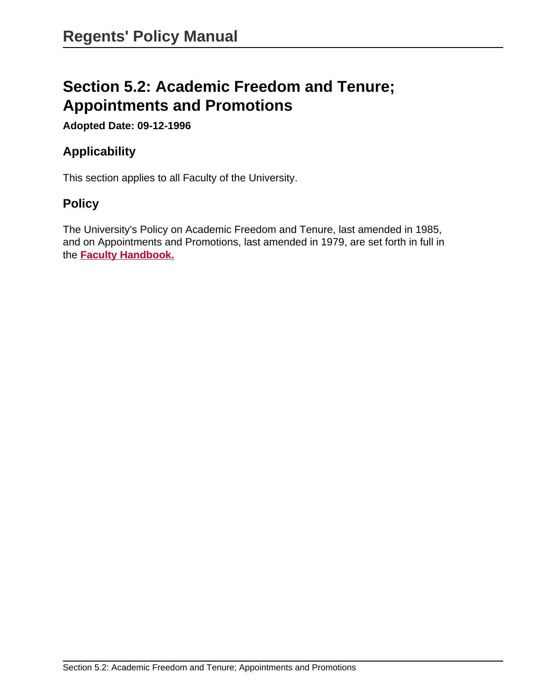# **Section 5.2: Academic Freedom and Tenure; Appointments and Promotions**

**Adopted Date: 09-12-1996**

### **Applicability**

This section applies to all Faculty of the University.

#### **Policy**

The University's Policy on Academic Freedom and Tenure, last amended in 1985, and on Appointments and Promotions, last amended in 1979, are set forth in full in the **[Faculty Handbook.](http://handbook.unm.edu)**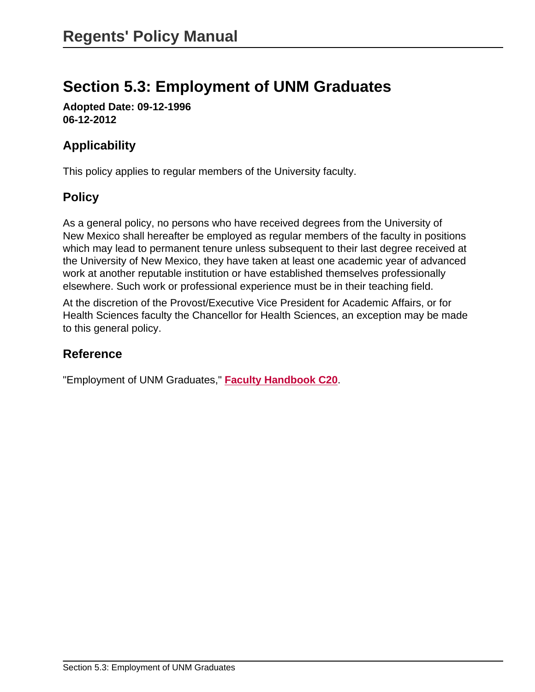# **Section 5.3: Employment of UNM Graduates**

**Adopted Date: 09-12-1996 06-12-2012**

# **Applicability**

This policy applies to regular members of the University faculty.

### **Policy**

As a general policy, no persons who have received degrees from the University of New Mexico shall hereafter be employed as regular members of the faculty in positions which may lead to permanent tenure unless subsequent to their last degree received at the University of New Mexico, they have taken at least one academic year of advanced work at another reputable institution or have established themselves professionally elsewhere. Such work or professional experience must be in their teaching field.

At the discretion of the Provost/Executive Vice President for Academic Affairs, or for Health Sciences faculty the Chancellor for Health Sciences, an exception may be made to this general policy.

# **Reference**

"Employment of UNM Graduates," **[Faculty Handbook C20](http://handbook.unm.edu)**.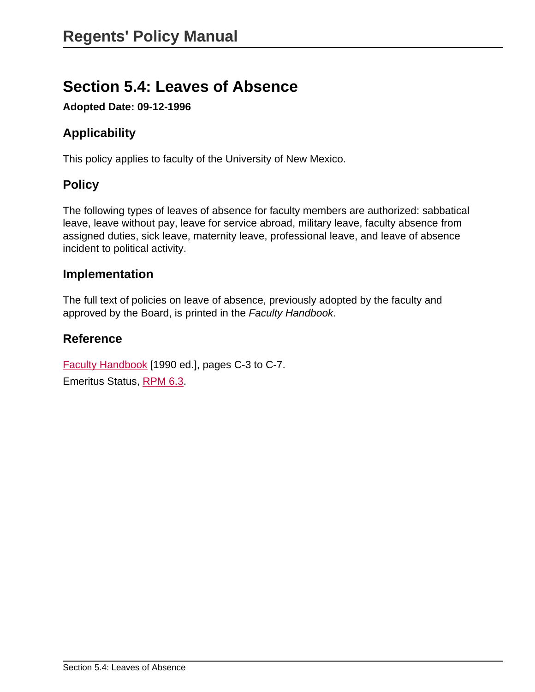# **Section 5.4: Leaves of Absence**

**Adopted Date: 09-12-1996**

# **Applicability**

This policy applies to faculty of the University of New Mexico.

# **Policy**

The following types of leaves of absence for faculty members are authorized: sabbatical leave, leave without pay, leave for service abroad, military leave, faculty absence from assigned duties, sick leave, maternity leave, professional leave, and leave of absence incident to political activity.

#### **Implementation**

The full text of policies on leave of absence, previously adopted by the faculty and approved by the Board, is printed in the Faculty Handbook.

### **Reference**

[Faculty Handbook](http://handbook.unm.edu/) [1990 ed.], pages C-3 to C-7. Emeritus Status, [RPM 6.3](site://policy.unm.edu/regents-policies/section-6/6-3).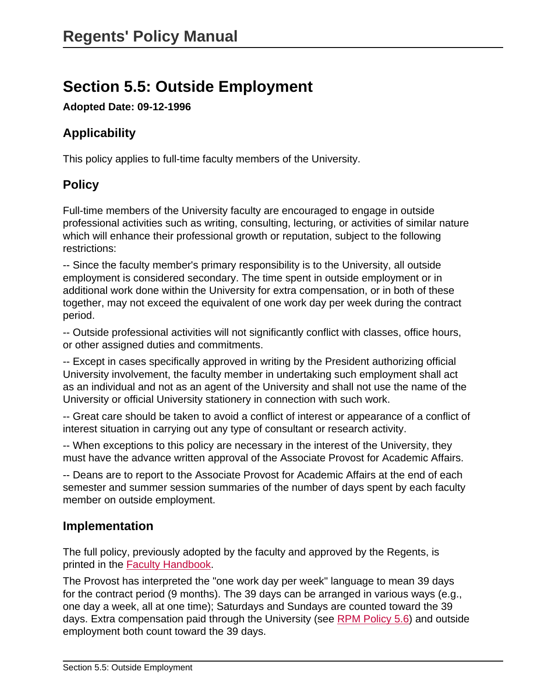# **Section 5.5: Outside Employment**

**Adopted Date: 09-12-1996**

# **Applicability**

This policy applies to full-time faculty members of the University.

# **Policy**

Full-time members of the University faculty are encouraged to engage in outside professional activities such as writing, consulting, lecturing, or activities of similar nature which will enhance their professional growth or reputation, subject to the following restrictions:

-- Since the faculty member's primary responsibility is to the University, all outside employment is considered secondary. The time spent in outside employment or in additional work done within the University for extra compensation, or in both of these together, may not exceed the equivalent of one work day per week during the contract period.

-- Outside professional activities will not significantly conflict with classes, office hours, or other assigned duties and commitments.

-- Except in cases specifically approved in writing by the President authorizing official University involvement, the faculty member in undertaking such employment shall act as an individual and not as an agent of the University and shall not use the name of the University or official University stationery in connection with such work.

-- Great care should be taken to avoid a conflict of interest or appearance of a conflict of interest situation in carrying out any type of consultant or research activity.

-- When exceptions to this policy are necessary in the interest of the University, they must have the advance written approval of the Associate Provost for Academic Affairs.

-- Deans are to report to the Associate Provost for Academic Affairs at the end of each semester and summer session summaries of the number of days spent by each faculty member on outside employment.

#### **Implementation**

The full policy, previously adopted by the faculty and approved by the Regents, is printed in the [Faculty Handbook](http://handbook.unm.edu/section-c/c130.html).

The Provost has interpreted the "one work day per week" language to mean 39 days for the contract period (9 months). The 39 days can be arranged in various ways (e.g., one day a week, all at one time); Saturdays and Sundays are counted toward the 39 days. Extra compensation paid through the University (see [RPM Policy 5.6](site://policy.unm.edu/regents-policies/section-5/5-6)) and outside employment both count toward the 39 days.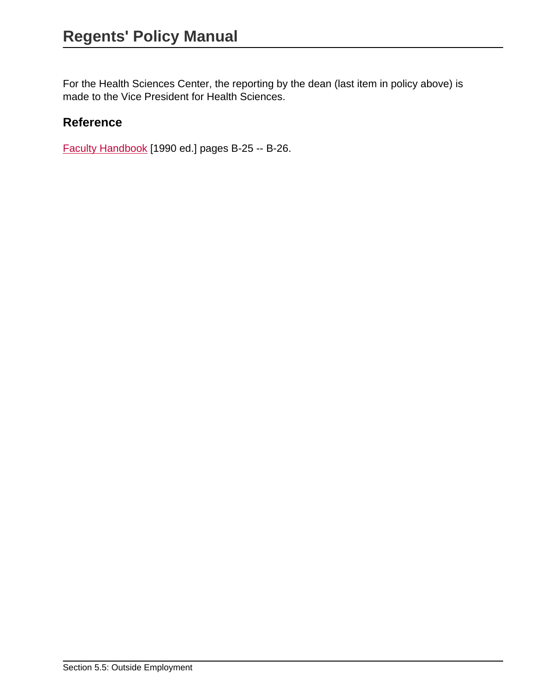For the Health Sciences Center, the reporting by the dean (last item in policy above) is made to the Vice President for Health Sciences.

### **Reference**

[Faculty Handbook](http://handbook.unm.edu/section-c/c130.html) [1990 ed.] pages B-25 -- B-26.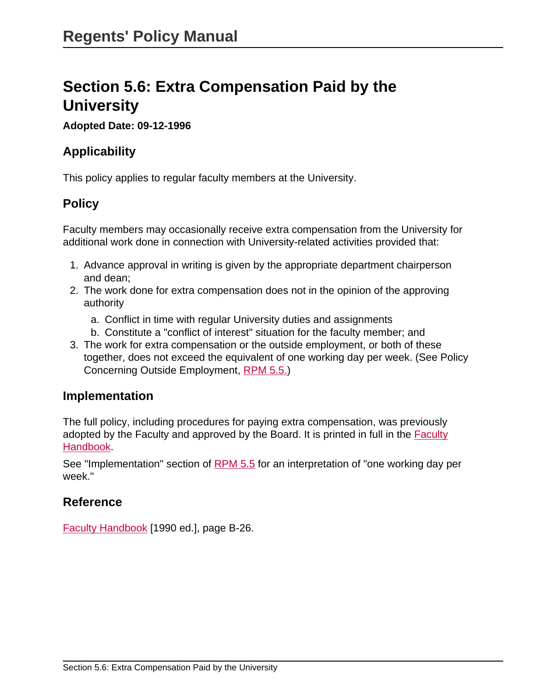# **Section 5.6: Extra Compensation Paid by the University**

#### **Adopted Date: 09-12-1996**

### **Applicability**

This policy applies to regular faculty members at the University.

### **Policy**

Faculty members may occasionally receive extra compensation from the University for additional work done in connection with University-related activities provided that:

- 1. Advance approval in writing is given by the appropriate department chairperson and dean;
- 2. The work done for extra compensation does not in the opinion of the approving authority
	- a. Conflict in time with regular University duties and assignments
	- b. Constitute a "conflict of interest" situation for the faculty member; and
- 3. The work for extra compensation or the outside employment, or both of these together, does not exceed the equivalent of one working day per week. (See Policy Concerning Outside Employment, [RPM 5.5.\)](site://policy.unm.edu/regents-policies/section-5/5-5)

#### **Implementation**

The full policy, including procedures for paying extra compensation, was previously adopted by the Faculty and approved by the Board. It is printed in full in the [Faculty](http://handbook.unm.edu/section-c/c140.html) [Handbook.](http://handbook.unm.edu/section-c/c140.html)

See "Implementation" section of [RPM 5.5](site://policy.unm.edu/regents-policies/section-5/5-5) for an interpretation of "one working day per week."

#### **Reference**

[Faculty Handbook](http://handbook.unm.edu/section-c/c140.html) [1990 ed.], page B-26.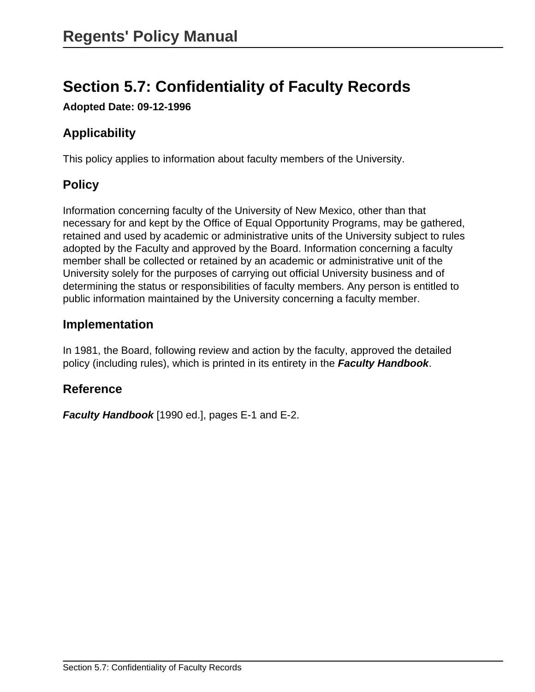# **Section 5.7: Confidentiality of Faculty Records**

**Adopted Date: 09-12-1996**

# **Applicability**

This policy applies to information about faculty members of the University.

# **Policy**

Information concerning faculty of the University of New Mexico, other than that necessary for and kept by the Office of Equal Opportunity Programs, may be gathered, retained and used by academic or administrative units of the University subject to rules adopted by the Faculty and approved by the Board. Information concerning a faculty member shall be collected or retained by an academic or administrative unit of the University solely for the purposes of carrying out official University business and of determining the status or responsibilities of faculty members. Any person is entitled to public information maintained by the University concerning a faculty member.

#### **Implementation**

In 1981, the Board, following review and action by the faculty, approved the detailed policy (including rules), which is printed in its entirety in the **Faculty Handbook**.

#### **Reference**

**Faculty Handbook** [1990 ed.], pages E-1 and E-2.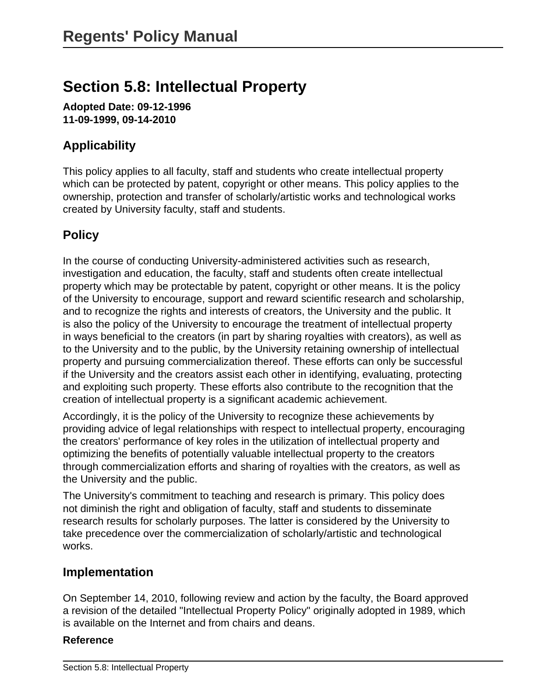# **Section 5.8: Intellectual Property**

**Adopted Date: 09-12-1996 11-09-1999, 09-14-2010**

# **Applicability**

This policy applies to all faculty, staff and students who create intellectual property which can be protected by patent, copyright or other means. This policy applies to the ownership, protection and transfer of scholarly/artistic works and technological works created by University faculty, staff and students.

# **Policy**

In the course of conducting University-administered activities such as research, investigation and education, the faculty, staff and students often create intellectual property which may be protectable by patent, copyright or other means. It is the policy of the University to encourage, support and reward scientific research and scholarship, and to recognize the rights and interests of creators, the University and the public. It is also the policy of the University to encourage the treatment of intellectual property in ways beneficial to the creators (in part by sharing royalties with creators), as well as to the University and to the public, by the University retaining ownership of intellectual property and pursuing commercialization thereof. These efforts can only be successful if the University and the creators assist each other in identifying, evaluating, protecting and exploiting such property. These efforts also contribute to the recognition that the creation of intellectual property is a significant academic achievement.

Accordingly, it is the policy of the University to recognize these achievements by providing advice of legal relationships with respect to intellectual property, encouraging the creators' performance of key roles in the utilization of intellectual property and optimizing the benefits of potentially valuable intellectual property to the creators through commercialization efforts and sharing of royalties with the creators, as well as the University and the public.

The University's commitment to teaching and research is primary. This policy does not diminish the right and obligation of faculty, staff and students to disseminate research results for scholarly purposes. The latter is considered by the University to take precedence over the commercialization of scholarly/artistic and technological works.

#### **Implementation**

On September 14, 2010, following review and action by the faculty, the Board approved a revision of the detailed "Intellectual Property Policy" originally adopted in 1989, which is available on the Internet and from chairs and deans.

#### **Reference**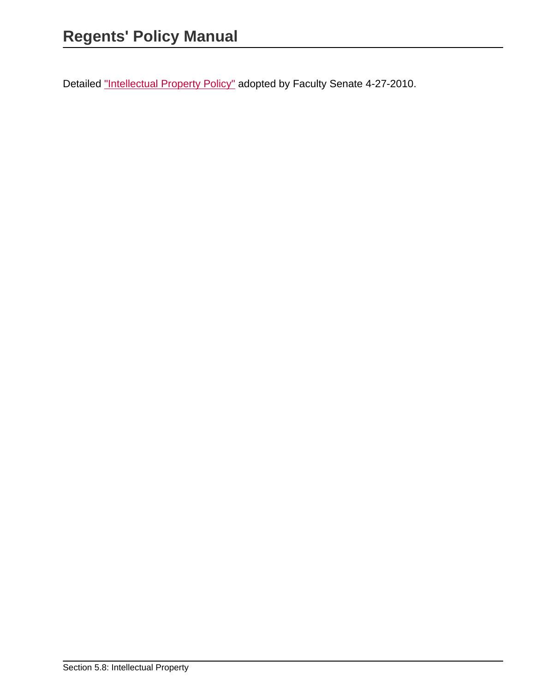Detailed ["Intellectual Property Policy"](http://handbook.unm.edu/section-e/e70.html) adopted by Faculty Senate 4-27-2010.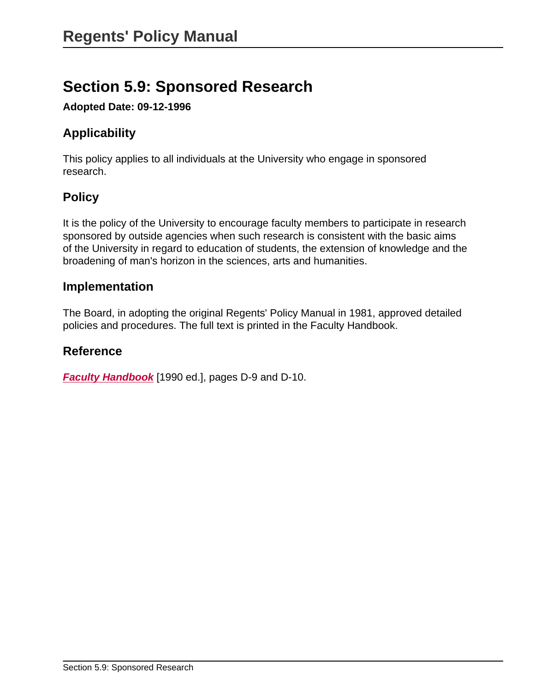# **Section 5.9: Sponsored Research**

**Adopted Date: 09-12-1996**

# **Applicability**

This policy applies to all individuals at the University who engage in sponsored research.

# **Policy**

It is the policy of the University to encourage faculty members to participate in research sponsored by outside agencies when such research is consistent with the basic aims of the University in regard to education of students, the extension of knowledge and the broadening of man's horizon in the sciences, arts and humanities.

#### **Implementation**

The Board, in adopting the original Regents' Policy Manual in 1981, approved detailed policies and procedures. The full text is printed in the Faculty Handbook.

#### **Reference**

**[Faculty Handbook](http://handbook.unm.edu)** [1990 ed.], pages D-9 and D-10.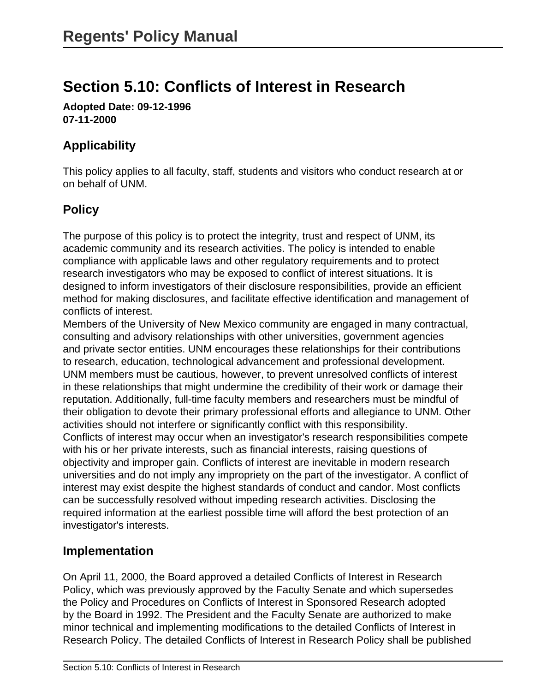# **Section 5.10: Conflicts of Interest in Research**

**Adopted Date: 09-12-1996 07-11-2000**

# **Applicability**

This policy applies to all faculty, staff, students and visitors who conduct research at or on behalf of UNM.

# **Policy**

The purpose of this policy is to protect the integrity, trust and respect of UNM, its academic community and its research activities. The policy is intended to enable compliance with applicable laws and other regulatory requirements and to protect research investigators who may be exposed to conflict of interest situations. It is designed to inform investigators of their disclosure responsibilities, provide an efficient method for making disclosures, and facilitate effective identification and management of conflicts of interest.

Members of the University of New Mexico community are engaged in many contractual, consulting and advisory relationships with other universities, government agencies and private sector entities. UNM encourages these relationships for their contributions to research, education, technological advancement and professional development. UNM members must be cautious, however, to prevent unresolved conflicts of interest in these relationships that might undermine the credibility of their work or damage their reputation. Additionally, full-time faculty members and researchers must be mindful of their obligation to devote their primary professional efforts and allegiance to UNM. Other activities should not interfere or significantly conflict with this responsibility. Conflicts of interest may occur when an investigator's research responsibilities compete with his or her private interests, such as financial interests, raising questions of objectivity and improper gain. Conflicts of interest are inevitable in modern research universities and do not imply any impropriety on the part of the investigator. A conflict of interest may exist despite the highest standards of conduct and candor. Most conflicts can be successfully resolved without impeding research activities. Disclosing the required information at the earliest possible time will afford the best protection of an investigator's interests.

#### **Implementation**

On April 11, 2000, the Board approved a detailed Conflicts of Interest in Research Policy, which was previously approved by the Faculty Senate and which supersedes the Policy and Procedures on Conflicts of Interest in Sponsored Research adopted by the Board in 1992. The President and the Faculty Senate are authorized to make minor technical and implementing modifications to the detailed Conflicts of Interest in Research Policy. The detailed Conflicts of Interest in Research Policy shall be published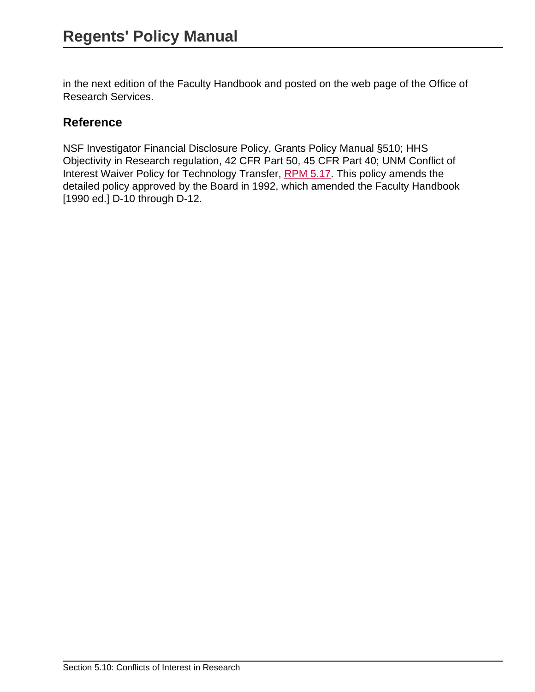in the next edition of the Faculty Handbook and posted on the web page of the Office of Research Services.

### **Reference**

NSF Investigator Financial Disclosure Policy, Grants Policy Manual §510; HHS Objectivity in Research regulation, 42 CFR Part 50, 45 CFR Part 40; UNM Conflict of Interest Waiver Policy for Technology Transfer, [RPM 5.17.](site://policy.unm.edu/regents-policies/section-5/5-17) This policy amends the detailed policy approved by the Board in 1992, which amended the Faculty Handbook [1990 ed.] D-10 through D-12.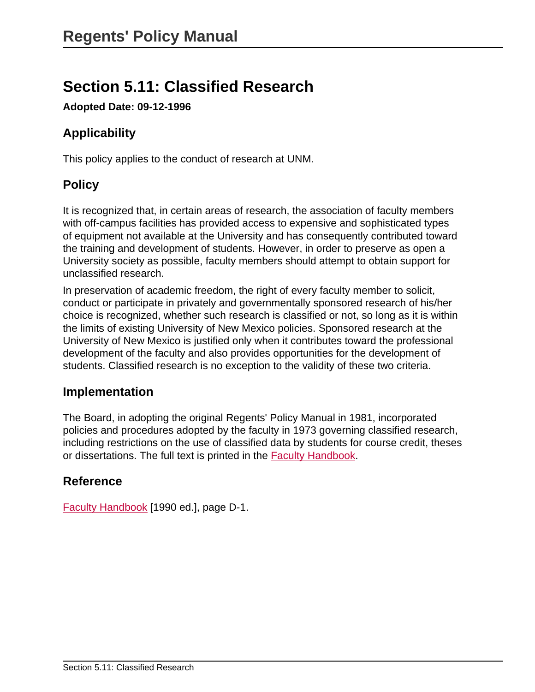# **Section 5.11: Classified Research**

**Adopted Date: 09-12-1996**

# **Applicability**

This policy applies to the conduct of research at UNM.

# **Policy**

It is recognized that, in certain areas of research, the association of faculty members with off-campus facilities has provided access to expensive and sophisticated types of equipment not available at the University and has consequently contributed toward the training and development of students. However, in order to preserve as open a University society as possible, faculty members should attempt to obtain support for unclassified research.

In preservation of academic freedom, the right of every faculty member to solicit, conduct or participate in privately and governmentally sponsored research of his/her choice is recognized, whether such research is classified or not, so long as it is within the limits of existing University of New Mexico policies. Sponsored research at the University of New Mexico is justified only when it contributes toward the professional development of the faculty and also provides opportunities for the development of students. Classified research is no exception to the validity of these two criteria.

#### **Implementation**

The Board, in adopting the original Regents' Policy Manual in 1981, incorporated policies and procedures adopted by the faculty in 1973 governing classified research, including restrictions on the use of classified data by students for course credit, theses or dissertations. The full text is printed in the [Faculty Handbook.](http://handbook.unm.edu/)

#### **Reference**

[Faculty Handbook](http://handbook.unm.edu/) [1990 ed.], page D-1.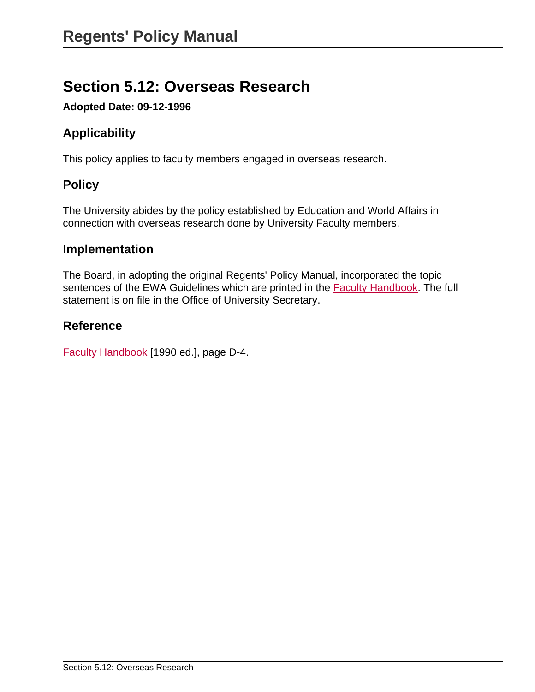# **Section 5.12: Overseas Research**

**Adopted Date: 09-12-1996**

# **Applicability**

This policy applies to faculty members engaged in overseas research.

# **Policy**

The University abides by the policy established by Education and World Affairs in connection with overseas research done by University Faculty members.

#### **Implementation**

The Board, in adopting the original Regents' Policy Manual, incorporated the topic sentences of the EWA Guidelines which are printed in the **Faculty Handbook**. The full statement is on file in the Office of University Secretary.

### **Reference**

[Faculty Handbook](http://handbook.unm.edu/) [1990 ed.], page D-4.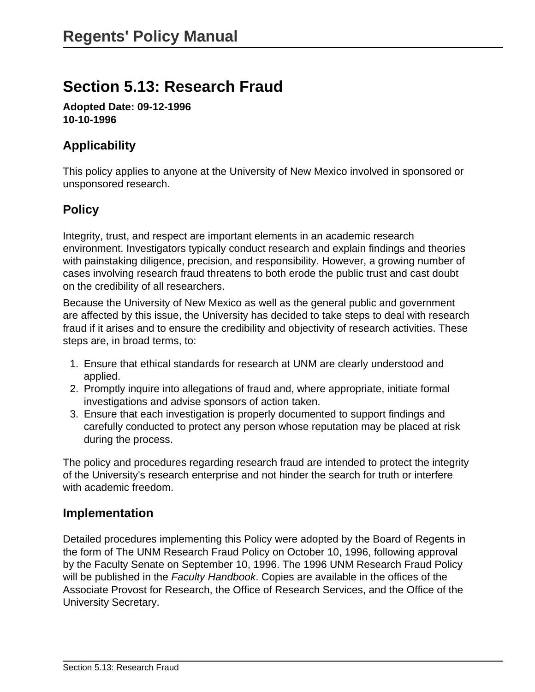# **Section 5.13: Research Fraud**

**Adopted Date: 09-12-1996 10-10-1996**

### **Applicability**

This policy applies to anyone at the University of New Mexico involved in sponsored or unsponsored research.

### **Policy**

Integrity, trust, and respect are important elements in an academic research environment. Investigators typically conduct research and explain findings and theories with painstaking diligence, precision, and responsibility. However, a growing number of cases involving research fraud threatens to both erode the public trust and cast doubt on the credibility of all researchers.

Because the University of New Mexico as well as the general public and government are affected by this issue, the University has decided to take steps to deal with research fraud if it arises and to ensure the credibility and objectivity of research activities. These steps are, in broad terms, to:

- 1. Ensure that ethical standards for research at UNM are clearly understood and applied.
- 2. Promptly inquire into allegations of fraud and, where appropriate, initiate formal investigations and advise sponsors of action taken.
- 3. Ensure that each investigation is properly documented to support findings and carefully conducted to protect any person whose reputation may be placed at risk during the process.

The policy and procedures regarding research fraud are intended to protect the integrity of the University's research enterprise and not hinder the search for truth or interfere with academic freedom.

#### **Implementation**

Detailed procedures implementing this Policy were adopted by the Board of Regents in the form of The UNM Research Fraud Policy on October 10, 1996, following approval by the Faculty Senate on September 10, 1996. The 1996 UNM Research Fraud Policy will be published in the Faculty Handbook. Copies are available in the offices of the Associate Provost for Research, the Office of Research Services, and the Office of the University Secretary.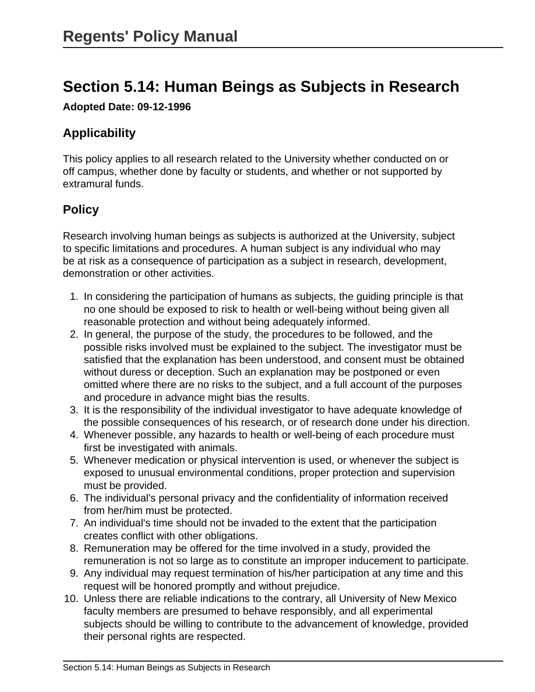# **Section 5.14: Human Beings as Subjects in Research**

**Adopted Date: 09-12-1996**

# **Applicability**

This policy applies to all research related to the University whether conducted on or off campus, whether done by faculty or students, and whether or not supported by extramural funds.

# **Policy**

Research involving human beings as subjects is authorized at the University, subject to specific limitations and procedures. A human subject is any individual who may be at risk as a consequence of participation as a subject in research, development, demonstration or other activities.

- 1. In considering the participation of humans as subjects, the guiding principle is that no one should be exposed to risk to health or well-being without being given all reasonable protection and without being adequately informed.
- 2. In general, the purpose of the study, the procedures to be followed, and the possible risks involved must be explained to the subject. The investigator must be satisfied that the explanation has been understood, and consent must be obtained without duress or deception. Such an explanation may be postponed or even omitted where there are no risks to the subject, and a full account of the purposes and procedure in advance might bias the results.
- 3. It is the responsibility of the individual investigator to have adequate knowledge of the possible consequences of his research, or of research done under his direction.
- 4. Whenever possible, any hazards to health or well-being of each procedure must first be investigated with animals.
- 5. Whenever medication or physical intervention is used, or whenever the subject is exposed to unusual environmental conditions, proper protection and supervision must be provided.
- 6. The individual's personal privacy and the confidentiality of information received from her/him must be protected.
- 7. An individual's time should not be invaded to the extent that the participation creates conflict with other obligations.
- 8. Remuneration may be offered for the time involved in a study, provided the remuneration is not so large as to constitute an improper inducement to participate.
- 9. Any individual may request termination of his/her participation at any time and this request will be honored promptly and without prejudice.
- 10. Unless there are reliable indications to the contrary, all University of New Mexico faculty members are presumed to behave responsibly, and all experimental subjects should be willing to contribute to the advancement of knowledge, provided their personal rights are respected.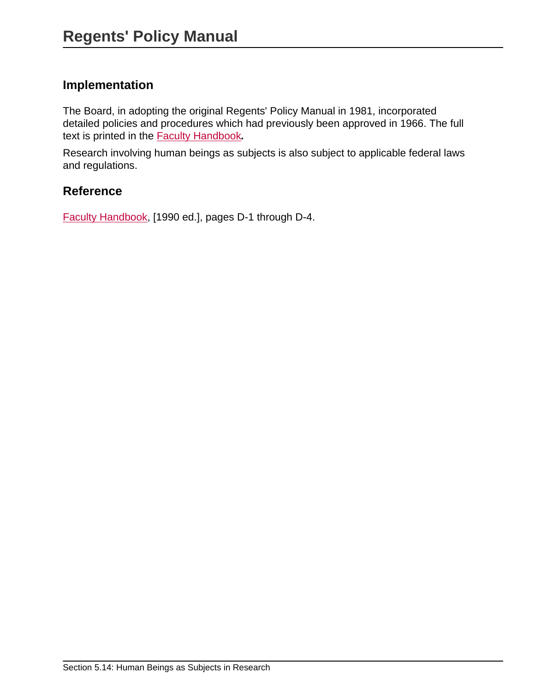## **Implementation**

The Board, in adopting the original Regents' Policy Manual in 1981, incorporated detailed policies and procedures which had previously been approved in 1966. The full text is printed in the [Faculty Handbook](http://handbook.unm.edu/)**.**

Research involving human beings as subjects is also subject to applicable federal laws and regulations.

### **Reference**

[Faculty Handbook,](http://handbook.unm.edu/) [1990 ed.], pages D-1 through D-4.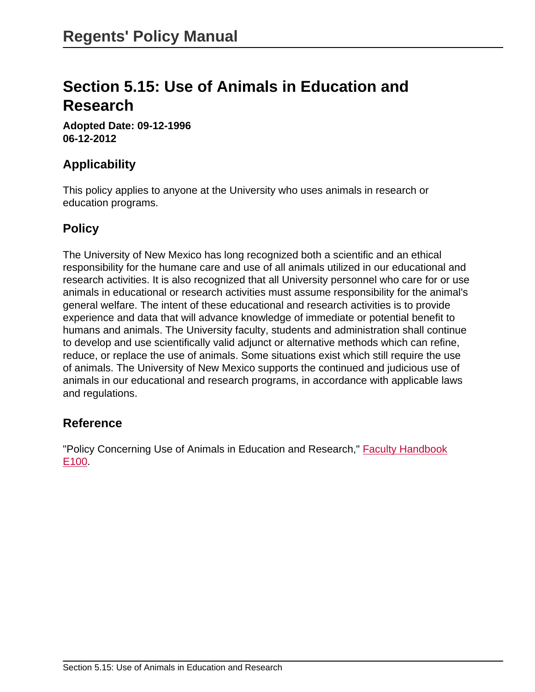# **Section 5.15: Use of Animals in Education and Research**

**Adopted Date: 09-12-1996 06-12-2012**

## **Applicability**

This policy applies to anyone at the University who uses animals in research or education programs.

#### **Policy**

The University of New Mexico has long recognized both a scientific and an ethical responsibility for the humane care and use of all animals utilized in our educational and research activities. It is also recognized that all University personnel who care for or use animals in educational or research activities must assume responsibility for the animal's general welfare. The intent of these educational and research activities is to provide experience and data that will advance knowledge of immediate or potential benefit to humans and animals. The University faculty, students and administration shall continue to develop and use scientifically valid adjunct or alternative methods which can refine, reduce, or replace the use of animals. Some situations exist which still require the use of animals. The University of New Mexico supports the continued and judicious use of animals in our educational and research programs, in accordance with applicable laws and regulations.

#### **Reference**

"Policy Concerning Use of Animals in Education and Research," **Faculty Handbook** [E100](http://handbook.unm.edu/).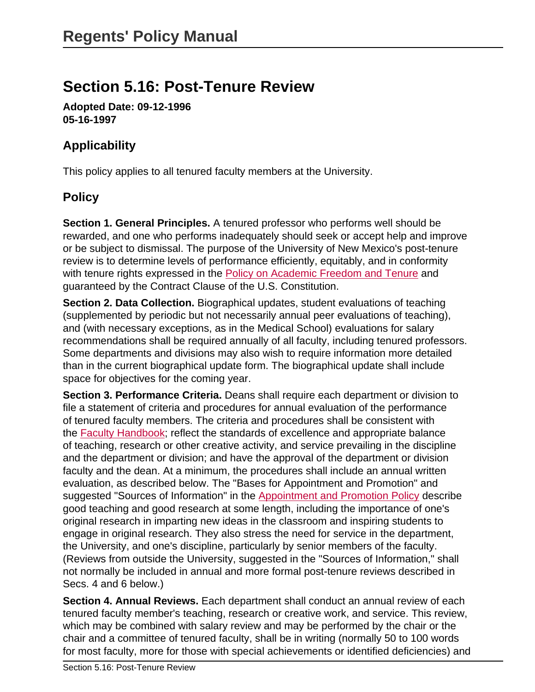# **Section 5.16: Post-Tenure Review**

**Adopted Date: 09-12-1996 05-16-1997**

# **Applicability**

This policy applies to all tenured faculty members at the University.

# **Policy**

**Section 1. General Principles.** A tenured professor who performs well should be rewarded, and one who performs inadequately should seek or accept help and improve or be subject to dismissal. The purpose of the University of New Mexico's post-tenure review is to determine levels of performance efficiently, equitably, and in conformity with tenure rights expressed in the **Policy on Academic Freedom and Tenure and** guaranteed by the Contract Clause of the U.S. Constitution.

**Section 2. Data Collection.** Biographical updates, student evaluations of teaching (supplemented by periodic but not necessarily annual peer evaluations of teaching), and (with necessary exceptions, as in the Medical School) evaluations for salary recommendations shall be required annually of all faculty, including tenured professors. Some departments and divisions may also wish to require information more detailed than in the current biographical update form. The biographical update shall include space for objectives for the coming year.

**Section 3. Performance Criteria.** Deans shall require each department or division to file a statement of criteria and procedures for annual evaluation of the performance of tenured faculty members. The criteria and procedures shall be consistent with the [Faculty Handbook;](http://handbook.unm.edu/) reflect the standards of excellence and appropriate balance of teaching, research or other creative activity, and service prevailing in the discipline and the department or division; and have the approval of the department or division faculty and the dean. At a minimum, the procedures shall include an annual written evaluation, as described below. The "Bases for Appointment and Promotion" and suggested "Sources of Information" in the [Appointment and Promotion Policy](http://handbook.unm.edu/) describe good teaching and good research at some length, including the importance of one's original research in imparting new ideas in the classroom and inspiring students to engage in original research. They also stress the need for service in the department, the University, and one's discipline, particularly by senior members of the faculty. (Reviews from outside the University, suggested in the "Sources of Information," shall not normally be included in annual and more formal post-tenure reviews described in Secs. 4 and 6 below.)

**Section 4. Annual Reviews.** Each department shall conduct an annual review of each tenured faculty member's teaching, research or creative work, and service. This review, which may be combined with salary review and may be performed by the chair or the chair and a committee of tenured faculty, shall be in writing (normally 50 to 100 words for most faculty, more for those with special achievements or identified deficiencies) and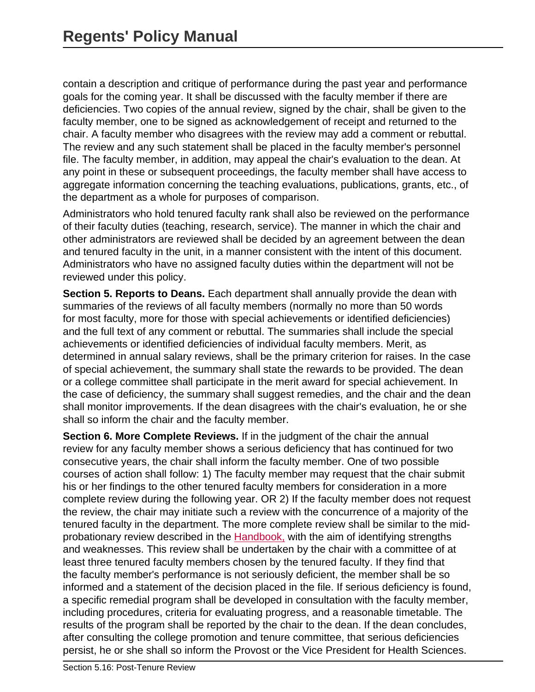contain a description and critique of performance during the past year and performance goals for the coming year. It shall be discussed with the faculty member if there are deficiencies. Two copies of the annual review, signed by the chair, shall be given to the faculty member, one to be signed as acknowledgement of receipt and returned to the chair. A faculty member who disagrees with the review may add a comment or rebuttal. The review and any such statement shall be placed in the faculty member's personnel file. The faculty member, in addition, may appeal the chair's evaluation to the dean. At any point in these or subsequent proceedings, the faculty member shall have access to aggregate information concerning the teaching evaluations, publications, grants, etc., of the department as a whole for purposes of comparison.

Administrators who hold tenured faculty rank shall also be reviewed on the performance of their faculty duties (teaching, research, service). The manner in which the chair and other administrators are reviewed shall be decided by an agreement between the dean and tenured faculty in the unit, in a manner consistent with the intent of this document. Administrators who have no assigned faculty duties within the department will not be reviewed under this policy.

**Section 5. Reports to Deans.** Each department shall annually provide the dean with summaries of the reviews of all faculty members (normally no more than 50 words for most faculty, more for those with special achievements or identified deficiencies) and the full text of any comment or rebuttal. The summaries shall include the special achievements or identified deficiencies of individual faculty members. Merit, as determined in annual salary reviews, shall be the primary criterion for raises. In the case of special achievement, the summary shall state the rewards to be provided. The dean or a college committee shall participate in the merit award for special achievement. In the case of deficiency, the summary shall suggest remedies, and the chair and the dean shall monitor improvements. If the dean disagrees with the chair's evaluation, he or she shall so inform the chair and the faculty member.

**Section 6. More Complete Reviews.** If in the judgment of the chair the annual review for any faculty member shows a serious deficiency that has continued for two consecutive years, the chair shall inform the faculty member. One of two possible courses of action shall follow: 1) The faculty member may request that the chair submit his or her findings to the other tenured faculty members for consideration in a more complete review during the following year. OR 2) If the faculty member does not request the review, the chair may initiate such a review with the concurrence of a majority of the tenured faculty in the department. The more complete review shall be similar to the midprobationary review described in the [Handbook,](http://handbook.unm.edu/) with the aim of identifying strengths and weaknesses. This review shall be undertaken by the chair with a committee of at least three tenured faculty members chosen by the tenured faculty. If they find that the faculty member's performance is not seriously deficient, the member shall be so informed and a statement of the decision placed in the file. If serious deficiency is found, a specific remedial program shall be developed in consultation with the faculty member, including procedures, criteria for evaluating progress, and a reasonable timetable. The results of the program shall be reported by the chair to the dean. If the dean concludes, after consulting the college promotion and tenure committee, that serious deficiencies persist, he or she shall so inform the Provost or the Vice President for Health Sciences.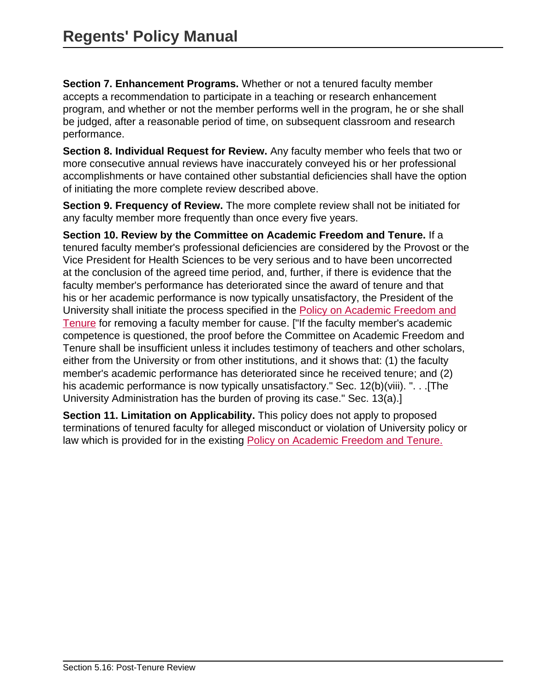**Section 7. Enhancement Programs.** Whether or not a tenured faculty member accepts a recommendation to participate in a teaching or research enhancement program, and whether or not the member performs well in the program, he or she shall be judged, after a reasonable period of time, on subsequent classroom and research performance.

**Section 8. Individual Request for Review.** Any faculty member who feels that two or more consecutive annual reviews have inaccurately conveyed his or her professional accomplishments or have contained other substantial deficiencies shall have the option of initiating the more complete review described above.

**Section 9. Frequency of Review.** The more complete review shall not be initiated for any faculty member more frequently than once every five years.

**Section 10. Review by the Committee on Academic Freedom and Tenure.** If a tenured faculty member's professional deficiencies are considered by the Provost or the Vice President for Health Sciences to be very serious and to have been uncorrected at the conclusion of the agreed time period, and, further, if there is evidence that the faculty member's performance has deteriorated since the award of tenure and that his or her academic performance is now typically unsatisfactory, the President of the University shall initiate the process specified in the [Policy on Academic Freedom and](http://handbook.unm.edu/) [Tenure](http://handbook.unm.edu/) for removing a faculty member for cause. ["If the faculty member's academic competence is questioned, the proof before the Committee on Academic Freedom and Tenure shall be insufficient unless it includes testimony of teachers and other scholars, either from the University or from other institutions, and it shows that: (1) the faculty member's academic performance has deteriorated since he received tenure; and (2) his academic performance is now typically unsatisfactory." Sec. 12(b)(viii). ". . . [The University Administration has the burden of proving its case." Sec. 13(a).]

**Section 11. Limitation on Applicability.** This policy does not apply to proposed terminations of tenured faculty for alleged misconduct or violation of University policy or law which is provided for in the existing [Policy on Academic Freedom and Tenure.](http://handbook.unm.edu/)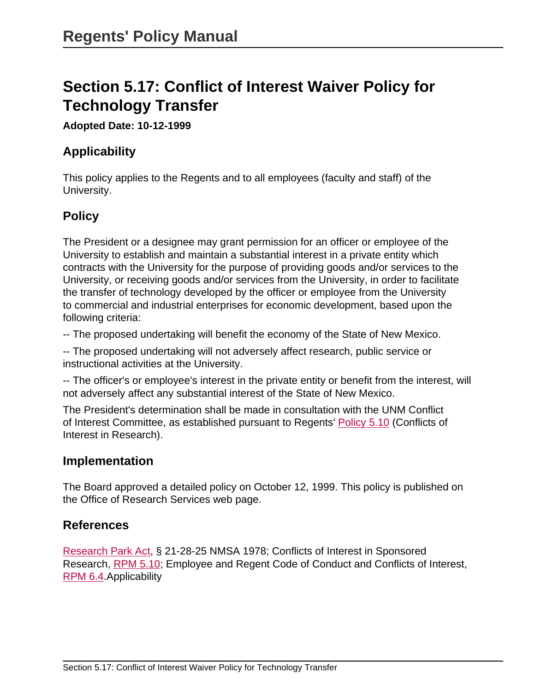# **Section 5.17: Conflict of Interest Waiver Policy for Technology Transfer**

#### **Adopted Date: 10-12-1999**

## **Applicability**

This policy applies to the Regents and to all employees (faculty and staff) of the University.

## **Policy**

The President or a designee may grant permission for an officer or employee of the University to establish and maintain a substantial interest in a private entity which contracts with the University for the purpose of providing goods and/or services to the University, or receiving goods and/or services from the University, in order to facilitate the transfer of technology developed by the officer or employee from the University to commercial and industrial enterprises for economic development, based upon the following criteria:

-- The proposed undertaking will benefit the economy of the State of New Mexico.

-- The proposed undertaking will not adversely affect research, public service or instructional activities at the University.

-- The officer's or employee's interest in the private entity or benefit from the interest, will not adversely affect any substantial interest of the State of New Mexico.

The President's determination shall be made in consultation with the UNM Conflict of Interest Committee, as established pursuant to Regents' [Policy 5.10](site://policy.unm.edu/regents-policies/section-5/5-10) (Conflicts of Interest in Research).

#### **Implementation**

The Board approved a detailed policy on October 12, 1999. This policy is published on the Office of Research Services web page.

#### **References**

[Research Park Act](http://law.justia.com/codes/new-mexico/2006/nmrc/jd_21-28-2-9ced.html), § 21-28-25 NMSA 1978; Conflicts of Interest in Sponsored Research, [RPM 5.10](site://policy.unm.edu/regents-policies/section-5/5-10); Employee and Regent Code of Conduct and Conflicts of Interest, [RPM 6.4.](site://policy.unm.edu/regents-policies/section-6/6-4)Applicability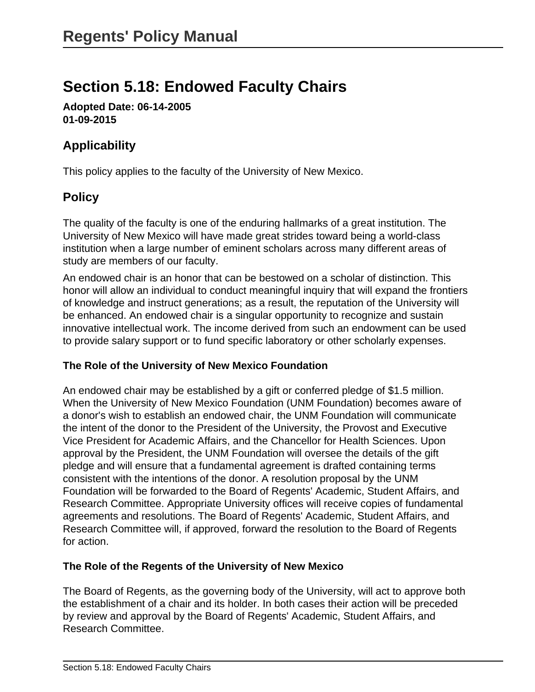# **Section 5.18: Endowed Faculty Chairs**

**Adopted Date: 06-14-2005 01-09-2015**

# **Applicability**

This policy applies to the faculty of the University of New Mexico.

# **Policy**

The quality of the faculty is one of the enduring hallmarks of a great institution. The University of New Mexico will have made great strides toward being a world-class institution when a large number of eminent scholars across many different areas of study are members of our faculty.

An endowed chair is an honor that can be bestowed on a scholar of distinction. This honor will allow an individual to conduct meaningful inquiry that will expand the frontiers of knowledge and instruct generations; as a result, the reputation of the University will be enhanced. An endowed chair is a singular opportunity to recognize and sustain innovative intellectual work. The income derived from such an endowment can be used to provide salary support or to fund specific laboratory or other scholarly expenses.

#### **The Role of the University of New Mexico Foundation**

An endowed chair may be established by a gift or conferred pledge of \$1.5 million. When the University of New Mexico Foundation (UNM Foundation) becomes aware of a donor's wish to establish an endowed chair, the UNM Foundation will communicate the intent of the donor to the President of the University, the Provost and Executive Vice President for Academic Affairs, and the Chancellor for Health Sciences. Upon approval by the President, the UNM Foundation will oversee the details of the gift pledge and will ensure that a fundamental agreement is drafted containing terms consistent with the intentions of the donor. A resolution proposal by the UNM Foundation will be forwarded to the Board of Regents' Academic, Student Affairs, and Research Committee. Appropriate University offices will receive copies of fundamental agreements and resolutions. The Board of Regents' Academic, Student Affairs, and Research Committee will, if approved, forward the resolution to the Board of Regents for action.

#### **The Role of the Regents of the University of New Mexico**

The Board of Regents, as the governing body of the University, will act to approve both the establishment of a chair and its holder. In both cases their action will be preceded by review and approval by the Board of Regents' Academic, Student Affairs, and Research Committee.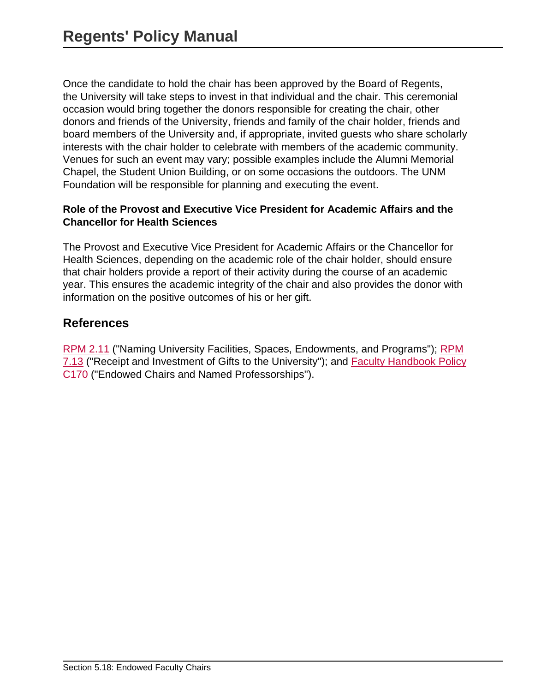Once the candidate to hold the chair has been approved by the Board of Regents, the University will take steps to invest in that individual and the chair. This ceremonial occasion would bring together the donors responsible for creating the chair, other donors and friends of the University, friends and family of the chair holder, friends and board members of the University and, if appropriate, invited guests who share scholarly interests with the chair holder to celebrate with members of the academic community. Venues for such an event may vary; possible examples include the Alumni Memorial Chapel, the Student Union Building, or on some occasions the outdoors. The UNM Foundation will be responsible for planning and executing the event.

#### **Role of the Provost and Executive Vice President for Academic Affairs and the Chancellor for Health Sciences**

The Provost and Executive Vice President for Academic Affairs or the Chancellor for Health Sciences, depending on the academic role of the chair holder, should ensure that chair holders provide a report of their activity during the course of an academic year. This ensures the academic integrity of the chair and also provides the donor with information on the positive outcomes of his or her gift.

### **References**

[RPM 2.11](site://policy.unm.edu/regents-policies/section-2/2-11) ("Naming University Facilities, Spaces, Endowments, and Programs"); [RPM](site://policy.unm.edu/regents-policies/section-7/7-13) [7.13](site://policy.unm.edu/regents-policies/section-7/7-13) ("Receipt and Investment of Gifts to the University"); and [Faculty Handbook Policy](http://handbook.unm.edu/section-c/c170.html) [C170](http://handbook.unm.edu/section-c/c170.html) ("Endowed Chairs and Named Professorships").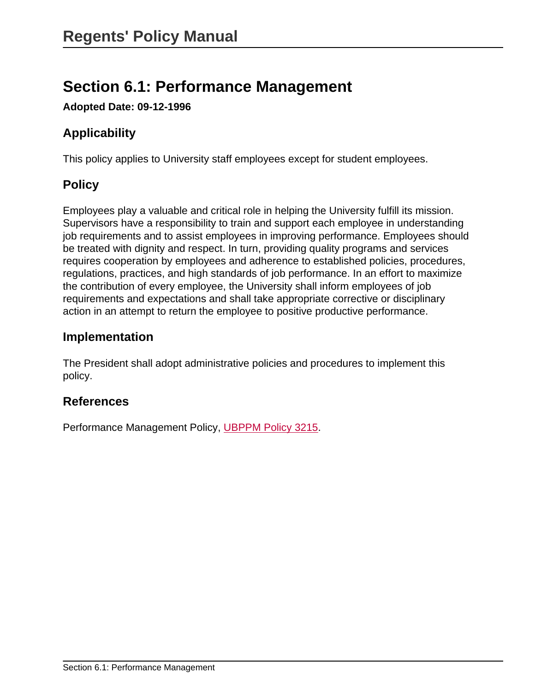# **Section 6.1: Performance Management**

**Adopted Date: 09-12-1996**

# **Applicability**

This policy applies to University staff employees except for student employees.

# **Policy**

Employees play a valuable and critical role in helping the University fulfill its mission. Supervisors have a responsibility to train and support each employee in understanding job requirements and to assist employees in improving performance. Employees should be treated with dignity and respect. In turn, providing quality programs and services requires cooperation by employees and adherence to established policies, procedures, regulations, practices, and high standards of job performance. In an effort to maximize the contribution of every employee, the University shall inform employees of job requirements and expectations and shall take appropriate corrective or disciplinary action in an attempt to return the employee to positive productive performance.

## **Implementation**

The President shall adopt administrative policies and procedures to implement this policy.

## **References**

Performance Management Policy, [UBPPM Policy 3215](site://policy.unm.edu/university-policies/3000/3215).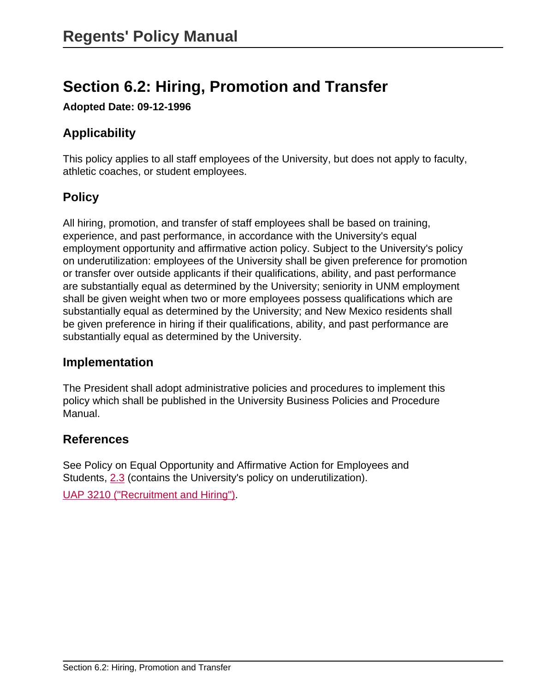# **Section 6.2: Hiring, Promotion and Transfer**

**Adopted Date: 09-12-1996**

# **Applicability**

This policy applies to all staff employees of the University, but does not apply to faculty, athletic coaches, or student employees.

# **Policy**

All hiring, promotion, and transfer of staff employees shall be based on training, experience, and past performance, in accordance with the University's equal employment opportunity and affirmative action policy. Subject to the University's policy on underutilization: employees of the University shall be given preference for promotion or transfer over outside applicants if their qualifications, ability, and past performance are substantially equal as determined by the University; seniority in UNM employment shall be given weight when two or more employees possess qualifications which are substantially equal as determined by the University; and New Mexico residents shall be given preference in hiring if their qualifications, ability, and past performance are substantially equal as determined by the University.

#### **Implementation**

The President shall adopt administrative policies and procedures to implement this policy which shall be published in the University Business Policies and Procedure Manual.

#### **References**

See Policy on Equal Opportunity and Affirmative Action for Employees and Students, [2.3](site://policy.unm.edu/regents-policies/section-2/2-3) (contains the University's policy on underutilization).

[UAP 3210 \("Recruitment and Hiring"\)](site://policy.unm.edu/university-policies/3000/3210).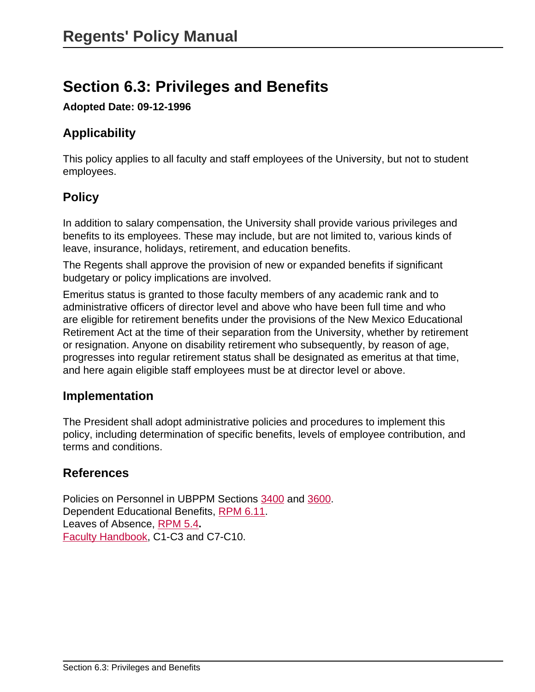# **Section 6.3: Privileges and Benefits**

**Adopted Date: 09-12-1996**

# **Applicability**

This policy applies to all faculty and staff employees of the University, but not to student employees.

# **Policy**

In addition to salary compensation, the University shall provide various privileges and benefits to its employees. These may include, but are not limited to, various kinds of leave, insurance, holidays, retirement, and education benefits.

The Regents shall approve the provision of new or expanded benefits if significant budgetary or policy implications are involved.

Emeritus status is granted to those faculty members of any academic rank and to administrative officers of director level and above who have been full time and who are eligible for retirement benefits under the provisions of the New Mexico Educational Retirement Act at the time of their separation from the University, whether by retirement or resignation. Anyone on disability retirement who subsequently, by reason of age, progresses into regular retirement status shall be designated as emeritus at that time, and here again eligible staff employees must be at director level or above.

## **Implementation**

The President shall adopt administrative policies and procedures to implement this policy, including determination of specific benefits, levels of employee contribution, and terms and conditions.

# **References**

Policies on Personnel in UBPPM Sections [3400](site://policy.unm.edu/university-policies/3000/3400) and [3600.](site://policy.unm.edu/university-policies/3000/3600) Dependent Educational Benefits, [RPM 6.11](site://policy.unm.edu/regents-policies/section-6/6-11). Leaves of Absence, [RPM 5.4](site://policy.unm.edu/regents-policies/section-5/5-4)**.** [Faculty Handbook,](http://handbook.unm.edu/) C1-C3 and C7-C10.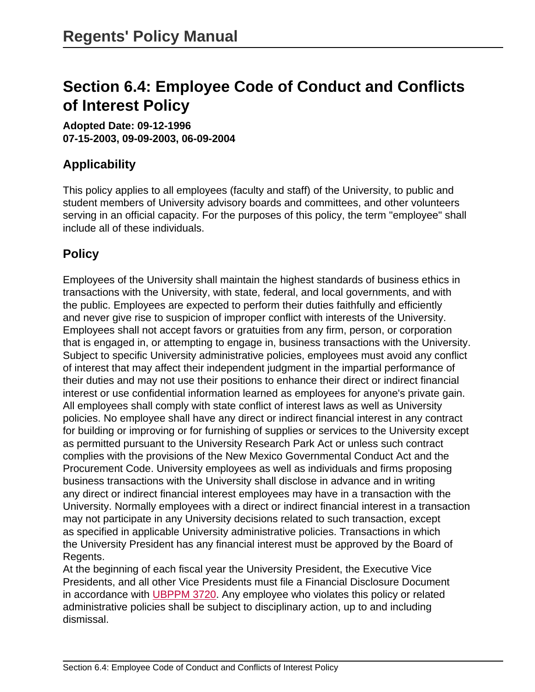# **Section 6.4: Employee Code of Conduct and Conflicts of Interest Policy**

**Adopted Date: 09-12-1996 07-15-2003, 09-09-2003, 06-09-2004**

# **Applicability**

This policy applies to all employees (faculty and staff) of the University, to public and student members of University advisory boards and committees, and other volunteers serving in an official capacity. For the purposes of this policy, the term "employee" shall include all of these individuals.

# **Policy**

Employees of the University shall maintain the highest standards of business ethics in transactions with the University, with state, federal, and local governments, and with the public. Employees are expected to perform their duties faithfully and efficiently and never give rise to suspicion of improper conflict with interests of the University. Employees shall not accept favors or gratuities from any firm, person, or corporation that is engaged in, or attempting to engage in, business transactions with the University. Subject to specific University administrative policies, employees must avoid any conflict of interest that may affect their independent judgment in the impartial performance of their duties and may not use their positions to enhance their direct or indirect financial interest or use confidential information learned as employees for anyone's private gain. All employees shall comply with state conflict of interest laws as well as University policies. No employee shall have any direct or indirect financial interest in any contract for building or improving or for furnishing of supplies or services to the University except as permitted pursuant to the University Research Park Act or unless such contract complies with the provisions of the New Mexico Governmental Conduct Act and the Procurement Code. University employees as well as individuals and firms proposing business transactions with the University shall disclose in advance and in writing any direct or indirect financial interest employees may have in a transaction with the University. Normally employees with a direct or indirect financial interest in a transaction may not participate in any University decisions related to such transaction, except as specified in applicable University administrative policies. Transactions in which the University President has any financial interest must be approved by the Board of Regents.

At the beginning of each fiscal year the University President, the Executive Vice Presidents, and all other Vice Presidents must file a Financial Disclosure Document in accordance with [UBPPM 3720](site://policy.unm.edu/university-policies/3000/3720). Any employee who violates this policy or related administrative policies shall be subject to disciplinary action, up to and including dismissal.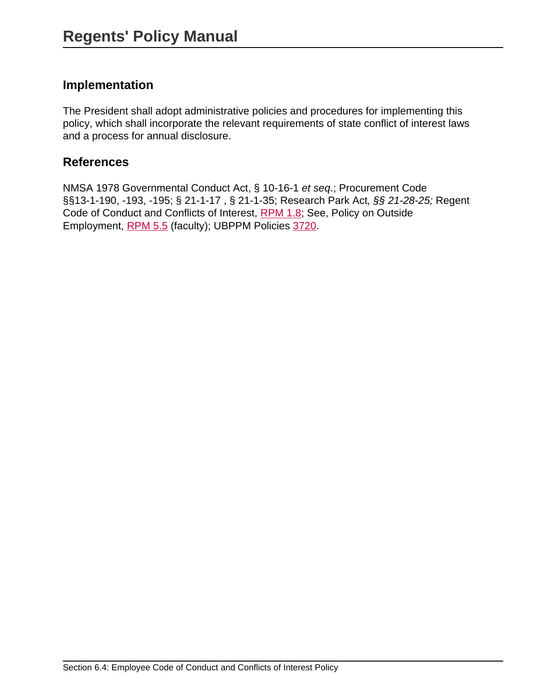## **Implementation**

The President shall adopt administrative policies and procedures for implementing this policy, which shall incorporate the relevant requirements of state conflict of interest laws and a process for annual disclosure.

## **References**

NMSA 1978 Governmental Conduct Act, § 10-16-1 et seq.; Procurement Code §§13-1-190, -193, -195; § 21-1-17 , § 21-1-35; Research Park Act, §§ 21-28-25; Regent Code of Conduct and Conflicts of Interest, [RPM 1.8;](site://policy.unm.edu/regents-policies/section-1/1-8) See, Policy on Outside Employment, [RPM 5.5](site://policy.unm.edu/regents-policies/section-5/5-5) (faculty); UBPPM Policies [3720](site://policy.unm.edu/university-policies/3000/3720).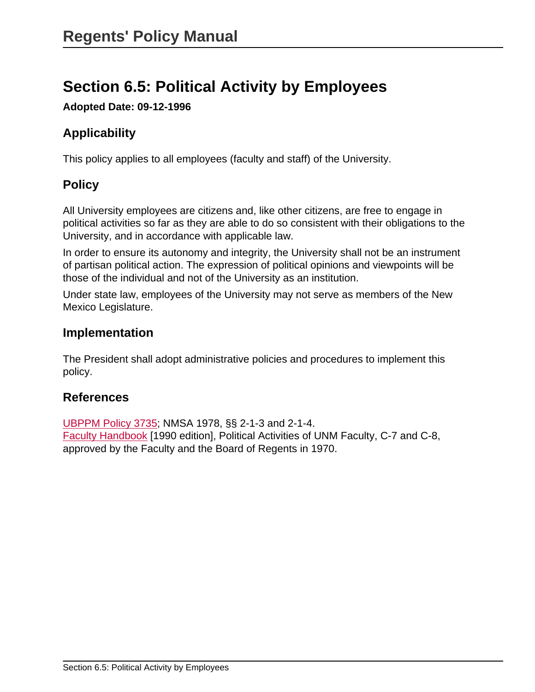# **Section 6.5: Political Activity by Employees**

**Adopted Date: 09-12-1996**

# **Applicability**

This policy applies to all employees (faculty and staff) of the University.

# **Policy**

All University employees are citizens and, like other citizens, are free to engage in political activities so far as they are able to do so consistent with their obligations to the University, and in accordance with applicable law.

In order to ensure its autonomy and integrity, the University shall not be an instrument of partisan political action. The expression of political opinions and viewpoints will be those of the individual and not of the University as an institution.

Under state law, employees of the University may not serve as members of the New Mexico Legislature.

### **Implementation**

The President shall adopt administrative policies and procedures to implement this policy.

# **References**

[UBPPM Policy 3735](site://policy.unm.edu/university-policies/3000/3735); NMSA 1978, §§ 2-1-3 and 2-1-4. [Faculty Handbook](http://handbook.unm.edu/) [1990 edition], Political Activities of UNM Faculty, C-7 and C-8, approved by the Faculty and the Board of Regents in 1970.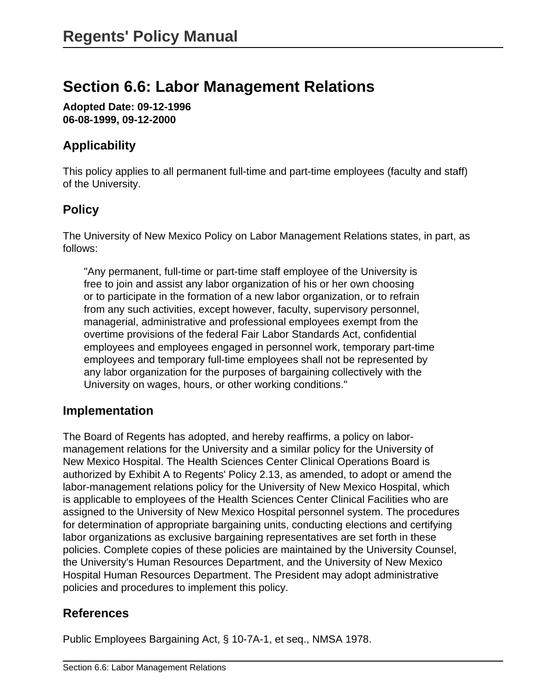# **Section 6.6: Labor Management Relations**

**Adopted Date: 09-12-1996 06-08-1999, 09-12-2000**

## **Applicability**

This policy applies to all permanent full-time and part-time employees (faculty and staff) of the University.

# **Policy**

The University of New Mexico Policy on Labor Management Relations states, in part, as follows:

"Any permanent, full-time or part-time staff employee of the University is free to join and assist any labor organization of his or her own choosing or to participate in the formation of a new labor organization, or to refrain from any such activities, except however, faculty, supervisory personnel, managerial, administrative and professional employees exempt from the overtime provisions of the federal Fair Labor Standards Act, confidential employees and employees engaged in personnel work, temporary part-time employees and temporary full-time employees shall not be represented by any labor organization for the purposes of bargaining collectively with the University on wages, hours, or other working conditions."

## **Implementation**

The Board of Regents has adopted, and hereby reaffirms, a policy on labormanagement relations for the University and a similar policy for the University of New Mexico Hospital. The Health Sciences Center Clinical Operations Board is authorized by Exhibit A to Regents' Policy 2.13, as amended, to adopt or amend the labor-management relations policy for the University of New Mexico Hospital, which is applicable to employees of the Health Sciences Center Clinical Facilities who are assigned to the University of New Mexico Hospital personnel system. The procedures for determination of appropriate bargaining units, conducting elections and certifying labor organizations as exclusive bargaining representatives are set forth in these policies. Complete copies of these policies are maintained by the University Counsel, the University's Human Resources Department, and the University of New Mexico Hospital Human Resources Department. The President may adopt administrative policies and procedures to implement this policy.

## **References**

Public Employees Bargaining Act, § 10-7A-1, et seq., NMSA 1978.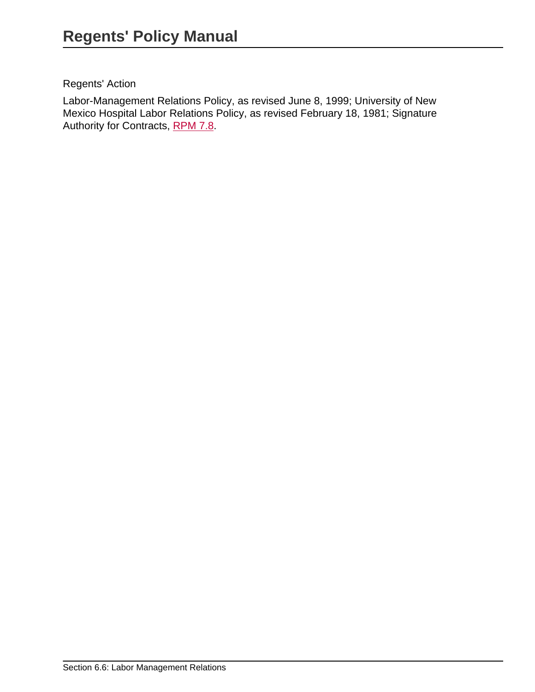#### Regents' Action

Labor-Management Relations Policy, as revised June 8, 1999; University of New Mexico Hospital Labor Relations Policy, as revised February 18, 1981; Signature Authority for Contracts, [RPM 7.8.](site://policy.unm.edu/regents-policies/section-7/7-8)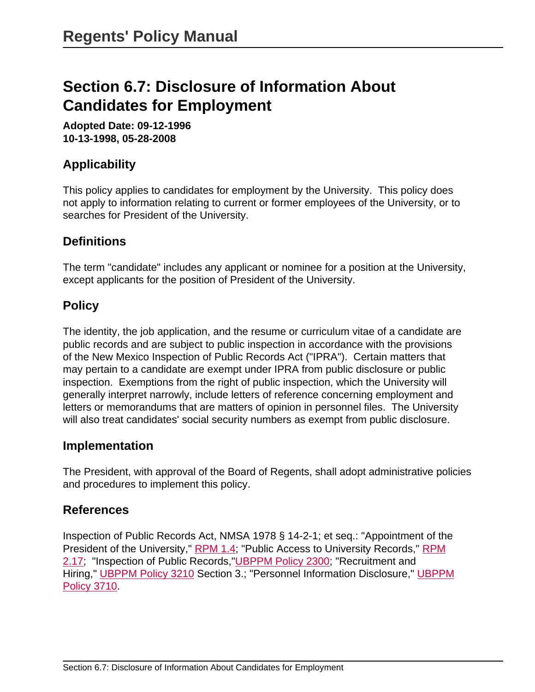# **Section 6.7: Disclosure of Information About Candidates for Employment**

**Adopted Date: 09-12-1996 10-13-1998, 05-28-2008**

# **Applicability**

This policy applies to candidates for employment by the University. This policy does not apply to information relating to current or former employees of the University, or to searches for President of the University.

# **Definitions**

The term "candidate" includes any applicant or nominee for a position at the University, except applicants for the position of President of the University.

## **Policy**

The identity, the job application, and the resume or curriculum vitae of a candidate are public records and are subject to public inspection in accordance with the provisions of the New Mexico Inspection of Public Records Act ("IPRA"). Certain matters that may pertain to a candidate are exempt under IPRA from public disclosure or public inspection. Exemptions from the right of public inspection, which the University will generally interpret narrowly, include letters of reference concerning employment and letters or memorandums that are matters of opinion in personnel files. The University will also treat candidates' social security numbers as exempt from public disclosure.

#### **Implementation**

The President, with approval of the Board of Regents, shall adopt administrative policies and procedures to implement this policy.

## **References**

Inspection of Public Records Act, NMSA 1978 § 14-2-1; et seq.: "Appointment of the President of the University," [RPM 1.4;](site://policy.unm.edu/regents-policies/section-1/1-4) "Public Access to University Records," [RPM](site://policy.unm.edu/regents-policies/section-2/2-17) [2.17](site://policy.unm.edu/regents-policies/section-2/2-17); "Inspection of Public Records,["UBPPM Policy 2300](site://policy.unm.edu/university-policies/2000/2300); "Recruitment and Hiring," [UBPPM Policy 3210](site://policy.unm.edu/university-policies/3000/3210) Section 3.; "Personnel Information Disclosure," [UBPPM](site://policy.unm.edu/university-policies/3000/3710) [Policy 3710](site://policy.unm.edu/university-policies/3000/3710).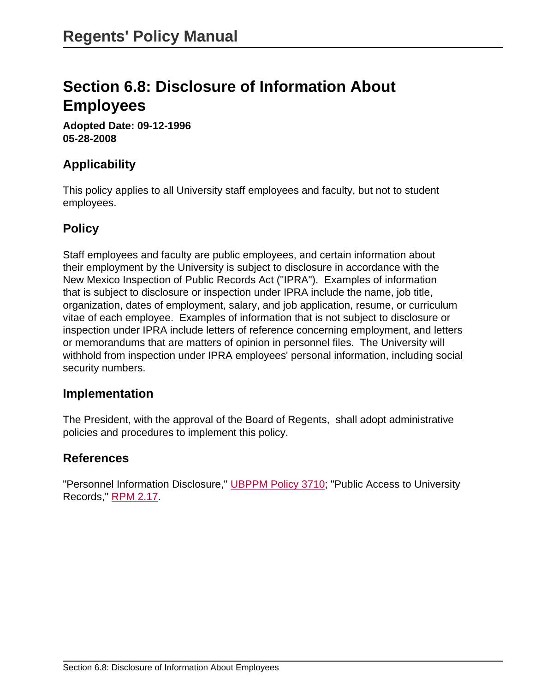# **Section 6.8: Disclosure of Information About Employees**

**Adopted Date: 09-12-1996 05-28-2008**

## **Applicability**

This policy applies to all University staff employees and faculty, but not to student employees.

### **Policy**

Staff employees and faculty are public employees, and certain information about their employment by the University is subject to disclosure in accordance with the New Mexico Inspection of Public Records Act ("IPRA"). Examples of information that is subject to disclosure or inspection under IPRA include the name, job title, organization, dates of employment, salary, and job application, resume, or curriculum vitae of each employee. Examples of information that is not subject to disclosure or inspection under IPRA include letters of reference concerning employment, and letters or memorandums that are matters of opinion in personnel files. The University will withhold from inspection under IPRA employees' personal information, including social security numbers.

#### **Implementation**

The President, with the approval of the Board of Regents, shall adopt administrative policies and procedures to implement this policy.

## **References**

"Personnel Information Disclosure," [UBPPM Policy 3710;](site://policy.unm.edu/university-policies/3000/3710) "Public Access to University Records," [RPM 2.17.](site://policy.unm.edu/regents-policies/section-2/2-17)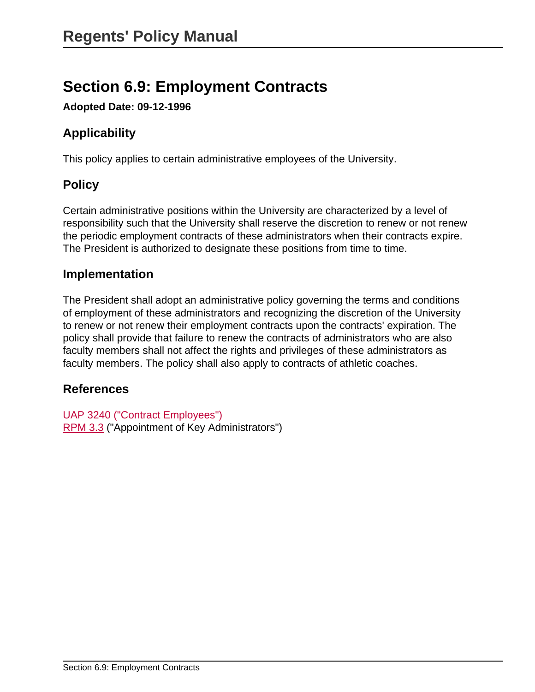# **Section 6.9: Employment Contracts**

**Adopted Date: 09-12-1996**

# **Applicability**

This policy applies to certain administrative employees of the University.

## **Policy**

Certain administrative positions within the University are characterized by a level of responsibility such that the University shall reserve the discretion to renew or not renew the periodic employment contracts of these administrators when their contracts expire. The President is authorized to designate these positions from time to time.

#### **Implementation**

The President shall adopt an administrative policy governing the terms and conditions of employment of these administrators and recognizing the discretion of the University to renew or not renew their employment contracts upon the contracts' expiration. The policy shall provide that failure to renew the contracts of administrators who are also faculty members shall not affect the rights and privileges of these administrators as faculty members. The policy shall also apply to contracts of athletic coaches.

#### **References**

[UAP 3240 \("Contract Employees"\)](site://policy.unm.edu/university-policies/3000/3240) [RPM 3.3](site://policy.unm.edu/regents-policies/section-3/3-3) ("Appointment of Key Administrators")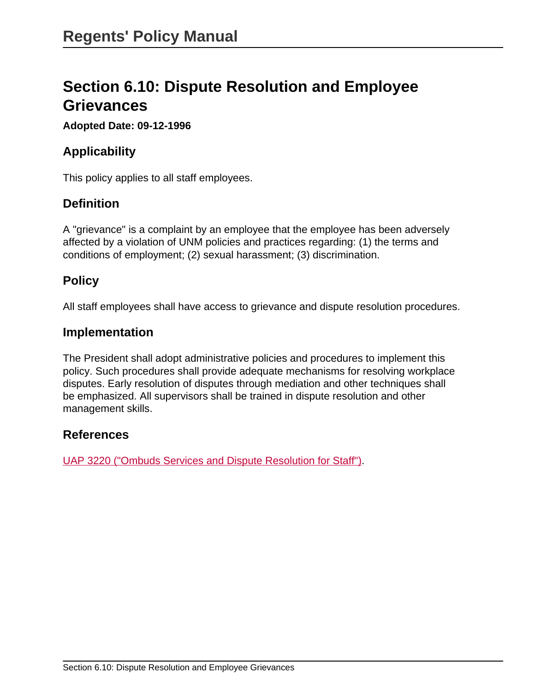# **Section 6.10: Dispute Resolution and Employee Grievances**

#### **Adopted Date: 09-12-1996**

## **Applicability**

This policy applies to all staff employees.

## **Definition**

A "grievance" is a complaint by an employee that the employee has been adversely affected by a violation of UNM policies and practices regarding: (1) the terms and conditions of employment; (2) sexual harassment; (3) discrimination.

## **Policy**

All staff employees shall have access to grievance and dispute resolution procedures.

#### **Implementation**

The President shall adopt administrative policies and procedures to implement this policy. Such procedures shall provide adequate mechanisms for resolving workplace disputes. Early resolution of disputes through mediation and other techniques shall be emphasized. All supervisors shall be trained in dispute resolution and other management skills.

#### **References**

[UAP 3220 \("Ombuds Services and Dispute Resolution for Staff"\).](site://policy.unm.edu/university-policies/3000/3220)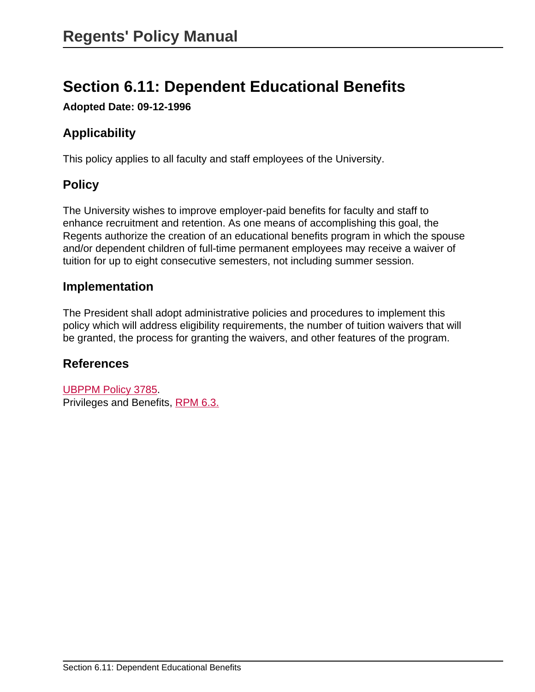# **Section 6.11: Dependent Educational Benefits**

**Adopted Date: 09-12-1996**

# **Applicability**

This policy applies to all faculty and staff employees of the University.

# **Policy**

The University wishes to improve employer-paid benefits for faculty and staff to enhance recruitment and retention. As one means of accomplishing this goal, the Regents authorize the creation of an educational benefits program in which the spouse and/or dependent children of full-time permanent employees may receive a waiver of tuition for up to eight consecutive semesters, not including summer session.

### **Implementation**

The President shall adopt administrative policies and procedures to implement this policy which will address eligibility requirements, the number of tuition waivers that will be granted, the process for granting the waivers, and other features of the program.

## **References**

[UBPPM Policy 3785](site://policy.unm.edu/university-policies/3000/3785). Privileges and Benefits, [RPM 6.3.](site://policy.unm.edu/regents-policies/section-6/6-3)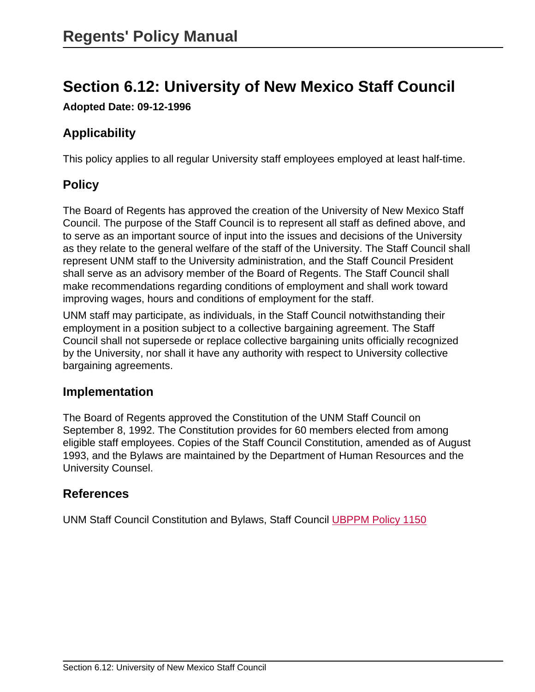# **Section 6.12: University of New Mexico Staff Council**

**Adopted Date: 09-12-1996**

# **Applicability**

This policy applies to all regular University staff employees employed at least half-time.

## **Policy**

The Board of Regents has approved the creation of the University of New Mexico Staff Council. The purpose of the Staff Council is to represent all staff as defined above, and to serve as an important source of input into the issues and decisions of the University as they relate to the general welfare of the staff of the University. The Staff Council shall represent UNM staff to the University administration, and the Staff Council President shall serve as an advisory member of the Board of Regents. The Staff Council shall make recommendations regarding conditions of employment and shall work toward improving wages, hours and conditions of employment for the staff.

UNM staff may participate, as individuals, in the Staff Council notwithstanding their employment in a position subject to a collective bargaining agreement. The Staff Council shall not supersede or replace collective bargaining units officially recognized by the University, nor shall it have any authority with respect to University collective bargaining agreements.

#### **Implementation**

The Board of Regents approved the Constitution of the UNM Staff Council on September 8, 1992. The Constitution provides for 60 members elected from among eligible staff employees. Copies of the Staff Council Constitution, amended as of August 1993, and the Bylaws are maintained by the Department of Human Resources and the University Counsel.

## **References**

UNM Staff Council Constitution and Bylaws, Staff Council [UBPPM Policy 1150](site://policy.unm.edu/university-policies/1000/1150)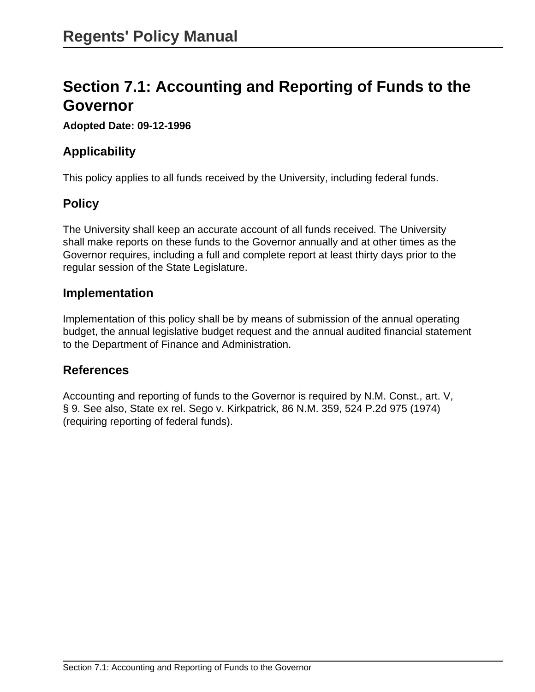# **Section 7.1: Accounting and Reporting of Funds to the Governor**

#### **Adopted Date: 09-12-1996**

## **Applicability**

This policy applies to all funds received by the University, including federal funds.

## **Policy**

The University shall keep an accurate account of all funds received. The University shall make reports on these funds to the Governor annually and at other times as the Governor requires, including a full and complete report at least thirty days prior to the regular session of the State Legislature.

#### **Implementation**

Implementation of this policy shall be by means of submission of the annual operating budget, the annual legislative budget request and the annual audited financial statement to the Department of Finance and Administration.

#### **References**

Accounting and reporting of funds to the Governor is required by N.M. Const., art. V, § 9. See also, State ex rel. Sego v. Kirkpatrick, 86 N.M. 359, 524 P.2d 975 (1974) (requiring reporting of federal funds).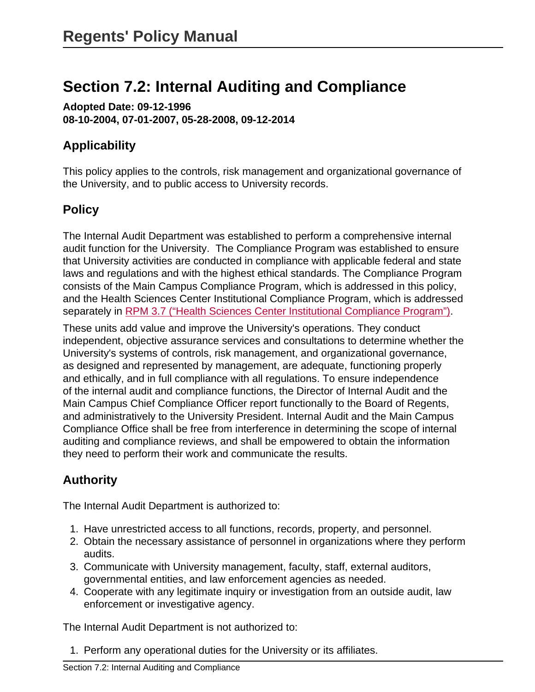# **Section 7.2: Internal Auditing and Compliance**

**Adopted Date: 09-12-1996 08-10-2004, 07-01-2007, 05-28-2008, 09-12-2014**

## **Applicability**

This policy applies to the controls, risk management and organizational governance of the University, and to public access to University records.

# **Policy**

The Internal Audit Department was established to perform a comprehensive internal audit function for the University. The Compliance Program was established to ensure that University activities are conducted in compliance with applicable federal and state laws and regulations and with the highest ethical standards. The Compliance Program consists of the Main Campus Compliance Program, which is addressed in this policy, and the Health Sciences Center Institutional Compliance Program, which is addressed separately in [RPM 3.7 \("Health Sciences Center Institutional Compliance Program"\)](site://policy.unm.edu/regents-policies/section-3/3-7).

These units add value and improve the University's operations. They conduct independent, objective assurance services and consultations to determine whether the University's systems of controls, risk management, and organizational governance, as designed and represented by management, are adequate, functioning properly and ethically, and in full compliance with all regulations. To ensure independence of the internal audit and compliance functions, the Director of Internal Audit and the Main Campus Chief Compliance Officer report functionally to the Board of Regents, and administratively to the University President. Internal Audit and the Main Campus Compliance Office shall be free from interference in determining the scope of internal auditing and compliance reviews, and shall be empowered to obtain the information they need to perform their work and communicate the results.

# **Authority**

The Internal Audit Department is authorized to:

- 1. Have unrestricted access to all functions, records, property, and personnel.
- 2. Obtain the necessary assistance of personnel in organizations where they perform audits.
- 3. Communicate with University management, faculty, staff, external auditors, governmental entities, and law enforcement agencies as needed.
- 4. Cooperate with any legitimate inquiry or investigation from an outside audit, law enforcement or investigative agency.

The Internal Audit Department is not authorized to:

1. Perform any operational duties for the University or its affiliates.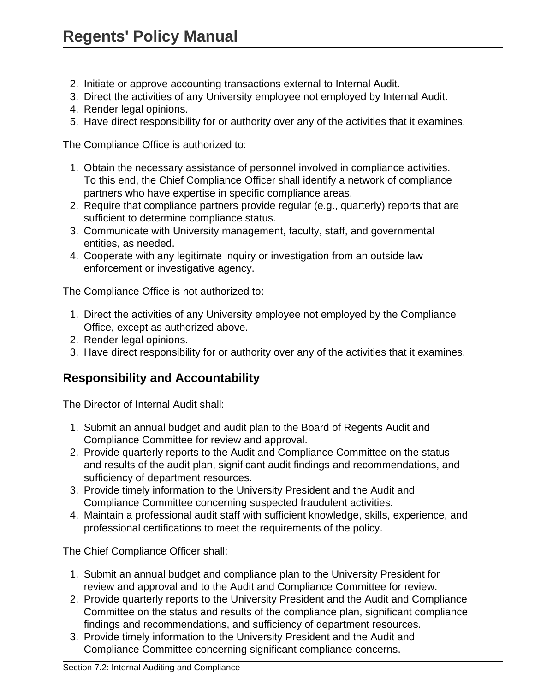- 2. Initiate or approve accounting transactions external to Internal Audit.
- 3. Direct the activities of any University employee not employed by Internal Audit.
- 4. Render legal opinions.
- 5. Have direct responsibility for or authority over any of the activities that it examines.

The Compliance Office is authorized to:

- 1. Obtain the necessary assistance of personnel involved in compliance activities. To this end, the Chief Compliance Officer shall identify a network of compliance partners who have expertise in specific compliance areas.
- 2. Require that compliance partners provide regular (e.g., quarterly) reports that are sufficient to determine compliance status.
- 3. Communicate with University management, faculty, staff, and governmental entities, as needed.
- 4. Cooperate with any legitimate inquiry or investigation from an outside law enforcement or investigative agency.

The Compliance Office is not authorized to:

- 1. Direct the activities of any University employee not employed by the Compliance Office, except as authorized above.
- 2. Render legal opinions.
- 3. Have direct responsibility for or authority over any of the activities that it examines.

## **Responsibility and Accountability**

The Director of Internal Audit shall:

- 1. Submit an annual budget and audit plan to the Board of Regents Audit and Compliance Committee for review and approval.
- 2. Provide quarterly reports to the Audit and Compliance Committee on the status and results of the audit plan, significant audit findings and recommendations, and sufficiency of department resources.
- 3. Provide timely information to the University President and the Audit and Compliance Committee concerning suspected fraudulent activities.
- 4. Maintain a professional audit staff with sufficient knowledge, skills, experience, and professional certifications to meet the requirements of the policy.

The Chief Compliance Officer shall:

- 1. Submit an annual budget and compliance plan to the University President for review and approval and to the Audit and Compliance Committee for review.
- 2. Provide quarterly reports to the University President and the Audit and Compliance Committee on the status and results of the compliance plan, significant compliance findings and recommendations, and sufficiency of department resources.
- 3. Provide timely information to the University President and the Audit and Compliance Committee concerning significant compliance concerns.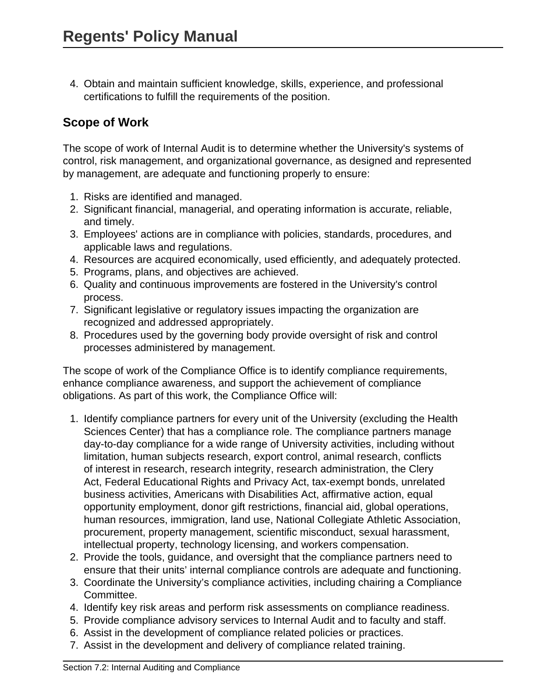4. Obtain and maintain sufficient knowledge, skills, experience, and professional certifications to fulfill the requirements of the position.

# **Scope of Work**

The scope of work of Internal Audit is to determine whether the University's systems of control, risk management, and organizational governance, as designed and represented by management, are adequate and functioning properly to ensure:

- 1. Risks are identified and managed.
- 2. Significant financial, managerial, and operating information is accurate, reliable, and timely.
- 3. Employees' actions are in compliance with policies, standards, procedures, and applicable laws and regulations.
- 4. Resources are acquired economically, used efficiently, and adequately protected.
- 5. Programs, plans, and objectives are achieved.
- 6. Quality and continuous improvements are fostered in the University's control process.
- 7. Significant legislative or regulatory issues impacting the organization are recognized and addressed appropriately.
- 8. Procedures used by the governing body provide oversight of risk and control processes administered by management.

The scope of work of the Compliance Office is to identify compliance requirements, enhance compliance awareness, and support the achievement of compliance obligations. As part of this work, the Compliance Office will:

- 1. Identify compliance partners for every unit of the University (excluding the Health Sciences Center) that has a compliance role. The compliance partners manage day-to-day compliance for a wide range of University activities, including without limitation, human subjects research, export control, animal research, conflicts of interest in research, research integrity, research administration, the Clery Act, Federal Educational Rights and Privacy Act, tax-exempt bonds, unrelated business activities, Americans with Disabilities Act, affirmative action, equal opportunity employment, donor gift restrictions, financial aid, global operations, human resources, immigration, land use, National Collegiate Athletic Association, procurement, property management, scientific misconduct, sexual harassment, intellectual property, technology licensing, and workers compensation.
- 2. Provide the tools, guidance, and oversight that the compliance partners need to ensure that their units' internal compliance controls are adequate and functioning.
- 3. Coordinate the University's compliance activities, including chairing a Compliance Committee.
- 4. Identify key risk areas and perform risk assessments on compliance readiness.
- 5. Provide compliance advisory services to Internal Audit and to faculty and staff.
- 6. Assist in the development of compliance related policies or practices.
- 7. Assist in the development and delivery of compliance related training.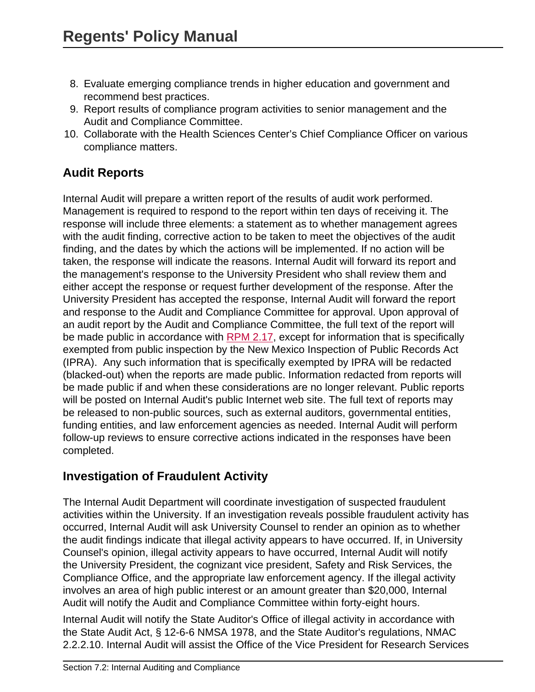- 8. Evaluate emerging compliance trends in higher education and government and recommend best practices.
- 9. Report results of compliance program activities to senior management and the Audit and Compliance Committee.
- 10. Collaborate with the Health Sciences Center's Chief Compliance Officer on various compliance matters.

# **Audit Reports**

Internal Audit will prepare a written report of the results of audit work performed. Management is required to respond to the report within ten days of receiving it. The response will include three elements: a statement as to whether management agrees with the audit finding, corrective action to be taken to meet the objectives of the audit finding, and the dates by which the actions will be implemented. If no action will be taken, the response will indicate the reasons. Internal Audit will forward its report and the management's response to the University President who shall review them and either accept the response or request further development of the response. After the University President has accepted the response, Internal Audit will forward the report and response to the Audit and Compliance Committee for approval. Upon approval of an audit report by the Audit and Compliance Committee, the full text of the report will be made public in accordance with [RPM 2.17,](site://policy.unm.edu/regents-policies/section-2/2-17) except for information that is specifically exempted from public inspection by the New Mexico Inspection of Public Records Act (IPRA). Any such information that is specifically exempted by IPRA will be redacted (blacked-out) when the reports are made public. Information redacted from reports will be made public if and when these considerations are no longer relevant. Public reports will be posted on Internal Audit's public Internet web site. The full text of reports may be released to non-public sources, such as external auditors, governmental entities, funding entities, and law enforcement agencies as needed. Internal Audit will perform follow-up reviews to ensure corrective actions indicated in the responses have been completed.

# **Investigation of Fraudulent Activity**

The Internal Audit Department will coordinate investigation of suspected fraudulent activities within the University. If an investigation reveals possible fraudulent activity has occurred, Internal Audit will ask University Counsel to render an opinion as to whether the audit findings indicate that illegal activity appears to have occurred. If, in University Counsel's opinion, illegal activity appears to have occurred, Internal Audit will notify the University President, the cognizant vice president, Safety and Risk Services, the Compliance Office, and the appropriate law enforcement agency. If the illegal activity involves an area of high public interest or an amount greater than \$20,000, Internal Audit will notify the Audit and Compliance Committee within forty-eight hours.

Internal Audit will notify the State Auditor's Office of illegal activity in accordance with the State Audit Act, § 12-6-6 NMSA 1978, and the State Auditor's regulations, NMAC 2.2.2.10. Internal Audit will assist the Office of the Vice President for Research Services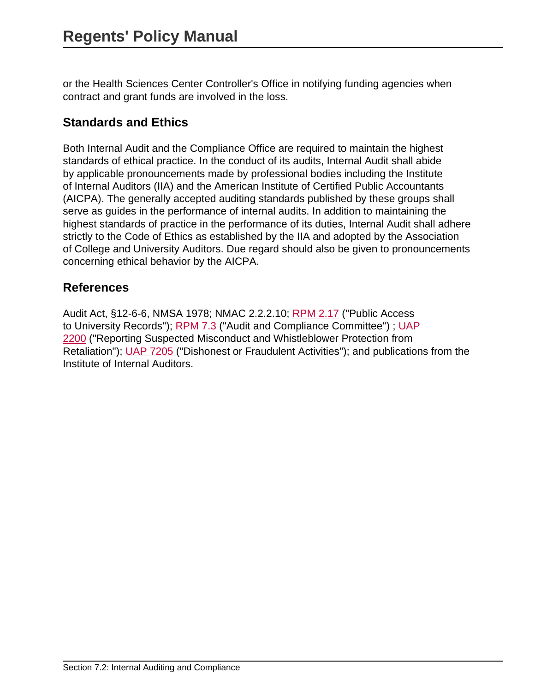or the Health Sciences Center Controller's Office in notifying funding agencies when contract and grant funds are involved in the loss.

## **Standards and Ethics**

Both Internal Audit and the Compliance Office are required to maintain the highest standards of ethical practice. In the conduct of its audits, Internal Audit shall abide by applicable pronouncements made by professional bodies including the Institute of Internal Auditors (IIA) and the American Institute of Certified Public Accountants (AICPA). The generally accepted auditing standards published by these groups shall serve as guides in the performance of internal audits. In addition to maintaining the highest standards of practice in the performance of its duties, Internal Audit shall adhere strictly to the Code of Ethics as established by the IIA and adopted by the Association of College and University Auditors. Due regard should also be given to pronouncements concerning ethical behavior by the AICPA.

### **References**

Audit Act, §12-6-6, NMSA 1978; NMAC 2.2.2.10; [RPM 2.17](site://policy.unm.edu/regents-policies/section-2/2-17) ("Public Access to University Records"); [RPM 7.3](site://policy.unm.edu/regents-policies/section-7/7-3) ("Audit and Compliance Committee") ; [UAP](site://policy.unm.edu/university-policies/2000/2200) [2200](site://policy.unm.edu/university-policies/2000/2200) ("Reporting Suspected Misconduct and Whistleblower Protection from Retaliation"); [UAP 7205](site://policy.unm.edu/university-policies/7000/7205) ("Dishonest or Fraudulent Activities"); and publications from the Institute of Internal Auditors.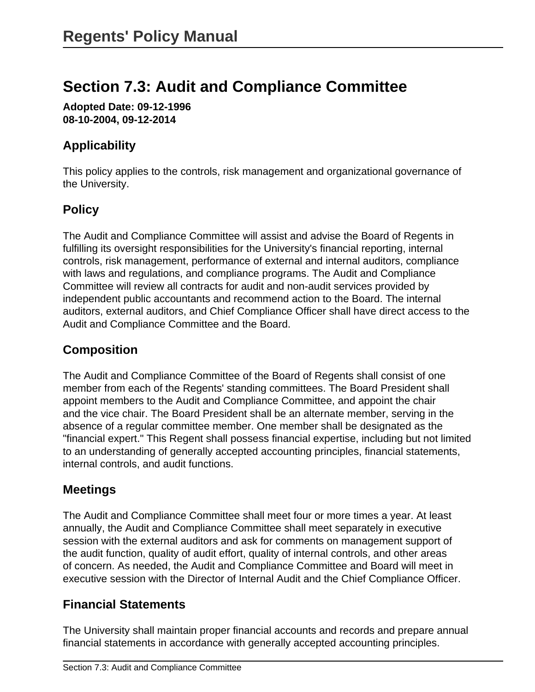# **Section 7.3: Audit and Compliance Committee**

**Adopted Date: 09-12-1996 08-10-2004, 09-12-2014**

# **Applicability**

This policy applies to the controls, risk management and organizational governance of the University.

# **Policy**

The Audit and Compliance Committee will assist and advise the Board of Regents in fulfilling its oversight responsibilities for the University's financial reporting, internal controls, risk management, performance of external and internal auditors, compliance with laws and regulations, and compliance programs. The Audit and Compliance Committee will review all contracts for audit and non-audit services provided by independent public accountants and recommend action to the Board. The internal auditors, external auditors, and Chief Compliance Officer shall have direct access to the Audit and Compliance Committee and the Board.

# **Composition**

The Audit and Compliance Committee of the Board of Regents shall consist of one member from each of the Regents' standing committees. The Board President shall appoint members to the Audit and Compliance Committee, and appoint the chair and the vice chair. The Board President shall be an alternate member, serving in the absence of a regular committee member. One member shall be designated as the "financial expert." This Regent shall possess financial expertise, including but not limited to an understanding of generally accepted accounting principles, financial statements, internal controls, and audit functions.

# **Meetings**

The Audit and Compliance Committee shall meet four or more times a year. At least annually, the Audit and Compliance Committee shall meet separately in executive session with the external auditors and ask for comments on management support of the audit function, quality of audit effort, quality of internal controls, and other areas of concern. As needed, the Audit and Compliance Committee and Board will meet in executive session with the Director of Internal Audit and the Chief Compliance Officer.

## **Financial Statements**

The University shall maintain proper financial accounts and records and prepare annual financial statements in accordance with generally accepted accounting principles.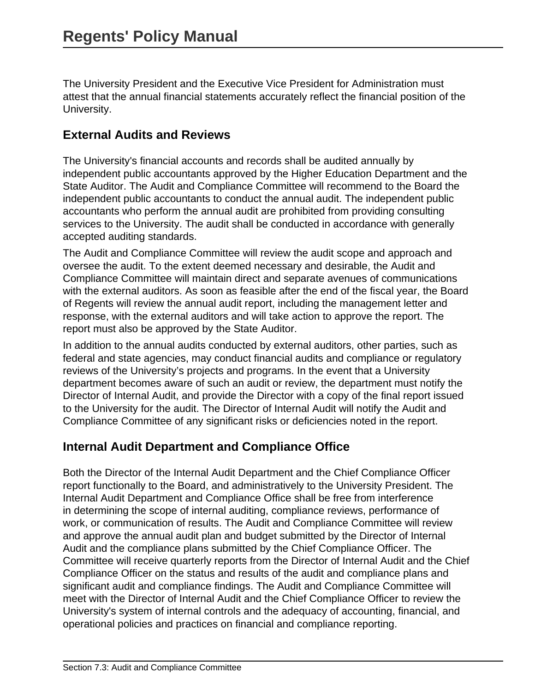The University President and the Executive Vice President for Administration must attest that the annual financial statements accurately reflect the financial position of the University.

### **External Audits and Reviews**

The University's financial accounts and records shall be audited annually by independent public accountants approved by the Higher Education Department and the State Auditor. The Audit and Compliance Committee will recommend to the Board the independent public accountants to conduct the annual audit. The independent public accountants who perform the annual audit are prohibited from providing consulting services to the University. The audit shall be conducted in accordance with generally accepted auditing standards.

The Audit and Compliance Committee will review the audit scope and approach and oversee the audit. To the extent deemed necessary and desirable, the Audit and Compliance Committee will maintain direct and separate avenues of communications with the external auditors. As soon as feasible after the end of the fiscal year, the Board of Regents will review the annual audit report, including the management letter and response, with the external auditors and will take action to approve the report. The report must also be approved by the State Auditor.

In addition to the annual audits conducted by external auditors, other parties, such as federal and state agencies, may conduct financial audits and compliance or regulatory reviews of the University's projects and programs. In the event that a University department becomes aware of such an audit or review, the department must notify the Director of Internal Audit, and provide the Director with a copy of the final report issued to the University for the audit. The Director of Internal Audit will notify the Audit and Compliance Committee of any significant risks or deficiencies noted in the report.

## **Internal Audit Department and Compliance Office**

Both the Director of the Internal Audit Department and the Chief Compliance Officer report functionally to the Board, and administratively to the University President. The Internal Audit Department and Compliance Office shall be free from interference in determining the scope of internal auditing, compliance reviews, performance of work, or communication of results. The Audit and Compliance Committee will review and approve the annual audit plan and budget submitted by the Director of Internal Audit and the compliance plans submitted by the Chief Compliance Officer. The Committee will receive quarterly reports from the Director of Internal Audit and the Chief Compliance Officer on the status and results of the audit and compliance plans and significant audit and compliance findings. The Audit and Compliance Committee will meet with the Director of Internal Audit and the Chief Compliance Officer to review the University's system of internal controls and the adequacy of accounting, financial, and operational policies and practices on financial and compliance reporting.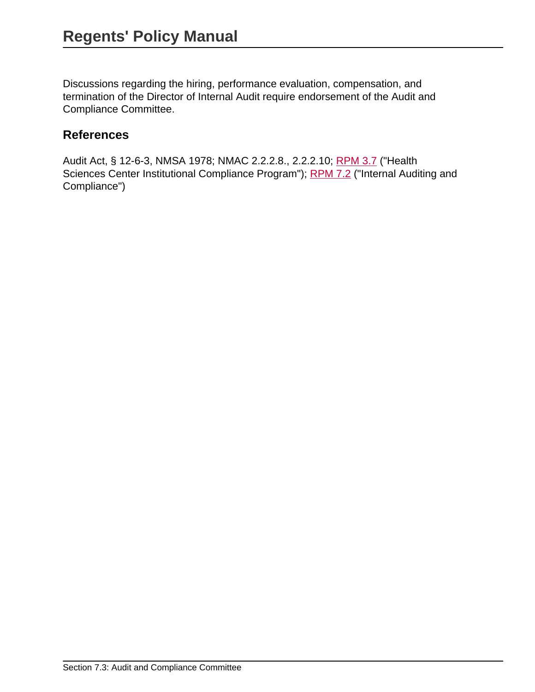Discussions regarding the hiring, performance evaluation, compensation, and termination of the Director of Internal Audit require endorsement of the Audit and Compliance Committee.

#### **References**

Audit Act, § 12-6-3, NMSA 1978; NMAC 2.2.2.8., 2.2.2.10; [RPM 3.7](site://policy.unm.edu/regents-policies/section-3/3-7) ("Health Sciences Center Institutional Compliance Program"); [RPM 7.2](site://policy.unm.edu/regents-policies/section-7/7-2) ("Internal Auditing and Compliance")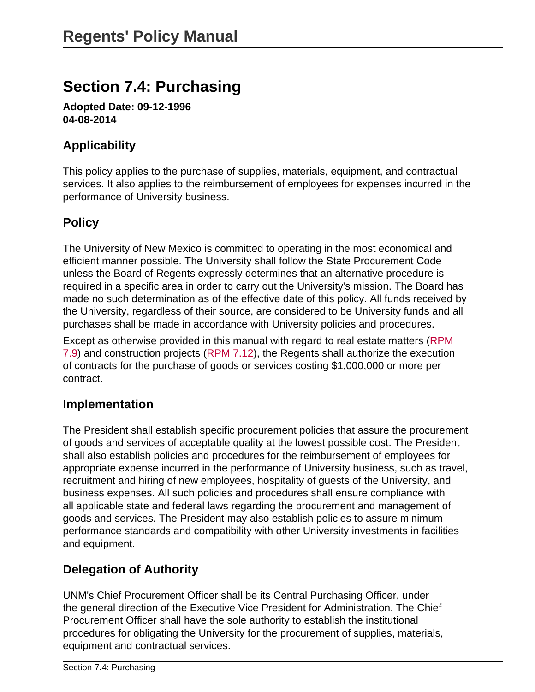# **Section 7.4: Purchasing**

**Adopted Date: 09-12-1996 04-08-2014**

## **Applicability**

This policy applies to the purchase of supplies, materials, equipment, and contractual services. It also applies to the reimbursement of employees for expenses incurred in the performance of University business.

## **Policy**

The University of New Mexico is committed to operating in the most economical and efficient manner possible. The University shall follow the State Procurement Code unless the Board of Regents expressly determines that an alternative procedure is required in a specific area in order to carry out the University's mission. The Board has made no such determination as of the effective date of this policy. All funds received by the University, regardless of their source, are considered to be University funds and all purchases shall be made in accordance with University policies and procedures.

Except as otherwise provided in this manual with regard to real estate matters [\(RPM](site://policy.unm.edu/regents-policies/section-7/7-9) [7.9\)](site://policy.unm.edu/regents-policies/section-7/7-9) and construction projects ([RPM 7.12](site://policy.unm.edu/regents-policies/section-7/7-12)), the Regents shall authorize the execution of contracts for the purchase of goods or services costing \$1,000,000 or more per contract.

#### **Implementation**

The President shall establish specific procurement policies that assure the procurement of goods and services of acceptable quality at the lowest possible cost. The President shall also establish policies and procedures for the reimbursement of employees for appropriate expense incurred in the performance of University business, such as travel, recruitment and hiring of new employees, hospitality of guests of the University, and business expenses. All such policies and procedures shall ensure compliance with all applicable state and federal laws regarding the procurement and management of goods and services. The President may also establish policies to assure minimum performance standards and compatibility with other University investments in facilities and equipment.

## **Delegation of Authority**

UNM's Chief Procurement Officer shall be its Central Purchasing Officer, under the general direction of the Executive Vice President for Administration. The Chief Procurement Officer shall have the sole authority to establish the institutional procedures for obligating the University for the procurement of supplies, materials, equipment and contractual services.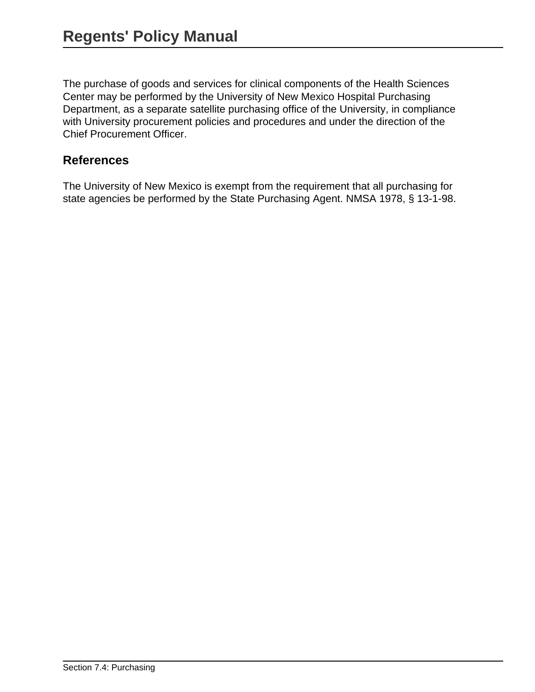The purchase of goods and services for clinical components of the Health Sciences Center may be performed by the University of New Mexico Hospital Purchasing Department, as a separate satellite purchasing office of the University, in compliance with University procurement policies and procedures and under the direction of the Chief Procurement Officer.

#### **References**

The University of New Mexico is exempt from the requirement that all purchasing for state agencies be performed by the State Purchasing Agent. NMSA 1978, § 13-1-98.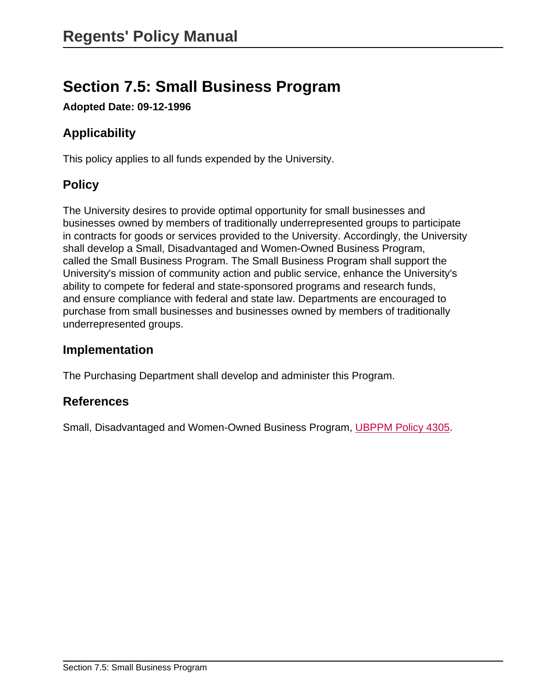# **Section 7.5: Small Business Program**

**Adopted Date: 09-12-1996**

# **Applicability**

This policy applies to all funds expended by the University.

# **Policy**

The University desires to provide optimal opportunity for small businesses and businesses owned by members of traditionally underrepresented groups to participate in contracts for goods or services provided to the University. Accordingly, the University shall develop a Small, Disadvantaged and Women-Owned Business Program, called the Small Business Program. The Small Business Program shall support the University's mission of community action and public service, enhance the University's ability to compete for federal and state-sponsored programs and research funds, and ensure compliance with federal and state law. Departments are encouraged to purchase from small businesses and businesses owned by members of traditionally underrepresented groups.

### **Implementation**

The Purchasing Department shall develop and administer this Program.

#### **References**

Small, Disadvantaged and Women-Owned Business Program, [UBPPM Policy 4305.](site://policy.unm.edu/university-policies/4000/4305)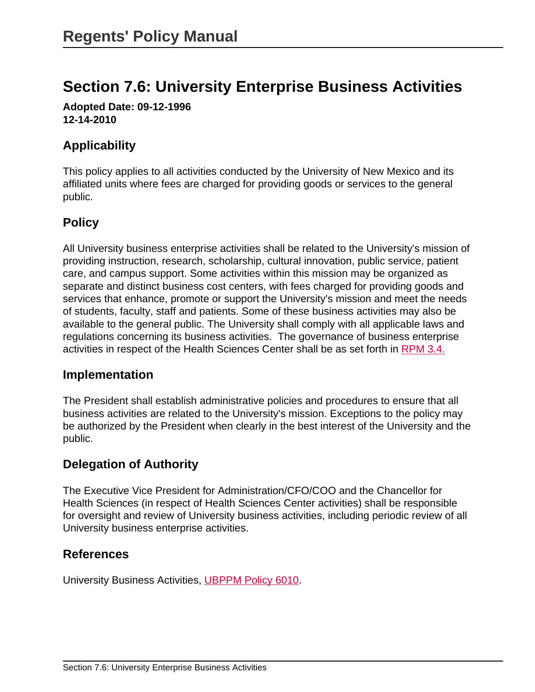# **Section 7.6: University Enterprise Business Activities**

**Adopted Date: 09-12-1996 12-14-2010**

## **Applicability**

This policy applies to all activities conducted by the University of New Mexico and its affiliated units where fees are charged for providing goods or services to the general public.

## **Policy**

All University business enterprise activities shall be related to the University's mission of providing instruction, research, scholarship, cultural innovation, public service, patient care, and campus support. Some activities within this mission may be organized as separate and distinct business cost centers, with fees charged for providing goods and services that enhance, promote or support the University's mission and meet the needs of students, faculty, staff and patients. Some of these business activities may also be available to the general public. The University shall comply with all applicable laws and regulations concerning its business activities. The governance of business enterprise activities in respect of the Health Sciences Center shall be as set forth in [RPM 3.4.](site://policy.unm.edu/regents-policies/section-3/3-4)

#### **Implementation**

The President shall establish administrative policies and procedures to ensure that all business activities are related to the University's mission. Exceptions to the policy may be authorized by the President when clearly in the best interest of the University and the public.

## **Delegation of Authority**

The Executive Vice President for Administration/CFO/COO and the Chancellor for Health Sciences (in respect of Health Sciences Center activities) shall be responsible for oversight and review of University business activities, including periodic review of all University business enterprise activities.

#### **References**

University Business Activities, [UBPPM Policy 6010](site://policy.unm.edu/university-policies/6000/6010).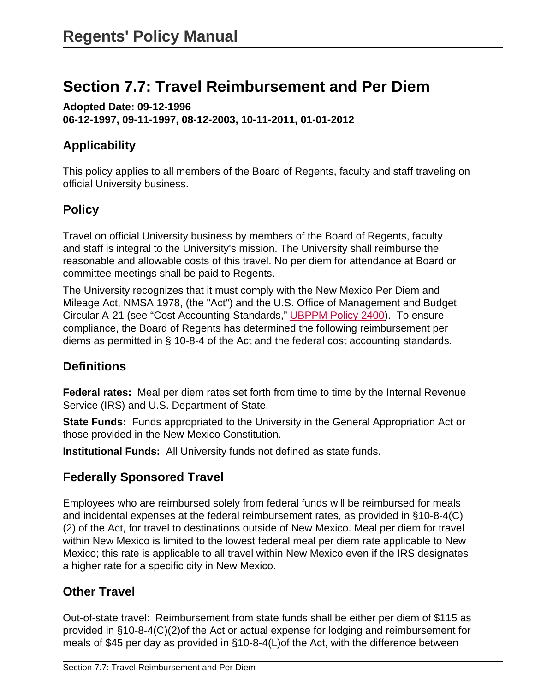# **Section 7.7: Travel Reimbursement and Per Diem**

**Adopted Date: 09-12-1996 06-12-1997, 09-11-1997, 08-12-2003, 10-11-2011, 01-01-2012**

# **Applicability**

This policy applies to all members of the Board of Regents, faculty and staff traveling on official University business.

# **Policy**

Travel on official University business by members of the Board of Regents, faculty and staff is integral to the University's mission. The University shall reimburse the reasonable and allowable costs of this travel. No per diem for attendance at Board or committee meetings shall be paid to Regents.

The University recognizes that it must comply with the New Mexico Per Diem and Mileage Act, NMSA 1978, (the "Act") and the U.S. Office of Management and Budget Circular A-21 (see "Cost Accounting Standards," [UBPPM Policy 2400](site://policy.unm.edu/university-policies/2000/2400)). To ensure compliance, the Board of Regents has determined the following reimbursement per diems as permitted in § 10-8-4 of the Act and the federal cost accounting standards.

# **Definitions**

**Federal rates:** Meal per diem rates set forth from time to time by the Internal Revenue Service (IRS) and U.S. Department of State.

**State Funds:** Funds appropriated to the University in the General Appropriation Act or those provided in the New Mexico Constitution.

**Institutional Funds:** All University funds not defined as state funds.

# **Federally Sponsored Travel**

Employees who are reimbursed solely from federal funds will be reimbursed for meals and incidental expenses at the federal reimbursement rates, as provided in §10-8-4(C) (2) of the Act, for travel to destinations outside of New Mexico. Meal per diem for travel within New Mexico is limited to the lowest federal meal per diem rate applicable to New Mexico; this rate is applicable to all travel within New Mexico even if the IRS designates a higher rate for a specific city in New Mexico.

# **Other Travel**

Out-of-state travel: Reimbursement from state funds shall be either per diem of \$115 as provided in §10-8-4(C)(2)of the Act or actual expense for lodging and reimbursement for meals of \$45 per day as provided in §10-8-4(L)of the Act, with the difference between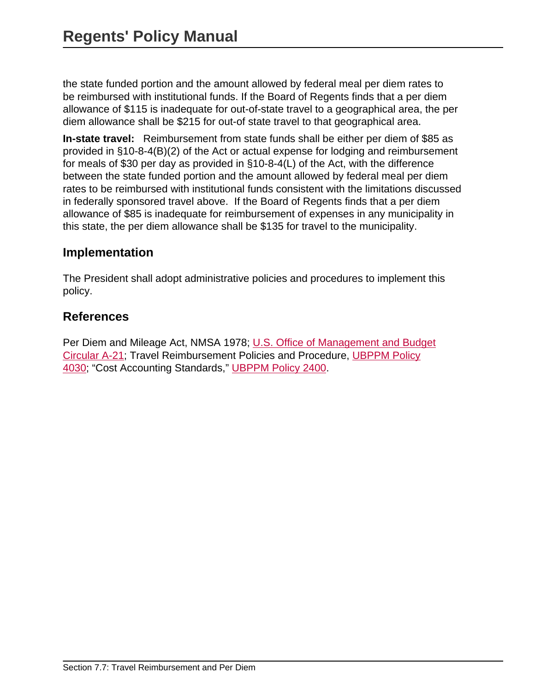the state funded portion and the amount allowed by federal meal per diem rates to be reimbursed with institutional funds. If the Board of Regents finds that a per diem allowance of \$115 is inadequate for out-of-state travel to a geographical area, the per diem allowance shall be \$215 for out-of state travel to that geographical area.

**In-state travel:** Reimbursement from state funds shall be either per diem of \$85 as provided in §10-8-4(B)(2) of the Act or actual expense for lodging and reimbursement for meals of \$30 per day as provided in §10-8-4(L) of the Act, with the difference between the state funded portion and the amount allowed by federal meal per diem rates to be reimbursed with institutional funds consistent with the limitations discussed in federally sponsored travel above. If the Board of Regents finds that a per diem allowance of \$85 is inadequate for reimbursement of expenses in any municipality in this state, the per diem allowance shall be \$135 for travel to the municipality.

### **Implementation**

The President shall adopt administrative policies and procedures to implement this policy.

### **References**

Per Diem and Mileage Act, NMSA 1978; [U.S. Office of Management and Budget](https://obamawhitehouse.archives.gov/omb/circulars_a021_2004/) [Circular A-21](https://obamawhitehouse.archives.gov/omb/circulars_a021_2004/); Travel Reimbursement Policies and Procedure, [UBPPM Policy](site://policy.unm.edu/university-policies/4000/4030) [4030;](site://policy.unm.edu/university-policies/4000/4030) "Cost Accounting Standards," [UBPPM Policy 2400](site://policy.unm.edu/university-policies/2000/2400).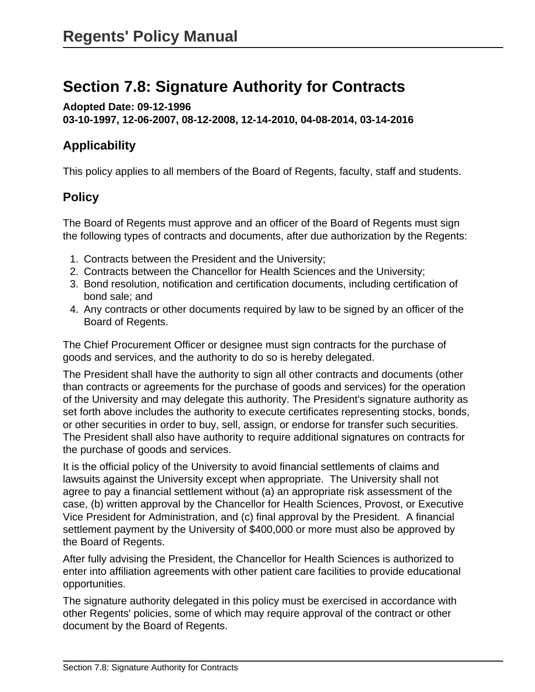# **Section 7.8: Signature Authority for Contracts**

**Adopted Date: 09-12-1996 03-10-1997, 12-06-2007, 08-12-2008, 12-14-2010, 04-08-2014, 03-14-2016**

# **Applicability**

This policy applies to all members of the Board of Regents, faculty, staff and students.

# **Policy**

The Board of Regents must approve and an officer of the Board of Regents must sign the following types of contracts and documents, after due authorization by the Regents:

- 1. Contracts between the President and the University;
- 2. Contracts between the Chancellor for Health Sciences and the University;
- 3. Bond resolution, notification and certification documents, including certification of bond sale; and
- 4. Any contracts or other documents required by law to be signed by an officer of the Board of Regents.

The Chief Procurement Officer or designee must sign contracts for the purchase of goods and services, and the authority to do so is hereby delegated.

The President shall have the authority to sign all other contracts and documents (other than contracts or agreements for the purchase of goods and services) for the operation of the University and may delegate this authority. The President's signature authority as set forth above includes the authority to execute certificates representing stocks, bonds, or other securities in order to buy, sell, assign, or endorse for transfer such securities. The President shall also have authority to require additional signatures on contracts for the purchase of goods and services.

It is the official policy of the University to avoid financial settlements of claims and lawsuits against the University except when appropriate. The University shall not agree to pay a financial settlement without (a) an appropriate risk assessment of the case, (b) written approval by the Chancellor for Health Sciences, Provost, or Executive Vice President for Administration, and (c) final approval by the President. A financial settlement payment by the University of \$400,000 or more must also be approved by the Board of Regents.

After fully advising the President, the Chancellor for Health Sciences is authorized to enter into affiliation agreements with other patient care facilities to provide educational opportunities.

The signature authority delegated in this policy must be exercised in accordance with other Regents' policies, some of which may require approval of the contract or other document by the Board of Regents.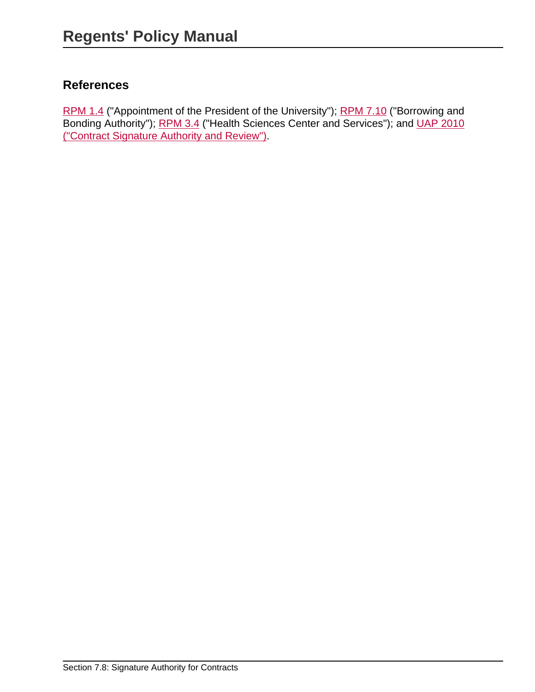# **References**

[RPM 1.4](site://policy.unm.edu/regents-policies/section-1/1-4) ("Appointment of the President of the University"); [RPM 7.10](site://policy.unm.edu/regents-policies/section-7/7-10) ("Borrowing and Bonding Authority"); [RPM 3.4](site://policy.unm.edu/regents-policies/section-3/3-4) ("Health Sciences Center and Services"); and [UAP 2010](site://policy.unm.edu/university-policies/2000/2010) [\("Contract Signature Authority and Review"\)](site://policy.unm.edu/university-policies/2000/2010).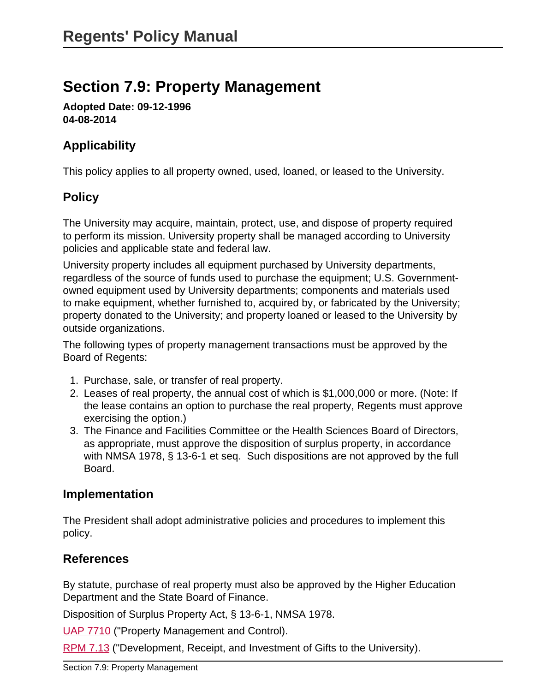# **Section 7.9: Property Management**

**Adopted Date: 09-12-1996 04-08-2014**

# **Applicability**

This policy applies to all property owned, used, loaned, or leased to the University.

# **Policy**

The University may acquire, maintain, protect, use, and dispose of property required to perform its mission. University property shall be managed according to University policies and applicable state and federal law.

University property includes all equipment purchased by University departments, regardless of the source of funds used to purchase the equipment; U.S. Governmentowned equipment used by University departments; components and materials used to make equipment, whether furnished to, acquired by, or fabricated by the University; property donated to the University; and property loaned or leased to the University by outside organizations.

The following types of property management transactions must be approved by the Board of Regents:

- 1. Purchase, sale, or transfer of real property.
- 2. Leases of real property, the annual cost of which is \$1,000,000 or more. (Note: If the lease contains an option to purchase the real property, Regents must approve exercising the option.)
- 3. The Finance and Facilities Committee or the Health Sciences Board of Directors, as appropriate, must approve the disposition of surplus property, in accordance with NMSA 1978, § 13-6-1 et seq. Such dispositions are not approved by the full Board.

# **Implementation**

The President shall adopt administrative policies and procedures to implement this policy.

# **References**

By statute, purchase of real property must also be approved by the Higher Education Department and the State Board of Finance.

Disposition of Surplus Property Act, § 13-6-1, NMSA 1978.

[UAP 7710](site://policy.unm.edu/university-policies/7000/7710) ("Property Management and Control).

[RPM 7.13](site://policy.unm.edu/regents-policies/section-7/7-13) ("Development, Receipt, and Investment of Gifts to the University).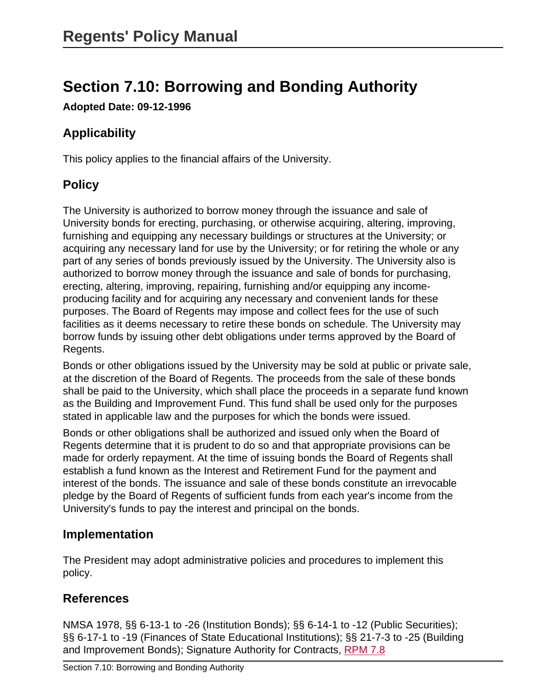# **Section 7.10: Borrowing and Bonding Authority**

**Adopted Date: 09-12-1996**

# **Applicability**

This policy applies to the financial affairs of the University.

# **Policy**

The University is authorized to borrow money through the issuance and sale of University bonds for erecting, purchasing, or otherwise acquiring, altering, improving, furnishing and equipping any necessary buildings or structures at the University; or acquiring any necessary land for use by the University; or for retiring the whole or any part of any series of bonds previously issued by the University. The University also is authorized to borrow money through the issuance and sale of bonds for purchasing, erecting, altering, improving, repairing, furnishing and/or equipping any incomeproducing facility and for acquiring any necessary and convenient lands for these purposes. The Board of Regents may impose and collect fees for the use of such facilities as it deems necessary to retire these bonds on schedule. The University may borrow funds by issuing other debt obligations under terms approved by the Board of Regents.

Bonds or other obligations issued by the University may be sold at public or private sale, at the discretion of the Board of Regents. The proceeds from the sale of these bonds shall be paid to the University, which shall place the proceeds in a separate fund known as the Building and Improvement Fund. This fund shall be used only for the purposes stated in applicable law and the purposes for which the bonds were issued.

Bonds or other obligations shall be authorized and issued only when the Board of Regents determine that it is prudent to do so and that appropriate provisions can be made for orderly repayment. At the time of issuing bonds the Board of Regents shall establish a fund known as the Interest and Retirement Fund for the payment and interest of the bonds. The issuance and sale of these bonds constitute an irrevocable pledge by the Board of Regents of sufficient funds from each year's income from the University's funds to pay the interest and principal on the bonds.

### **Implementation**

The President may adopt administrative policies and procedures to implement this policy.

# **References**

NMSA 1978, §§ 6-13-1 to -26 (Institution Bonds); §§ 6-14-1 to -12 (Public Securities); §§ 6-17-1 to -19 (Finances of State Educational Institutions); §§ 21-7-3 to -25 (Building and Improvement Bonds); Signature Authority for Contracts, [RPM 7.8](site://policy.unm.edu/regents-policies/section-7/7-8)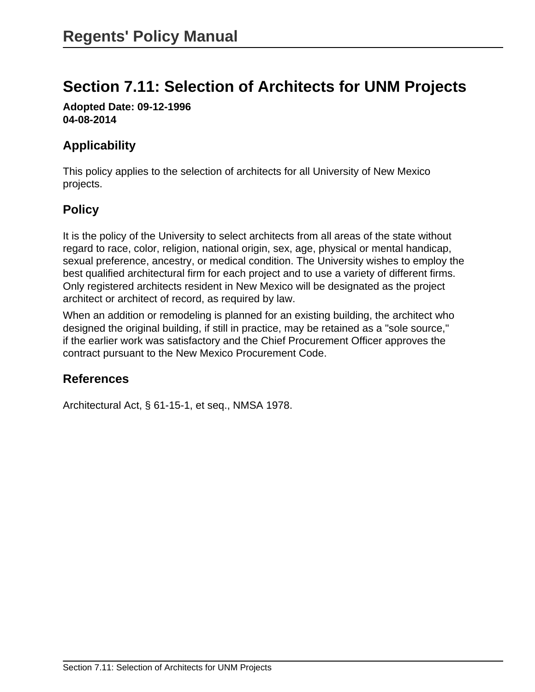# **Section 7.11: Selection of Architects for UNM Projects**

**Adopted Date: 09-12-1996 04-08-2014**

## **Applicability**

This policy applies to the selection of architects for all University of New Mexico projects.

# **Policy**

It is the policy of the University to select architects from all areas of the state without regard to race, color, religion, national origin, sex, age, physical or mental handicap, sexual preference, ancestry, or medical condition. The University wishes to employ the best qualified architectural firm for each project and to use a variety of different firms. Only registered architects resident in New Mexico will be designated as the project architect or architect of record, as required by law.

When an addition or remodeling is planned for an existing building, the architect who designed the original building, if still in practice, may be retained as a "sole source," if the earlier work was satisfactory and the Chief Procurement Officer approves the contract pursuant to the New Mexico Procurement Code.

# **References**

Architectural Act, § 61-15-1, et seq., NMSA 1978.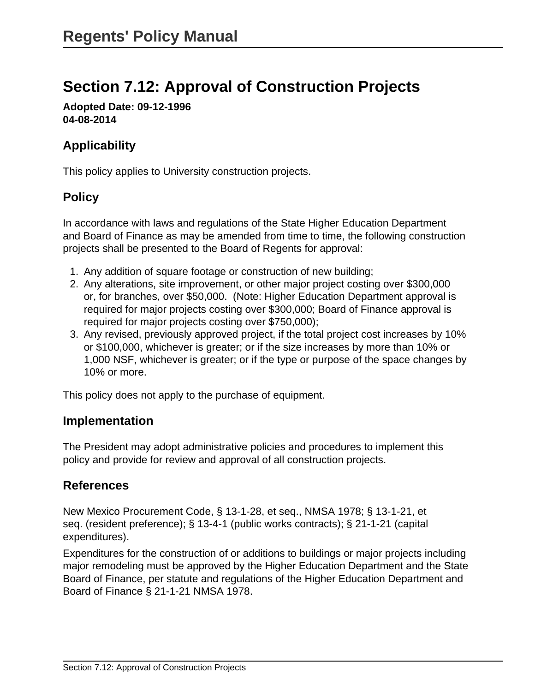# **Section 7.12: Approval of Construction Projects**

**Adopted Date: 09-12-1996 04-08-2014**

### **Applicability**

This policy applies to University construction projects.

## **Policy**

In accordance with laws and regulations of the State Higher Education Department and Board of Finance as may be amended from time to time, the following construction projects shall be presented to the Board of Regents for approval:

- 1. Any addition of square footage or construction of new building;
- 2. Any alterations, site improvement, or other major project costing over \$300,000 or, for branches, over \$50,000. (Note: Higher Education Department approval is required for major projects costing over \$300,000; Board of Finance approval is required for major projects costing over \$750,000);
- 3. Any revised, previously approved project, if the total project cost increases by 10% or \$100,000, whichever is greater; or if the size increases by more than 10% or 1,000 NSF, whichever is greater; or if the type or purpose of the space changes by 10% or more.

This policy does not apply to the purchase of equipment.

#### **Implementation**

The President may adopt administrative policies and procedures to implement this policy and provide for review and approval of all construction projects.

#### **References**

New Mexico Procurement Code, § 13-1-28, et seq., NMSA 1978; § 13-1-21, et seq. (resident preference); § 13-4-1 (public works contracts); § 21-1-21 (capital expenditures).

Expenditures for the construction of or additions to buildings or major projects including major remodeling must be approved by the Higher Education Department and the State Board of Finance, per statute and regulations of the Higher Education Department and Board of Finance § 21-1-21 NMSA 1978.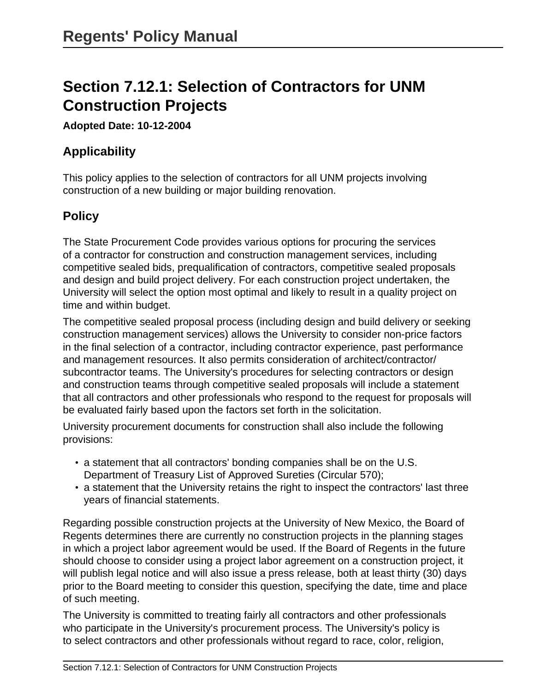# **Section 7.12.1: Selection of Contractors for UNM Construction Projects**

#### **Adopted Date: 10-12-2004**

### **Applicability**

This policy applies to the selection of contractors for all UNM projects involving construction of a new building or major building renovation.

# **Policy**

The State Procurement Code provides various options for procuring the services of a contractor for construction and construction management services, including competitive sealed bids, prequalification of contractors, competitive sealed proposals and design and build project delivery. For each construction project undertaken, the University will select the option most optimal and likely to result in a quality project on time and within budget.

The competitive sealed proposal process (including design and build delivery or seeking construction management services) allows the University to consider non-price factors in the final selection of a contractor, including contractor experience, past performance and management resources. It also permits consideration of architect/contractor/ subcontractor teams. The University's procedures for selecting contractors or design and construction teams through competitive sealed proposals will include a statement that all contractors and other professionals who respond to the request for proposals will be evaluated fairly based upon the factors set forth in the solicitation.

University procurement documents for construction shall also include the following provisions:

- a statement that all contractors' bonding companies shall be on the U.S. Department of Treasury List of Approved Sureties (Circular 570);
- a statement that the University retains the right to inspect the contractors' last three years of financial statements.

Regarding possible construction projects at the University of New Mexico, the Board of Regents determines there are currently no construction projects in the planning stages in which a project labor agreement would be used. If the Board of Regents in the future should choose to consider using a project labor agreement on a construction project, it will publish legal notice and will also issue a press release, both at least thirty (30) days prior to the Board meeting to consider this question, specifying the date, time and place of such meeting.

The University is committed to treating fairly all contractors and other professionals who participate in the University's procurement process. The University's policy is to select contractors and other professionals without regard to race, color, religion,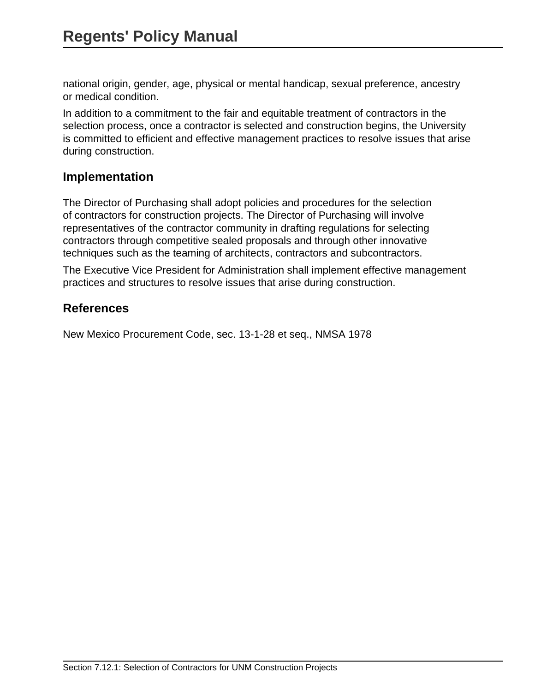national origin, gender, age, physical or mental handicap, sexual preference, ancestry or medical condition.

In addition to a commitment to the fair and equitable treatment of contractors in the selection process, once a contractor is selected and construction begins, the University is committed to efficient and effective management practices to resolve issues that arise during construction.

#### **Implementation**

The Director of Purchasing shall adopt policies and procedures for the selection of contractors for construction projects. The Director of Purchasing will involve representatives of the contractor community in drafting regulations for selecting contractors through competitive sealed proposals and through other innovative techniques such as the teaming of architects, contractors and subcontractors.

The Executive Vice President for Administration shall implement effective management practices and structures to resolve issues that arise during construction.

### **References**

New Mexico Procurement Code, sec. 13-1-28 et seq., NMSA 1978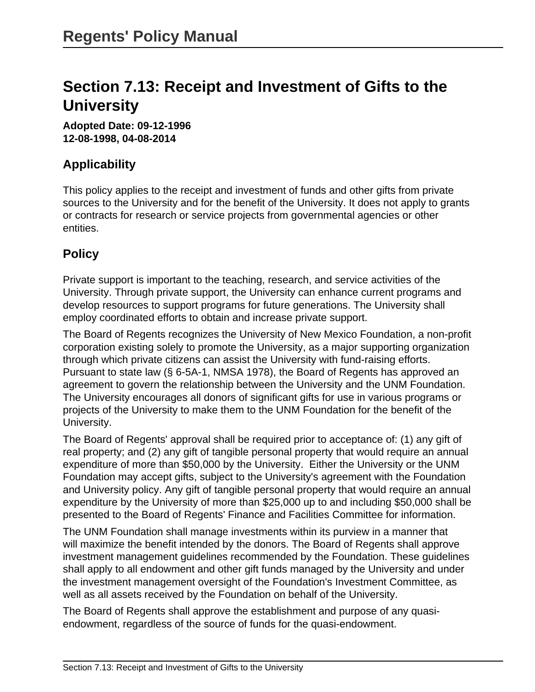# **Section 7.13: Receipt and Investment of Gifts to the University**

**Adopted Date: 09-12-1996 12-08-1998, 04-08-2014**

## **Applicability**

This policy applies to the receipt and investment of funds and other gifts from private sources to the University and for the benefit of the University. It does not apply to grants or contracts for research or service projects from governmental agencies or other entities.

### **Policy**

Private support is important to the teaching, research, and service activities of the University. Through private support, the University can enhance current programs and develop resources to support programs for future generations. The University shall employ coordinated efforts to obtain and increase private support.

The Board of Regents recognizes the University of New Mexico Foundation, a non-profit corporation existing solely to promote the University, as a major supporting organization through which private citizens can assist the University with fund-raising efforts. Pursuant to state law (§ 6-5A-1, NMSA 1978), the Board of Regents has approved an agreement to govern the relationship between the University and the UNM Foundation. The University encourages all donors of significant gifts for use in various programs or projects of the University to make them to the UNM Foundation for the benefit of the University.

The Board of Regents' approval shall be required prior to acceptance of: (1) any gift of real property; and (2) any gift of tangible personal property that would require an annual expenditure of more than \$50,000 by the University. Either the University or the UNM Foundation may accept gifts, subject to the University's agreement with the Foundation and University policy. Any gift of tangible personal property that would require an annual expenditure by the University of more than \$25,000 up to and including \$50,000 shall be presented to the Board of Regents' Finance and Facilities Committee for information.

The UNM Foundation shall manage investments within its purview in a manner that will maximize the benefit intended by the donors. The Board of Regents shall approve investment management guidelines recommended by the Foundation. These guidelines shall apply to all endowment and other gift funds managed by the University and under the investment management oversight of the Foundation's Investment Committee, as well as all assets received by the Foundation on behalf of the University.

The Board of Regents shall approve the establishment and purpose of any quasiendowment, regardless of the source of funds for the quasi-endowment.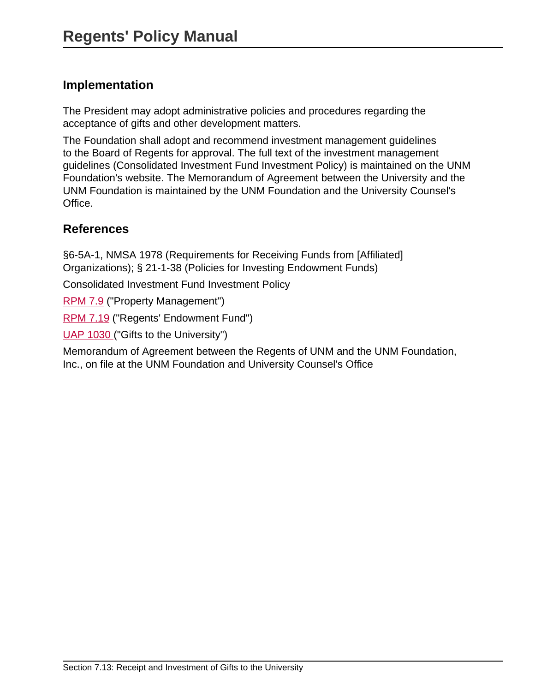### **Implementation**

The President may adopt administrative policies and procedures regarding the acceptance of gifts and other development matters.

The Foundation shall adopt and recommend investment management guidelines to the Board of Regents for approval. The full text of the investment management guidelines (Consolidated Investment Fund Investment Policy) is maintained on the UNM Foundation's website. The Memorandum of Agreement between the University and the UNM Foundation is maintained by the UNM Foundation and the University Counsel's Office.

### **References**

§6-5A-1, NMSA 1978 (Requirements for Receiving Funds from [Affiliated] Organizations); § 21-1-38 (Policies for Investing Endowment Funds)

Consolidated Investment Fund Investment Policy

[RPM 7.9](site://policy.unm.edu/regents-policies/section-7/7-9) ("Property Management")

[RPM 7.19](site://policy.unm.edu/regents-policies/section-7/7-19) ("Regents' Endowment Fund")

[UAP 1030](site://policy.unm.edu/university-policies/1000/1030) ("Gifts to the University")

Memorandum of Agreement between the Regents of UNM and the UNM Foundation, Inc., on file at the UNM Foundation and University Counsel's Office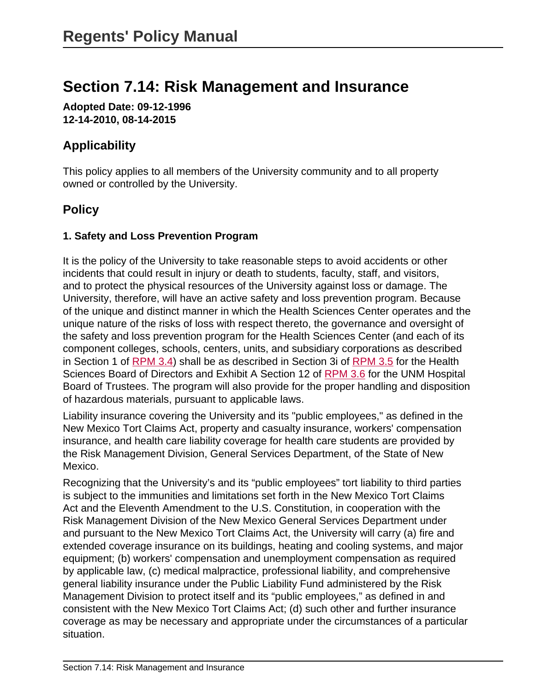# **Section 7.14: Risk Management and Insurance**

**Adopted Date: 09-12-1996 12-14-2010, 08-14-2015**

# **Applicability**

This policy applies to all members of the University community and to all property owned or controlled by the University.

## **Policy**

#### **1. Safety and Loss Prevention Program**

It is the policy of the University to take reasonable steps to avoid accidents or other incidents that could result in injury or death to students, faculty, staff, and visitors, and to protect the physical resources of the University against loss or damage. The University, therefore, will have an active safety and loss prevention program. Because of the unique and distinct manner in which the Health Sciences Center operates and the unique nature of the risks of loss with respect thereto, the governance and oversight of the safety and loss prevention program for the Health Sciences Center (and each of its component colleges, schools, centers, units, and subsidiary corporations as described in Section 1 of [RPM 3.4](https://policy.unm.edu/regents-policies/section-3/3-4.html)) shall be as described in Section 3i of [RPM 3.5](https://policy.unm.edu/regents-policies/section-3/3-5.html) for the Health Sciences Board of Directors and Exhibit A Section 12 of [RPM 3.6](https://policy.unm.edu/regents-policies/section-3/3-6.html) for the UNM Hospital Board of Trustees. The program will also provide for the proper handling and disposition of hazardous materials, pursuant to applicable laws.

Liability insurance covering the University and its "public employees," as defined in the New Mexico Tort Claims Act, property and casualty insurance, workers' compensation insurance, and health care liability coverage for health care students are provided by the Risk Management Division, General Services Department, of the State of New Mexico.

Recognizing that the University's and its "public employees" tort liability to third parties is subject to the immunities and limitations set forth in the New Mexico Tort Claims Act and the Eleventh Amendment to the U.S. Constitution, in cooperation with the Risk Management Division of the New Mexico General Services Department under and pursuant to the New Mexico Tort Claims Act, the University will carry (a) fire and extended coverage insurance on its buildings, heating and cooling systems, and major equipment; (b) workers' compensation and unemployment compensation as required by applicable law, (c) medical malpractice, professional liability, and comprehensive general liability insurance under the Public Liability Fund administered by the Risk Management Division to protect itself and its "public employees," as defined in and consistent with the New Mexico Tort Claims Act; (d) such other and further insurance coverage as may be necessary and appropriate under the circumstances of a particular situation.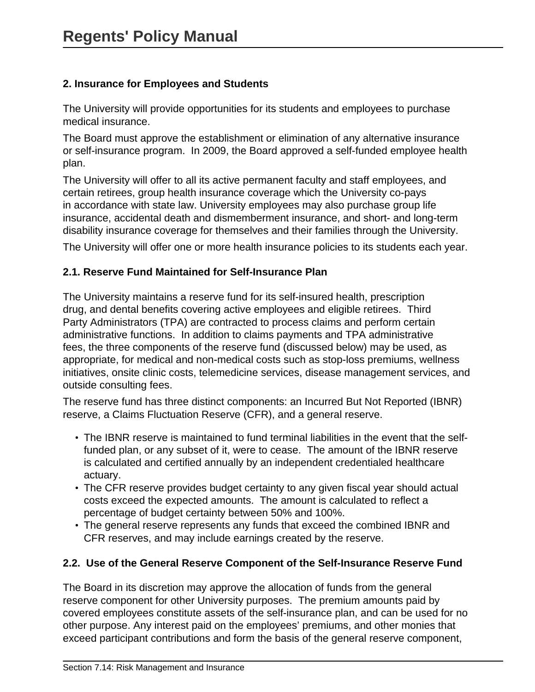#### **2. Insurance for Employees and Students**

The University will provide opportunities for its students and employees to purchase medical insurance.

The Board must approve the establishment or elimination of any alternative insurance or self-insurance program. In 2009, the Board approved a self-funded employee health plan.

The University will offer to all its active permanent faculty and staff employees, and certain retirees, group health insurance coverage which the University co-pays in accordance with state law. University employees may also purchase group life insurance, accidental death and dismemberment insurance, and short- and long-term disability insurance coverage for themselves and their families through the University.

The University will offer one or more health insurance policies to its students each year.

#### **2.1. Reserve Fund Maintained for Self-Insurance Plan**

The University maintains a reserve fund for its self-insured health, prescription drug, and dental benefits covering active employees and eligible retirees. Third Party Administrators (TPA) are contracted to process claims and perform certain administrative functions. In addition to claims payments and TPA administrative fees, the three components of the reserve fund (discussed below) may be used, as appropriate, for medical and non-medical costs such as stop-loss premiums, wellness initiatives, onsite clinic costs, telemedicine services, disease management services, and outside consulting fees.

The reserve fund has three distinct components: an Incurred But Not Reported (IBNR) reserve, a Claims Fluctuation Reserve (CFR), and a general reserve.

- The IBNR reserve is maintained to fund terminal liabilities in the event that the selffunded plan, or any subset of it, were to cease. The amount of the IBNR reserve is calculated and certified annually by an independent credentialed healthcare actuary.
- The CFR reserve provides budget certainty to any given fiscal year should actual costs exceed the expected amounts. The amount is calculated to reflect a percentage of budget certainty between 50% and 100%.
- The general reserve represents any funds that exceed the combined IBNR and CFR reserves, and may include earnings created by the reserve.

#### **2.2. Use of the General Reserve Component of the Self-Insurance Reserve Fund**

The Board in its discretion may approve the allocation of funds from the general reserve component for other University purposes. The premium amounts paid by covered employees constitute assets of the self-insurance plan, and can be used for no other purpose. Any interest paid on the employees' premiums, and other monies that exceed participant contributions and form the basis of the general reserve component,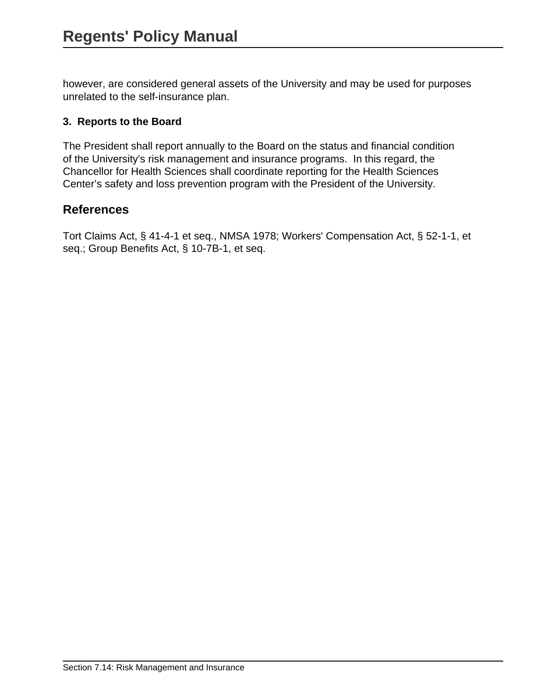however, are considered general assets of the University and may be used for purposes unrelated to the self-insurance plan.

#### **3. Reports to the Board**

The President shall report annually to the Board on the status and financial condition of the University's risk management and insurance programs. In this regard, the Chancellor for Health Sciences shall coordinate reporting for the Health Sciences Center's safety and loss prevention program with the President of the University.

### **References**

Tort Claims Act, § 41-4-1 et seq., NMSA 1978; Workers' Compensation Act, § 52-1-1, et seq.; Group Benefits Act, § 10-7B-1, et seq.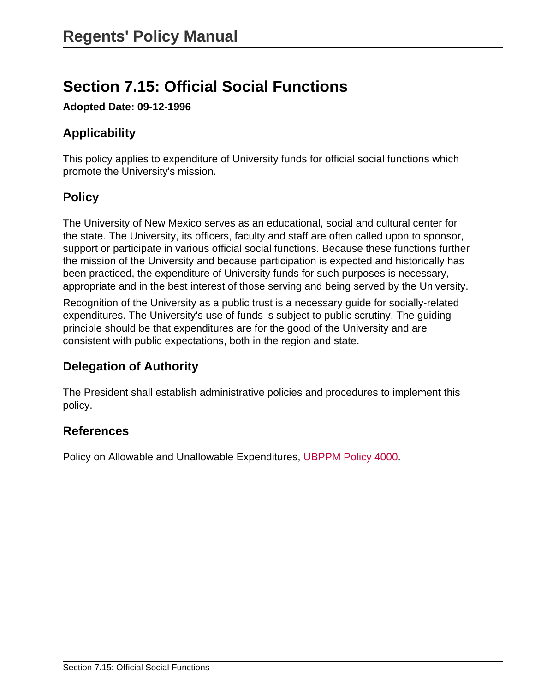# **Section 7.15: Official Social Functions**

**Adopted Date: 09-12-1996**

# **Applicability**

This policy applies to expenditure of University funds for official social functions which promote the University's mission.

## **Policy**

The University of New Mexico serves as an educational, social and cultural center for the state. The University, its officers, faculty and staff are often called upon to sponsor, support or participate in various official social functions. Because these functions further the mission of the University and because participation is expected and historically has been practiced, the expenditure of University funds for such purposes is necessary, appropriate and in the best interest of those serving and being served by the University.

Recognition of the University as a public trust is a necessary guide for socially-related expenditures. The University's use of funds is subject to public scrutiny. The guiding principle should be that expenditures are for the good of the University and are consistent with public expectations, both in the region and state.

### **Delegation of Authority**

The President shall establish administrative policies and procedures to implement this policy.

### **References**

Policy on Allowable and Unallowable Expenditures, [UBPPM Policy 4000](site://policy.unm.edu/university-policies/4000/4000).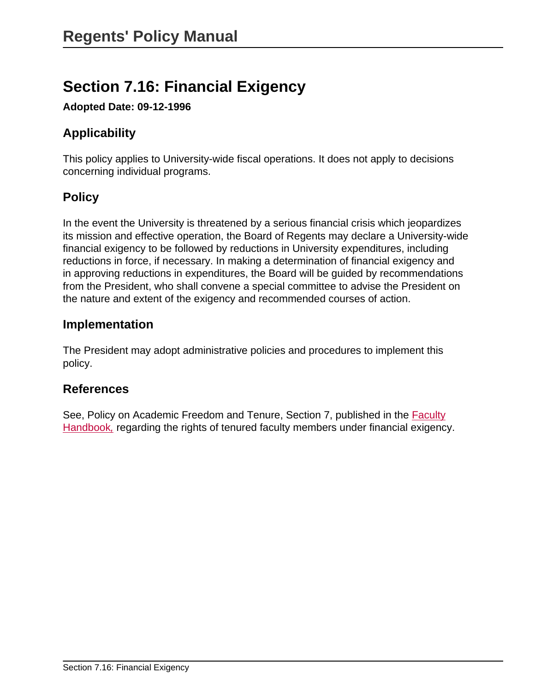# **Section 7.16: Financial Exigency**

**Adopted Date: 09-12-1996**

# **Applicability**

This policy applies to University-wide fiscal operations. It does not apply to decisions concerning individual programs.

# **Policy**

In the event the University is threatened by a serious financial crisis which jeopardizes its mission and effective operation, the Board of Regents may declare a University-wide financial exigency to be followed by reductions in University expenditures, including reductions in force, if necessary. In making a determination of financial exigency and in approving reductions in expenditures, the Board will be guided by recommendations from the President, who shall convene a special committee to advise the President on the nature and extent of the exigency and recommended courses of action.

#### **Implementation**

The President may adopt administrative policies and procedures to implement this policy.

#### **References**

See, Policy on Academic Freedom and Tenure, Section 7, published in the [Faculty](http://handbook.unm.edu) [Handbook](http://handbook.unm.edu)[,](http://handbook.unm.edu) regarding the rights of tenured faculty members under financial exigency.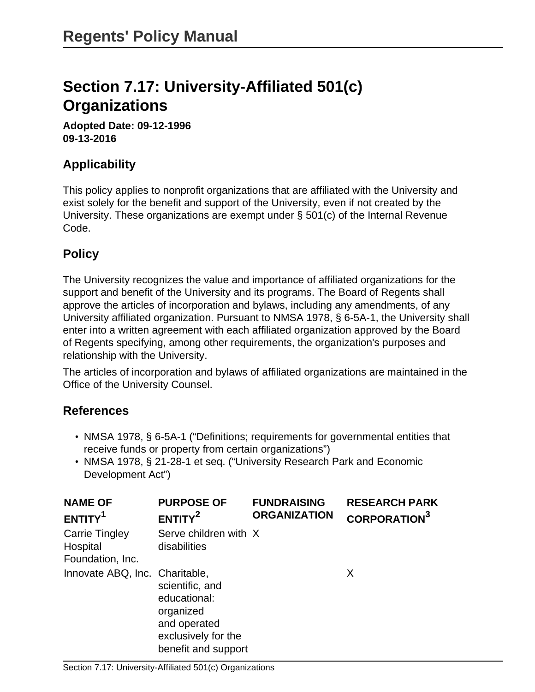# **Section 7.17: University-Affiliated 501(c) Organizations**

**Adopted Date: 09-12-1996 09-13-2016**

## **Applicability**

This policy applies to nonprofit organizations that are affiliated with the University and exist solely for the benefit and support of the University, even if not created by the University. These organizations are exempt under § 501(c) of the Internal Revenue Code.

# **Policy**

The University recognizes the value and importance of affiliated organizations for the support and benefit of the University and its programs. The Board of Regents shall approve the articles of incorporation and bylaws, including any amendments, of any University affiliated organization. Pursuant to NMSA 1978, § 6-5A-1, the University shall enter into a written agreement with each affiliated organization approved by the Board of Regents specifying, among other requirements, the organization's purposes and relationship with the University.

The articles of incorporation and bylaws of affiliated organizations are maintained in the Office of the University Counsel.

### **References**

- NMSA 1978, § 6-5A-1 ("Definitions; requirements for governmental entities that receive funds or property from certain organizations")
- <span id="page-161-2"></span><span id="page-161-1"></span>• NMSA 1978, § 21-28-1 et seq. ("University Research Park and Economic Development Act")

<span id="page-161-0"></span>

| <b>NAME OF</b><br>ENTITY <sup>1</sup>                 | <b>PURPOSE OF</b><br>ENTITY <sup>2</sup>                                                                   | <b>FUNDRAISING</b><br><b>ORGANIZATION</b> | <b>RESEARCH PARK</b><br><b>CORPORATION</b> <sup>3</sup> |
|-------------------------------------------------------|------------------------------------------------------------------------------------------------------------|-------------------------------------------|---------------------------------------------------------|
| <b>Carrie Tingley</b><br>Hospital<br>Foundation, Inc. | Serve children with X<br>disabilities                                                                      |                                           |                                                         |
| Innovate ABQ, Inc. Charitable,                        | scientific, and<br>educational:<br>organized<br>and operated<br>exclusively for the<br>benefit and support |                                           | X                                                       |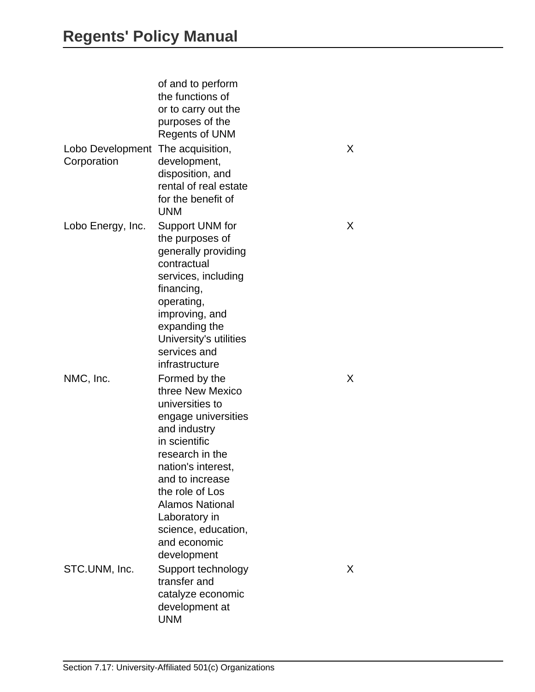|                                 | of and to perform<br>the functions of<br>or to carry out the<br>purposes of the<br><b>Regents of UNM</b>                                                                                                                                                                                     |   |  |
|---------------------------------|----------------------------------------------------------------------------------------------------------------------------------------------------------------------------------------------------------------------------------------------------------------------------------------------|---|--|
| Lobo Development<br>Corporation | The acquisition,<br>development,<br>disposition, and<br>rental of real estate<br>for the benefit of<br><b>UNM</b>                                                                                                                                                                            | X |  |
| Lobo Energy, Inc.               | Support UNM for<br>the purposes of<br>generally providing<br>contractual<br>services, including<br>financing,<br>operating,<br>improving, and<br>expanding the<br>University's utilities<br>services and<br>infrastructure                                                                   | X |  |
| NMC, Inc.                       | Formed by the<br>three New Mexico<br>universities to<br>engage universities<br>and industry<br>in scientific<br>research in the<br>nation's interest,<br>and to increase<br>the role of Los<br><b>Alamos National</b><br>Laboratory in<br>science, education,<br>and economic<br>development | X |  |
| STC.UNM, Inc.                   | Support technology<br>transfer and<br>catalyze economic<br>development at<br><b>UNM</b>                                                                                                                                                                                                      | X |  |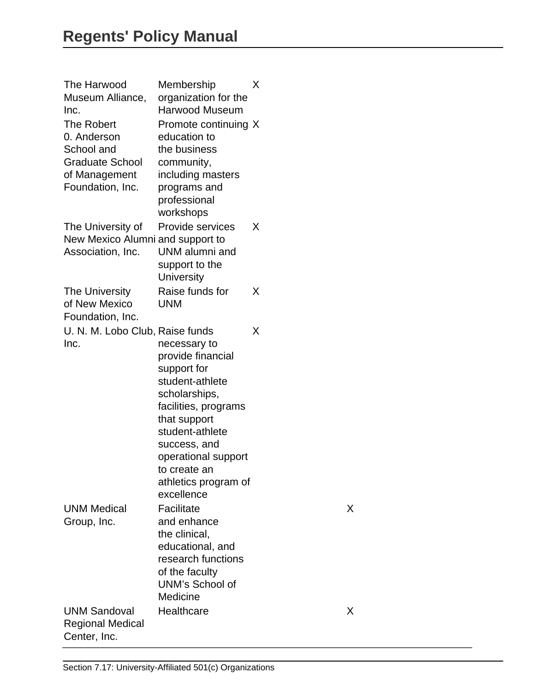| The Harwood<br>Museum Alliance,<br>Inc.                                                                       | Membership<br>organization for the<br><b>Harwood Museum</b>                                                                                                                                                                                  | X |
|---------------------------------------------------------------------------------------------------------------|----------------------------------------------------------------------------------------------------------------------------------------------------------------------------------------------------------------------------------------------|---|
| <b>The Robert</b><br>0. Anderson<br>School and<br><b>Graduate School</b><br>of Management<br>Foundation, Inc. | Promote continuing X<br>education to<br>the business<br>community,<br>including masters<br>programs and<br>professional<br>workshops                                                                                                         |   |
| The University of<br>New Mexico Alumni and support to<br>Association, Inc.                                    | Provide services<br>UNM alumni and<br>support to the<br><b>University</b>                                                                                                                                                                    | X |
| The University<br>of New Mexico<br>Foundation, Inc.                                                           | Raise funds for<br><b>UNM</b>                                                                                                                                                                                                                | X |
| U. N. M. Lobo Club, Raise funds<br>Inc.                                                                       | necessary to<br>provide financial<br>support for<br>student-athlete<br>scholarships,<br>facilities, programs<br>that support<br>student-athlete<br>success, and<br>operational support<br>to create an<br>athletics program of<br>excellence | X |
| <b>UNM Medical</b><br>Group, Inc.                                                                             | Facilitate<br>and enhance<br>the clinical,<br>educational, and<br>research functions<br>of the faculty<br><b>UNM's School of</b><br>Medicine                                                                                                 | Х |
| <b>UNM Sandoval</b><br><b>Regional Medical</b><br>Center, Inc.                                                | Healthcare                                                                                                                                                                                                                                   | Х |

X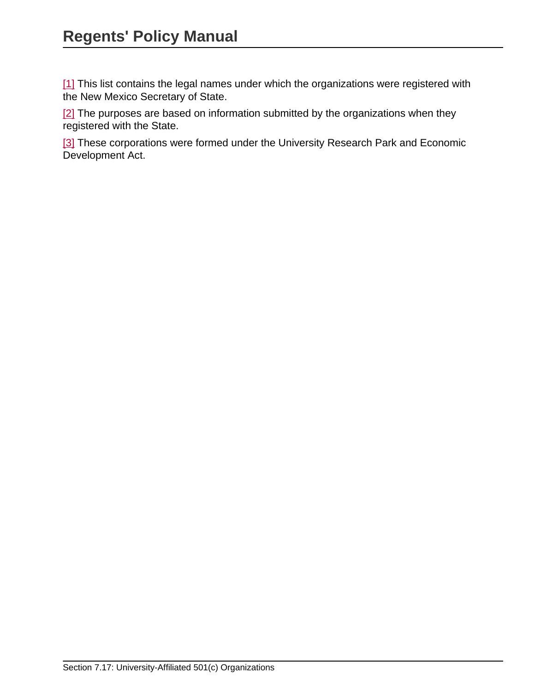[\[1\]](#page-161-0) This list contains the legal names under which the organizations were registered with the New Mexico Secretary of State.

[\[2\]](#page-161-1) The purposes are based on information submitted by the organizations when they registered with the State.

[\[3\]](#page-161-2) These corporations were formed under the University Research Park and Economic Development Act.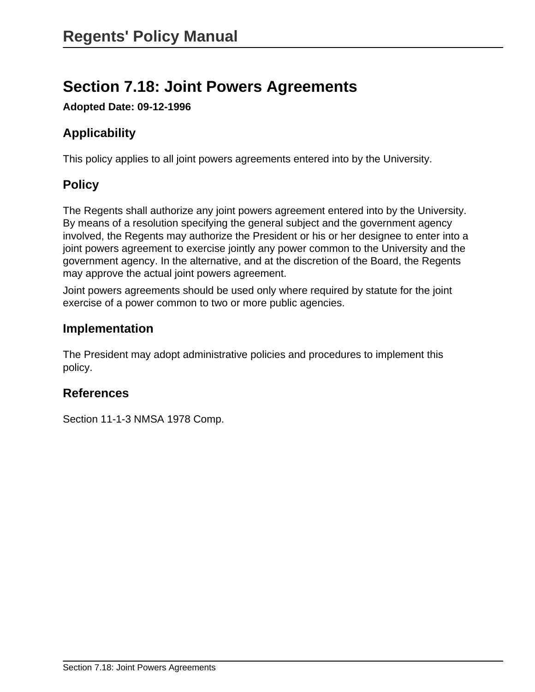# **Section 7.18: Joint Powers Agreements**

**Adopted Date: 09-12-1996**

# **Applicability**

This policy applies to all joint powers agreements entered into by the University.

# **Policy**

The Regents shall authorize any joint powers agreement entered into by the University. By means of a resolution specifying the general subject and the government agency involved, the Regents may authorize the President or his or her designee to enter into a joint powers agreement to exercise jointly any power common to the University and the government agency. In the alternative, and at the discretion of the Board, the Regents may approve the actual joint powers agreement.

Joint powers agreements should be used only where required by statute for the joint exercise of a power common to two or more public agencies.

## **Implementation**

The President may adopt administrative policies and procedures to implement this policy.

# **References**

Section 11-1-3 NMSA 1978 Comp.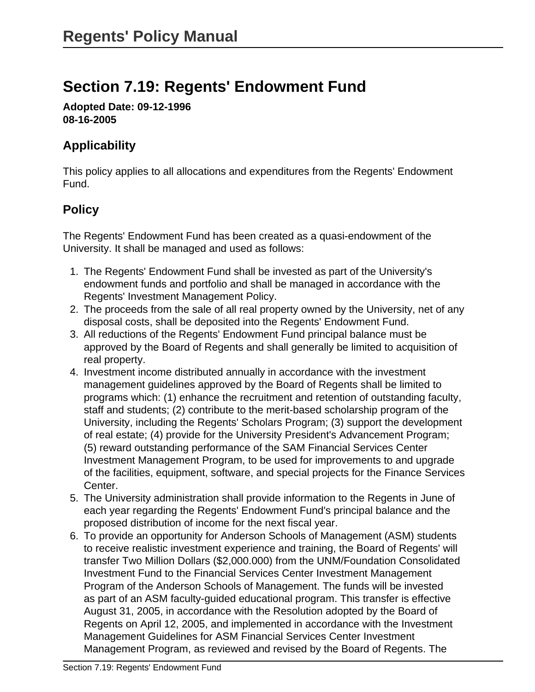# **Section 7.19: Regents' Endowment Fund**

**Adopted Date: 09-12-1996 08-16-2005**

# **Applicability**

This policy applies to all allocations and expenditures from the Regents' Endowment Fund.

# **Policy**

The Regents' Endowment Fund has been created as a quasi-endowment of the University. It shall be managed and used as follows:

- 1. The Regents' Endowment Fund shall be invested as part of the University's endowment funds and portfolio and shall be managed in accordance with the Regents' Investment Management Policy.
- 2. The proceeds from the sale of all real property owned by the University, net of any disposal costs, shall be deposited into the Regents' Endowment Fund.
- 3. All reductions of the Regents' Endowment Fund principal balance must be approved by the Board of Regents and shall generally be limited to acquisition of real property.
- 4. Investment income distributed annually in accordance with the investment management guidelines approved by the Board of Regents shall be limited to programs which: (1) enhance the recruitment and retention of outstanding faculty, staff and students; (2) contribute to the merit-based scholarship program of the University, including the Regents' Scholars Program; (3) support the development of real estate; (4) provide for the University President's Advancement Program; (5) reward outstanding performance of the SAM Financial Services Center Investment Management Program, to be used for improvements to and upgrade of the facilities, equipment, software, and special projects for the Finance Services Center.
- 5. The University administration shall provide information to the Regents in June of each year regarding the Regents' Endowment Fund's principal balance and the proposed distribution of income for the next fiscal year.
- 6. To provide an opportunity for Anderson Schools of Management (ASM) students to receive realistic investment experience and training, the Board of Regents' will transfer Two Million Dollars (\$2,000.000) from the UNM/Foundation Consolidated Investment Fund to the Financial Services Center Investment Management Program of the Anderson Schools of Management. The funds will be invested as part of an ASM faculty-guided educational program. This transfer is effective August 31, 2005, in accordance with the Resolution adopted by the Board of Regents on April 12, 2005, and implemented in accordance with the Investment Management Guidelines for ASM Financial Services Center Investment Management Program, as reviewed and revised by the Board of Regents. The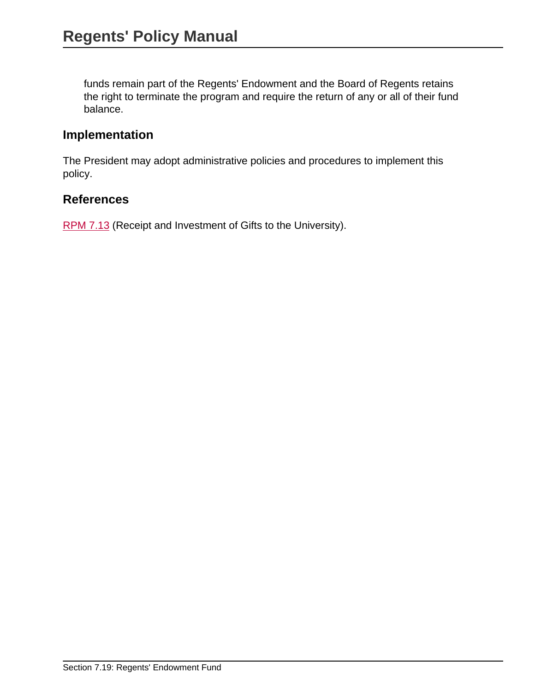funds remain part of the Regents' Endowment and the Board of Regents retains the right to terminate the program and require the return of any or all of their fund balance.

#### **Implementation**

The President may adopt administrative policies and procedures to implement this policy.

#### **References**

[RPM 7.13](site://policy.unm.edu/regents-policies/section-7/7-13) (Receipt and Investment of Gifts to the University).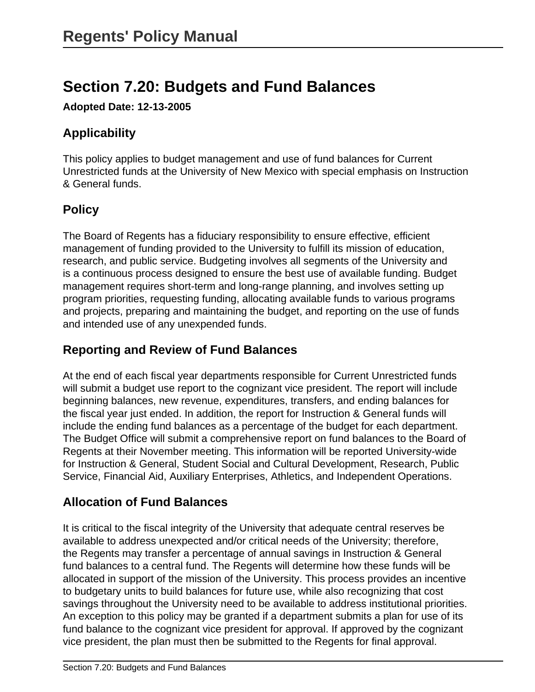# **Section 7.20: Budgets and Fund Balances**

**Adopted Date: 12-13-2005**

# **Applicability**

This policy applies to budget management and use of fund balances for Current Unrestricted funds at the University of New Mexico with special emphasis on Instruction & General funds.

# **Policy**

The Board of Regents has a fiduciary responsibility to ensure effective, efficient management of funding provided to the University to fulfill its mission of education, research, and public service. Budgeting involves all segments of the University and is a continuous process designed to ensure the best use of available funding. Budget management requires short-term and long-range planning, and involves setting up program priorities, requesting funding, allocating available funds to various programs and projects, preparing and maintaining the budget, and reporting on the use of funds and intended use of any unexpended funds.

# **Reporting and Review of Fund Balances**

At the end of each fiscal year departments responsible for Current Unrestricted funds will submit a budget use report to the cognizant vice president. The report will include beginning balances, new revenue, expenditures, transfers, and ending balances for the fiscal year just ended. In addition, the report for Instruction & General funds will include the ending fund balances as a percentage of the budget for each department. The Budget Office will submit a comprehensive report on fund balances to the Board of Regents at their November meeting. This information will be reported University-wide for Instruction & General, Student Social and Cultural Development, Research, Public Service, Financial Aid, Auxiliary Enterprises, Athletics, and Independent Operations.

# **Allocation of Fund Balances**

It is critical to the fiscal integrity of the University that adequate central reserves be available to address unexpected and/or critical needs of the University; therefore, the Regents may transfer a percentage of annual savings in Instruction & General fund balances to a central fund. The Regents will determine how these funds will be allocated in support of the mission of the University. This process provides an incentive to budgetary units to build balances for future use, while also recognizing that cost savings throughout the University need to be available to address institutional priorities. An exception to this policy may be granted if a department submits a plan for use of its fund balance to the cognizant vice president for approval. If approved by the cognizant vice president, the plan must then be submitted to the Regents for final approval.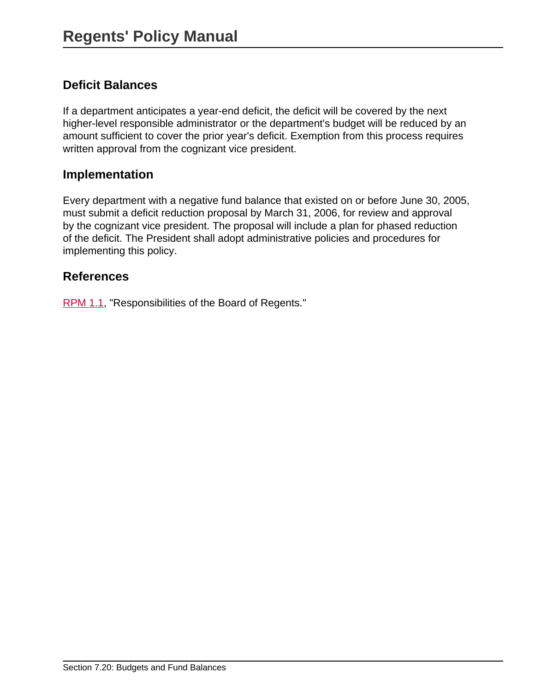### **Deficit Balances**

If a department anticipates a year-end deficit, the deficit will be covered by the next higher-level responsible administrator or the department's budget will be reduced by an amount sufficient to cover the prior year's deficit. Exemption from this process requires written approval from the cognizant vice president.

#### **Implementation**

Every department with a negative fund balance that existed on or before June 30, 2005, must submit a deficit reduction proposal by March 31, 2006, for review and approval by the cognizant vice president. The proposal will include a plan for phased reduction of the deficit. The President shall adopt administrative policies and procedures for implementing this policy.

#### **References**

[RPM 1.1,](site://policy.unm.edu/regents-policies/section-1/1-1) "Responsibilities of the Board of Regents."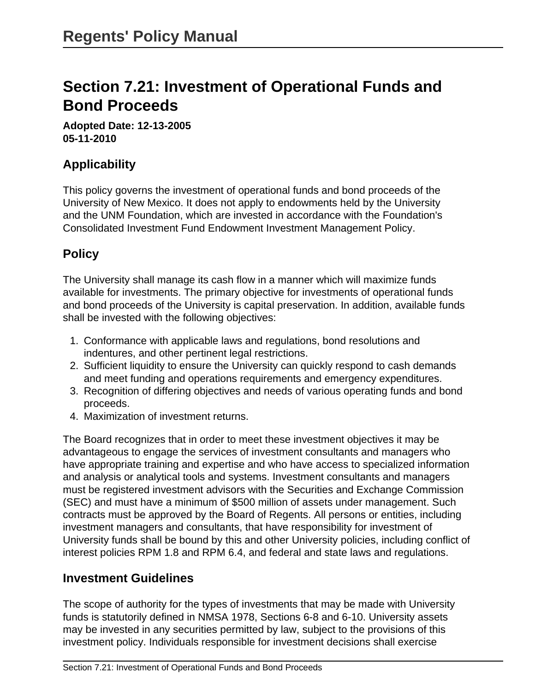# **Section 7.21: Investment of Operational Funds and Bond Proceeds**

**Adopted Date: 12-13-2005 05-11-2010**

## **Applicability**

This policy governs the investment of operational funds and bond proceeds of the University of New Mexico. It does not apply to endowments held by the University and the UNM Foundation, which are invested in accordance with the Foundation's Consolidated Investment Fund Endowment Investment Management Policy.

## **Policy**

The University shall manage its cash flow in a manner which will maximize funds available for investments. The primary objective for investments of operational funds and bond proceeds of the University is capital preservation. In addition, available funds shall be invested with the following objectives:

- 1. Conformance with applicable laws and regulations, bond resolutions and indentures, and other pertinent legal restrictions.
- 2. Sufficient liquidity to ensure the University can quickly respond to cash demands and meet funding and operations requirements and emergency expenditures.
- 3. Recognition of differing objectives and needs of various operating funds and bond proceeds.
- 4. Maximization of investment returns.

The Board recognizes that in order to meet these investment objectives it may be advantageous to engage the services of investment consultants and managers who have appropriate training and expertise and who have access to specialized information and analysis or analytical tools and systems. Investment consultants and managers must be registered investment advisors with the Securities and Exchange Commission (SEC) and must have a minimum of \$500 million of assets under management. Such contracts must be approved by the Board of Regents. All persons or entities, including investment managers and consultants, that have responsibility for investment of University funds shall be bound by this and other University policies, including conflict of interest policies RPM 1.8 and RPM 6.4, and federal and state laws and regulations.

#### **Investment Guidelines**

The scope of authority for the types of investments that may be made with University funds is statutorily defined in NMSA 1978, Sections 6-8 and 6-10. University assets may be invested in any securities permitted by law, subject to the provisions of this investment policy. Individuals responsible for investment decisions shall exercise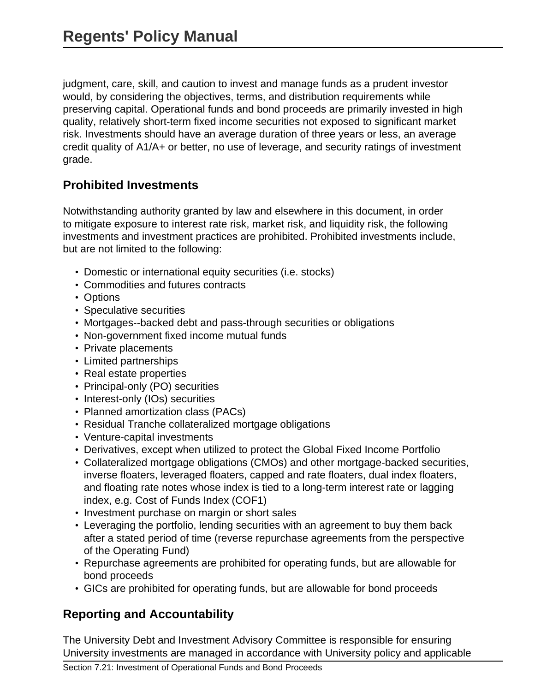judgment, care, skill, and caution to invest and manage funds as a prudent investor would, by considering the objectives, terms, and distribution requirements while preserving capital. Operational funds and bond proceeds are primarily invested in high quality, relatively short-term fixed income securities not exposed to significant market risk. Investments should have an average duration of three years or less, an average credit quality of A1/A+ or better, no use of leverage, and security ratings of investment grade.

### **Prohibited Investments**

Notwithstanding authority granted by law and elsewhere in this document, in order to mitigate exposure to interest rate risk, market risk, and liquidity risk, the following investments and investment practices are prohibited. Prohibited investments include, but are not limited to the following:

- Domestic or international equity securities (i.e. stocks)
- Commodities and futures contracts
- Options
- Speculative securities
- Mortgages--backed debt and pass-through securities or obligations
- Non-government fixed income mutual funds
- Private placements
- Limited partnerships
- Real estate properties
- Principal-only (PO) securities
- Interest-only (IOs) securities
- Planned amortization class (PACs)
- Residual Tranche collateralized mortgage obligations
- Venture-capital investments
- Derivatives, except when utilized to protect the Global Fixed Income Portfolio
- Collateralized mortgage obligations (CMOs) and other mortgage-backed securities, inverse floaters, leveraged floaters, capped and rate floaters, dual index floaters, and floating rate notes whose index is tied to a long-term interest rate or lagging index, e.g. Cost of Funds Index (COF1)
- Investment purchase on margin or short sales
- Leveraging the portfolio, lending securities with an agreement to buy them back after a stated period of time (reverse repurchase agreements from the perspective of the Operating Fund)
- Repurchase agreements are prohibited for operating funds, but are allowable for bond proceeds
- GICs are prohibited for operating funds, but are allowable for bond proceeds

# **Reporting and Accountability**

The University Debt and Investment Advisory Committee is responsible for ensuring University investments are managed in accordance with University policy and applicable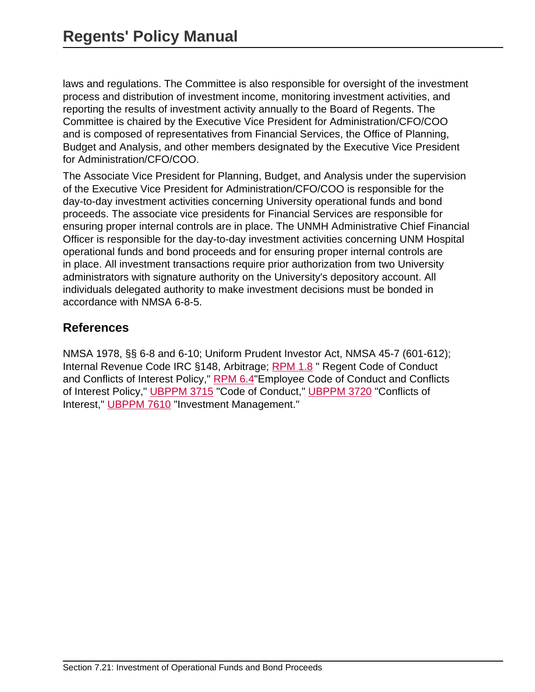laws and regulations. The Committee is also responsible for oversight of the investment process and distribution of investment income, monitoring investment activities, and reporting the results of investment activity annually to the Board of Regents. The Committee is chaired by the Executive Vice President for Administration/CFO/COO and is composed of representatives from Financial Services, the Office of Planning, Budget and Analysis, and other members designated by the Executive Vice President for Administration/CFO/COO.

The Associate Vice President for Planning, Budget, and Analysis under the supervision of the Executive Vice President for Administration/CFO/COO is responsible for the day-to-day investment activities concerning University operational funds and bond proceeds. The associate vice presidents for Financial Services are responsible for ensuring proper internal controls are in place. The UNMH Administrative Chief Financial Officer is responsible for the day-to-day investment activities concerning UNM Hospital operational funds and bond proceeds and for ensuring proper internal controls are in place. All investment transactions require prior authorization from two University administrators with signature authority on the University's depository account. All individuals delegated authority to make investment decisions must be bonded in accordance with NMSA 6-8-5.

## **References**

NMSA 1978, §§ 6-8 and 6-10; Uniform Prudent Investor Act, NMSA 45-7 (601-612); Internal Revenue Code IRC §148, Arbitrage; [RPM 1.8](site://policy.unm.edu/regents-policies/section-1/1-8) " Regent Code of Conduct and Conflicts of Interest Policy," [RPM 6.4](site://policy.unm.edu/regents-policies/section-6/6-4)" Employee Code of Conduct and Conflicts of Interest Policy," [UBPPM 3715](site://policy.unm.edu/university-policies/3000/3715) "Code of Conduct," [UBPPM 3720](site://policy.unm.edu/university-policies/3000/3720) "Conflicts of Interest," [UBPPM 7610](site://policy.unm.edu/university-policies/7000/7610) "Investment Management."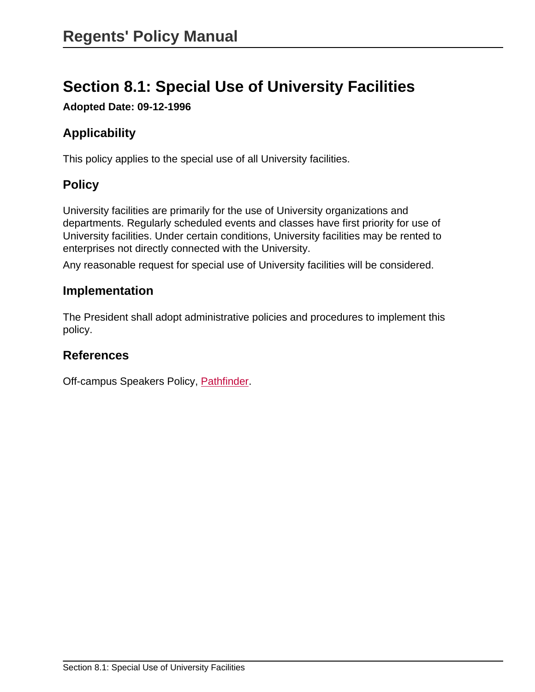# **Section 8.1: Special Use of University Facilities**

**Adopted Date: 09-12-1996**

# **Applicability**

This policy applies to the special use of all University facilities.

## **Policy**

University facilities are primarily for the use of University organizations and departments. Regularly scheduled events and classes have first priority for use of University facilities. Under certain conditions, University facilities may be rented to enterprises not directly connected with the University.

Any reasonable request for special use of University facilities will be considered.

#### **Implementation**

The President shall adopt administrative policies and procedures to implement this policy.

#### **References**

Off-campus Speakers Policy, [Pathfinder.](http://pathfinder.unm.edu)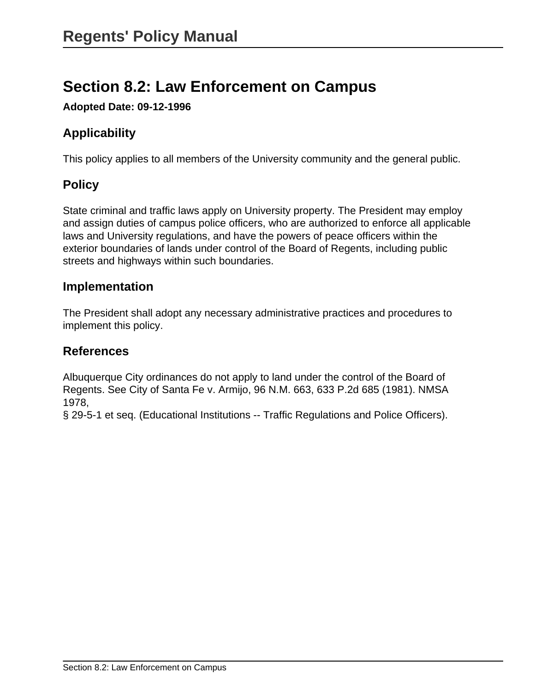# **Section 8.2: Law Enforcement on Campus**

**Adopted Date: 09-12-1996**

# **Applicability**

This policy applies to all members of the University community and the general public.

# **Policy**

State criminal and traffic laws apply on University property. The President may employ and assign duties of campus police officers, who are authorized to enforce all applicable laws and University regulations, and have the powers of peace officers within the exterior boundaries of lands under control of the Board of Regents, including public streets and highways within such boundaries.

### **Implementation**

The President shall adopt any necessary administrative practices and procedures to implement this policy.

### **References**

Albuquerque City ordinances do not apply to land under the control of the Board of Regents. See City of Santa Fe v. Armijo, 96 N.M. 663, 633 P.2d 685 (1981). NMSA 1978,

§ 29-5-1 et seq. (Educational Institutions -- Traffic Regulations and Police Officers).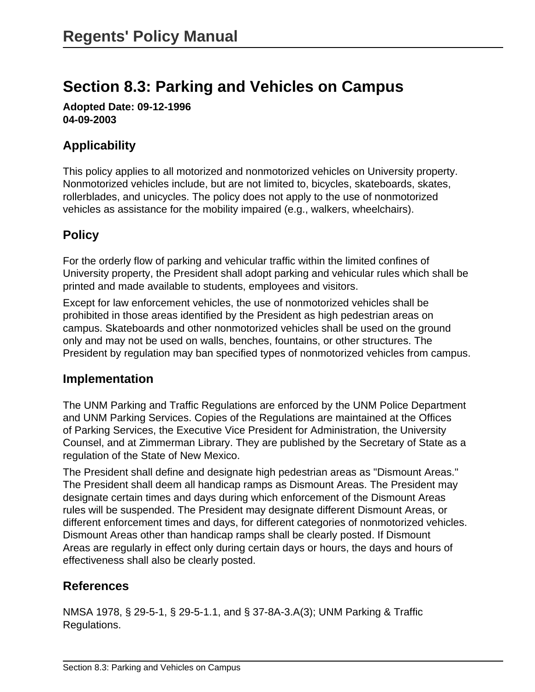# **Section 8.3: Parking and Vehicles on Campus**

**Adopted Date: 09-12-1996 04-09-2003**

### **Applicability**

This policy applies to all motorized and nonmotorized vehicles on University property. Nonmotorized vehicles include, but are not limited to, bicycles, skateboards, skates, rollerblades, and unicycles. The policy does not apply to the use of nonmotorized vehicles as assistance for the mobility impaired (e.g., walkers, wheelchairs).

## **Policy**

For the orderly flow of parking and vehicular traffic within the limited confines of University property, the President shall adopt parking and vehicular rules which shall be printed and made available to students, employees and visitors.

Except for law enforcement vehicles, the use of nonmotorized vehicles shall be prohibited in those areas identified by the President as high pedestrian areas on campus. Skateboards and other nonmotorized vehicles shall be used on the ground only and may not be used on walls, benches, fountains, or other structures. The President by regulation may ban specified types of nonmotorized vehicles from campus.

#### **Implementation**

The UNM Parking and Traffic Regulations are enforced by the UNM Police Department and UNM Parking Services. Copies of the Regulations are maintained at the Offices of Parking Services, the Executive Vice President for Administration, the University Counsel, and at Zimmerman Library. They are published by the Secretary of State as a regulation of the State of New Mexico.

The President shall define and designate high pedestrian areas as "Dismount Areas." The President shall deem all handicap ramps as Dismount Areas. The President may designate certain times and days during which enforcement of the Dismount Areas rules will be suspended. The President may designate different Dismount Areas, or different enforcement times and days, for different categories of nonmotorized vehicles. Dismount Areas other than handicap ramps shall be clearly posted. If Dismount Areas are regularly in effect only during certain days or hours, the days and hours of effectiveness shall also be clearly posted.

### **References**

NMSA 1978, § 29-5-1, § 29-5-1.1, and § 37-8A-3.A(3); UNM Parking & Traffic Regulations.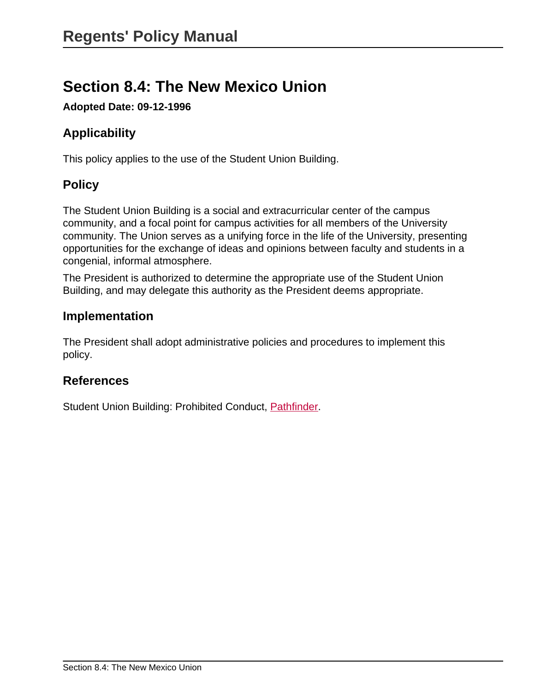# **Section 8.4: The New Mexico Union**

**Adopted Date: 09-12-1996**

# **Applicability**

This policy applies to the use of the Student Union Building.

# **Policy**

The Student Union Building is a social and extracurricular center of the campus community, and a focal point for campus activities for all members of the University community. The Union serves as a unifying force in the life of the University, presenting opportunities for the exchange of ideas and opinions between faculty and students in a congenial, informal atmosphere.

The President is authorized to determine the appropriate use of the Student Union Building, and may delegate this authority as the President deems appropriate.

## **Implementation**

The President shall adopt administrative policies and procedures to implement this policy.

### **References**

Student Union Building: Prohibited Conduct, [Pathfinder](http://pathfinder.unm.edu).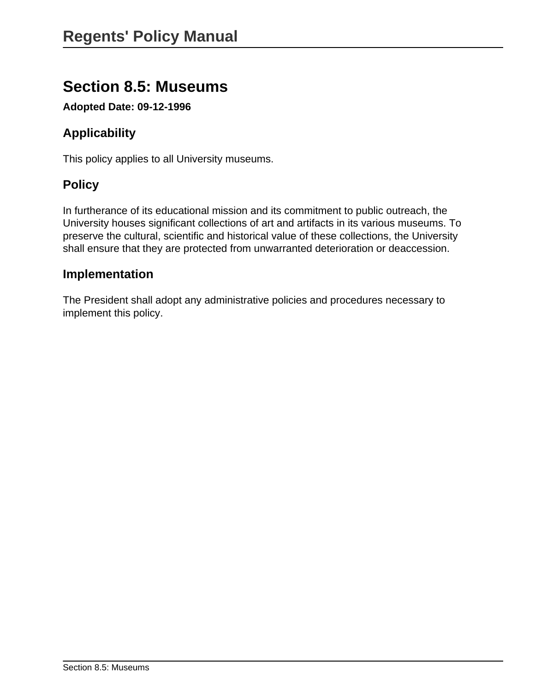# **Section 8.5: Museums**

**Adopted Date: 09-12-1996**

# **Applicability**

This policy applies to all University museums.

# **Policy**

In furtherance of its educational mission and its commitment to public outreach, the University houses significant collections of art and artifacts in its various museums. To preserve the cultural, scientific and historical value of these collections, the University shall ensure that they are protected from unwarranted deterioration or deaccession.

### **Implementation**

The President shall adopt any administrative policies and procedures necessary to implement this policy.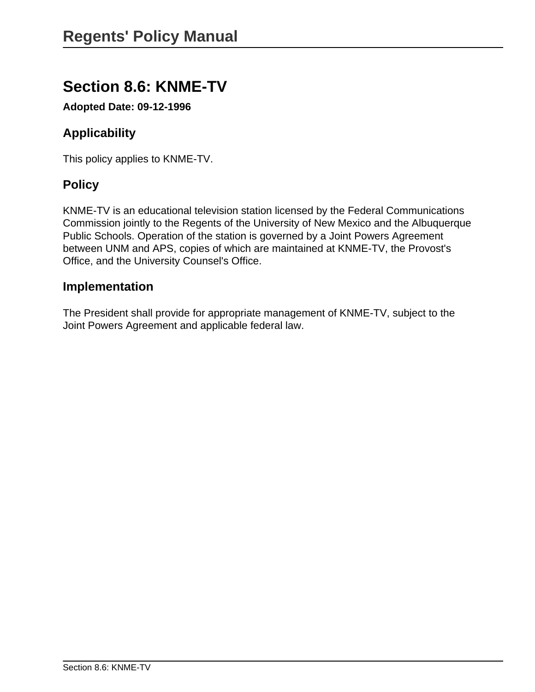# **Section 8.6: KNME-TV**

**Adopted Date: 09-12-1996**

# **Applicability**

This policy applies to KNME-TV.

# **Policy**

KNME-TV is an educational television station licensed by the Federal Communications Commission jointly to the Regents of the University of New Mexico and the Albuquerque Public Schools. Operation of the station is governed by a Joint Powers Agreement between UNM and APS, copies of which are maintained at KNME-TV, the Provost's Office, and the University Counsel's Office.

### **Implementation**

The President shall provide for appropriate management of KNME-TV, subject to the Joint Powers Agreement and applicable federal law.